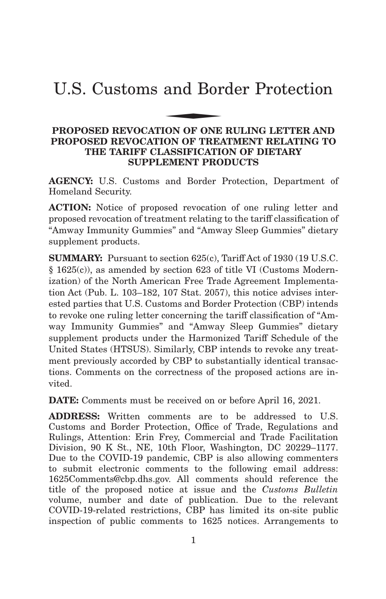# U.S. Customs and Border Protection and Bor

# **PROPOSED REVOCATION OF ONE RULING LETTER AND PROPOSED REVOCATION OF TREATMENT RELATING TO THE TARIFF CLASSIFICATION OF DIETARY SUPPLEMENT PRODUCTS**

**AGENCY:** U.S. Customs and Border Protection, Department of Homeland Security.

**ACTION:** Notice of proposed revocation of one ruling letter and proposed revocation of treatment relating to the tariff classification of "Amway Immunity Gummies" and "Amway Sleep Gummies" dietary supplement products.

**SUMMARY:** Pursuant to section 625(c), Tariff Act of 1930 (19 U.S.C. § 1625(c)), as amended by section 623 of title VI (Customs Modernization) of the North American Free Trade Agreement Implementation Act (Pub. L. 103–182, 107 Stat. 2057), this notice advises interested parties that U.S. Customs and Border Protection (CBP) intends to revoke one ruling letter concerning the tariff classification of "Amway Immunity Gummies" and "Amway Sleep Gummies" dietary supplement products under the Harmonized Tariff Schedule of the United States (HTSUS). Similarly, CBP intends to revoke any treatment previously accorded by CBP to substantially identical transactions. Comments on the correctness of the proposed actions are invited.

**DATE:** Comments must be received on or before April 16, 2021.

**ADDRESS:** Written comments are to be addressed to U.S. Customs and Border Protection, Office of Trade, Regulations and Rulings, Attention: Erin Frey, Commercial and Trade Facilitation Division, 90 K St., NE, 10th Floor, Washington, DC 20229–1177. Due to the COVID-19 pandemic, CBP is also allowing commenters to submit electronic comments to the following email address: 1625Comments@cbp.dhs.gov. All comments should reference the title of the proposed notice at issue and the *Customs Bulletin* volume, number and date of publication. Due to the relevant COVID-19-related restrictions, CBP has limited its on-site public inspection of public comments to 1625 notices. Arrangements to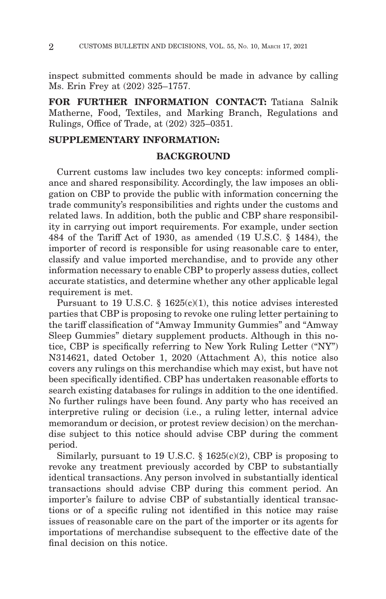inspect submitted comments should be made in advance by calling Ms. Erin Frey at (202) 325–1757.

**FOR FURTHER INFORMATION CONTACT:** Tatiana Salnik Matherne, Food, Textiles, and Marking Branch, Regulations and Rulings, Office of Trade, at (202) 325–0351.

# **SUPPLEMENTARY INFORMATION:**

# **BACKGROUND**

Current customs law includes two key concepts: informed compliance and shared responsibility. Accordingly, the law imposes an obligation on CBP to provide the public with information concerning the trade community's responsibilities and rights under the customs and related laws. In addition, both the public and CBP share responsibility in carrying out import requirements. For example, under section 484 of the Tariff Act of 1930, as amended (19 U.S.C. § 1484), the importer of record is responsible for using reasonable care to enter, classify and value imported merchandise, and to provide any other information necessary to enable CBP to properly assess duties, collect accurate statistics, and determine whether any other applicable legal requirement is met.

Pursuant to 19 U.S.C. § 1625(c)(1), this notice advises interested parties that CBP is proposing to revoke one ruling letter pertaining to the tariff classification of "Amway Immunity Gummies" and "Amway Sleep Gummies" dietary supplement products. Although in this notice, CBP is specifically referring to New York Ruling Letter ("NY") N314621, dated October 1, 2020 (Attachment A), this notice also covers any rulings on this merchandise which may exist, but have not been specifically identified. CBP has undertaken reasonable efforts to search existing databases for rulings in addition to the one identified. No further rulings have been found. Any party who has received an interpretive ruling or decision (i.e., a ruling letter, internal advice memorandum or decision, or protest review decision) on the merchandise subject to this notice should advise CBP during the comment period.

Similarly, pursuant to 19 U.S.C.  $\S$  1625(c)(2), CBP is proposing to revoke any treatment previously accorded by CBP to substantially identical transactions. Any person involved in substantially identical transactions should advise CBP during this comment period. An importer's failure to advise CBP of substantially identical transactions or of a specific ruling not identified in this notice may raise issues of reasonable care on the part of the importer or its agents for importations of merchandise subsequent to the effective date of the final decision on this notice.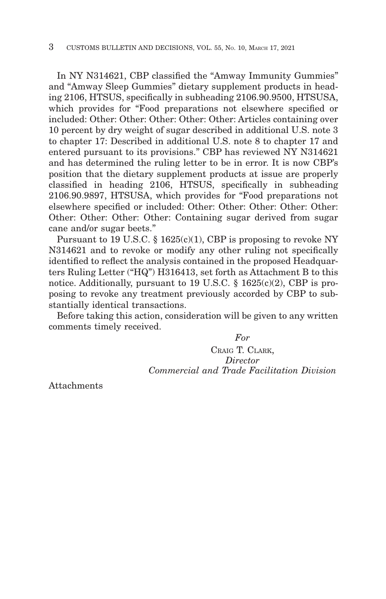In NY N314621, CBP classified the "Amway Immunity Gummies" and "Amway Sleep Gummies" dietary supplement products in heading 2106, HTSUS, specifically in subheading 2106.90.9500, HTSUSA, which provides for "Food preparations not elsewhere specified or included: Other: Other: Other: Other: Other: Articles containing over 10 percent by dry weight of sugar described in additional U.S. note 3 to chapter 17: Described in additional U.S. note 8 to chapter 17 and entered pursuant to its provisions." CBP has reviewed NY N314621 and has determined the ruling letter to be in error. It is now CBP's position that the dietary supplement products at issue are properly classified in heading 2106, HTSUS, specifically in subheading 2106.90.9897, HTSUSA, which provides for "Food preparations not elsewhere specified or included: Other: Other: Other: Other: Other: Other: Other: Other: Other: Containing sugar derived from sugar cane and/or sugar beets."

Pursuant to 19 U.S.C. § 1625(c)(1), CBP is proposing to revoke NY N314621 and to revoke or modify any other ruling not specifically identified to reflect the analysis contained in the proposed Headquarters Ruling Letter ("HQ") H316413, set forth as Attachment B to this notice. Additionally, pursuant to 19 U.S.C. § 1625(c)(2), CBP is proposing to revoke any treatment previously accorded by CBP to substantially identical transactions.

Before taking this action, consideration will be given to any written comments timely received.

*For*

CRAIG T. CLARK, *Director Commercial and Trade Facilitation Division*

Attachments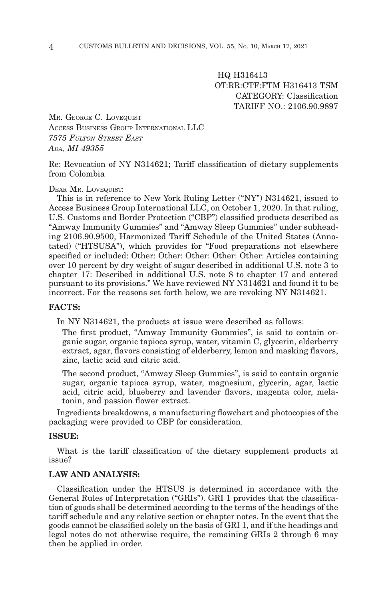HQ H316413 OT:RR:CTF:FTM H316413 TSM CATEGORY: Classification TARIFF NO · 2106 90 9897

MR. GEORGE C. LOVEQUIST ACCESS BUSINESS GROUP INTERNATIONAL LLC *7575 FULTON STREET EAST ADA, MI 49355*

Re: Revocation of NY N314621; Tariff classification of dietary supplements from Colombia

#### DEAR MR. LOVEQUIST:

This is in reference to New York Ruling Letter ("NY") N314621, issued to Access Business Group International LLC, on October 1, 2020. In that ruling, U.S. Customs and Border Protection ("CBP") classified products described as "Amway Immunity Gummies" and "Amway Sleep Gummies" under subheading 2106.90.9500, Harmonized Tariff Schedule of the United States (Annotated) ("HTSUSA"), which provides for "Food preparations not elsewhere specified or included: Other: Other: Other: Other: Other: Articles containing over 10 percent by dry weight of sugar described in additional U.S. note 3 to chapter 17: Described in additional U.S. note 8 to chapter 17 and entered pursuant to its provisions." We have reviewed NY N314621 and found it to be incorrect. For the reasons set forth below, we are revoking NY N314621.

#### **FACTS:**

In NY N314621, the products at issue were described as follows:

The first product, "Amway Immunity Gummies", is said to contain organic sugar, organic tapioca syrup, water, vitamin C, glycerin, elderberry extract, agar, flavors consisting of elderberry, lemon and masking flavors, zinc, lactic acid and citric acid.

The second product, "Amway Sleep Gummies", is said to contain organic sugar, organic tapioca syrup, water, magnesium, glycerin, agar, lactic acid, citric acid, blueberry and lavender flavors, magenta color, melatonin, and passion flower extract.

Ingredients breakdowns, a manufacturing flowchart and photocopies of the packaging were provided to CBP for consideration.

#### **ISSUE:**

What is the tariff classification of the dietary supplement products at issue?

# **LAW AND ANALYSIS:**

Classification under the HTSUS is determined in accordance with the General Rules of Interpretation ("GRIs"). GRI 1 provides that the classification of goods shall be determined according to the terms of the headings of the tariff schedule and any relative section or chapter notes. In the event that the goods cannot be classified solely on the basis of GRI 1, and if the headings and legal notes do not otherwise require, the remaining GRIs 2 through 6 may then be applied in order.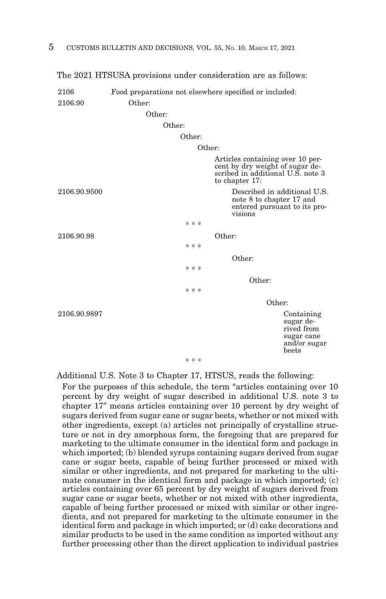| 2106         |        |        |        | Food preparations not elsewhere specified or included:                                                                     |  |
|--------------|--------|--------|--------|----------------------------------------------------------------------------------------------------------------------------|--|
| 2106.90      | Other: |        |        |                                                                                                                            |  |
|              | Other: |        |        |                                                                                                                            |  |
|              | Other: |        |        |                                                                                                                            |  |
|              |        | Other: |        |                                                                                                                            |  |
|              |        |        |        |                                                                                                                            |  |
|              |        |        | Other: |                                                                                                                            |  |
|              |        |        |        | Articles containing over 10 per-<br>cent by dry weight of sugar de-<br>scribed in additional U.S. note 3<br>to chapter 17: |  |
| 2106.90.9500 |        |        |        | Described in additional U.S.<br>note 8 to chapter 17 and<br>entered pursuant to its pro-<br>visions                        |  |
|              |        | * * *  |        |                                                                                                                            |  |
| 2106.90.98   |        |        |        | Other:                                                                                                                     |  |
|              |        | * * *  |        |                                                                                                                            |  |
|              |        |        |        | Other:                                                                                                                     |  |
|              |        | * * *  |        |                                                                                                                            |  |
|              |        |        |        |                                                                                                                            |  |
|              |        | * * *  |        | Other:                                                                                                                     |  |
|              |        |        |        |                                                                                                                            |  |
|              |        |        |        | Other:                                                                                                                     |  |
| 2106.90.9897 |        | * * *  |        | Containing<br>sugar de-<br>rived from<br>sugar cane<br>and/or sugar<br>beets                                               |  |

The 2021 HTSUSA provisions under consideration are as follows:

Additional U.S. Note 3 to Chapter 17, HTSUS, reads the following: For the purposes of this schedule, the term "articles containing over 10 percent by dry weight of sugar described in additional U.S. note 3 to chapter 17" means articles containing over 10 percent by dry weight of sugars derived from sugar cane or sugar beets, whether or not mixed with other ingredients, except (a) articles not principally of crystalline structure or not in dry amorphous form, the foregoing that are prepared for marketing to the ultimate consumer in the identical form and package in which imported; (b) blended syrups containing sugars derived from sugar cane or sugar beets, capable of being further processed or mixed with similar or other ingredients, and not prepared for marketing to the ultimate consumer in the identical form and package in which imported; (c) articles containing over 65 percent by dry weight of sugars derived from sugar cane or sugar beets, whether or not mixed with other ingredients, capable of being further processed or mixed with similar or other ingredients, and not prepared for marketing to the ultimate consumer in the identical form and package in which imported; or (d) cake decorations and

similar products to be used in the same condition as imported without any further processing other than the direct application to individual pastries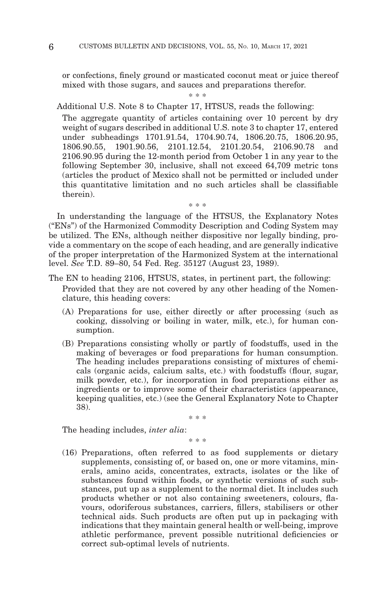or confections, finely ground or masticated coconut meat or juice thereof mixed with those sugars, and sauces and preparations therefor.

\* \* \*

Additional U.S. Note 8 to Chapter 17, HTSUS, reads the following:

The aggregate quantity of articles containing over 10 percent by dry weight of sugars described in additional U.S. note 3 to chapter 17, entered under subheadings 1701.91.54, 1704.90.74, 1806.20.75, 1806.20.95, 1806.90.55, 1901.90.56, 2101.12.54, 2101.20.54, 2106.90.78 and 2106.90.95 during the 12-month period from October 1 in any year to the following September 30, inclusive, shall not exceed 64,709 metric tons (articles the product of Mexico shall not be permitted or included under this quantitative limitation and no such articles shall be classifiable therein).

In understanding the language of the HTSUS, the Explanatory Notes ("ENs") of the Harmonized Commodity Description and Coding System may be utilized. The ENs, although neither dispositive nor legally binding, provide a commentary on the scope of each heading, and are generally indicative of the proper interpretation of the Harmonized System at the international level. *See* T.D. 89–80, 54 Fed. Reg. 35127 (August 23, 1989).

\* \* \*

- The EN to heading 2106, HTSUS, states, in pertinent part, the following: Provided that they are not covered by any other heading of the Nomenclature, this heading covers:
	- (A) Preparations for use, either directly or after processing (such as cooking, dissolving or boiling in water, milk, etc.), for human consumption.
	- (B) Preparations consisting wholly or partly of foodstuffs, used in the making of beverages or food preparations for human consumption. The heading includes preparations consisting of mixtures of chemicals (organic acids, calcium salts, etc.) with foodstuffs (flour, sugar, milk powder, etc.), for incorporation in food preparations either as ingredients or to improve some of their characteristics (appearance, keeping qualities, etc.) (see the General Explanatory Note to Chapter 38).

\* \* \*

The heading includes, *inter alia*:

\* \* \*

(16) Preparations, often referred to as food supplements or dietary supplements, consisting of, or based on, one or more vitamins, minerals, amino acids, concentrates, extracts, isolates or the like of substances found within foods, or synthetic versions of such substances, put up as a supplement to the normal diet. It includes such products whether or not also containing sweeteners, colours, flavours, odoriferous substances, carriers, fillers, stabilisers or other technical aids. Such products are often put up in packaging with indications that they maintain general health or well-being, improve athletic performance, prevent possible nutritional deficiencies or correct sub-optimal levels of nutrients.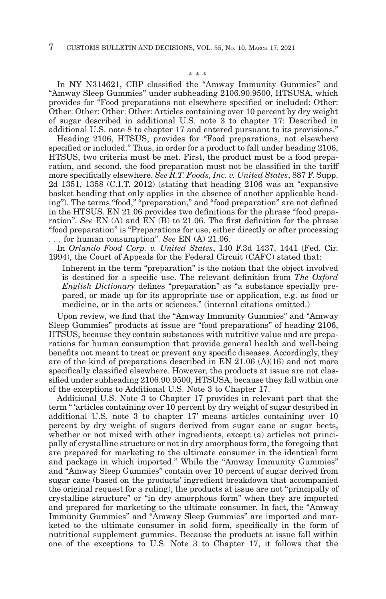\* \* \*

In NY N314621, CBP classified the "Amway Immunity Gummies" and "Amway Sleep Gummies" under subheading 2106.90.9500, HTSUSA, which provides for "Food preparations not elsewhere specified or included: Other: Other: Other: Other: Other: Articles containing over 10 percent by dry weight of sugar described in additional U.S. note 3 to chapter 17: Described in additional U.S. note 8 to chapter 17 and entered pursuant to its provisions."

Heading 2106, HTSUS, provides for "Food preparations, not elsewhere specified or included." Thus, in order for a product to fall under heading 2106, HTSUS, two criteria must be met. First, the product must be a food preparation, and second, the food preparation must not be classified in the tariff more specifically elsewhere. *See R.T. Foods, Inc. v. United States*, 887 F. Supp. 2d 1351, 1358 (C.I.T. 2012) (stating that heading 2106 was an "expansive basket heading that only applies in the absence of another applicable heading"). The terms "food," "preparation," and "food preparation" are not defined in the HTSUS. EN 21.06 provides two definitions for the phrase "food preparation". *See* EN (A) and EN (B) to 21.06. The first definition for the phrase "food preparation" is "Preparations for use, either directly or after processing . . . for human consumption". *See* EN (A) 21.06.

In *Orlando Food Corp. v. United States*, 140 F.3d 1437, 1441 (Fed. Cir. 1994), the Court of Appeals for the Federal Circuit (CAFC) stated that:

Inherent in the term "preparation" is the notion that the object involved is destined for a specific use. The relevant definition from *The Oxford English Dictionary* defines "preparation" as "a substance specially prepared, or made up for its appropriate use or application, e.g. as food or medicine, or in the arts or sciences." (internal citations omitted.)

Upon review, we find that the "Amway Immunity Gummies" and "Amway Sleep Gummies" products at issue are "food preparations" of heading 2106, HTSUS, because they contain substances with nutritive value and are preparations for human consumption that provide general health and well-being benefits not meant to treat or prevent any specific diseases. Accordingly, they are of the kind of preparations described in EN 21.06 (A)(16) and not more specifically classified elsewhere. However, the products at issue are not classified under subheading 2106.90.9500, HTSUSA, because they fall within one of the exceptions to Additional U.S. Note 3 to Chapter 17.

Additional U.S. Note 3 to Chapter 17 provides in relevant part that the term " 'articles containing over 10 percent by dry weight of sugar described in additional U.S. note 3 to chapter 17' means articles containing over 10 percent by dry weight of sugars derived from sugar cane or sugar beets, whether or not mixed with other ingredients, except (a) articles not principally of crystalline structure or not in dry amorphous form, the foregoing that are prepared for marketing to the ultimate consumer in the identical form and package in which imported." While the "Amway Immunity Gummies" and "Amway Sleep Gummies" contain over 10 percent of sugar derived from sugar cane (based on the products' ingredient breakdown that accompanied the original request for a ruling), the products at issue are not "principally of crystalline structure" or "in dry amorphous form" when they are imported and prepared for marketing to the ultimate consumer. In fact, the "Amway Immunity Gummies" and "Amway Sleep Gummies" are imported and marketed to the ultimate consumer in solid form, specifically in the form of nutritional supplement gummies. Because the products at issue fall within one of the exceptions to U.S. Note 3 to Chapter 17, it follows that the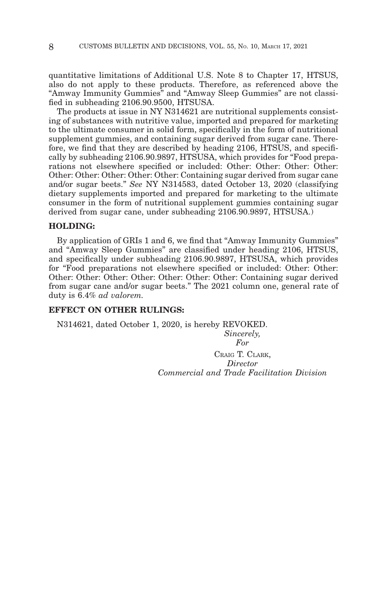quantitative limitations of Additional U.S. Note 8 to Chapter 17, HTSUS, also do not apply to these products. Therefore, as referenced above the "Amway Immunity Gummies" and "Amway Sleep Gummies" are not classified in subheading 2106.90.9500, HTSUSA.

The products at issue in NY N314621 are nutritional supplements consisting of substances with nutritive value, imported and prepared for marketing to the ultimate consumer in solid form, specifically in the form of nutritional supplement gummies, and containing sugar derived from sugar cane. Therefore, we find that they are described by heading 2106, HTSUS, and specifically by subheading 2106.90.9897, HTSUSA, which provides for "Food preparations not elsewhere specified or included: Other: Other: Other: Other: Other: Other: Other: Other: Other: Containing sugar derived from sugar cane and/or sugar beets." *See* NY N314583, dated October 13, 2020 (classifying dietary supplements imported and prepared for marketing to the ultimate consumer in the form of nutritional supplement gummies containing sugar derived from sugar cane, under subheading 2106.90.9897, HTSUSA.)

#### **HOLDING:**

By application of GRIs 1 and 6, we find that "Amway Immunity Gummies" and "Amway Sleep Gummies" are classified under heading 2106, HTSUS, and specifically under subheading 2106.90.9897, HTSUSA, which provides for "Food preparations not elsewhere specified or included: Other: Other: Other: Other: Other: Other: Other: Other: Other: Containing sugar derived from sugar cane and/or sugar beets." The 2021 column one, general rate of duty is 6.4% *ad valorem.*

# **EFFECT ON OTHER RULINGS:**

N314621, dated October 1, 2020, is hereby REVOKED. *Sincerely, For*

> CRAIG T. CLARK, *Director Commercial and Trade Facilitation Division*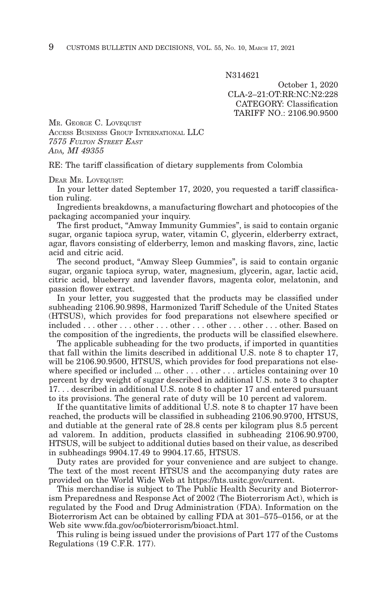N314621

October 1, 2020 CLA-2–21:OT:RR:NC:N2:228 CATEGORY: Classification TARIFF NO.: 2106.90.9500

MR. GEORGE C. LOVEQUIST ACCESS BUSINESS GROUP INTERNATIONAL LLC *7575 FULTON STREET EAST ADA, MI 49355*

RE: The tariff classification of dietary supplements from Colombia

DEAR MR. LOVEQUIST:

In your letter dated September 17, 2020, you requested a tariff classification ruling.

Ingredients breakdowns, a manufacturing flowchart and photocopies of the packaging accompanied your inquiry.

The first product, "Amway Immunity Gummies", is said to contain organic sugar, organic tapioca syrup, water, vitamin C, glycerin, elderberry extract, agar, flavors consisting of elderberry, lemon and masking flavors, zinc, lactic acid and citric acid.

The second product, "Amway Sleep Gummies", is said to contain organic sugar, organic tapioca syrup, water, magnesium, glycerin, agar, lactic acid, citric acid, blueberry and lavender flavors, magenta color, melatonin, and passion flower extract.

In your letter, you suggested that the products may be classified under subheading 2106.90.9898, Harmonized Tariff Schedule of the United States (HTSUS), which provides for food preparations not elsewhere specified or included . . . other . . . other . . . other . . . other . . . other . . . other. Based on the composition of the ingredients, the products will be classified elsewhere.

The applicable subheading for the two products, if imported in quantities that fall within the limits described in additional U.S. note 8 to chapter 17, will be 2106.90.9500, HTSUS, which provides for food preparations not elsewhere specified or included ... other ... other ... articles containing over 10 percent by dry weight of sugar described in additional U.S. note 3 to chapter 17. . . described in additional U.S. note 8 to chapter 17 and entered pursuant to its provisions. The general rate of duty will be 10 percent ad valorem.

If the quantitative limits of additional U.S. note 8 to chapter 17 have been reached, the products will be classified in subheading 2106.90.9700, HTSUS, and dutiable at the general rate of 28.8 cents per kilogram plus 8.5 percent ad valorem. In addition, products classified in subheading 2106.90.9700, HTSUS, will be subject to additional duties based on their value, as described in subheadings 9904.17.49 to 9904.17.65, HTSUS.

Duty rates are provided for your convenience and are subject to change. The text of the most recent HTSUS and the accompanying duty rates are provided on the World Wide Web at https://hts.usitc.gov/current.

This merchandise is subject to The Public Health Security and Bioterrorism Preparedness and Response Act of 2002 (The Bioterrorism Act), which is regulated by the Food and Drug Administration (FDA). Information on the Bioterrorism Act can be obtained by calling FDA at 301–575–0156, or at the Web site www.fda.gov/oc/bioterrorism/bioact.html.

This ruling is being issued under the provisions of Part 177 of the Customs Regulations (19 C.F.R. 177).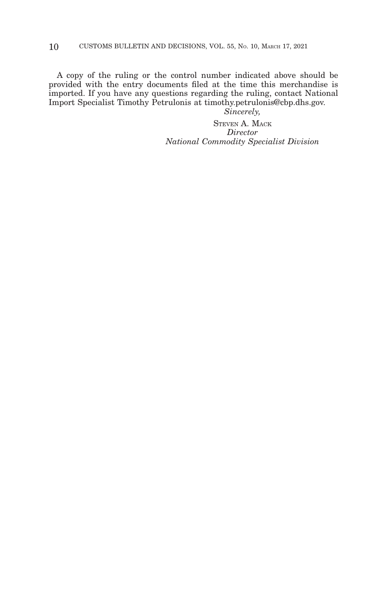A copy of the ruling or the control number indicated above should be provided with the entry documents filed at the time this merchandise is imported. If you have any questions regarding the ruling, contact National Import Specialist Timothy Petrulonis at timothy.petrulonis@cbp.dhs.gov.

*Sincerely,*

STEVEN A. MACK *Director National Commodity Specialist Division*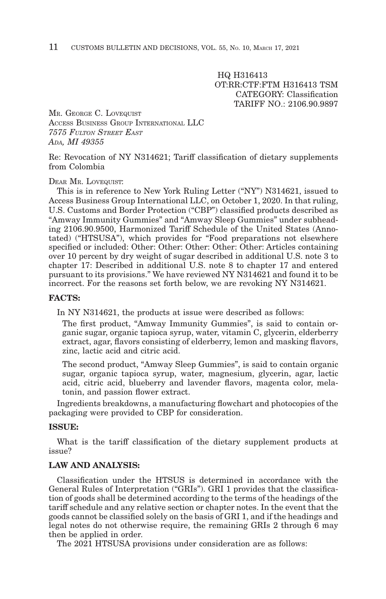HQ H316413 OT:RR:CTF:FTM H316413 TSM CATEGORY: Classification TARIFF NO.: 2106.90.9897

MR. GEORGE C. LOVEQUIST ACCESS BUSINESS GROUP INTERNATIONAL LLC *7575 FULTON STREET EAST ADA, MI 49355*

Re: Revocation of NY N314621; Tariff classification of dietary supplements from Colombia

#### DEAR MR. LOVEQUIST:

This is in reference to New York Ruling Letter ("NY") N314621, issued to Access Business Group International LLC, on October 1, 2020. In that ruling, U.S. Customs and Border Protection ("CBP") classified products described as "Amway Immunity Gummies" and "Amway Sleep Gummies" under subheading 2106.90.9500, Harmonized Tariff Schedule of the United States (Annotated) ("HTSUSA"), which provides for "Food preparations not elsewhere specified or included: Other: Other: Other: Other: Other: Articles containing over 10 percent by dry weight of sugar described in additional U.S. note 3 to chapter 17: Described in additional U.S. note 8 to chapter 17 and entered pursuant to its provisions." We have reviewed NY N314621 and found it to be incorrect. For the reasons set forth below, we are revoking NY N314621.

#### **FACTS:**

In NY N314621, the products at issue were described as follows:

The first product, "Amway Immunity Gummies", is said to contain organic sugar, organic tapioca syrup, water, vitamin C, glycerin, elderberry extract, agar, flavors consisting of elderberry, lemon and masking flavors, zinc, lactic acid and citric acid.

The second product, "Amway Sleep Gummies", is said to contain organic sugar, organic tapioca syrup, water, magnesium, glycerin, agar, lactic acid, citric acid, blueberry and lavender flavors, magenta color, melatonin, and passion flower extract.

Ingredients breakdowns, a manufacturing flowchart and photocopies of the packaging were provided to CBP for consideration.

# **ISSUE:**

What is the tariff classification of the dietary supplement products at issue?

# **LAW AND ANALYSIS:**

Classification under the HTSUS is determined in accordance with the General Rules of Interpretation ("GRIs"). GRI 1 provides that the classification of goods shall be determined according to the terms of the headings of the tariff schedule and any relative section or chapter notes. In the event that the goods cannot be classified solely on the basis of GRI 1, and if the headings and legal notes do not otherwise require, the remaining GRIs 2 through 6 may then be applied in order.

The 2021 HTSUSA provisions under consideration are as follows: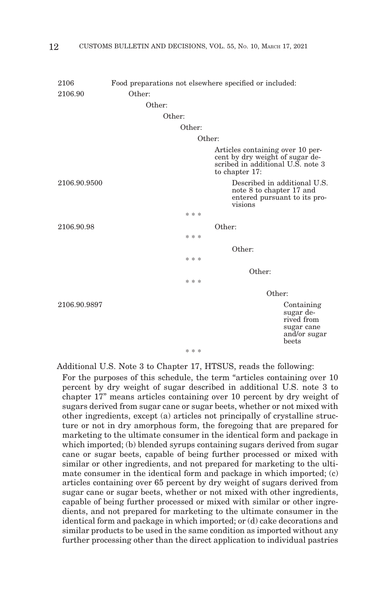| 2106         |        |        | Food preparations not elsewhere specified or included:                                                                |
|--------------|--------|--------|-----------------------------------------------------------------------------------------------------------------------|
| 2106.90      | Other: |        |                                                                                                                       |
|              | Other: |        |                                                                                                                       |
|              | Other: |        |                                                                                                                       |
|              | Other: |        |                                                                                                                       |
|              |        | Other: |                                                                                                                       |
|              |        |        | Articles containing over 10 per-<br>cent by dry weight of sugar described in additional U.S. note 3<br>to chapter 17: |
| 2106.90.9500 |        |        | Described in additional U.S.<br>note 8 to chapter 17 and<br>entered pursuant to its pro-<br>visions                   |
|              |        | * * *  |                                                                                                                       |
| 2106.90.98   |        |        | Other:                                                                                                                |
|              |        | * * *  |                                                                                                                       |
|              |        |        | Other:                                                                                                                |
|              |        | * * *  |                                                                                                                       |
|              |        |        | Other:                                                                                                                |
|              |        | * * *  |                                                                                                                       |
|              |        |        | Other:                                                                                                                |
| 2106.90.9897 |        |        | Containing<br>sugar de-<br>rived from<br>sugar cane<br>and/or sugar<br>beets                                          |
|              |        | * * *  |                                                                                                                       |

Additional U.S. Note 3 to Chapter 17, HTSUS, reads the following:

For the purposes of this schedule, the term "articles containing over 10 percent by dry weight of sugar described in additional U.S. note 3 to chapter 17" means articles containing over 10 percent by dry weight of sugars derived from sugar cane or sugar beets, whether or not mixed with other ingredients, except (a) articles not principally of crystalline structure or not in dry amorphous form, the foregoing that are prepared for marketing to the ultimate consumer in the identical form and package in which imported; (b) blended syrups containing sugars derived from sugar cane or sugar beets, capable of being further processed or mixed with similar or other ingredients, and not prepared for marketing to the ultimate consumer in the identical form and package in which imported; (c) articles containing over 65 percent by dry weight of sugars derived from sugar cane or sugar beets, whether or not mixed with other ingredients, capable of being further processed or mixed with similar or other ingredients, and not prepared for marketing to the ultimate consumer in the identical form and package in which imported; or (d) cake decorations and similar products to be used in the same condition as imported without any further processing other than the direct application to individual pastries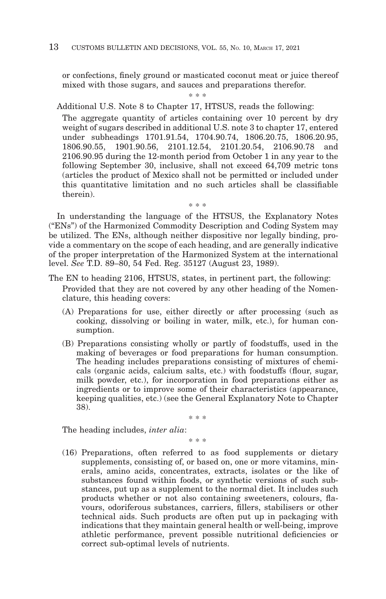or confections, finely ground or masticated coconut meat or juice thereof mixed with those sugars, and sauces and preparations therefor.

\* \* \*

Additional U.S. Note 8 to Chapter 17, HTSUS, reads the following:

The aggregate quantity of articles containing over 10 percent by dry weight of sugars described in additional U.S. note 3 to chapter 17, entered under subheadings 1701.91.54, 1704.90.74, 1806.20.75, 1806.20.95, 1806.90.55, 1901.90.56, 2101.12.54, 2101.20.54, 2106.90.78 and 2106.90.95 during the 12-month period from October 1 in any year to the following September 30, inclusive, shall not exceed 64,709 metric tons (articles the product of Mexico shall not be permitted or included under this quantitative limitation and no such articles shall be classifiable therein).

In understanding the language of the HTSUS, the Explanatory Notes ("ENs") of the Harmonized Commodity Description and Coding System may be utilized. The ENs, although neither dispositive nor legally binding, provide a commentary on the scope of each heading, and are generally indicative of the proper interpretation of the Harmonized System at the international level. *See* T.D. 89–80, 54 Fed. Reg. 35127 (August 23, 1989).

\* \* \*

- The EN to heading 2106, HTSUS, states, in pertinent part, the following: Provided that they are not covered by any other heading of the Nomenclature, this heading covers:
	- (A) Preparations for use, either directly or after processing (such as cooking, dissolving or boiling in water, milk, etc.), for human consumption.
	- (B) Preparations consisting wholly or partly of foodstuffs, used in the making of beverages or food preparations for human consumption. The heading includes preparations consisting of mixtures of chemicals (organic acids, calcium salts, etc.) with foodstuffs (flour, sugar, milk powder, etc.), for incorporation in food preparations either as ingredients or to improve some of their characteristics (appearance, keeping qualities, etc.) (see the General Explanatory Note to Chapter 38).

\* \* \*

The heading includes, *inter alia*:

\* \* \*

(16) Preparations, often referred to as food supplements or dietary supplements, consisting of, or based on, one or more vitamins, minerals, amino acids, concentrates, extracts, isolates or the like of substances found within foods, or synthetic versions of such substances, put up as a supplement to the normal diet. It includes such products whether or not also containing sweeteners, colours, flavours, odoriferous substances, carriers, fillers, stabilisers or other technical aids. Such products are often put up in packaging with indications that they maintain general health or well-being, improve athletic performance, prevent possible nutritional deficiencies or correct sub-optimal levels of nutrients.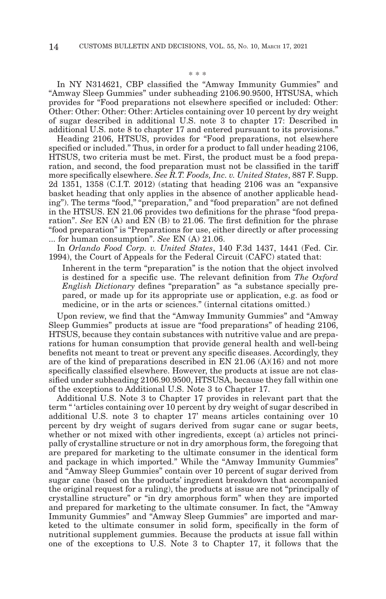\* \* \*

In NY N314621, CBP classified the "Amway Immunity Gummies" and "Amway Sleep Gummies" under subheading 2106.90.9500, HTSUSA, which provides for "Food preparations not elsewhere specified or included: Other: Other: Other: Other: Other: Articles containing over 10 percent by dry weight of sugar described in additional U.S. note 3 to chapter 17: Described in additional U.S. note 8 to chapter 17 and entered pursuant to its provisions."

Heading 2106, HTSUS, provides for "Food preparations, not elsewhere specified or included." Thus, in order for a product to fall under heading 2106, HTSUS, two criteria must be met. First, the product must be a food preparation, and second, the food preparation must not be classified in the tariff more specifically elsewhere. *See R.T. Foods, Inc. v. United States*, 887 F. Supp. 2d 1351, 1358 (C.I.T. 2012) (stating that heading 2106 was an "expansive basket heading that only applies in the absence of another applicable heading"). The terms "food," "preparation," and "food preparation" are not defined in the HTSUS. EN 21.06 provides two definitions for the phrase "food preparation". *See* EN (A) and EN (B) to 21.06. The first definition for the phrase "food preparation" is "Preparations for use, either directly or after processing ... for human consumption". *See* EN (A) 21.06.

In *Orlando Food Corp. v. United States*, 140 F.3d 1437, 1441 (Fed. Cir. 1994), the Court of Appeals for the Federal Circuit (CAFC) stated that:

Inherent in the term "preparation" is the notion that the object involved is destined for a specific use. The relevant definition from *The Oxford English Dictionary* defines "preparation" as "a substance specially prepared, or made up for its appropriate use or application, e.g. as food or medicine, or in the arts or sciences." (internal citations omitted.)

Upon review, we find that the "Amway Immunity Gummies" and "Amway Sleep Gummies" products at issue are "food preparations" of heading 2106, HTSUS, because they contain substances with nutritive value and are preparations for human consumption that provide general health and well-being benefits not meant to treat or prevent any specific diseases. Accordingly, they are of the kind of preparations described in EN  $21.06$  (A)(16) and not more specifically classified elsewhere. However, the products at issue are not classified under subheading 2106.90.9500, HTSUSA, because they fall within one of the exceptions to Additional U.S. Note 3 to Chapter 17.

Additional U.S. Note 3 to Chapter 17 provides in relevant part that the term " 'articles containing over 10 percent by dry weight of sugar described in additional U.S. note 3 to chapter 17' means articles containing over 10 percent by dry weight of sugars derived from sugar cane or sugar beets, whether or not mixed with other ingredients, except (a) articles not principally of crystalline structure or not in dry amorphous form, the foregoing that are prepared for marketing to the ultimate consumer in the identical form and package in which imported." While the "Amway Immunity Gummies" and "Amway Sleep Gummies" contain over 10 percent of sugar derived from sugar cane (based on the products' ingredient breakdown that accompanied the original request for a ruling), the products at issue are not "principally of crystalline structure" or "in dry amorphous form" when they are imported and prepared for marketing to the ultimate consumer. In fact, the "Amway Immunity Gummies" and "Amway Sleep Gummies" are imported and marketed to the ultimate consumer in solid form, specifically in the form of nutritional supplement gummies. Because the products at issue fall within one of the exceptions to U.S. Note 3 to Chapter 17, it follows that the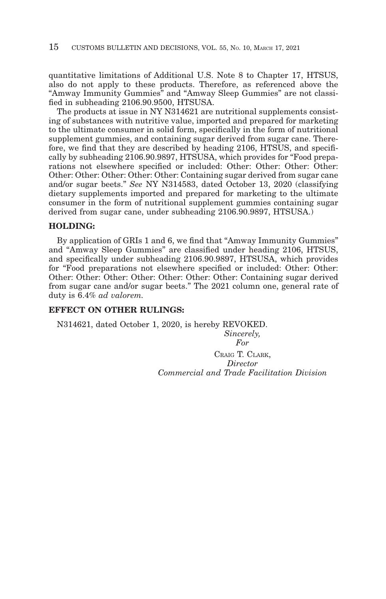quantitative limitations of Additional U.S. Note 8 to Chapter 17, HTSUS, also do not apply to these products. Therefore, as referenced above the "Amway Immunity Gummies" and "Amway Sleep Gummies" are not classified in subheading 2106.90.9500, HTSUSA.

The products at issue in NY N314621 are nutritional supplements consisting of substances with nutritive value, imported and prepared for marketing to the ultimate consumer in solid form, specifically in the form of nutritional supplement gummies, and containing sugar derived from sugar cane. Therefore, we find that they are described by heading 2106, HTSUS, and specifically by subheading 2106.90.9897, HTSUSA, which provides for "Food preparations not elsewhere specified or included: Other: Other: Other: Other: Other: Other: Other: Other: Other: Containing sugar derived from sugar cane and/or sugar beets." *See* NY N314583, dated October 13, 2020 (classifying dietary supplements imported and prepared for marketing to the ultimate consumer in the form of nutritional supplement gummies containing sugar derived from sugar cane, under subheading 2106.90.9897, HTSUSA.)

#### **HOLDING:**

By application of GRIs 1 and 6, we find that "Amway Immunity Gummies" and "Amway Sleep Gummies" are classified under heading 2106, HTSUS, and specifically under subheading 2106.90.9897, HTSUSA, which provides for "Food preparations not elsewhere specified or included: Other: Other: Other: Other: Other: Other: Other: Other: Other: Containing sugar derived from sugar cane and/or sugar beets." The 2021 column one, general rate of duty is 6.4% *ad valorem.*

# **EFFECT ON OTHER RULINGS:**

N314621, dated October 1, 2020, is hereby REVOKED. *Sincerely, For*

> CRAIG T. CLARK, *Director Commercial and Trade Facilitation Division*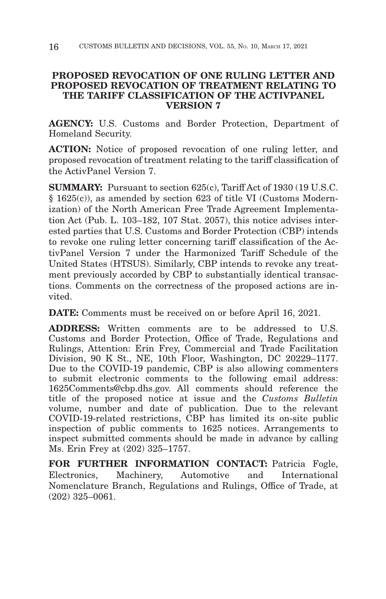# **PROPOSED REVOCATION OF ONE RULING LETTER AND PROPOSED REVOCATION OF TREATMENT RELATING TO THE TARIFF CLASSIFICATION OF THE ACTIVPANEL VERSION 7**

**AGENCY:** U.S. Customs and Border Protection, Department of Homeland Security.

**ACTION:** Notice of proposed revocation of one ruling letter, and proposed revocation of treatment relating to the tariff classification of the ActivPanel Version 7.

**SUMMARY:** Pursuant to section 625(c), Tariff Act of 1930 (19 U.S.C. § 1625(c)), as amended by section 623 of title VI (Customs Modernization) of the North American Free Trade Agreement Implementation Act (Pub. L. 103–182, 107 Stat. 2057), this notice advises interested parties that U.S. Customs and Border Protection (CBP) intends to revoke one ruling letter concerning tariff classification of the ActivPanel Version 7 under the Harmonized Tariff Schedule of the United States (HTSUS). Similarly, CBP intends to revoke any treatment previously accorded by CBP to substantially identical transactions. Comments on the correctness of the proposed actions are invited.

**DATE:** Comments must be received on or before April 16, 2021.

**ADDRESS:** Written comments are to be addressed to U.S. Customs and Border Protection, Office of Trade, Regulations and Rulings, Attention: Erin Frey, Commercial and Trade Facilitation Division, 90 K St., NE, 10th Floor, Washington, DC 20229–1177. Due to the COVID-19 pandemic, CBP is also allowing commenters to submit electronic comments to the following email address: 1625Comments@cbp.dhs.gov. All comments should reference the title of the proposed notice at issue and the *Customs Bulletin* volume, number and date of publication. Due to the relevant COVID-19-related restrictions, CBP has limited its on-site public inspection of public comments to 1625 notices. Arrangements to inspect submitted comments should be made in advance by calling Ms. Erin Frey at (202) 325–1757.

FOR FURTHER INFORMATION CONTACT: Patricia Fogle, Electronics, Machinery, Automotive and International Nomenclature Branch, Regulations and Rulings, Office of Trade, at (202) 325–0061.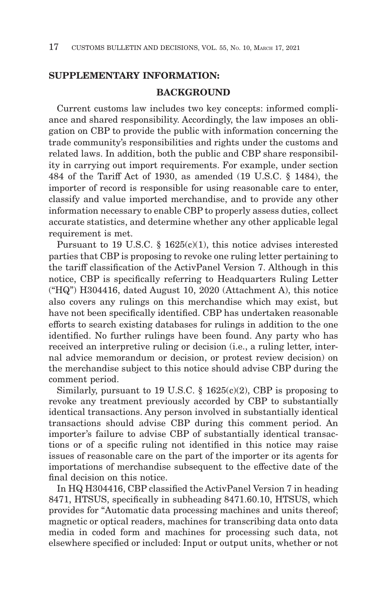# **SUPPLEMENTARY INFORMATION:**

# **BACKGROUND**

Current customs law includes two key concepts: informed compliance and shared responsibility. Accordingly, the law imposes an obligation on CBP to provide the public with information concerning the trade community's responsibilities and rights under the customs and related laws. In addition, both the public and CBP share responsibility in carrying out import requirements. For example, under section 484 of the Tariff Act of 1930, as amended (19 U.S.C. § 1484), the importer of record is responsible for using reasonable care to enter, classify and value imported merchandise, and to provide any other information necessary to enable CBP to properly assess duties, collect accurate statistics, and determine whether any other applicable legal requirement is met.

Pursuant to 19 U.S.C. § 1625(c)(1), this notice advises interested parties that CBP is proposing to revoke one ruling letter pertaining to the tariff classification of the ActivPanel Version 7. Although in this notice, CBP is specifically referring to Headquarters Ruling Letter ("HQ") H304416, dated August 10, 2020 (Attachment A), this notice also covers any rulings on this merchandise which may exist, but have not been specifically identified. CBP has undertaken reasonable efforts to search existing databases for rulings in addition to the one identified. No further rulings have been found. Any party who has received an interpretive ruling or decision (i.e., a ruling letter, internal advice memorandum or decision, or protest review decision) on the merchandise subject to this notice should advise CBP during the comment period.

Similarly, pursuant to 19 U.S.C.  $\S$  1625(c)(2), CBP is proposing to revoke any treatment previously accorded by CBP to substantially identical transactions. Any person involved in substantially identical transactions should advise CBP during this comment period. An importer's failure to advise CBP of substantially identical transactions or of a specific ruling not identified in this notice may raise issues of reasonable care on the part of the importer or its agents for importations of merchandise subsequent to the effective date of the final decision on this notice.

In HQ H304416, CBP classified the ActivPanel Version 7 in heading 8471, HTSUS, specifically in subheading 8471.60.10, HTSUS, which provides for "Automatic data processing machines and units thereof; magnetic or optical readers, machines for transcribing data onto data media in coded form and machines for processing such data, not elsewhere specified or included: Input or output units, whether or not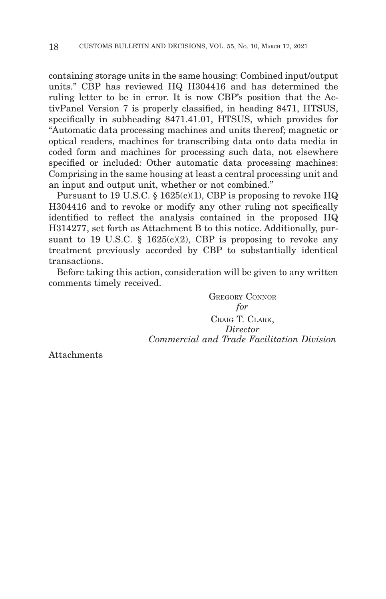containing storage units in the same housing: Combined input/output units." CBP has reviewed HQ H304416 and has determined the ruling letter to be in error. It is now CBP's position that the ActivPanel Version 7 is properly classified, in heading 8471, HTSUS, specifically in subheading 8471.41.01, HTSUS, which provides for "Automatic data processing machines and units thereof; magnetic or optical readers, machines for transcribing data onto data media in coded form and machines for processing such data, not elsewhere specified or included: Other automatic data processing machines: Comprising in the same housing at least a central processing unit and an input and output unit, whether or not combined."

Pursuant to 19 U.S.C.  $\S$  1625(c)(1), CBP is proposing to revoke HQ H304416 and to revoke or modify any other ruling not specifically identified to reflect the analysis contained in the proposed HQ H314277, set forth as Attachment B to this notice. Additionally, pursuant to 19 U.S.C. § 1625(c)(2), CBP is proposing to revoke any treatment previously accorded by CBP to substantially identical transactions.

Before taking this action, consideration will be given to any written comments timely received.

> GREGORY CONNOR *for* CRAIG T. CLARK, *Director Commercial and Trade Facilitation Division*

Attachments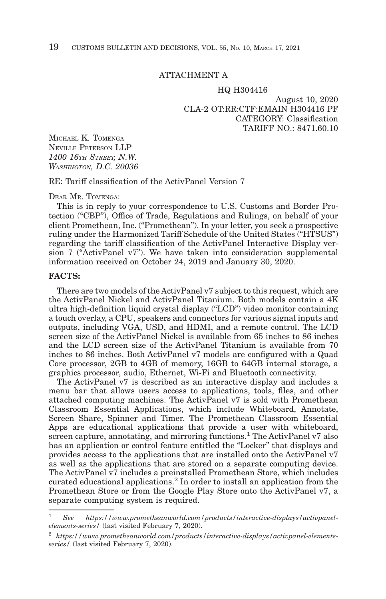#### ATTACHMENT A

#### HQ H304416

August 10, 2020 CLA-2 OT:RR:CTF:EMAIN H304416 PF CATEGORY: Classification TARIFF NO.: 8471.60.10

MICHAEL K. TOMENGA NEVILLE PETERSON LLP *1400 16TH STREET, N.W. WASHINGTON, D.C. 20036*

RE: Tariff classification of the ActivPanel Version 7

DEAR MR. TOMENGA:

This is in reply to your correspondence to U.S. Customs and Border Protection ("CBP"), Office of Trade, Regulations and Rulings, on behalf of your client Promethean, Inc. ("Promethean"). In your letter, you seek a prospective ruling under the Harmonized Tariff Schedule of the United States ("HTSUS") regarding the tariff classification of the ActivPanel Interactive Display version 7 ("ActivPanel v7"). We have taken into consideration supplemental information received on October 24, 2019 and January 30, 2020.

### **FACTS:**

There are two models of the ActivPanel v7 subject to this request, which are the ActivPanel Nickel and ActivPanel Titanium. Both models contain a 4K ultra high-definition liquid crystal display ("LCD") video monitor containing a touch overlay, a CPU, speakers and connectors for various signal inputs and outputs, including VGA, USD, and HDMI, and a remote control. The LCD screen size of the ActivPanel Nickel is available from 65 inches to 86 inches and the LCD screen size of the ActivPanel Titanium is available from 70 inches to 86 inches. Both ActivPanel v7 models are configured with a Quad Core processor, 2GB to 4GB of memory, 16GB to 64GB internal storage, a graphics processor, audio, Ethernet, Wi-Fi and Bluetooth connectivity.

The ActivPanel v7 is described as an interactive display and includes a menu bar that allows users access to applications, tools, files, and other attached computing machines. The ActivPanel v7 is sold with Promethean Classroom Essential Applications, which include Whiteboard, Annotate, Screen Share, Spinner and Timer. The Promethean Classroom Essential Apps are educational applications that provide a user with whiteboard, screen capture, annotating, and mirroring functions.<sup>1</sup> The ActivPanel v7 also has an application or control feature entitled the "Locker" that displays and provides access to the applications that are installed onto the ActivPanel v7 as well as the applications that are stored on a separate computing device. The ActivPanel v7 includes a preinstalled Promethean Store, which includes curated educational applications.<sup>2</sup> In order to install an application from the Promethean Store or from the Google Play Store onto the ActivPanel v7, a separate computing system is required.

<sup>&</sup>lt;sup>1</sup> See https://www.prometheanworld.com/products/interactive-displays/activpanel*elements-series/* (last visited February 7, 2020).

<sup>2</sup>*https://www.prometheanworld.com/products/interactive-displays/activpanel-elementsseries/* (last visited February 7, 2020).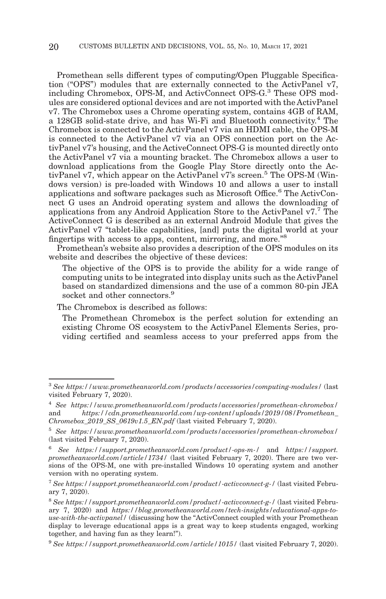Promethean sells different types of computing/Open Pluggable Specification ("OPS") modules that are externally connected to the ActivPanel v7, including Chromebox, OPS-M, and ActivConnect OPS-G.3 These OPS modules are considered optional devices and are not imported with the ActivPanel v7. The Chromebox uses a Chrome operating system, contains 4GB of RAM, a 128GB solid-state drive, and has Wi-Fi and Bluetooth connectivity.4 The Chromebox is connected to the ActivPanel v7 via an HDMI cable, the OPS-M is connected to the ActivPanel v7 via an OPS connection port on the ActivPanel v7's housing, and the ActiveConnect OPS-G is mounted directly onto the ActivPanel v7 via a mounting bracket. The Chromebox allows a user to download applications from the Google Play Store directly onto the ActivPanel v7, which appear on the ActivPanel v7's screen.<sup>5</sup> The OPS-M (Windows version) is pre-loaded with Windows 10 and allows a user to install applications and software packages such as Microsoft Office.6 The ActivConnect G uses an Android operating system and allows the downloading of applications from any Android Application Store to the ActivPanel v7.7 The ActiveConnect G is described as an external Android Module that gives the ActivPanel v7 "tablet-like capabilities, [and] puts the digital world at your fingertips with access to apps, content, mirroring, and more."8

Promethean's website also provides a description of the OPS modules on its website and describes the objective of these devices:

The objective of the OPS is to provide the ability for a wide range of computing units to be integrated into display units such as the ActivPanel based on standardized dimensions and the use of a common 80-pin JEA socket and other connectors.<sup>9</sup>

The Chromebox is described as follows:

The Promethean Chromebox is the perfect solution for extending an existing Chrome OS ecosystem to the ActivPanel Elements Series, providing certified and seamless access to your preferred apps from the

<sup>3</sup>*See https://www.prometheanworld.com/products/accessories/computing-modules/* (last visited February 7, 2020).

<sup>4</sup>*See https://www.prometheanworld.com/products/accessories/promethean-chromebox/* and *https://cdn.prometheanworld.com/wp-content/uploads/2019/08/Promethean\_ Chromebox\_2019\_SS\_0619v1.5\_EN.pdf* (last visited February 7, 2020).

<sup>5</sup>*See https://www.prometheanworld.com/products/accessories/promethean-chromebox/* (last visited February 7, 2020).

<sup>6</sup>*See https://support.prometheanworld.com/product/-ops-m-/* and *https://support. prometheanworld.com/article/1734/* (last visited February 7, 2020). There are two versions of the OPS-M, one with pre-installed Windows 10 operating system and another version with no operating system.

<sup>7</sup>*See https://support.prometheanworld.com/product/-activconnect-g-/* (last visited February 7, 2020).

<sup>8</sup>*See https://support.prometheanworld.com/product/-activconnect-g-/* (last visited February 7, 2020) and *https://blog.prometheanworld.com/tech-insights/educational-apps-touse-with-the-activpanel/* (discussing how the "ActivConnect coupled with your Promethean display to leverage educational apps is a great way to keep students engaged, working together, and having fun as they learn!").

<sup>9</sup>*See https://support.prometheanworld.com/article/1015/* (last visited February 7, 2020).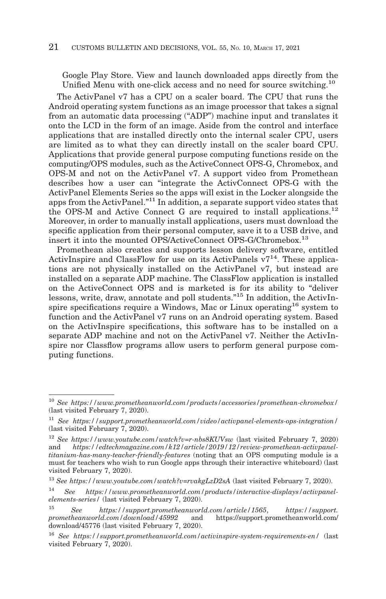Google Play Store. View and launch downloaded apps directly from the Unified Menu with one-click access and no need for source switching.10

The ActivPanel v7 has a CPU on a scaler board. The CPU that runs the Android operating system functions as an image processor that takes a signal from an automatic data processing ("ADP") machine input and translates it onto the LCD in the form of an image. Aside from the control and interface applications that are installed directly onto the internal scaler CPU, users are limited as to what they can directly install on the scaler board CPU. Applications that provide general purpose computing functions reside on the computing/OPS modules, such as the ActiveConnect OPS-G, Chromebox, and OPS-M and not on the ActivPanel v7. A support video from Promethean describes how a user can "integrate the ActivConnect OPS-G with the ActivPanel Elements Series so the apps will exist in the Locker alongside the apps from the ActivPanel."11 In addition, a separate support video states that the OPS-M and Active Connect G are required to install applications.<sup>12</sup> Moreover, in order to manually install applications, users must download the specific application from their personal computer, save it to a USB drive, and insert it into the mounted OPS/ActiveConnect OPS-G/Chromebox.13

Promethean also creates and supports lesson delivery software, entitled ActivInspire and ClassFlow for use on its ActivPanels  $v7^{14}$ . These applications are not physically installed on the ActivPanel v7, but instead are installed on a separate ADP machine. The ClassFlow application is installed on the ActiveConnect OPS and is marketed is for its ability to "deliver lessons, write, draw, annotate and poll students."15 In addition, the ActivInspire specifications require a Windows, Mac or Linux operating<sup>16</sup> system to function and the ActivPanel v7 runs on an Android operating system. Based on the ActivInspire specifications, this software has to be installed on a separate ADP machine and not on the ActivPanel v7. Neither the ActivInspire nor Classflow programs allow users to perform general purpose computing functions.

<sup>10</sup>*See https://www.prometheanworld.com/products/accessories/promethean-chromebox/* (last visited February 7, 2020).

<sup>11</sup>*See https://support.prometheanworld.com/video/activpanel-elements-ops-integration/* (last visited February 7, 2020).

<sup>12</sup>*See https://www.youtube.com/watch?v=r-nbs8KUVsw* (last visited February 7, 2020) https://edtechmagazine.com/k12/article/2019/12/review-promethean-activpanel*titanium-has-many-teacher-friendly-features* (noting that an OPS computing module is a must for teachers who wish to run Google apps through their interactive whiteboard) (last visited February 7, 2020).

<sup>13</sup>*See https://www.youtube.com/watch?v=rvakgLzD2sA* (last visited February 7, 2020).

<sup>14</sup>*See https://www.prometheanworld.com/products/interactive-displays/activpanelelements-series/* (last visited February 7, 2020).

<sup>15</sup>*See https://support.prometheanworld.com/article/1565*, *https://support. prometheanworld.com/download/45992* and https://support.prometheanworld.com/ download/45776 (last visited February 7, 2020).

<sup>16</sup>*See https://support.prometheanworld.com/activinspire-system-requirements-en/* (last visited February 7, 2020).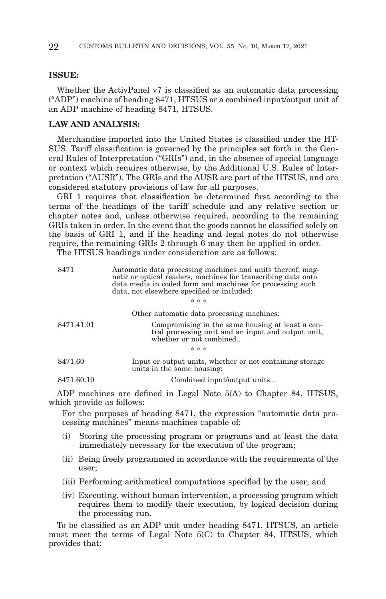#### **ISSUE:**

Whether the ActivPanel v7 is classified as an automatic data processing ("ADP") machine of heading 8471, HTSUS or a combined input/output unit of an ADP machine of heading 8471, HTSUS.

# **LAW AND ANALYSIS:**

Merchandise imported into the United States is classified under the HT-SUS. Tariff classification is governed by the principles set forth in the General Rules of Interpretation ("GRIs") and, in the absence of special language or context which requires otherwise, by the Additional U.S. Rules of Interpretation ("AUSR"). The GRIs and the AUSR are part of the HTSUS, and are considered statutory provisions of law for all purposes.

GRI 1 requires that classification be determined first according to the terms of the headings of the tariff schedule and any relative section or chapter notes and, unless otherwise required, according to the remaining GRIs taken in order. In the event that the goods cannot be classified solely on the basis of GRI 1, and if the heading and legal notes do not otherwise require, the remaining GRIs 2 through 6 may then be applied in order.

The HTSUS headings under consideration are as follows:

| 8471       | Automatic data processing machines and units thereof; mag-<br>netic or optical readers, machines for transcribing data onto<br>data media in coded form and machines for processing such<br>data, not elsewhere specified or included: |  |  |  |  |
|------------|----------------------------------------------------------------------------------------------------------------------------------------------------------------------------------------------------------------------------------------|--|--|--|--|
|            | * * *                                                                                                                                                                                                                                  |  |  |  |  |
|            | Other automatic data processing machines:                                                                                                                                                                                              |  |  |  |  |
| 8471.41.01 | Compromising in the same housing at least a cen-<br>tral processing unit and an input and output unit,<br>whether or not combined                                                                                                      |  |  |  |  |
| * * *      |                                                                                                                                                                                                                                        |  |  |  |  |
| 8471.60    | Input or output units, whether or not containing storage<br>units in the same housing:                                                                                                                                                 |  |  |  |  |
| 8471.60.10 | Combined input/output units                                                                                                                                                                                                            |  |  |  |  |

ADP machines are defined in Legal Note 5(A) to Chapter 84, HTSUS, which provide as follows:

For the purposes of heading 8471, the expression "automatic data processing machines" means machines capable of:

- (i) Storing the processing program or programs and at least the data immediately necessary for the execution of the program;
- (ii) Being freely programmed in accordance with the requirements of the user;
- (iii) Performing arithmetical computations specified by the user; and
- (iv) Executing, without human intervention, a processing program which requires them to modify their execution, by logical decision during the processing run.

To be classified as an ADP unit under heading 8471, HTSUS, an article must meet the terms of Legal Note 5(C) to Chapter 84, HTSUS, which provides that: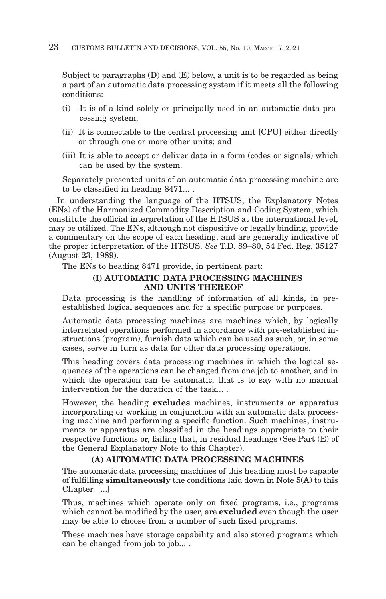Subject to paragraphs (D) and (E) below, a unit is to be regarded as being a part of an automatic data processing system if it meets all the following conditions:

- (i) It is of a kind solely or principally used in an automatic data processing system;
- (ii) It is connectable to the central processing unit [CPU] either directly or through one or more other units; and
- (iii) It is able to accept or deliver data in a form (codes or signals) which can be used by the system.

Separately presented units of an automatic data processing machine are to be classified in heading 8471... .

In understanding the language of the HTSUS, the Explanatory Notes (ENs) of the Harmonized Commodity Description and Coding System, which constitute the official interpretation of the HTSUS at the international level, may be utilized. The ENs, although not dispositive or legally binding, provide a commentary on the scope of each heading, and are generally indicative of the proper interpretation of the HTSUS. *See* T.D. 89–80, 54 Fed. Reg. 35127 (August 23, 1989).

The ENs to heading 8471 provide, in pertinent part:

# **(I) AUTOMATIC DATA PROCESSING MACHINES AND UNITS THEREOF**

Data processing is the handling of information of all kinds, in preestablished logical sequences and for a specific purpose or purposes.

Automatic data processing machines are machines which, by logically interrelated operations performed in accordance with pre-established instructions (program), furnish data which can be used as such, or, in some cases, serve in turn as data for other data processing operations.

This heading covers data processing machines in which the logical sequences of the operations can be changed from one job to another, and in which the operation can be automatic, that is to say with no manual intervention for the duration of the task... .

However, the heading **excludes** machines, instruments or apparatus incorporating or working in conjunction with an automatic data processing machine and performing a specific function. Such machines, instruments or apparatus are classified in the headings appropriate to their respective functions or, failing that, in residual headings (See Part (E) of the General Explanatory Note to this Chapter).

#### **(A) AUTOMATIC DATA PROCESSING MACHINES**

The automatic data processing machines of this heading must be capable of fulfilling **simultaneously** the conditions laid down in Note 5(A) to this Chapter. [...]

Thus, machines which operate only on fixed programs, i.e., programs which cannot be modified by the user, are **excluded** even though the user may be able to choose from a number of such fixed programs.

These machines have storage capability and also stored programs which can be changed from job to job... .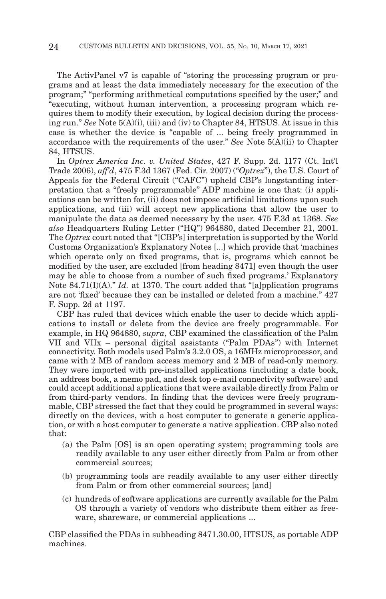The ActivPanel v7 is capable of "storing the processing program or programs and at least the data immediately necessary for the execution of the program;" "performing arithmetical computations specified by the user;" and "executing, without human intervention, a processing program which requires them to modify their execution, by logical decision during the processing run." *See* Note 5(A)(i), (iii) and (iv) to Chapter 84, HTSUS. At issue in this case is whether the device is "capable of ... being freely programmed in accordance with the requirements of the user." *See* Note 5(A)(ii) to Chapter 84, HTSUS.

In *Optrex America Inc. v. United States*, 427 F. Supp. 2d. 1177 (Ct. Int'l Trade 2006), *aff'd*, 475 F.3d 1367 (Fed. Cir. 2007) ("*Optrex*"), the U.S. Court of Appeals for the Federal Circuit ("CAFC") upheld CBP's longstanding interpretation that a "freely programmable" ADP machine is one that: (i) applications can be written for, (ii) does not impose artificial limitations upon such applications, and (iii) will accept new applications that allow the user to manipulate the data as deemed necessary by the user. 475 F.3d at 1368. *See also* Headquarters Ruling Letter ("HQ") 964880, dated December 21, 2001. The *Optrex* court noted that "[CBP's] interpretation is supported by the World Customs Organization's Explanatory Notes [...] which provide that 'machines which operate only on fixed programs, that is, programs which cannot be modified by the user, are excluded [from heading 8471] even though the user may be able to choose from a number of such fixed programs.' Explanatory Note 84.71(I)(A)." *Id.* at 1370. The court added that "[a]pplication programs are not 'fixed' because they can be installed or deleted from a machine." 427 F. Supp. 2d at 1197.

CBP has ruled that devices which enable the user to decide which applications to install or delete from the device are freely programmable. For example, in HQ 964880, *supra*, CBP examined the classification of the Palm VII and VIIx – personal digital assistants ("Palm PDAs") with Internet connectivity. Both models used Palm's 3.2.0 OS, a 16MHz microprocessor, and came with 2 MB of random access memory and 2 MB of read-only memory. They were imported with pre-installed applications (including a date book, an address book, a memo pad, and desk top e-mail connectivity software) and could accept additional applications that were available directly from Palm or from third-party vendors. In finding that the devices were freely programmable, CBP stressed the fact that they could be programmed in several ways: directly on the devices, with a host computer to generate a generic application, or with a host computer to generate a native application. CBP also noted that:

- (a) the Palm [OS] is an open operating system; programming tools are readily available to any user either directly from Palm or from other commercial sources;
- (b) programming tools are readily available to any user either directly from Palm or from other commercial sources; [and]
- (c) hundreds of software applications are currently available for the Palm OS through a variety of vendors who distribute them either as freeware, shareware, or commercial applications ...

CBP classified the PDAs in subheading 8471.30.00, HTSUS, as portable ADP machines.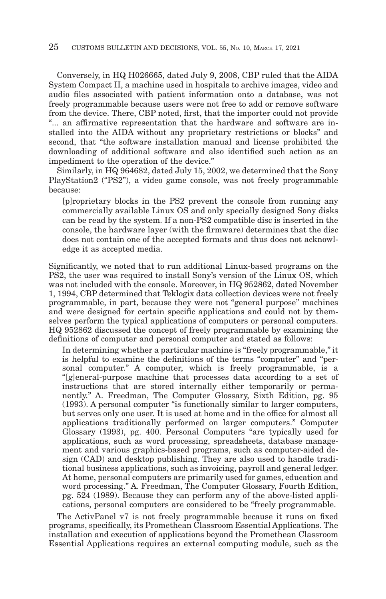Conversely, in HQ H026665, dated July 9, 2008, CBP ruled that the AIDA System Compact II, a machine used in hospitals to archive images, video and audio files associated with patient information onto a database, was not freely programmable because users were not free to add or remove software from the device. There, CBP noted, first, that the importer could not provide "... an affirmative representation that the hardware and software are installed into the AIDA without any proprietary restrictions or blocks" and second, that "the software installation manual and license prohibited the downloading of additional software and also identified such action as an impediment to the operation of the device."

Similarly, in HQ 964682, dated July 15, 2002, we determined that the Sony PlayStation2 ("PS2"), a video game console, was not freely programmable because:

[p]roprietary blocks in the PS2 prevent the console from running any commercially available Linux OS and only specially designed Sony disks can be read by the system. If a non-PS2 compatible disc is inserted in the console, the hardware layer (with the firmware) determines that the disc does not contain one of the accepted formats and thus does not acknowledge it as accepted media.

Significantly, we noted that to run additional Linux-based programs on the PS2, the user was required to install Sony's version of the Linux OS, which was not included with the console. Moreover, in HQ 952862, dated November 1, 1994, CBP determined that Teklogix data collection devices were not freely programmable, in part, because they were not "general purpose" machines and were designed for certain specific applications and could not by themselves perform the typical applications of computers or personal computers. HQ 952862 discussed the concept of freely programmable by examining the definitions of computer and personal computer and stated as follows:

In determining whether a particular machine is "freely programmable," it is helpful to examine the definitions of the terms "computer" and "personal computer." A computer, which is freely programmable, is a "[g]eneral-purpose machine that processes data according to a set of instructions that are stored internally either temporarily or permanently." A. Freedman, The Computer Glossary, Sixth Edition, pg. 95 (1993). A personal computer "is functionally similar to larger computers, but serves only one user. It is used at home and in the office for almost all applications traditionally performed on larger computers." Computer Glossary (1993), pg. 400. Personal Computers "are typically used for applications, such as word processing, spreadsheets, database management and various graphics-based programs, such as computer-aided design (CAD) and desktop publishing. They are also used to handle traditional business applications, such as invoicing, payroll and general ledger. At home, personal computers are primarily used for games, education and word processing." A. Freedman, The Computer Glossary, Fourth Edition, pg. 524 (1989). Because they can perform any of the above-listed applications, personal computers are considered to be "freely programmable.

The ActivPanel v7 is not freely programmable because it runs on fixed programs, specifically, its Promethean Classroom Essential Applications. The installation and execution of applications beyond the Promethean Classroom Essential Applications requires an external computing module, such as the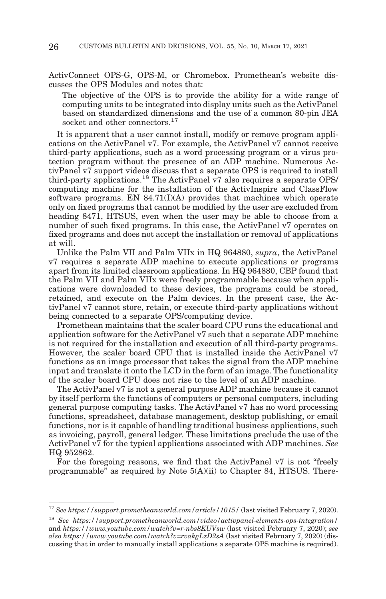ActivConnect OPS-G, OPS-M, or Chromebox. Promethean's website discusses the OPS Modules and notes that:

The objective of the OPS is to provide the ability for a wide range of computing units to be integrated into display units such as the ActivPanel based on standardized dimensions and the use of a common 80-pin JEA socket and other connectors.<sup>17</sup>

It is apparent that a user cannot install, modify or remove program applications on the ActivPanel v7. For example, the ActivPanel v7 cannot receive third-party applications, such as a word processing program or a virus protection program without the presence of an ADP machine. Numerous ActivPanel v7 support videos discuss that a separate OPS is required to install third-party applications.<sup>18</sup> The ActivPanel  $v7$  also requires a separate OPS/ computing machine for the installation of the ActivInspire and ClassFlow software programs. EN  $84.71(I)(A)$  provides that machines which operate only on fixed programs that cannot be modified by the user are excluded from heading 8471, HTSUS, even when the user may be able to choose from a number of such fixed programs. In this case, the ActivPanel v7 operates on fixed programs and does not accept the installation or removal of applications at will.

Unlike the Palm VII and Palm VIIx in HQ 964880, *supra*, the ActivPanel v7 requires a separate ADP machine to execute applications or programs apart from its limited classroom applications. In HQ 964880, CBP found that the Palm VII and Palm VIIx were freely programmable because when applications were downloaded to these devices, the programs could be stored, retained, and execute on the Palm devices. In the present case, the ActivPanel v7 cannot store, retain, or execute third-party applications without being connected to a separate OPS/computing device.

Promethean maintains that the scaler board CPU runs the educational and application software for the ActivPanel v7 such that a separate ADP machine is not required for the installation and execution of all third-party programs. However, the scaler board CPU that is installed inside the ActivPanel v7 functions as an image processor that takes the signal from the ADP machine input and translate it onto the LCD in the form of an image. The functionality of the scaler board CPU does not rise to the level of an ADP machine.

The ActivPanel v7 is not a general purpose ADP machine because it cannot by itself perform the functions of computers or personal computers, including general purpose computing tasks. The ActivPanel v7 has no word processing functions, spreadsheet, database management, desktop publishing, or email functions, nor is it capable of handling traditional business applications, such as invoicing, payroll, general ledger. These limitations preclude the use of the ActivPanel v7 for the typical applications associated with ADP machines. *See* HQ 952862.

For the foregoing reasons, we find that the ActivPanel v7 is not "freely programmable" as required by Note 5(A)(ii) to Chapter 84, HTSUS. There-

<sup>17</sup>*See https://support.prometheanworld.com/article/1015/* (last visited February 7, 2020).

<sup>18</sup>*See https://support.prometheanworld.com/video/activpanel-elements-ops-integration/* and *https://www.youtube.com/watch?v=r-nbs8KUVsw* (last visited February 7, 2020); *see also https://www.youtube.com/watch?v=rvakgLzD2sA* (last visited February 7, 2020) (discussing that in order to manually install applications a separate OPS machine is required).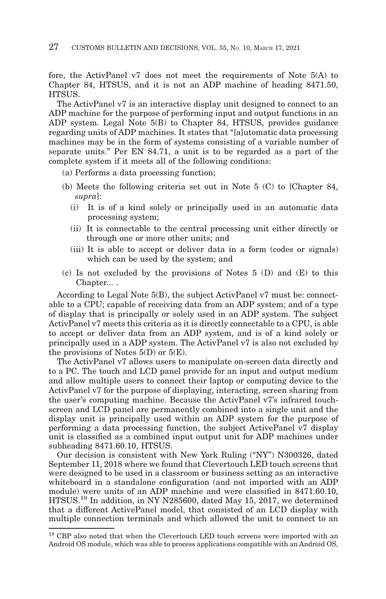fore, the ActivPanel v7 does not meet the requirements of Note 5(A) to Chapter 84, HTSUS, and it is not an ADP machine of heading 8471.50, HTSUS.

The ActivPanel v7 is an interactive display unit designed to connect to an ADP machine for the purpose of performing input and output functions in an ADP system. Legal Note 5(B) to Chapter 84, HTSUS, provides guidance regarding units of ADP machines. It states that "[a]utomatic data processing machines may be in the form of systems consisting of a variable number of separate units." Per EN 84.71, a unit is to be regarded as a part of the complete system if it meets all of the following conditions:

- (a) Performs a data processing function;
- (b) Meets the following criteria set out in Note 5 (C) to [Chapter 84, *supra*]:
	- (i) It is of a kind solely or principally used in an automatic data processing system;
	- (ii) It is connectable to the central processing unit either directly or through one or more other units; and
	- (iii) It is able to accept or deliver data in a form (codes or signals) which can be used by the system; and
- (c) Is not excluded by the provisions of Notes 5 (D) and (E) to this Chapter... .

According to Legal Note 5(B), the subject ActivPanel v7 must be: connectable to a CPU; capable of receiving data from an ADP system; and of a type of display that is principally or solely used in an ADP system. The subject ActivPanel v7 meets this criteria as it is directly connectable to a CPU, is able to accept or deliver data from an ADP system, and is of a kind solely or principally used in a ADP system. The ActivPanel v7 is also not excluded by the provisions of Notes  $5(D)$  or  $5(E)$ .

The ActivPanel v7 allows users to manipulate on-screen data directly and to a PC. The touch and LCD panel provide for an input and output medium and allow multiple users to connect their laptop or computing device to the ActivPanel v7 for the purpose of displaying, interacting, screen sharing from the user's computing machine. Because the ActivPanel v7's infrared touchscreen and LCD panel are permanently combined into a single unit and the display unit is principally used within an ADP system for the purpose of performing a data processing function, the subject ActivePanel v7 display unit is classified as a combined input output unit for ADP machines under subheading 8471.60.10, HTSUS.

Our decision is consistent with New York Ruling ("NY") N300326, dated September 11, 2018 where we found that Clevertouch LED touch screens that were designed to be used in a classroom or business setting as an interactive whiteboard in a standalone configuration (and not imported with an ADP module) were units of an ADP machine and were classified in 8471.60.10, HTSUS.19 In addition, in NY N285600, dated May 15, 2017, we determined that a different ActivePanel model, that consisted of an LCD display with multiple connection terminals and which allowed the unit to connect to an

 $^{\rm 19}$  CBP also noted that when the Clevertouch LED touch screens were imported with an Android OS module, which was able to process applications compatible with an Android OS,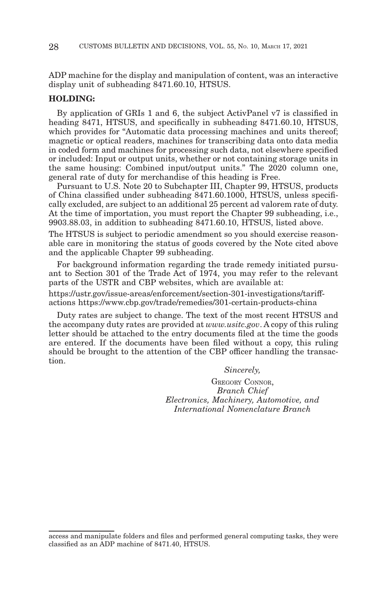ADP machine for the display and manipulation of content, was an interactive display unit of subheading 8471.60.10, HTSUS.

# **HOLDING:**

By application of GRIs 1 and 6, the subject ActivPanel v7 is classified in heading 8471, HTSUS, and specifically in subheading 8471.60.10, HTSUS, which provides for "Automatic data processing machines and units thereof: magnetic or optical readers, machines for transcribing data onto data media in coded form and machines for processing such data, not elsewhere specified or included: Input or output units, whether or not containing storage units in the same housing: Combined input/output units." The 2020 column one, general rate of duty for merchandise of this heading is Free.

Pursuant to U.S. Note 20 to Subchapter III, Chapter 99, HTSUS, products of China classified under subheading 8471.60.1000, HTSUS, unless specifically excluded, are subject to an additional 25 percent ad valorem rate of duty. At the time of importation, you must report the Chapter 99 subheading, i.e., 9903.88.03, in addition to subheading 8471.60.10, HTSUS, listed above.

The HTSUS is subject to periodic amendment so you should exercise reasonable care in monitoring the status of goods covered by the Note cited above and the applicable Chapter 99 subheading.

For background information regarding the trade remedy initiated pursuant to Section 301 of the Trade Act of 1974, you may refer to the relevant parts of the USTR and CBP websites, which are available at:

https://ustr.gov/issue-areas/enforcement/section-301-investigations/tariffactions https://www.cbp.gov/trade/remedies/301-certain-products-china

Duty rates are subject to change. The text of the most recent HTSUS and the accompany duty rates are provided at *www.usitc.gov*. A copy of this ruling letter should be attached to the entry documents filed at the time the goods are entered. If the documents have been filed without a copy, this ruling should be brought to the attention of the CBP officer handling the transaction.

*Sincerely,*

GREGORY CONNOR, *Branch Chief Electronics, Machinery, Automotive, and International Nomenclature Branch*

access and manipulate folders and files and performed general computing tasks, they were classified as an ADP machine of 8471.40, HTSUS.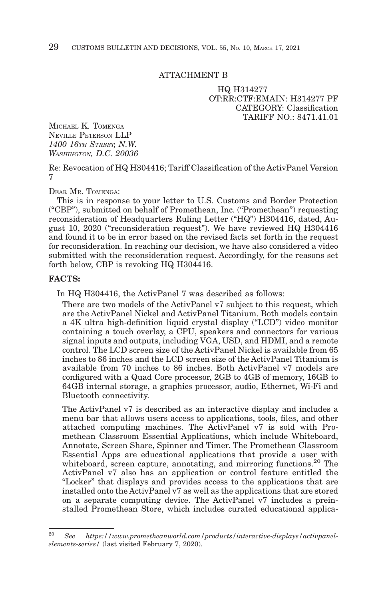### ATTACHMENT B

HQ H314277 OT:RR:CTF:EMAIN: H314277 PF CATEGORY: Classification TARIFF  $NO.8471.41.01$ 

MICHAEL K. TOMENGA NEVILLE PETERSON LLP *1400 16TH STREET, N.W. WASHINGTON, D.C. 20036*

Re: Revocation of HQ H304416; Tariff Classification of the ActivPanel Version 7

DEAR MR. TOMENGA:

This is in response to your letter to U.S. Customs and Border Protection ("CBP"), submitted on behalf of Promethean, Inc. ("Promethean") requesting reconsideration of Headquarters Ruling Letter ("HQ") H304416, dated, August 10, 2020 ("reconsideration request"). We have reviewed HQ H304416 and found it to be in error based on the revised facts set forth in the request for reconsideration. In reaching our decision, we have also considered a video submitted with the reconsideration request. Accordingly, for the reasons set forth below, CBP is revoking HQ H304416.

# **FACTS:**

In HQ H304416, the ActivPanel 7 was described as follows:

There are two models of the ActivPanel v7 subject to this request, which are the ActivPanel Nickel and ActivPanel Titanium. Both models contain a 4K ultra high-definition liquid crystal display ("LCD") video monitor containing a touch overlay, a CPU, speakers and connectors for various signal inputs and outputs, including VGA, USD, and HDMI, and a remote control. The LCD screen size of the ActivPanel Nickel is available from 65 inches to 86 inches and the LCD screen size of the ActivPanel Titanium is available from 70 inches to 86 inches. Both ActivPanel v7 models are configured with a Quad Core processor, 2GB to 4GB of memory, 16GB to 64GB internal storage, a graphics processor, audio, Ethernet, Wi-Fi and Bluetooth connectivity.

The ActivPanel v7 is described as an interactive display and includes a menu bar that allows users access to applications, tools, files, and other attached computing machines. The ActivPanel v7 is sold with Promethean Classroom Essential Applications, which include Whiteboard, Annotate, Screen Share, Spinner and Timer. The Promethean Classroom Essential Apps are educational applications that provide a user with whiteboard, screen capture, annotating, and mirroring functions.<sup>20</sup> The ActivPanel v7 also has an application or control feature entitled the "Locker" that displays and provides access to the applications that are installed onto the ActivPanel v7 as well as the applications that are stored on a separate computing device. The ActivPanel v7 includes a preinstalled Promethean Store, which includes curated educational applica-

<sup>20</sup>*See https://www.prometheanworld.com/products/interactive-displays/activpanelelements-series/* (last visited February 7, 2020).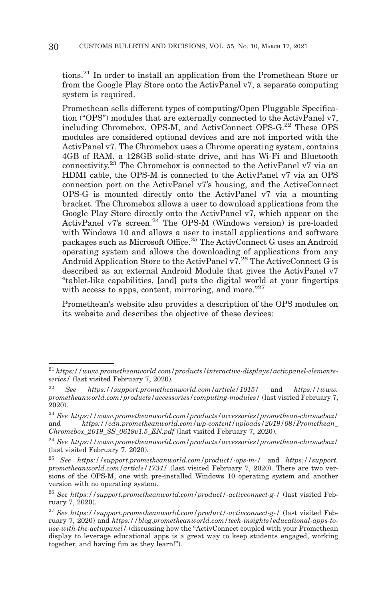tions.21 In order to install an application from the Promethean Store or from the Google Play Store onto the ActivPanel v7, a separate computing system is required.

Promethean sells different types of computing/Open Pluggable Specification ("OPS") modules that are externally connected to the ActivPanel v7, including Chromebox, OPS-M, and ActivConnect OPS-G.22 These OPS modules are considered optional devices and are not imported with the ActivPanel v7. The Chromebox uses a Chrome operating system, contains 4GB of RAM, a 128GB solid-state drive, and has Wi-Fi and Bluetooth connectivity.23 The Chromebox is connected to the ActivPanel v7 via an HDMI cable, the OPS-M is connected to the ActivPanel v7 via an OPS connection port on the ActivPanel v7's housing, and the ActiveConnect OPS-G is mounted directly onto the ActivPanel v7 via a mounting bracket. The Chromebox allows a user to download applications from the Google Play Store directly onto the ActivPanel v7, which appear on the ActivPanel v7's screen.<sup>24</sup> The OPS-M (Windows version) is pre-loaded with Windows 10 and allows a user to install applications and software packages such as Microsoft Office.25 The ActivConnect G uses an Android operating system and allows the downloading of applications from any Android Application Store to the ActivPanel v7.<sup>26</sup> The ActiveConnect G is described as an external Android Module that gives the ActivPanel v7 "tablet-like capabilities, [and] puts the digital world at your fingertips with access to apps, content, mirroring, and more.<sup>"27</sup>

Promethean's website also provides a description of the OPS modules on its website and describes the objective of these devices:

<sup>21</sup>*https://www.prometheanworld.com/products/interactive-displays/activpanel-elementsseries/* (last visited February 7, 2020).

<sup>22</sup>*See https://support.prometheanworld.com/article/1015/* and *https://www. prometheanworld.com/products/accessories/computing-modules/* (last visited February 7, 2020).

<sup>23</sup>*See https://www.prometheanworld.com/products/accessories/promethean-chromebox/* and *https://cdn.prometheanworld.com/wp-content/uploads/2019/08/Promethean\_ Chromebox\_2019\_SS\_0619v1.5\_EN.pdf* (last visited February 7, 2020).

<sup>24</sup>*See https://www.prometheanworld.com/products/accessories/promethean-chromebox/* (last visited February 7, 2020).

<sup>25</sup>*See https://support.prometheanworld.com/product/-ops-m-/* and *https://support. prometheanworld.com/article/1734/* (last visited February 7, 2020). There are two versions of the OPS-M, one with pre-installed Windows 10 operating system and another version with no operating system.

<sup>26</sup>*See https://support.prometheanworld.com/product/-activconnect-g-/* (last visited February 7, 2020).

<sup>27</sup>*See https://support.prometheanworld.com/product/-activconnect-g-/* (last visited February 7, 2020) and *https://blog.prometheanworld.com/tech-insights/educational-apps-touse-with-the-activpanel/* (discussing how the "ActivConnect coupled with your Promethean display to leverage educational apps is a great way to keep students engaged, working together, and having fun as they learn!").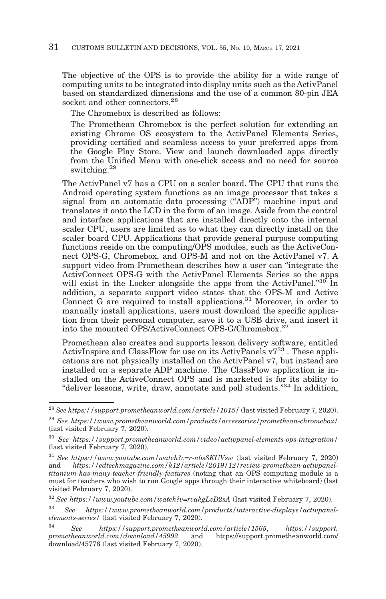The objective of the OPS is to provide the ability for a wide range of computing units to be integrated into display units such as the ActivPanel based on standardized dimensions and the use of a common 80-pin JEA socket and other connectors.<sup>28</sup>

The Chromebox is described as follows:

The Promethean Chromebox is the perfect solution for extending an existing Chrome OS ecosystem to the ActivPanel Elements Series, providing certified and seamless access to your preferred apps from the Google Play Store. View and launch downloaded apps directly from the Unified Menu with one-click access and no need for source switching.29

The ActivPanel v7 has a CPU on a scaler board. The CPU that runs the Android operating system functions as an image processor that takes a signal from an automatic data processing ("ADP") machine input and translates it onto the LCD in the form of an image. Aside from the control and interface applications that are installed directly onto the internal scaler CPU, users are limited as to what they can directly install on the scaler board CPU. Applications that provide general purpose computing functions reside on the computing/OPS modules, such as the ActiveConnect OPS-G, Chromebox, and OPS-M and not on the ActivPanel v7. A support video from Promethean describes how a user can "integrate the ActivConnect OPS-G with the ActivPanel Elements Series so the apps will exist in the Locker alongside the apps from the ActivPanel."<sup>30</sup> In addition, a separate support video states that the OPS-M and Active Connect G are required to install applications.<sup>31</sup> Moreover, in order to manually install applications, users must download the specific application from their personal computer, save it to a USB drive, and insert it into the mounted OPS/ActiveConnect OPS-G/Chromebox.32

Promethean also creates and supports lesson delivery software, entitled ActivInspire and ClassFlow for use on its ActivPanels  $v^{733}$ . These applications are not physically installed on the ActivPanel v7, but instead are installed on a separate ADP machine. The ClassFlow application is installed on the ActiveConnect OPS and is marketed is for its ability to "deliver lessons, write, draw, annotate and poll students."34 In addition,

<sup>28</sup>*See https://support.prometheanworld.com/article/1015/* (last visited February 7, 2020).

<sup>29</sup>*See https://www.prometheanworld.com/products/accessories/promethean-chromebox/* (last visited February 7, 2020).

<sup>30</sup>*See https://support.prometheanworld.com/video/activpanel-elements-ops-integration/* (last visited February 7, 2020).

 $^{31}$  See https://www.youtube.com/watch?v=r-nbs8KUVsw  $\,$  (last visited February 7, 2020) and *https://edtechmagazine.com/k12/article/2019/12/review-promethean-activpaneltitanium-has-many-teacher-friendly-features* (noting that an OPS computing module is a must for teachers who wish to run Google apps through their interactive whiteboard) (last visited February 7, 2020).

<sup>32</sup>*See https://www.youtube.com/watch?v=rvakgLzD2sA* (last visited February 7, 2020).

<sup>33</sup>*See https://www.prometheanworld.com/products/interactive-displays/activpanelelements-series/* (last visited February 7, 2020).

<sup>34</sup>*See https://support.prometheanworld.com/article/1565*, *https://support. prometheanworld.com/download/45992* and https://support.prometheanworld.com/ download/45776 (last visited February 7, 2020).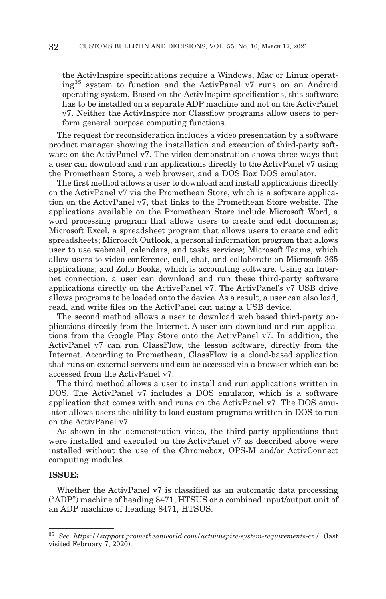the ActivInspire specifications require a Windows, Mac or Linux operating35 system to function and the ActivPanel v7 runs on an Android operating system. Based on the ActivInspire specifications, this software has to be installed on a separate ADP machine and not on the ActivPanel v7. Neither the ActivInspire nor Classflow programs allow users to perform general purpose computing functions.

The request for reconsideration includes a video presentation by a software product manager showing the installation and execution of third-party software on the ActivPanel v7. The video demonstration shows three ways that a user can download and run applications directly to the ActivPanel v7 using the Promethean Store, a web browser, and a DOS Box DOS emulator.

The first method allows a user to download and install applications directly on the ActivPanel v7 via the Promethean Store, which is a software application on the ActivPanel v7, that links to the Promethean Store website. The applications available on the Promethean Store include Microsoft Word, a word processing program that allows users to create and edit documents; Microsoft Excel, a spreadsheet program that allows users to create and edit spreadsheets; Microsoft Outlook, a personal information program that allows user to use webmail, calendars, and tasks services; Microsoft Teams, which allow users to video conference, call, chat, and collaborate on Microsoft 365 applications; and Zoho Books, which is accounting software. Using an Internet connection, a user can download and run these third-party software applications directly on the ActivePanel v7. The ActivPanel's v7 USB drive allows programs to be loaded onto the device. As a result, a user can also load, read, and write files on the ActivPanel can using a USB device.

The second method allows a user to download web based third-party applications directly from the Internet. A user can download and run applications from the Google Play Store onto the ActivPanel v7. In addition, the ActivPanel v7 can run ClassFlow, the lesson software, directly from the Internet. According to Promethean, ClassFlow is a cloud-based application that runs on external servers and can be accessed via a browser which can be accessed from the ActivPanel v7.

The third method allows a user to install and run applications written in DOS. The ActivPanel v7 includes a DOS emulator, which is a software application that comes with and runs on the ActivPanel v7. The DOS emulator allows users the ability to load custom programs written in DOS to run on the ActivPanel v7.

As shown in the demonstration video, the third-party applications that were installed and executed on the ActivPanel v7 as described above were installed without the use of the Chromebox, OPS-M and/or ActivConnect computing modules.

# **ISSUE:**

Whether the ActivPanel v7 is classified as an automatic data processing ("ADP") machine of heading 8471, HTSUS or a combined input/output unit of an ADP machine of heading 8471, HTSUS.

<sup>35</sup>*See https://support.prometheanworld.com/activinspire-system-requirements-en/* (last visited February 7, 2020).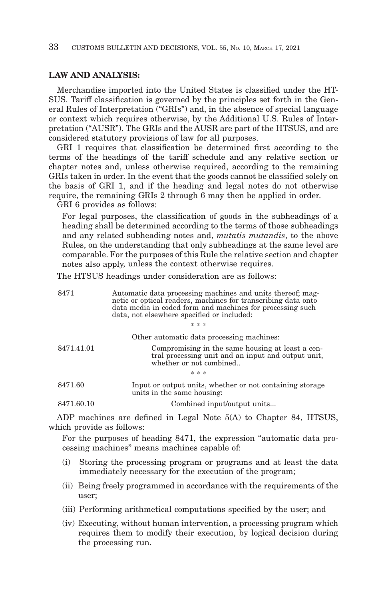# **LAW AND ANALYSIS:**

Merchandise imported into the United States is classified under the HT-SUS. Tariff classification is governed by the principles set forth in the General Rules of Interpretation ("GRIs") and, in the absence of special language or context which requires otherwise, by the Additional U.S. Rules of Interpretation ("AUSR"). The GRIs and the AUSR are part of the HTSUS, and are considered statutory provisions of law for all purposes.

GRI 1 requires that classification be determined first according to the terms of the headings of the tariff schedule and any relative section or chapter notes and, unless otherwise required, according to the remaining GRIs taken in order. In the event that the goods cannot be classified solely on the basis of GRI 1, and if the heading and legal notes do not otherwise require, the remaining GRIs 2 through 6 may then be applied in order.

GRI 6 provides as follows:

For legal purposes, the classification of goods in the subheadings of a heading shall be determined according to the terms of those subheadings and any related subheading notes and, *mutatis mutandis*, to the above Rules, on the understanding that only subheadings at the same level are comparable. For the purposes of this Rule the relative section and chapter notes also apply, unless the context otherwise requires.

The HTSUS headings under consideration are as follows:

| 8471       | Automatic data processing machines and units thereof; mag-<br>netic or optical readers, machines for transcribing data onto<br>data media in coded form and machines for processing such<br>data, not elsewhere specified or included: |
|------------|----------------------------------------------------------------------------------------------------------------------------------------------------------------------------------------------------------------------------------------|
|            | * * *                                                                                                                                                                                                                                  |
|            | Other automatic data processing machines:                                                                                                                                                                                              |
| 8471.41.01 | Compromising in the same housing at least a cen-<br>tral processing unit and an input and output unit,<br>whether or not combined                                                                                                      |
|            | * * *                                                                                                                                                                                                                                  |
| 8471.60    | Input or output units, whether or not containing storage<br>units in the same housing:                                                                                                                                                 |
| 8471.60.10 | Combined input/output units                                                                                                                                                                                                            |

ADP machines are defined in Legal Note 5(A) to Chapter 84, HTSUS, which provide as follows:

For the purposes of heading 8471, the expression "automatic data processing machines" means machines capable of:

- (i) Storing the processing program or programs and at least the data immediately necessary for the execution of the program;
- (ii) Being freely programmed in accordance with the requirements of the user;
- (iii) Performing arithmetical computations specified by the user; and
- (iv) Executing, without human intervention, a processing program which requires them to modify their execution, by logical decision during the processing run.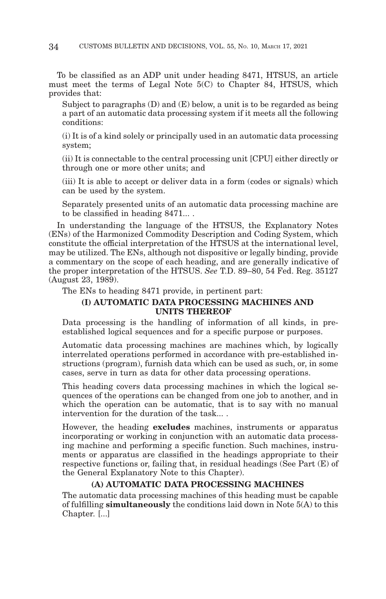To be classified as an ADP unit under heading 8471, HTSUS, an article must meet the terms of Legal Note 5(C) to Chapter 84, HTSUS, which provides that:

Subject to paragraphs (D) and (E) below, a unit is to be regarded as being a part of an automatic data processing system if it meets all the following conditions:

(i) It is of a kind solely or principally used in an automatic data processing system;

(ii) It is connectable to the central processing unit [CPU] either directly or through one or more other units; and

(iii) It is able to accept or deliver data in a form (codes or signals) which can be used by the system.

Separately presented units of an automatic data processing machine are to be classified in heading 8471... .

In understanding the language of the HTSUS, the Explanatory Notes (ENs) of the Harmonized Commodity Description and Coding System, which constitute the official interpretation of the HTSUS at the international level, may be utilized. The ENs, although not dispositive or legally binding, provide a commentary on the scope of each heading, and are generally indicative of the proper interpretation of the HTSUS. *See* T.D. 89–80, 54 Fed. Reg. 35127 (August 23, 1989).

The ENs to heading 8471 provide, in pertinent part:

# **(I) AUTOMATIC DATA PROCESSING MACHINES AND UNITS THEREOF**

Data processing is the handling of information of all kinds, in preestablished logical sequences and for a specific purpose or purposes.

Automatic data processing machines are machines which, by logically interrelated operations performed in accordance with pre-established instructions (program), furnish data which can be used as such, or, in some cases, serve in turn as data for other data processing operations.

This heading covers data processing machines in which the logical sequences of the operations can be changed from one job to another, and in which the operation can be automatic, that is to say with no manual intervention for the duration of the task... .

However, the heading **excludes** machines, instruments or apparatus incorporating or working in conjunction with an automatic data processing machine and performing a specific function. Such machines, instruments or apparatus are classified in the headings appropriate to their respective functions or, failing that, in residual headings (See Part (E) of the General Explanatory Note to this Chapter).

### **(A) AUTOMATIC DATA PROCESSING MACHINES**

The automatic data processing machines of this heading must be capable of fulfilling **simultaneously** the conditions laid down in Note 5(A) to this Chapter. [...]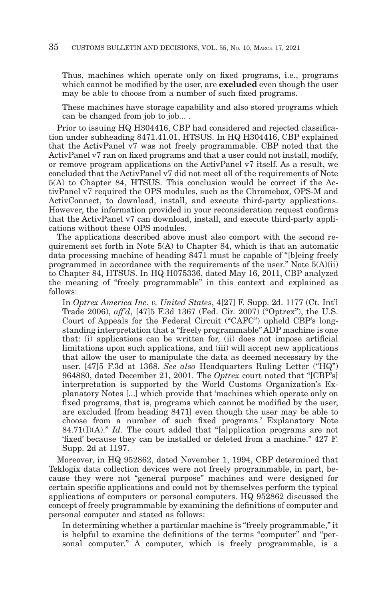Thus, machines which operate only on fixed programs, i.e., programs which cannot be modified by the user, are **excluded** even though the user may be able to choose from a number of such fixed programs.

These machines have storage capability and also stored programs which can be changed from job to job... .

Prior to issuing HQ H304416, CBP had considered and rejected classification under subheading 8471.41.01, HTSUS. In HQ H304416, CBP explained that the ActivPanel v7 was not freely programmable. CBP noted that the ActivPanel v7 ran on fixed programs and that a user could not install, modify, or remove program applications on the ActivPanel v7 itself. As a result, we concluded that the ActivPanel v7 did not meet all of the requirements of Note 5(A) to Chapter 84, HTSUS. This conclusion would be correct if the ActivPanel v7 required the OPS modules, such as the Chromebox, OPS-M and ActivConnect, to download, install, and execute third-party applications. However, the information provided in your reconsideration request confirms that the ActivPanel v7 can download, install, and execute third-party applications without these OPS modules.

The applications described above must also comport with the second requirement set forth in Note 5(A) to Chapter 84, which is that an automatic data processing machine of heading 8471 must be capable of "[b]eing freely programmed in accordance with the requirements of the user." Note 5(A)(ii) to Chapter 84, HTSUS. In HQ H075336, dated May 16, 2011, CBP analyzed the meaning of "freely programmable" in this context and explained as follows:

In *Optrex America Inc. v. United States*, 4[27] F. Supp. 2d. 1177 (Ct. Int'l Trade 2006), *aff'd*, [47]5 F.3d 1367 (Fed. Cir. 2007) ("Optrex"), the U.S. Court of Appeals for the Federal Circuit ("CAFC") upheld CBP's longstanding interpretation that a "freely programmable" ADP machine is one that: (i) applications can be written for, (ii) does not impose artificial limitations upon such applications, and (iii) will accept new applications that allow the user to manipulate the data as deemed necessary by the user. [47]5 F.3d at 1368. *See also* Headquarters Ruling Letter ("HQ") 964880, dated December 21, 2001. The *Optrex* court noted that "[CBP's] interpretation is supported by the World Customs Organization's Explanatory Notes [...] which provide that 'machines which operate only on fixed programs, that is, programs which cannot be modified by the user, are excluded [from heading 8471] even though the user may be able to choose from a number of such fixed programs.' Explanatory Note 84.71(I)(A)." *Id.* The court added that "[a]pplication programs are not 'fixed' because they can be installed or deleted from a machine." 427 F. Supp. 2d at 1197.

Moreover, in HQ 952862, dated November 1, 1994, CBP determined that Teklogix data collection devices were not freely programmable, in part, because they were not "general purpose" machines and were designed for certain specific applications and could not by themselves perform the typical applications of computers or personal computers. HQ 952862 discussed the concept of freely programmable by examining the definitions of computer and personal computer and stated as follows:

In determining whether a particular machine is "freely programmable," it is helpful to examine the definitions of the terms "computer" and "personal computer." A computer, which is freely programmable, is a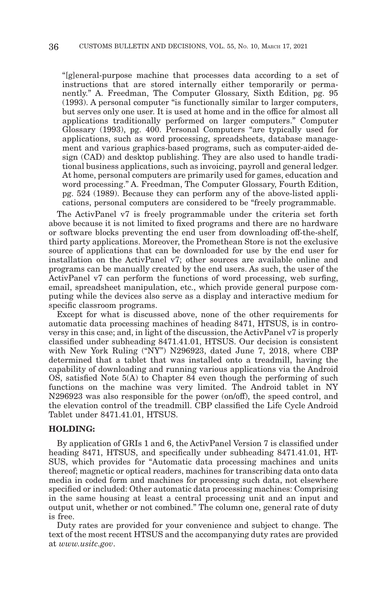"[g]eneral-purpose machine that processes data according to a set of instructions that are stored internally either temporarily or permanently." A. Freedman, The Computer Glossary, Sixth Edition, pg. 95 (1993). A personal computer "is functionally similar to larger computers, but serves only one user. It is used at home and in the office for almost all applications traditionally performed on larger computers." Computer Glossary (1993), pg. 400. Personal Computers "are typically used for applications, such as word processing, spreadsheets, database management and various graphics-based programs, such as computer-aided design (CAD) and desktop publishing. They are also used to handle traditional business applications, such as invoicing, payroll and general ledger. At home, personal computers are primarily used for games, education and word processing." A. Freedman, The Computer Glossary, Fourth Edition, pg. 524 (1989). Because they can perform any of the above-listed applications, personal computers are considered to be "freely programmable.

The ActivPanel v7 is freely programmable under the criteria set forth above because it is not limited to fixed programs and there are no hardware or software blocks preventing the end user from downloading off-the-shelf, third party applications. Moreover, the Promethean Store is not the exclusive source of applications that can be downloaded for use by the end user for installation on the ActivPanel v7; other sources are available online and programs can be manually created by the end users. As such, the user of the ActivPanel v7 can perform the functions of word processing, web surfing, email, spreadsheet manipulation, etc., which provide general purpose computing while the devices also serve as a display and interactive medium for specific classroom programs.

Except for what is discussed above, none of the other requirements for automatic data processing machines of heading 8471, HTSUS, is in controversy in this case; and, in light of the discussion, the ActivPanel v7 is properly classified under subheading 8471.41.01, HTSUS. Our decision is consistent with New York Ruling ("NY") N296923, dated June 7, 2018, where CBP determined that a tablet that was installed onto a treadmill, having the capability of downloading and running various applications via the Android OS, satisfied Note 5(A) to Chapter 84 even though the performing of such functions on the machine was very limited. The Android tablet in NY N296923 was also responsible for the power (on/off), the speed control, and the elevation control of the treadmill. CBP classified the Life Cycle Android Tablet under 8471.41.01, HTSUS.

#### **HOLDING:**

By application of GRIs 1 and 6, the ActivPanel Version 7 is classified under heading 8471, HTSUS, and specifically under subheading 8471.41.01, HT-SUS, which provides for "Automatic data processing machines and units thereof; magnetic or optical readers, machines for transcribing data onto data media in coded form and machines for processing such data, not elsewhere specified or included: Other automatic data processing machines: Comprising in the same housing at least a central processing unit and an input and output unit, whether or not combined." The column one, general rate of duty is free.

Duty rates are provided for your convenience and subject to change. The text of the most recent HTSUS and the accompanying duty rates are provided at *www.usitc.gov*.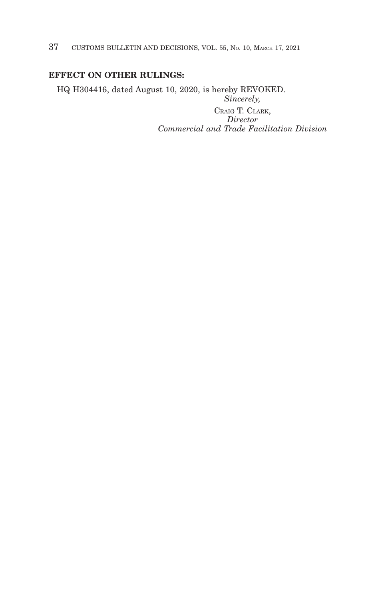37 CUSTOMS BULLETIN AND DECISIONS, VOL. 55, NO. 10, MARCH 17, 2021

# **EFFECT ON OTHER RULINGS:**

HQ H304416, dated August 10, 2020, is hereby REVOKED. *Sincerely,*

CRAIG T. CLARK, *Director Commercial and Trade Facilitation Division*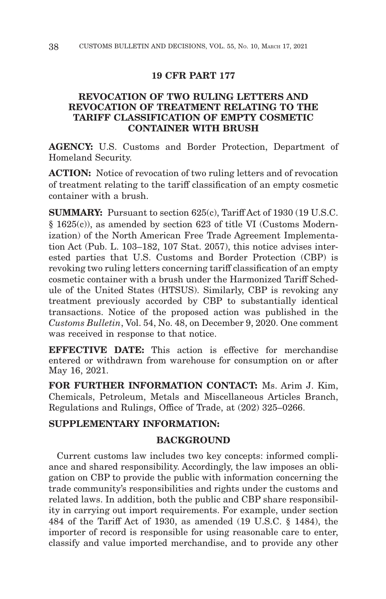### **19 CFR PART 177**

# **REVOCATION OF TWO RULING LETTERS AND REVOCATION OF TREATMENT RELATING TO THE TARIFF CLASSIFICATION OF EMPTY COSMETIC CONTAINER WITH BRUSH**

**AGENCY:** U.S. Customs and Border Protection, Department of Homeland Security.

**ACTION:** Notice of revocation of two ruling letters and of revocation of treatment relating to the tariff classification of an empty cosmetic container with a brush.

**SUMMARY:** Pursuant to section 625(c), Tariff Act of 1930 (19 U.S.C. § 1625(c)), as amended by section 623 of title VI (Customs Modernization) of the North American Free Trade Agreement Implementation Act (Pub. L. 103–182, 107 Stat. 2057), this notice advises interested parties that U.S. Customs and Border Protection (CBP) is revoking two ruling letters concerning tariff classification of an empty cosmetic container with a brush under the Harmonized Tariff Schedule of the United States (HTSUS). Similarly, CBP is revoking any treatment previously accorded by CBP to substantially identical transactions. Notice of the proposed action was published in the *Customs Bulletin*, Vol. 54, No. 48, on December 9, 2020. One comment was received in response to that notice.

**EFFECTIVE DATE:** This action is effective for merchandise entered or withdrawn from warehouse for consumption on or after May 16, 2021.

**FOR FURTHER INFORMATION CONTACT:** Ms. Arim J. Kim, Chemicals, Petroleum, Metals and Miscellaneous Articles Branch, Regulations and Rulings, Office of Trade, at (202) 325–0266.

# **SUPPLEMENTARY INFORMATION:**

## **BACKGROUND**

Current customs law includes two key concepts: informed compliance and shared responsibility. Accordingly, the law imposes an obligation on CBP to provide the public with information concerning the trade community's responsibilities and rights under the customs and related laws. In addition, both the public and CBP share responsibility in carrying out import requirements. For example, under section 484 of the Tariff Act of 1930, as amended (19 U.S.C. § 1484), the importer of record is responsible for using reasonable care to enter, classify and value imported merchandise, and to provide any other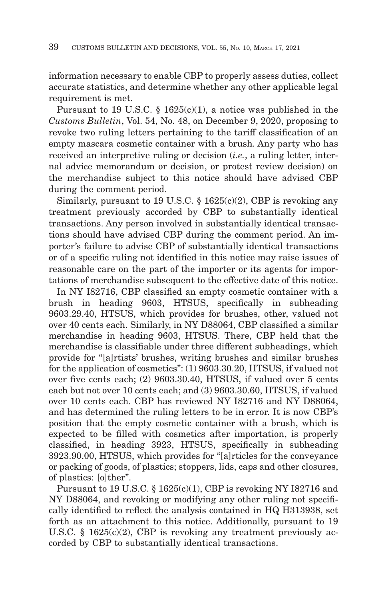information necessary to enable CBP to properly assess duties, collect accurate statistics, and determine whether any other applicable legal requirement is met.

Pursuant to 19 U.S.C. § 1625(c)(1), a notice was published in the *Customs Bulletin*, Vol. 54, No. 48, on December 9, 2020, proposing to revoke two ruling letters pertaining to the tariff classification of an empty mascara cosmetic container with a brush. Any party who has received an interpretive ruling or decision (*i.e.*, a ruling letter, internal advice memorandum or decision, or protest review decision) on the merchandise subject to this notice should have advised CBP during the comment period.

Similarly, pursuant to 19 U.S.C. § 1625(c)(2), CBP is revoking any treatment previously accorded by CBP to substantially identical transactions. Any person involved in substantially identical transactions should have advised CBP during the comment period. An importer's failure to advise CBP of substantially identical transactions or of a specific ruling not identified in this notice may raise issues of reasonable care on the part of the importer or its agents for importations of merchandise subsequent to the effective date of this notice.

In NY I82716, CBP classified an empty cosmetic container with a brush in heading 9603, HTSUS, specifically in subheading 9603.29.40, HTSUS, which provides for brushes, other, valued not over 40 cents each. Similarly, in NY D88064, CBP classified a similar merchandise in heading 9603, HTSUS. There, CBP held that the merchandise is classifiable under three different subheadings, which provide for "[a]rtists' brushes, writing brushes and similar brushes for the application of cosmetics": (1) 9603.30.20, HTSUS, if valued not over five cents each; (2) 9603.30.40, HTSUS, if valued over 5 cents each but not over 10 cents each; and (3) 9603.30.60, HTSUS, if valued over 10 cents each. CBP has reviewed NY I82716 and NY D88064, and has determined the ruling letters to be in error. It is now CBP's position that the empty cosmetic container with a brush, which is expected to be filled with cosmetics after importation, is properly classified, in heading 3923, HTSUS, specifically in subheading 3923.90.00, HTSUS, which provides for "[a]rticles for the conveyance or packing of goods, of plastics; stoppers, lids, caps and other closures, of plastics: [o]ther".

Pursuant to 19 U.S.C. § 1625(c)(1), CBP is revoking NY I82716 and NY D88064, and revoking or modifying any other ruling not specifically identified to reflect the analysis contained in HQ H313938, set forth as an attachment to this notice. Additionally, pursuant to 19 U.S.C. § 1625(c)(2), CBP is revoking any treatment previously accorded by CBP to substantially identical transactions.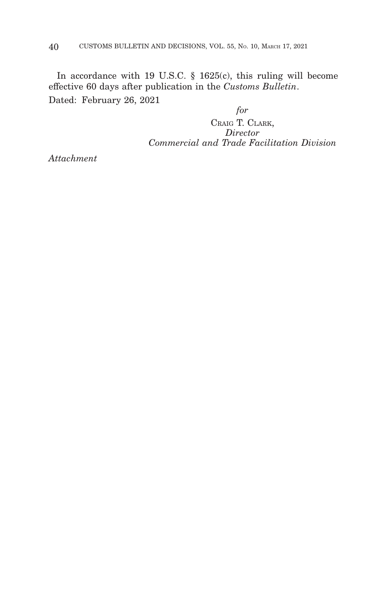In accordance with 19 U.S.C. § 1625(c), this ruling will become effective 60 days after publication in the *Customs Bulletin*. Dated: February 26, 2021

*for* CRAIG T. CLARK, *Director Commercial and Trade Facilitation Division*

*Attachment*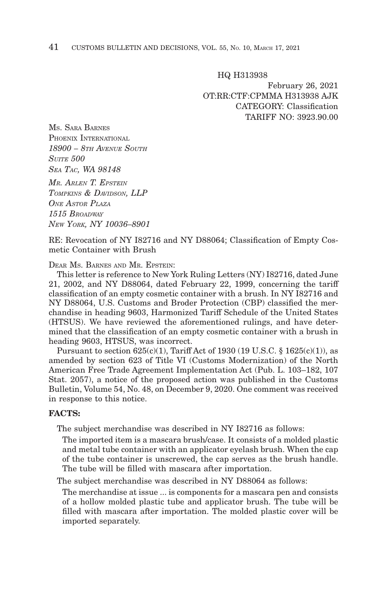HQ H313938 February 26, 2021 OT:RR:CTF:CPMMA H313938 AJK CATEGORY: Classification TARIFF NO: 3923.90.00

MS. SARA BARNES PHOENIX INTERNATIONAL *18900 – 8TH AVENUE SOUTH SUITE 500 SEA TAC, WA 98148 MR. ARLEN T. EPSTEIN TOMPKINS & DAVIDSON, LLP ONE ASTOR PLAZA 1515 BROADWAY NEW YORK, NY 10036–8901*

RE: Revocation of NY I82716 and NY D88064; Classification of Empty Cosmetic Container with Brush

DEAR MS. BARNES AND MR. EPSTEIN:

This letter is reference to New York Ruling Letters (NY) I82716, dated June 21, 2002, and NY D88064, dated February 22, 1999, concerning the tariff classification of an empty cosmetic container with a brush. In NY I82716 and NY D88064, U.S. Customs and Broder Protection (CBP) classified the merchandise in heading 9603, Harmonized Tariff Schedule of the United States (HTSUS). We have reviewed the aforementioned rulings, and have determined that the classification of an empty cosmetic container with a brush in heading 9603, HTSUS, was incorrect.

Pursuant to section  $625(c)(1)$ , Tariff Act of 1930 (19 U.S.C. § 1625 $(c)(1)$ ), as amended by section 623 of Title VI (Customs Modernization) of the North American Free Trade Agreement Implementation Act (Pub. L. 103–182, 107 Stat. 2057), a notice of the proposed action was published in the Customs Bulletin, Volume 54, No. 48, on December 9, 2020. One comment was received in response to this notice.

#### **FACTS:**

The subject merchandise was described in NY I82716 as follows:

The imported item is a mascara brush/case. It consists of a molded plastic and metal tube container with an applicator eyelash brush. When the cap of the tube container is unscrewed, the cap serves as the brush handle. The tube will be filled with mascara after importation.

The subject merchandise was described in NY D88064 as follows:

The merchandise at issue ... is components for a mascara pen and consists of a hollow molded plastic tube and applicator brush. The tube will be filled with mascara after importation. The molded plastic cover will be imported separately.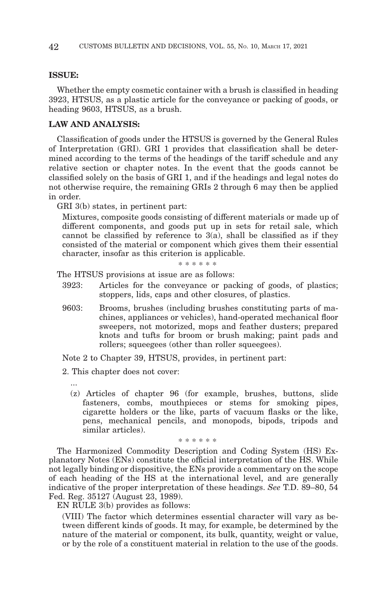#### **ISSUE:**

Whether the empty cosmetic container with a brush is classified in heading 3923, HTSUS, as a plastic article for the conveyance or packing of goods, or heading 9603, HTSUS, as a brush.

## **LAW AND ANALYSIS:**

Classification of goods under the HTSUS is governed by the General Rules of Interpretation (GRI). GRI 1 provides that classification shall be determined according to the terms of the headings of the tariff schedule and any relative section or chapter notes. In the event that the goods cannot be classified solely on the basis of GRI 1, and if the headings and legal notes do not otherwise require, the remaining GRIs 2 through 6 may then be applied in order.

GRI 3(b) states, in pertinent part:

Mixtures, composite goods consisting of different materials or made up of different components, and goods put up in sets for retail sale, which cannot be classified by reference to 3(a), shall be classified as if they consisted of the material or component which gives them their essential character, insofar as this criterion is applicable.

#### \* \* \* \* \* \*

The HTSUS provisions at issue are as follows:

- 3923: Articles for the conveyance or packing of goods, of plastics; stoppers, lids, caps and other closures, of plastics.
- 9603: Brooms, brushes (including brushes constituting parts of machines, appliances or vehicles), hand-operated mechanical floor sweepers, not motorized, mops and feather dusters; prepared knots and tufts for broom or brush making; paint pads and rollers; squeegees (other than roller squeegees).

Note 2 to Chapter 39, HTSUS, provides, in pertinent part:

2. This chapter does not cover:

...

(z) Articles of chapter 96 (for example, brushes, buttons, slide fasteners, combs, mouthpieces or stems for smoking pipes, cigarette holders or the like, parts of vacuum flasks or the like, pens, mechanical pencils, and monopods, bipods, tripods and similar articles).

\* \* \* \* \* \*

The Harmonized Commodity Description and Coding System (HS) Explanatory Notes (ENs) constitute the official interpretation of the HS. While not legally binding or dispositive, the ENs provide a commentary on the scope of each heading of the HS at the international level, and are generally indicative of the proper interpretation of these headings. *See* T.D. 89–80, 54 Fed. Reg. 35127 (August 23, 1989).

EN RULE 3(b) provides as follows:

(VIII) The factor which determines essential character will vary as between different kinds of goods. It may, for example, be determined by the nature of the material or component, its bulk, quantity, weight or value, or by the role of a constituent material in relation to the use of the goods.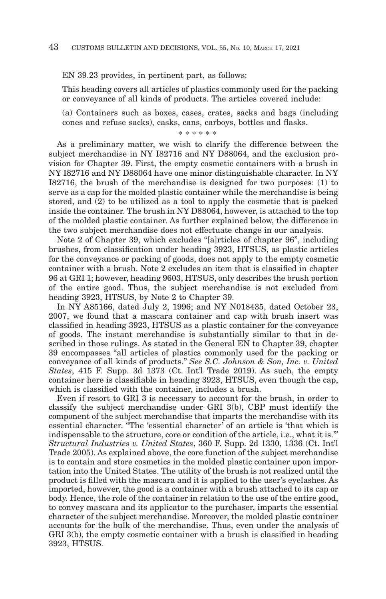EN 39.23 provides, in pertinent part, as follows:

This heading covers all articles of plastics commonly used for the packing or conveyance of all kinds of products. The articles covered include:

(a) Containers such as boxes, cases, crates, sacks and bags (including cones and refuse sacks), casks, cans, carboys, bottles and flasks.

\* \* \* \* \* \*

As a preliminary matter, we wish to clarify the difference between the subject merchandise in NY I82716 and NY D88064, and the exclusion provision for Chapter 39. First, the empty cosmetic containers with a brush in NY I82716 and NY D88064 have one minor distinguishable character. In NY I82716, the brush of the merchandise is designed for two purposes: (1) to serve as a cap for the molded plastic container while the merchandise is being stored, and (2) to be utilized as a tool to apply the cosmetic that is packed inside the container. The brush in NY D88064, however, is attached to the top of the molded plastic container. As further explained below, the difference in the two subject merchandise does not effectuate change in our analysis.

Note 2 of Chapter 39, which excludes "[a]rticles of chapter 96", including brushes, from classification under heading 3923, HTSUS, as plastic articles for the conveyance or packing of goods, does not apply to the empty cosmetic container with a brush. Note 2 excludes an item that is classified in chapter 96 at GRI 1; however, heading 9603, HTSUS, only describes the brush portion of the entire good. Thus, the subject merchandise is not excluded from heading 3923, HTSUS, by Note 2 to Chapter 39.

In NY A85166, dated July 2, 1996; and NY N018435, dated October 23, 2007, we found that a mascara container and cap with brush insert was classified in heading 3923, HTSUS as a plastic container for the conveyance of goods. The instant merchandise is substantially similar to that in described in those rulings. As stated in the General EN to Chapter 39, chapter 39 encompasses "all articles of plastics commonly used for the packing or conveyance of all kinds of products." *See S.C. Johnson & Son, Inc. v. United States*, 415 F. Supp. 3d 1373 (Ct. Int'l Trade 2019). As such, the empty container here is classifiable in heading 3923, HTSUS, even though the cap, which is classified with the container, includes a brush.

Even if resort to GRI 3 is necessary to account for the brush, in order to classify the subject merchandise under GRI 3(b), CBP must identify the component of the subject merchandise that imparts the merchandise with its essential character. "The 'essential character' of an article is 'that which is indispensable to the structure, core or condition of the article, i.e., what it is.'" *Structural Industries v. United States*, 360 F. Supp. 2d 1330, 1336 (Ct. Int'l Trade 2005). As explained above, the core function of the subject merchandise is to contain and store cosmetics in the molded plastic container upon importation into the United States. The utility of the brush is not realized until the product is filled with the mascara and it is applied to the user's eyelashes. As imported, however, the good is a container with a brush attached to its cap or body. Hence, the role of the container in relation to the use of the entire good, to convey mascara and its applicator to the purchaser, imparts the essential character of the subject merchandise. Moreover, the molded plastic container accounts for the bulk of the merchandise. Thus, even under the analysis of GRI 3(b), the empty cosmetic container with a brush is classified in heading 3923, HTSUS.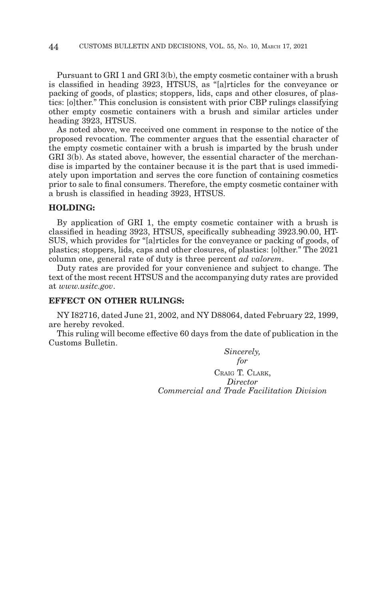Pursuant to GRI 1 and GRI 3(b), the empty cosmetic container with a brush is classified in heading 3923, HTSUS, as "[a]rticles for the conveyance or packing of goods, of plastics; stoppers, lids, caps and other closures, of plastics: [o]ther." This conclusion is consistent with prior CBP rulings classifying other empty cosmetic containers with a brush and similar articles under heading 3923, HTSUS.

As noted above, we received one comment in response to the notice of the proposed revocation. The commenter argues that the essential character of the empty cosmetic container with a brush is imparted by the brush under GRI 3(b). As stated above, however, the essential character of the merchandise is imparted by the container because it is the part that is used immediately upon importation and serves the core function of containing cosmetics prior to sale to final consumers. Therefore, the empty cosmetic container with a brush is classified in heading 3923, HTSUS.

#### **HOLDING:**

By application of GRI 1, the empty cosmetic container with a brush is classified in heading 3923, HTSUS, specifically subheading 3923.90.00, HT-SUS, which provides for "[a]rticles for the conveyance or packing of goods, of plastics; stoppers, lids, caps and other closures, of plastics: [o]ther." The 2021 column one, general rate of duty is three percent *ad valorem*.

Duty rates are provided for your convenience and subject to change. The text of the most recent HTSUS and the accompanying duty rates are provided at *www.usitc.gov*.

### **EFFECT ON OTHER RULINGS:**

NY I82716, dated June 21, 2002, and NY D88064, dated February 22, 1999, are hereby revoked.

This ruling will become effective 60 days from the date of publication in the Customs Bulletin.

> *Sincerely, for* CRAIG T. CLARK, *Director Commercial and Trade Facilitation Division*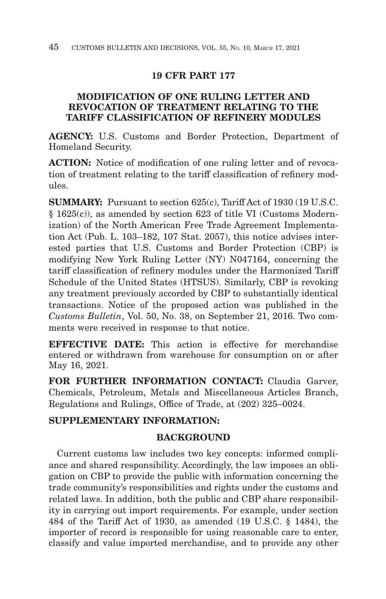# **19 CFR PART 177**

# **MODIFICATION OF ONE RULING LETTER AND REVOCATION OF TREATMENT RELATING TO THE TARIFF CLASSIFICATION OF REFINERY MODULES**

**AGENCY:** U.S. Customs and Border Protection, Department of Homeland Security.

**ACTION:** Notice of modification of one ruling letter and of revocation of treatment relating to the tariff classification of refinery modules.

**SUMMARY:** Pursuant to section 625(c), Tariff Act of 1930 (19 U.S.C. § 1625(c)), as amended by section 623 of title VI (Customs Modernization) of the North American Free Trade Agreement Implementation Act (Pub. L. 103–182, 107 Stat. 2057), this notice advises interested parties that U.S. Customs and Border Protection (CBP) is modifying New York Ruling Letter (NY) N047164, concerning the tariff classification of refinery modules under the Harmonized Tariff Schedule of the United States (HTSUS). Similarly, CBP is revoking any treatment previously accorded by CBP to substantially identical transactions. Notice of the proposed action was published in the *Customs Bulletin*, Vol. 50, No. 38, on September 21, 2016. Two comments were received in response to that notice.

**EFFECTIVE DATE:** This action is effective for merchandise entered or withdrawn from warehouse for consumption on or after May 16, 2021.

**FOR FURTHER INFORMATION CONTACT:** Claudia Garver, Chemicals, Petroleum, Metals and Miscellaneous Articles Branch, Regulations and Rulings, Office of Trade, at (202) 325–0024.

## **SUPPLEMENTARY INFORMATION:**

# **BACKGROUND**

Current customs law includes two key concepts: informed compliance and shared responsibility. Accordingly, the law imposes an obligation on CBP to provide the public with information concerning the trade community's responsibilities and rights under the customs and related laws. In addition, both the public and CBP share responsibility in carrying out import requirements. For example, under section 484 of the Tariff Act of 1930, as amended (19 U.S.C. § 1484), the importer of record is responsible for using reasonable care to enter, classify and value imported merchandise, and to provide any other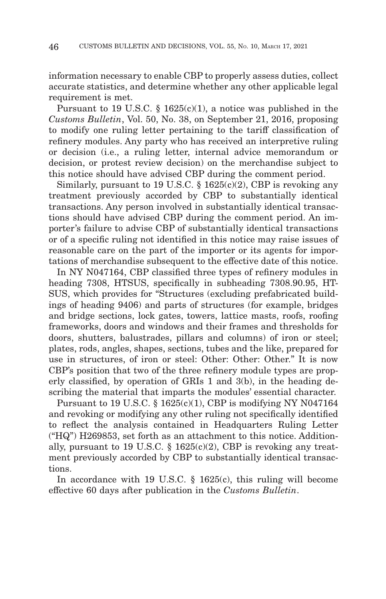information necessary to enable CBP to properly assess duties, collect accurate statistics, and determine whether any other applicable legal requirement is met.

Pursuant to 19 U.S.C. § 1625(c)(1), a notice was published in the *Customs Bulletin*, Vol. 50, No. 38, on September 21, 2016, proposing to modify one ruling letter pertaining to the tariff classification of refinery modules. Any party who has received an interpretive ruling or decision (i.e., a ruling letter, internal advice memorandum or decision, or protest review decision) on the merchandise subject to this notice should have advised CBP during the comment period.

Similarly, pursuant to 19 U.S.C.  $\S$  1625(c)(2), CBP is revoking any treatment previously accorded by CBP to substantially identical transactions. Any person involved in substantially identical transactions should have advised CBP during the comment period. An importer's failure to advise CBP of substantially identical transactions or of a specific ruling not identified in this notice may raise issues of reasonable care on the part of the importer or its agents for importations of merchandise subsequent to the effective date of this notice.

In NY N047164, CBP classified three types of refinery modules in heading 7308, HTSUS, specifically in subheading 7308.90.95, HT-SUS, which provides for "Structures (excluding prefabricated buildings of heading 9406) and parts of structures (for example, bridges and bridge sections, lock gates, towers, lattice masts, roofs, roofing frameworks, doors and windows and their frames and thresholds for doors, shutters, balustrades, pillars and columns) of iron or steel; plates, rods, angles, shapes, sections, tubes and the like, prepared for use in structures, of iron or steel: Other: Other: Other." It is now CBP's position that two of the three refinery module types are properly classified, by operation of GRIs 1 and 3(b), in the heading describing the material that imparts the modules' essential character.

Pursuant to 19 U.S.C.  $\S$  1625(c)(1), CBP is modifying NY N047164 and revoking or modifying any other ruling not specifically identified to reflect the analysis contained in Headquarters Ruling Letter ("HQ") H269853, set forth as an attachment to this notice. Additionally, pursuant to 19 U.S.C.  $\S$  1625(c)(2), CBP is revoking any treatment previously accorded by CBP to substantially identical transactions.

In accordance with 19 U.S.C. § 1625(c), this ruling will become effective 60 days after publication in the *Customs Bulletin*.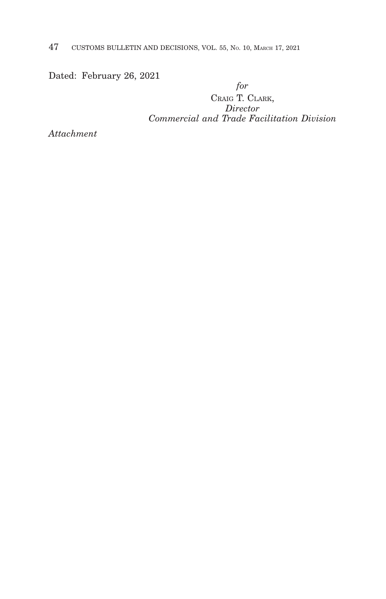47 CUSTOMS BULLETIN AND DECISIONS, VOL. 55, NO. 10, MARCH 17, 2021

Dated: February 26, 2021

*for* CRAIG T. CLARK, *Director Commercial and Trade Facilitation Division*

*Attachment*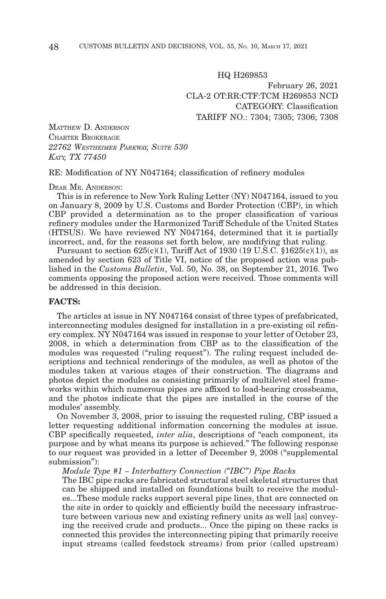HQ H269853 February 26, 2021 CLA-2 OT:RR:CTF:TCM H269853 NCD CATEGORY: Classification TARIFF NO.: 7304; 7305; 7306; 7308

MATTHEW D. ANDERSON CHARTER BROKERAGE *22762 WESTHEIMER PARKWAY, SUITE 530 KATY, TX 77450*

RE: Modification of NY N047164; classification of refinery modules

#### DEAR MR. ANDERSON:

This is in reference to New York Ruling Letter (NY) N047164, issued to you on January 8, 2009 by U.S. Customs and Border Protection (CBP), in which CBP provided a determination as to the proper classification of various refinery modules under the Harmonized Tariff Schedule of the United States (HTSUS). We have reviewed NY N047164, determined that it is partially incorrect, and, for the reasons set forth below, are modifying that ruling.

Pursuant to section  $625(c)(1)$ , Tariff Act of 1930 (19 U.S.C. §1625(c)(1)), as amended by section 623 of Title VI, notice of the proposed action was published in the *Customs Bulletin*, Vol. 50, No. 38, on September 21, 2016. Two comments opposing the proposed action were received. Those comments will be addressed in this decision.

#### **FACTS:**

The articles at issue in NY N047164 consist of three types of prefabricated, interconnecting modules designed for installation in a pre-existing oil refinery complex. NY N047164 was issued in response to your letter of October 23, 2008, in which a determination from CBP as to the classification of the modules was requested ("ruling request"). The ruling request included descriptions and technical renderings of the modules, as well as photos of the modules taken at various stages of their construction. The diagrams and photos depict the modules as consisting primarily of multilevel steel frameworks within which numerous pipes are affixed to load-bearing crossbeams, and the photos indicate that the pipes are installed in the course of the modules' assembly.

On November 3, 2008, prior to issuing the requested ruling, CBP issued a letter requesting additional information concerning the modules at issue. CBP specifically requested, *inter alia*, descriptions of "each component, its purpose and by what means its purpose is achieved." The following response to our request was provided in a letter of December 9, 2008 ("supplemental submission"):

*Module Type #1 – Interbattery Connection ("IBC") Pipe Racks*

The IBC pipe racks are fabricated structural steel skeletal structures that can be shipped and installed on foundations built to receive the modules...These module racks support several pipe lines, that are connected on the site in order to quickly and efficiently build the necessary infrastructure between various new and existing refinery units as well [as] conveying the received crude and products... Once the piping on these racks is connected this provides the interconnecting piping that primarily receive input streams (called feedstock streams) from prior (called upstream)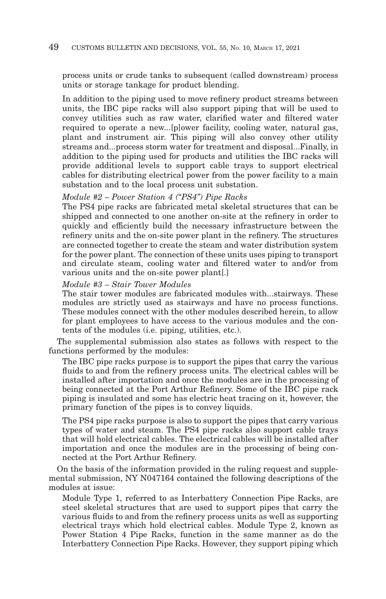process units or crude tanks to subsequent (called downstream) process units or storage tankage for product blending.

In addition to the piping used to move refinery product streams between units, the IBC pipe racks will also support piping that will be used to convey utilities such as raw water, clarified water and filtered water required to operate a new...[p]ower facility, cooling water, natural gas, plant and instrument air. This piping will also convey other utility streams and...process storm water for treatment and disposal...Finally, in addition to the piping used for products and utilities the IBC racks will provide additional levels to support cable trays to support electrical cables for distributing electrical power from the power facility to a main substation and to the local process unit substation.

### *Module #2 – Power Station 4 ("PS4") Pipe Racks*

The PS4 pipe racks are fabricated metal skeletal structures that can be shipped and connected to one another on-site at the refinery in order to quickly and efficiently build the necessary infrastructure between the refinery units and the on-site power plant in the refinery. The structures are connected together to create the steam and water distribution system for the power plant. The connection of these units uses piping to transport and circulate steam, cooling water and filtered water to and/or from various units and the on-site power plant[.]

### *Module #3 – Stair Tower Modules*

The stair tower modules are fabricated modules with...stairways. These modules are strictly used as stairways and have no process functions. These modules connect with the other modules described herein, to allow for plant employees to have access to the various modules and the contents of the modules (i.e. piping, utilities, etc.).

The supplemental submission also states as follows with respect to the functions performed by the modules:

The IBC pipe racks purpose is to support the pipes that carry the various fluids to and from the refinery process units. The electrical cables will be installed after importation and once the modules are in the processing of being connected at the Port Arthur Refinery. Some of the IBC pipe rack piping is insulated and some has electric heat tracing on it, however, the primary function of the pipes is to convey liquids.

The PS4 pipe racks purpose is also to support the pipes that carry various types of water and steam. The PS4 pipe racks also support cable trays that will hold electrical cables. The electrical cables will be installed after importation and once the modules are in the processing of being connected at the Port Arthur Refinery.

On the basis of the information provided in the ruling request and supplemental submission, NY N047164 contained the following descriptions of the modules at issue:

Module Type 1, referred to as Interbattery Connection Pipe Racks, are steel skeletal structures that are used to support pipes that carry the various fluids to and from the refinery process units as well as supporting electrical trays which hold electrical cables. Module Type 2, known as Power Station 4 Pipe Racks, function in the same manner as do the Interbattery Connection Pipe Racks. However, they support piping which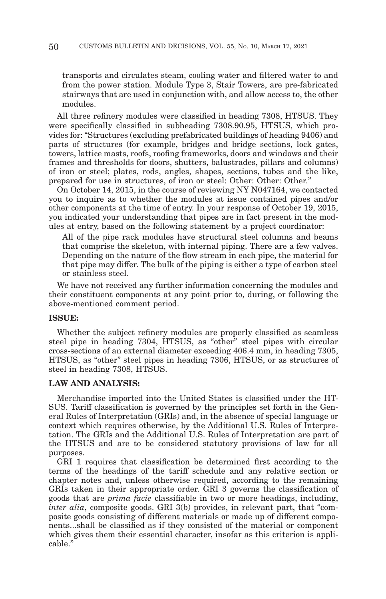transports and circulates steam, cooling water and filtered water to and from the power station. Module Type 3, Stair Towers, are pre-fabricated stairways that are used in conjunction with, and allow access to, the other modules.

All three refinery modules were classified in heading 7308, HTSUS. They were specifically classified in subheading 7308.90.95, HTSUS, which provides for: "Structures (excluding prefabricated buildings of heading 9406) and parts of structures (for example, bridges and bridge sections, lock gates, towers, lattice masts, roofs, roofing frameworks, doors and windows and their frames and thresholds for doors, shutters, balustrades, pillars and columns) of iron or steel; plates, rods, angles, shapes, sections, tubes and the like, prepared for use in structures, of iron or steel: Other: Other: Other."

On October 14, 2015, in the course of reviewing NY N047164, we contacted you to inquire as to whether the modules at issue contained pipes and/or other components at the time of entry. In your response of October 19, 2015, you indicated your understanding that pipes are in fact present in the modules at entry, based on the following statement by a project coordinator:

All of the pipe rack modules have structural steel columns and beams that comprise the skeleton, with internal piping. There are a few valves. Depending on the nature of the flow stream in each pipe, the material for that pipe may differ. The bulk of the piping is either a type of carbon steel or stainless steel.

We have not received any further information concerning the modules and their constituent components at any point prior to, during, or following the above-mentioned comment period.

#### **ISSUE:**

Whether the subject refinery modules are properly classified as seamless steel pipe in heading 7304, HTSUS, as "other" steel pipes with circular cross-sections of an external diameter exceeding 406.4 mm, in heading 7305, HTSUS, as "other" steel pipes in heading 7306, HTSUS, or as structures of steel in heading 7308, HTSUS.

#### **LAW AND ANALYSIS:**

Merchandise imported into the United States is classified under the HT-SUS. Tariff classification is governed by the principles set forth in the General Rules of Interpretation (GRIs) and, in the absence of special language or context which requires otherwise, by the Additional U.S. Rules of Interpretation. The GRIs and the Additional U.S. Rules of Interpretation are part of the HTSUS and are to be considered statutory provisions of law for all purposes.

GRI 1 requires that classification be determined first according to the terms of the headings of the tariff schedule and any relative section or chapter notes and, unless otherwise required, according to the remaining GRIs taken in their appropriate order. GRI 3 governs the classification of goods that are *prima facie* classifiable in two or more headings, including, *inter alia*, composite goods. GRI 3(b) provides, in relevant part, that "composite goods consisting of different materials or made up of different components...shall be classified as if they consisted of the material or component which gives them their essential character, insofar as this criterion is applicable."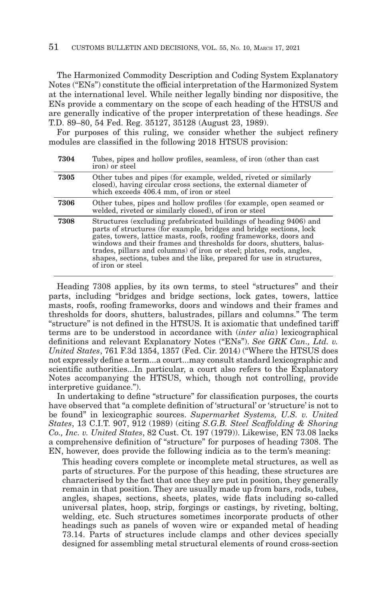The Harmonized Commodity Description and Coding System Explanatory Notes ("ENs") constitute the official interpretation of the Harmonized System at the international level. While neither legally binding nor dispositive, the ENs provide a commentary on the scope of each heading of the HTSUS and are generally indicative of the proper interpretation of these headings. *See* T.D. 89–80, 54 Fed. Reg. 35127, 35128 (August 23, 1989).

For purposes of this ruling, we consider whether the subject refinery modules are classified in the following 2018 HTSUS provision:

| 7304 | Tubes, pipes and hollow profiles, seamless, of iron (other than cast)<br>iron) or steel                                                                                                                                                                                                                                                                                                                                                                     |
|------|-------------------------------------------------------------------------------------------------------------------------------------------------------------------------------------------------------------------------------------------------------------------------------------------------------------------------------------------------------------------------------------------------------------------------------------------------------------|
| 7305 | Other tubes and pipes (for example, welded, riveted or similarly<br>closed), having circular cross sections, the external diameter of<br>which exceeds 406.4 mm, of iron or steel                                                                                                                                                                                                                                                                           |
| 7306 | Other tubes, pipes and hollow profiles (for example, open seamed or<br>welded, riveted or similarly closed), of iron or steel                                                                                                                                                                                                                                                                                                                               |
| 7308 | Structures (excluding prefabricated buildings of heading 9406) and<br>parts of structures (for example, bridges and bridge sections, lock<br>gates, towers, lattice masts, roofs, roofing frameworks, doors and<br>windows and their frames and thresholds for doors, shutters, balus-<br>trades, pillars and columns) of iron or steel; plates, rods, angles,<br>shapes, sections, tubes and the like, prepared for use in structures,<br>of iron or steel |

Heading 7308 applies, by its own terms, to steel "structures" and their parts, including "bridges and bridge sections, lock gates, towers, lattice masts, roofs, roofing frameworks, doors and windows and their frames and thresholds for doors, shutters, balustrades, pillars and columns." The term "structure" is not defined in the HTSUS. It is axiomatic that undefined tariff terms are to be understood in accordance with (*inter alia*) lexicographical definitions and relevant Explanatory Notes ("ENs"). *See GRK Can., Ltd. v. United States*, 761 F.3d 1354, 1357 (Fed. Cir. 2014) ("Where the HTSUS does not expressly define a term...a court...may consult standard lexicographic and scientific authorities...In particular, a court also refers to the Explanatory Notes accompanying the HTSUS, which, though not controlling, provide interpretive guidance.").

In undertaking to define "structure" for classification purposes, the courts have observed that "a complete definition of 'structural' or 'structure' is not to be found" in lexicographic sources. *Supermarket Systems, U.S. v. United States*, 13 C.I.T. 907, 912 (1989) (citing *S.G.B. Steel Scaffolding & Shoring Co., Inc. v. United States*, 82 Cust. Ct. 197 (1979)). Likewise, EN 73.08 lacks a comprehensive definition of "structure" for purposes of heading 7308. The EN, however, does provide the following indicia as to the term's meaning:

This heading covers complete or incomplete metal structures, as well as parts of structures. For the purpose of this heading, these structures are characterised by the fact that once they are put in position, they generally remain in that position. They are usually made up from bars, rods, tubes, angles, shapes, sections, sheets, plates, wide flats including so-called universal plates, hoop, strip, forgings or castings, by riveting, bolting, welding, etc. Such structures sometimes incorporate products of other headings such as panels of woven wire or expanded metal of heading 73.14. Parts of structures include clamps and other devices specially designed for assembling metal structural elements of round cross-section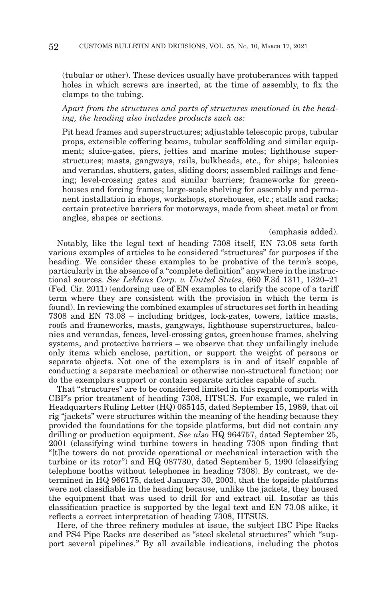(tubular or other). These devices usually have protuberances with tapped holes in which screws are inserted, at the time of assembly, to fix the clamps to the tubing.

### *Apart from the structures and parts of structures mentioned in the heading, the heading also includes products such as:*

Pit head frames and superstructures; adjustable telescopic props, tubular props, extensible coffering beams, tubular scaffolding and similar equipment; sluice-gates, piers, jetties and marine moles; lighthouse superstructures; masts, gangways, rails, bulkheads, etc., for ships; balconies and verandas, shutters, gates, sliding doors; assembled railings and fencing; level-crossing gates and similar barriers; frameworks for greenhouses and forcing frames; large-scale shelving for assembly and permanent installation in shops, workshops, storehouses, etc.; stalls and racks; certain protective barriers for motorways, made from sheet metal or from angles, shapes or sections.

#### (emphasis added).

Notably, like the legal text of heading 7308 itself, EN 73.08 sets forth various examples of articles to be considered "structures" for purposes if the heading. We consider these examples to be probative of the term's scope, particularly in the absence of a "complete definition" anywhere in the instructional sources. *See LeMans Corp. v. United States*, 660 F.3d 1311, 1320–21 (Fed. Cir. 2011) (endorsing use of EN examples to clarify the scope of a tariff term where they are consistent with the provision in which the term is found). In reviewing the combined examples of structures set forth in heading 7308 and EN 73.08 – including bridges, lock-gates, towers, lattice masts, roofs and frameworks, masts, gangways, lighthouse superstructures, balconies and verandas, fences, level-crossing gates, greenhouse frames, shelving systems, and protective barriers – we observe that they unfailingly include only items which enclose, partition, or support the weight of persons or separate objects. Not one of the exemplars is in and of itself capable of conducting a separate mechanical or otherwise non-structural function; nor do the exemplars support or contain separate articles capable of such.

That "structures" are to be considered limited in this regard comports with CBP's prior treatment of heading 7308, HTSUS. For example, we ruled in Headquarters Ruling Letter (HQ) 085145, dated September 15, 1989, that oil rig "jackets" were structures within the meaning of the heading because they provided the foundations for the topside platforms, but did not contain any drilling or production equipment. *See also* HQ 964757, dated September 25, 2001 (classifying wind turbine towers in heading 7308 upon finding that "[t]he towers do not provide operational or mechanical interaction with the turbine or its rotor") and HQ 087730, dated September 5, 1990 (classifying telephone booths without telephones in heading 7308). By contrast, we determined in HQ 966175, dated January 30, 2003, that the topside platforms were not classifiable in the heading because, unlike the jackets, they housed the equipment that was used to drill for and extract oil. Insofar as this classification practice is supported by the legal text and EN 73.08 alike, it reflects a correct interpretation of heading 7308, HTSUS.

Here, of the three refinery modules at issue, the subject IBC Pipe Racks and PS4 Pipe Racks are described as "steel skeletal structures" which "support several pipelines." By all available indications, including the photos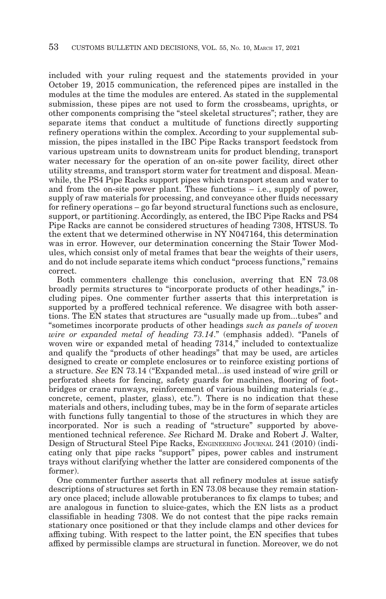included with your ruling request and the statements provided in your October 19, 2015 communication, the referenced pipes are installed in the modules at the time the modules are entered. As stated in the supplemental submission, these pipes are not used to form the crossbeams, uprights, or other components comprising the "steel skeletal structures"; rather, they are separate items that conduct a multitude of functions directly supporting refinery operations within the complex. According to your supplemental submission, the pipes installed in the IBC Pipe Racks transport feedstock from various upstream units to downstream units for product blending, transport water necessary for the operation of an on-site power facility, direct other utility streams, and transport storm water for treatment and disposal. Meanwhile, the PS4 Pipe Racks support pipes which transport steam and water to and from the on-site power plant. These functions – i.e., supply of power, supply of raw materials for processing, and conveyance other fluids necessary for refinery operations – go far beyond structural functions such as enclosure, support, or partitioning. Accordingly, as entered, the IBC Pipe Racks and PS4 Pipe Racks are cannot be considered structures of heading 7308, HTSUS. To the extent that we determined otherwise in NY N047164, this determination was in error. However, our determination concerning the Stair Tower Modules, which consist only of metal frames that bear the weights of their users, and do not include separate items which conduct "process functions," remains correct.

Both commenters challenge this conclusion, averring that EN 73.08 broadly permits structures to "incorporate products of other headings," including pipes. One commenter further asserts that this interpretation is supported by a proffered technical reference. We disagree with both assertions. The EN states that structures are "usually made up from...tubes" and "sometimes incorporate products of other headings *such as panels of woven wire or expanded metal of heading 73.14*." (emphasis added). "Panels of woven wire or expanded metal of heading 7314," included to contextualize and qualify the "products of other headings" that may be used, are articles designed to create or complete enclosures or to reinforce existing portions of a structure. *See* EN 73.14 ("Expanded metal...is used instead of wire grill or perforated sheets for fencing, safety guards for machines, flooring of footbridges or crane runways, reinforcement of various building materials (e.g., concrete, cement, plaster, glass), etc."). There is no indication that these materials and others, including tubes, may be in the form of separate articles with functions fully tangential to those of the structures in which they are incorporated. Nor is such a reading of "structure" supported by abovementioned technical reference. *See* Richard M. Drake and Robert J. Walter, Design of Structural Steel Pipe Racks, ENGINEERING JOURNAL 241 (2010) (indicating only that pipe racks "support" pipes, power cables and instrument trays without clarifying whether the latter are considered components of the former).

One commenter further asserts that all refinery modules at issue satisfy descriptions of structures set forth in EN 73.08 because they remain stationary once placed; include allowable protuberances to fix clamps to tubes; and are analogous in function to sluice-gates, which the EN lists as a product classifiable in heading 7308. We do not contest that the pipe racks remain stationary once positioned or that they include clamps and other devices for affixing tubing. With respect to the latter point, the EN specifies that tubes affixed by permissible clamps are structural in function. Moreover, we do not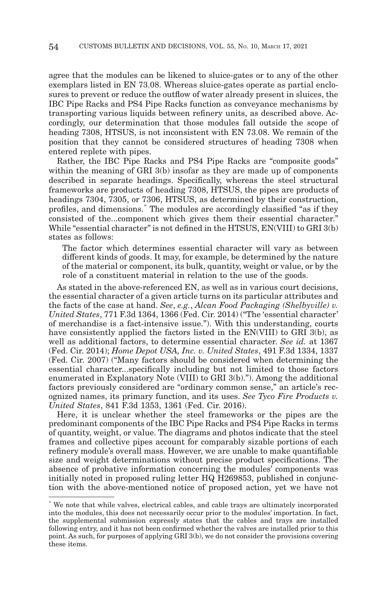agree that the modules can be likened to sluice-gates or to any of the other exemplars listed in EN 73.08. Whereas sluice-gates operate as partial enclosures to prevent or reduce the outflow of water already present in sluices, the IBC Pipe Racks and PS4 Pipe Racks function as conveyance mechanisms by transporting various liquids between refinery units, as described above. Accordingly, our determination that those modules fall outside the scope of heading 7308, HTSUS, is not inconsistent with EN 73.08. We remain of the position that they cannot be considered structures of heading 7308 when entered replete with pipes.

Rather, the IBC Pipe Racks and PS4 Pipe Racks are "composite goods" within the meaning of GRI 3(b) insofar as they are made up of components described in separate headings. Specifically, whereas the steel structural frameworks are products of heading 7308, HTSUS, the pipes are products of headings 7304, 7305, or 7306, HTSUS, as determined by their construction, profiles, and dimensions.\* The modules are accordingly classified "as if they consisted of the...component which gives them their essential character." While "essential character" is not defined in the HTSUS, EN(VIII) to GRI 3(b) states as follows:

The factor which determines essential character will vary as between different kinds of goods. It may, for example, be determined by the nature of the material or component, its bulk, quantity, weight or value, or by the role of a constituent material in relation to the use of the goods.

As stated in the above-referenced EN, as well as in various court decisions, the essential character of a given article turns on its particular attributes and the facts of the case at hand. *See*, *e.g.*, *Alcan Food Packaging (Shelbyville) v. United States*, 771 F.3d 1364, 1366 (Fed. Cir. 2014) ("The 'essential character' of merchandise is a fact-intensive issue."). With this understanding, courts have consistently applied the factors listed in the EN(VIII) to GRI 3(b), as well as additional factors, to determine essential character. *See id.* at 1367 (Fed. Cir. 2014); *Home Depot USA, Inc. v. United States*, 491 F.3d 1334, 1337 (Fed. Cir. 2007) ("Many factors should be considered when determining the essential character...specifically including but not limited to those factors enumerated in Explanatory Note (VIII) to GRI 3(b)."). Among the additional factors previously considered are "ordinary common sense," an article's recognized names, its primary function, and its uses. *See Tyco Fire Products v. United States*, 841 F.3d 1353, 1361 (Fed. Cir. 2016).

Here, it is unclear whether the steel frameworks or the pipes are the predominant components of the IBC Pipe Racks and PS4 Pipe Racks in terms of quantity, weight, or value. The diagrams and photos indicate that the steel frames and collective pipes account for comparably sizable portions of each refinery module's overall mass. However, we are unable to make quantifiable size and weight determinations without precise product specifications. The absence of probative information concerning the modules' components was initially noted in proposed ruling letter HQ H269853, published in conjunction with the above-mentioned notice of proposed action, yet we have not

<sup>\*</sup> We note that while valves, electrical cables, and cable trays are ultimately incorporated into the modules, this does not necessarily occur prior to the modules' importation. In fact, the supplemental submission expressly states that the cables and trays are installed following entry, and it has not been confirmed whether the valves are installed prior to this point. As such, for purposes of applying GRI 3(b), we do not consider the provisions covering these items.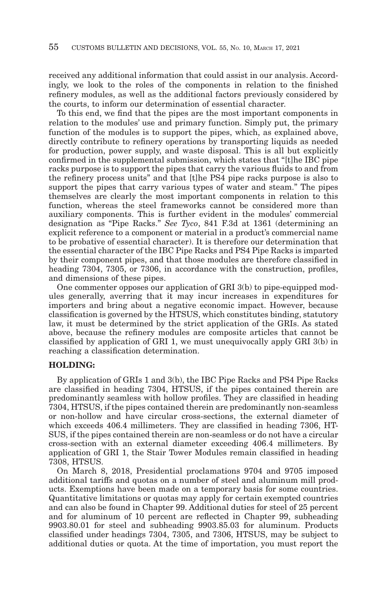received any additional information that could assist in our analysis. Accordingly, we look to the roles of the components in relation to the finished refinery modules, as well as the additional factors previously considered by the courts, to inform our determination of essential character.

To this end, we find that the pipes are the most important components in relation to the modules' use and primary function. Simply put, the primary function of the modules is to support the pipes, which, as explained above, directly contribute to refinery operations by transporting liquids as needed for production, power supply, and waste disposal. This is all but explicitly confirmed in the supplemental submission, which states that "[t]he IBC pipe racks purpose is to support the pipes that carry the various fluids to and from the refinery process units" and that [t]he PS4 pipe racks purpose is also to support the pipes that carry various types of water and steam." The pipes themselves are clearly the most important components in relation to this function, whereas the steel frameworks cannot be considered more than auxiliary components. This is further evident in the modules' commercial designation as "Pipe Racks." *See Tyco*, 841 F.3d at 1361 (determining an explicit reference to a component or material in a product's commercial name to be probative of essential character). It is therefore our determination that the essential character of the IBC Pipe Racks and PS4 Pipe Racks is imparted by their component pipes, and that those modules are therefore classified in heading 7304, 7305, or 7306, in accordance with the construction, profiles, and dimensions of these pipes.

One commenter opposes our application of GRI 3(b) to pipe-equipped modules generally, averring that it may incur increases in expenditures for importers and bring about a negative economic impact. However, because classification is governed by the HTSUS, which constitutes binding, statutory law, it must be determined by the strict application of the GRIs. As stated above, because the refinery modules are composite articles that cannot be classified by application of GRI 1, we must unequivocally apply GRI 3(b) in reaching a classification determination.

#### **HOLDING:**

By application of GRIs 1 and 3(b), the IBC Pipe Racks and PS4 Pipe Racks are classified in heading 7304, HTSUS, if the pipes contained therein are predominantly seamless with hollow profiles. They are classified in heading 7304, HTSUS, if the pipes contained therein are predominantly non-seamless or non-hollow and have circular cross-sections, the external diameter of which exceeds 406.4 millimeters. They are classified in heading 7306, HT-SUS, if the pipes contained therein are non-seamless or do not have a circular cross-section with an external diameter exceeding 406.4 millimeters. By application of GRI 1, the Stair Tower Modules remain classified in heading 7308, HTSUS.

On March 8, 2018, Presidential proclamations 9704 and 9705 imposed additional tariffs and quotas on a number of steel and aluminum mill products. Exemptions have been made on a temporary basis for some countries. Quantitative limitations or quotas may apply for certain exempted countries and can also be found in Chapter 99. Additional duties for steel of 25 percent and for aluminum of 10 percent are reflected in Chapter 99, subheading 9903.80.01 for steel and subheading 9903.85.03 for aluminum. Products classified under headings 7304, 7305, and 7306, HTSUS, may be subject to additional duties or quota. At the time of importation, you must report the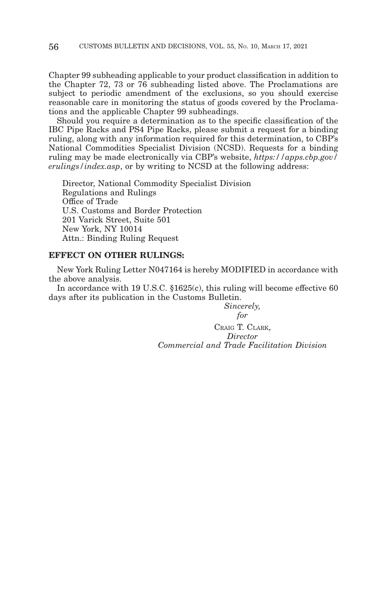Chapter 99 subheading applicable to your product classification in addition to the Chapter 72, 73 or 76 subheading listed above. The Proclamations are subject to periodic amendment of the exclusions, so you should exercise reasonable care in monitoring the status of goods covered by the Proclamations and the applicable Chapter 99 subheadings.

Should you require a determination as to the specific classification of the IBC Pipe Racks and PS4 Pipe Racks, please submit a request for a binding ruling, along with any information required for this determination, to CBP's National Commodities Specialist Division (NCSD). Requests for a binding ruling may be made electronically via CBP's website, *https://apps.cbp.gov/ erulings/index.asp*, or by writing to NCSD at the following address:

Director, National Commodity Specialist Division Regulations and Rulings Office of Trade U.S. Customs and Border Protection 201 Varick Street, Suite 501 New York, NY 10014 Attn.: Binding Ruling Request

### **EFFECT ON OTHER RULINGS:**

New York Ruling Letter N047164 is hereby MODIFIED in accordance with the above analysis.

In accordance with 19 U.S.C. §1625(c), this ruling will become effective 60 days after its publication in the Customs Bulletin.

> *Sincerely, for*

CRAIG T. CLARK, *Director Commercial and Trade Facilitation Division*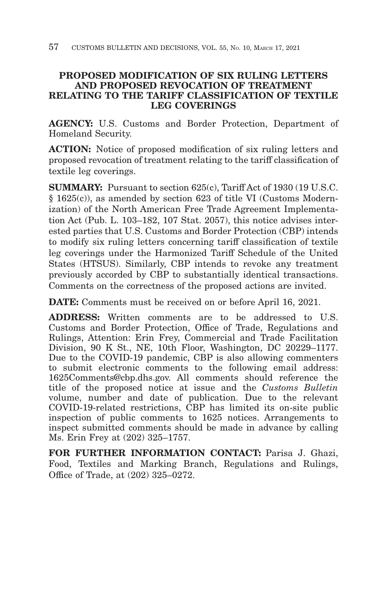# **PROPOSED MODIFICATION OF SIX RULING LETTERS AND PROPOSED REVOCATION OF TREATMENT RELATING TO THE TARIFF CLASSIFICATION OF TEXTILE LEG COVERINGS**

**AGENCY:** U.S. Customs and Border Protection, Department of Homeland Security.

**ACTION:** Notice of proposed modification of six ruling letters and proposed revocation of treatment relating to the tariff classification of textile leg coverings.

**SUMMARY:** Pursuant to section 625(c), Tariff Act of 1930 (19 U.S.C. § 1625(c)), as amended by section 623 of title VI (Customs Modernization) of the North American Free Trade Agreement Implementation Act (Pub. L. 103–182, 107 Stat. 2057), this notice advises interested parties that U.S. Customs and Border Protection (CBP) intends to modify six ruling letters concerning tariff classification of textile leg coverings under the Harmonized Tariff Schedule of the United States (HTSUS). Similarly, CBP intends to revoke any treatment previously accorded by CBP to substantially identical transactions. Comments on the correctness of the proposed actions are invited.

**DATE:** Comments must be received on or before April 16, 2021.

**ADDRESS:** Written comments are to be addressed to U.S. Customs and Border Protection, Office of Trade, Regulations and Rulings, Attention: Erin Frey, Commercial and Trade Facilitation Division, 90 K St., NE, 10th Floor, Washington, DC 20229–1177. Due to the COVID-19 pandemic, CBP is also allowing commenters to submit electronic comments to the following email address: 1625Comments@cbp.dhs.gov. All comments should reference the title of the proposed notice at issue and the *Customs Bulletin* volume, number and date of publication. Due to the relevant COVID-19-related restrictions, CBP has limited its on-site public inspection of public comments to 1625 notices. Arrangements to inspect submitted comments should be made in advance by calling Ms. Erin Frey at (202) 325–1757.

**FOR FURTHER INFORMATION CONTACT:** Parisa J. Ghazi, Food, Textiles and Marking Branch, Regulations and Rulings, Office of Trade, at (202) 325–0272.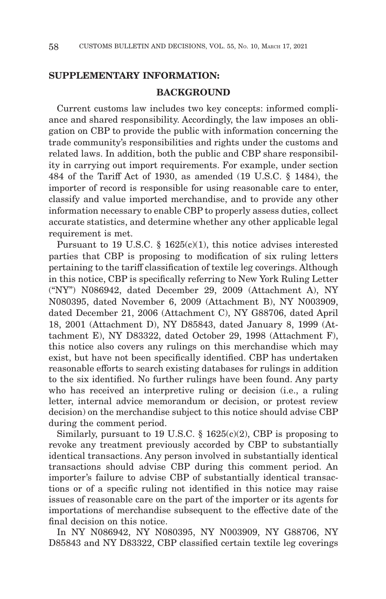## **SUPPLEMENTARY INFORMATION:**

### **BACKGROUND**

Current customs law includes two key concepts: informed compliance and shared responsibility. Accordingly, the law imposes an obligation on CBP to provide the public with information concerning the trade community's responsibilities and rights under the customs and related laws. In addition, both the public and CBP share responsibility in carrying out import requirements. For example, under section 484 of the Tariff Act of 1930, as amended (19 U.S.C. § 1484), the importer of record is responsible for using reasonable care to enter, classify and value imported merchandise, and to provide any other information necessary to enable CBP to properly assess duties, collect accurate statistics, and determine whether any other applicable legal requirement is met.

Pursuant to 19 U.S.C. § 1625(c)(1), this notice advises interested parties that CBP is proposing to modification of six ruling letters pertaining to the tariff classification of textile leg coverings. Although in this notice, CBP is specifically referring to New York Ruling Letter ("NY") N086942, dated December 29, 2009 (Attachment A), NY N080395, dated November 6, 2009 (Attachment B), NY N003909, dated December 21, 2006 (Attachment C), NY G88706, dated April 18, 2001 (Attachment D), NY D85843, dated January 8, 1999 (Attachment E), NY D83322, dated October 29, 1998 (Attachment F), this notice also covers any rulings on this merchandise which may exist, but have not been specifically identified. CBP has undertaken reasonable efforts to search existing databases for rulings in addition to the six identified. No further rulings have been found. Any party who has received an interpretive ruling or decision (i.e., a ruling letter, internal advice memorandum or decision, or protest review decision) on the merchandise subject to this notice should advise CBP during the comment period.

Similarly, pursuant to 19 U.S.C.  $\S$  1625(c)(2), CBP is proposing to revoke any treatment previously accorded by CBP to substantially identical transactions. Any person involved in substantially identical transactions should advise CBP during this comment period. An importer's failure to advise CBP of substantially identical transactions or of a specific ruling not identified in this notice may raise issues of reasonable care on the part of the importer or its agents for importations of merchandise subsequent to the effective date of the final decision on this notice.

In NY N086942, NY N080395, NY N003909, NY G88706, NY D85843 and NY D83322, CBP classified certain textile leg coverings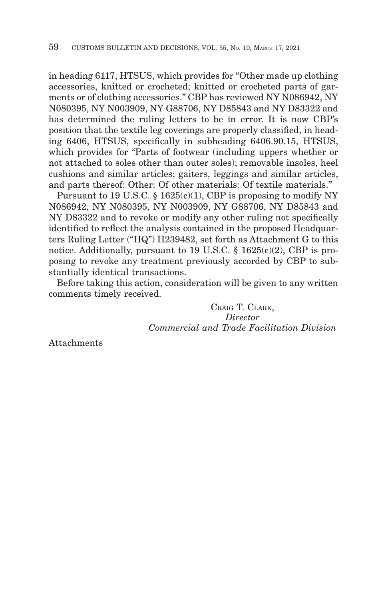in heading 6117, HTSUS, which provides for "Other made up clothing accessories, knitted or crocheted; knitted or crocheted parts of garments or of clothing accessories." CBP has reviewed NY N086942, NY N080395, NY N003909, NY G88706, NY D85843 and NY D83322 and has determined the ruling letters to be in error. It is now CBP's position that the textile leg coverings are properly classified, in heading 6406, HTSUS, specifically in subheading 6406.90.15, HTSUS, which provides for "Parts of footwear (including uppers whether or not attached to soles other than outer soles); removable insoles, heel cushions and similar articles; gaiters, leggings and similar articles, and parts thereof: Other: Of other materials: Of textile materials."

Pursuant to 19 U.S.C. § 1625(c)(1), CBP is proposing to modify NY N086942, NY N080395, NY N003909, NY G88706, NY D85843 and NY D83322 and to revoke or modify any other ruling not specifically identified to reflect the analysis contained in the proposed Headquarters Ruling Letter ("HQ") H239482, set forth as Attachment G to this notice. Additionally, pursuant to 19 U.S.C.  $\S$  1625(c)(2), CBP is proposing to revoke any treatment previously accorded by CBP to substantially identical transactions.

Before taking this action, consideration will be given to any written comments timely received.

> CRAIG T. CLARK, *Director Commercial and Trade Facilitation Division*

Attachments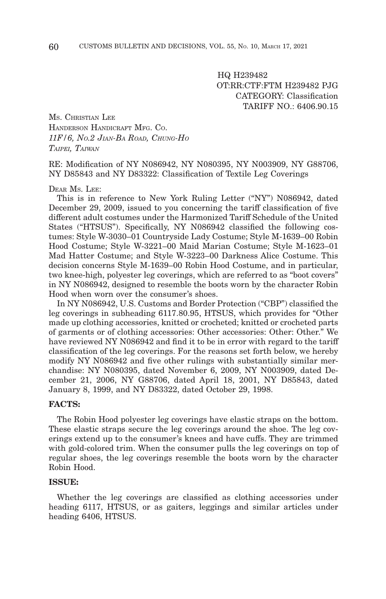HQ H239482 OT:RR:CTF:FTM H239482 PJG CATEGORY: Classification TARIFF  $NO.6406.90.15$ 

MS. CHRISTIAN LEE HANDERSON HANDICRAFT MFG. CO. *11F/6, NO.2 JIAN-BA ROAD, CHUNG-HO TAIPEI, TAIWAN*

RE: Modification of NY N086942, NY N080395, NY N003909, NY G88706, NY D85843 and NY D83322: Classification of Textile Leg Coverings

#### DEAR MS. LEE:

This is in reference to New York Ruling Letter ("NY") N086942, dated December 29, 2009, issued to you concerning the tariff classification of five different adult costumes under the Harmonized Tariff Schedule of the United States ("HTSUS"). Specifically, NY N086942 classified the following costumes: Style W-3030–01 Countryside Lady Costume; Style M-1639–00 Robin Hood Costume; Style W-3221–00 Maid Marian Costume; Style M-1623–01 Mad Hatter Costume; and Style W-3223–00 Darkness Alice Costume. This decision concerns Style M-1639–00 Robin Hood Costume, and in particular, two knee-high, polyester leg coverings, which are referred to as "boot covers" in NY N086942, designed to resemble the boots worn by the character Robin Hood when worn over the consumer's shoes.

In NY N086942, U.S. Customs and Border Protection ("CBP") classified the leg coverings in subheading 6117.80.95, HTSUS, which provides for "Other made up clothing accessories, knitted or crocheted; knitted or crocheted parts of garments or of clothing accessories: Other accessories: Other: Other." We have reviewed NY N086942 and find it to be in error with regard to the tariff classification of the leg coverings. For the reasons set forth below, we hereby modify NY N086942 and five other rulings with substantially similar merchandise: NY N080395, dated November 6, 2009, NY N003909, dated December 21, 2006, NY G88706, dated April 18, 2001, NY D85843, dated January 8, 1999, and NY D83322, dated October 29, 1998.

### **FACTS:**

The Robin Hood polyester leg coverings have elastic straps on the bottom. These elastic straps secure the leg coverings around the shoe. The leg coverings extend up to the consumer's knees and have cuffs. They are trimmed with gold-colored trim. When the consumer pulls the leg coverings on top of regular shoes, the leg coverings resemble the boots worn by the character Robin Hood.

#### **ISSUE:**

Whether the leg coverings are classified as clothing accessories under heading 6117, HTSUS, or as gaiters, leggings and similar articles under heading 6406, HTSUS.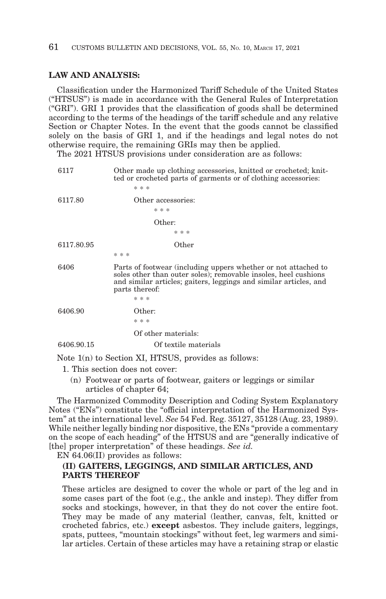### **LAW AND ANALYSIS:**

Classification under the Harmonized Tariff Schedule of the United States ("HTSUS") is made in accordance with the General Rules of Interpretation ("GRI"). GRI 1 provides that the classification of goods shall be determined according to the terms of the headings of the tariff schedule and any relative Section or Chapter Notes. In the event that the goods cannot be classified solely on the basis of GRI 1, and if the headings and legal notes do not otherwise require, the remaining GRIs may then be applied.

The 2021 HTSUS provisions under consideration are as follows:

| 6117       | Other made up clothing accessories, knitted or crocheted; knit-<br>ted or crocheted parts of garments or of clothing accessories:                                                                                        |
|------------|--------------------------------------------------------------------------------------------------------------------------------------------------------------------------------------------------------------------------|
|            | * * *                                                                                                                                                                                                                    |
| 6117.80    | Other accessories:                                                                                                                                                                                                       |
|            | * * *                                                                                                                                                                                                                    |
|            | Other:                                                                                                                                                                                                                   |
|            | * * *                                                                                                                                                                                                                    |
| 6117.80.95 | Other                                                                                                                                                                                                                    |
|            | * * *                                                                                                                                                                                                                    |
| 6406       | Parts of footwear (including uppers whether or not attached to<br>soles other than outer soles); removable insoles, heel cushions<br>and similar articles; gaiters, leggings and similar articles, and<br>parts thereof: |
|            | * * *                                                                                                                                                                                                                    |
| 6406.90    | Other:                                                                                                                                                                                                                   |
|            | * * *                                                                                                                                                                                                                    |
|            | Of other materials:                                                                                                                                                                                                      |
| 6406.90.15 | Of textile materials                                                                                                                                                                                                     |
|            | Note $1(n)$ to Section XI, HTSUS, provides as follows:                                                                                                                                                                   |

- 1. This section does not cover:
	- (n) Footwear or parts of footwear, gaiters or leggings or similar articles of chapter 64;

The Harmonized Commodity Description and Coding System Explanatory Notes ("ENs") constitute the "official interpretation of the Harmonized System" at the international level. *See* 54 Fed. Reg. 35127, 35128 (Aug. 23, 1989). While neither legally binding nor dispositive, the ENs "provide a commentary on the scope of each heading" of the HTSUS and are "generally indicative of [the] proper interpretation" of these headings. *See id.*

EN 64.06(II) provides as follows:

### **(II) GAITERS, LEGGINGS, AND SIMILAR ARTICLES, AND PARTS THEREOF**

These articles are designed to cover the whole or part of the leg and in some cases part of the foot (e.g., the ankle and instep). They differ from socks and stockings, however, in that they do not cover the entire foot. They may be made of any material (leather, canvas, felt, knitted or crocheted fabrics, etc.) **except** asbestos. They include gaiters, leggings, spats, puttees, "mountain stockings" without feet, leg warmers and similar articles. Certain of these articles may have a retaining strap or elastic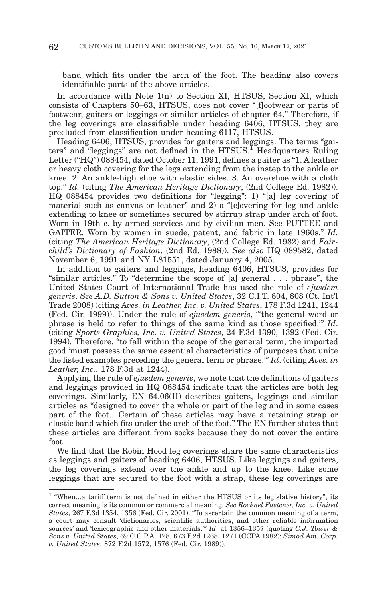band which fits under the arch of the foot. The heading also covers identifiable parts of the above articles.

In accordance with Note 1(n) to Section XI, HTSUS, Section XI, which consists of Chapters 50–63, HTSUS, does not cover "[f]ootwear or parts of footwear, gaiters or leggings or similar articles of chapter 64." Therefore, if the leg coverings are classifiable under heading 6406, HTSUS, they are precluded from classification under heading 6117, HTSUS.

Heading 6406, HTSUS, provides for gaiters and leggings. The terms "gaiters" and "leggings" are not defined in the HTSUS.<sup>1</sup> Headquarters Ruling Letter ("HQ") 088454, dated October 11, 1991, defines a gaiter as "1. A leather or heavy cloth covering for the legs extending from the instep to the ankle or knee. 2. An ankle-high shoe with elastic sides. 3. An overshoe with a cloth top." *Id.* (citing *The American Heritage Dictionary*, (2nd College Ed. 1982)). HQ 088454 provides two definitions for "legging": 1) "[a] leg covering of material such as canvas or leather" and 2) a "[c]overing for leg and ankle extending to knee or sometimes secured by stirrup strap under arch of foot. Worn in 19th c. by armed services and by civilian men. See PUTTEE and GAITER. Worn by women in suede, patent, and fabric in late 1960s." *Id.* (citing *The American Heritage Dictionary*, (2nd College Ed. 1982) and *Fairchild's Dictionary of Fashion*, (2nd Ed. 1988)). *See also* HQ 089582, dated November 6, 1991 and NY L81551, dated January 4, 2005.

In addition to gaiters and leggings, heading 6406, HTSUS, provides for "similar articles." To "determine the scope of [a] general . . . phrase", the United States Court of International Trade has used the rule of *ejusdem generis*. *See A.D. Sutton & Sons v. United States*, 32 C.I.T. 804, 808 (Ct. Int'l Trade 2008) (citing *Aves. in Leather, Inc. v. United States*, 178 F.3d 1241, 1244 (Fed. Cir. 1999)). Under the rule of *ejusdem generis*, "'the general word or phrase is held to refer to things of the same kind as those specified.'" *Id*. (citing *Sports Graphics, Inc. v. United States*, 24 F.3d 1390, 1392 (Fed. Cir. 1994). Therefore, "to fall within the scope of the general term, the imported good 'must possess the same essential characteristics of purposes that unite the listed examples preceding the general term or phrase.'" *Id*. (citing *Aves. in Leather, Inc.*, 178 F.3d at 1244).

Applying the rule of *ejusdem generis*, we note that the definitions of gaiters and leggings provided in HQ 088454 indicate that the articles are both leg coverings. Similarly, EN 64.06(II) describes gaiters, leggings and similar articles as "designed to cover the whole or part of the leg and in some cases part of the foot....Certain of these articles may have a retaining strap or elastic band which fits under the arch of the foot." The EN further states that these articles are different from socks because they do not cover the entire foot.

We find that the Robin Hood leg coverings share the same characteristics as leggings and gaiters of heading 6406, HTSUS. Like leggings and gaiters, the leg coverings extend over the ankle and up to the knee. Like some leggings that are secured to the foot with a strap, these leg coverings are

<sup>&</sup>lt;sup>1</sup> "When...a tariff term is not defined in either the HTSUS or its legislative history", its correct meaning is its common or commercial meaning. *See Rocknel Fastener, Inc. v. United States*, 267 F.3d 1354, 1356 (Fed. Cir. 2001). "To ascertain the common meaning of a term, a court may consult 'dictionaries, scientific authorities, and other reliable information sources' and 'lexicographic and other materials.'" *Id*. at 1356–1357 (quoting *C.J. Tower & Sons v. United States*, 69 C.C.P.A. 128, 673 F.2d 1268, 1271 (CCPA 1982); *Simod Am. Corp. v. United States*, 872 F.2d 1572, 1576 (Fed. Cir. 1989)).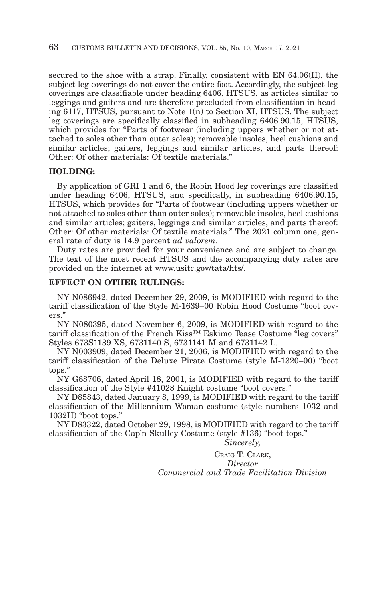secured to the shoe with a strap. Finally, consistent with EN 64.06(II), the subject leg coverings do not cover the entire foot. Accordingly, the subject leg coverings are classifiable under heading 6406, HTSUS, as articles similar to leggings and gaiters and are therefore precluded from classification in heading 6117, HTSUS, pursuant to Note 1(n) to Section XI, HTSUS. The subject leg coverings are specifically classified in subheading 6406.90.15, HTSUS, which provides for "Parts of footwear (including uppers whether or not attached to soles other than outer soles); removable insoles, heel cushions and similar articles; gaiters, leggings and similar articles, and parts thereof: Other: Of other materials: Of textile materials."

### **HOLDING:**

By application of GRI 1 and 6, the Robin Hood leg coverings are classified under heading 6406, HTSUS, and specifically, in subheading 6406.90.15, HTSUS, which provides for "Parts of footwear (including uppers whether or not attached to soles other than outer soles); removable insoles, heel cushions and similar articles; gaiters, leggings and similar articles, and parts thereof: Other: Of other materials: Of textile materials." The 2021 column one, general rate of duty is 14.9 percent *ad valorem*.

Duty rates are provided for your convenience and are subject to change. The text of the most recent HTSUS and the accompanying duty rates are provided on the internet at www.usitc.gov/tata/hts/.

### **EFFECT ON OTHER RULINGS:**

NY N086942, dated December 29, 2009, is MODIFIED with regard to the tariff classification of the Style M-1639–00 Robin Hood Costume "boot covers."

NY N080395, dated November 6, 2009, is MODIFIED with regard to the tariff classification of the French Kiss™ Eskimo Tease Costume "leg covers" Styles 673S1139 XS, 6731140 S, 6731141 M and 6731142 L.

NY N003909, dated December 21, 2006, is MODIFIED with regard to the tariff classification of the Deluxe Pirate Costume (style M-1320–00) "boot tops."

NY G88706, dated April 18, 2001, is MODIFIED with regard to the tariff classification of the Style #41028 Knight costume "boot covers."

NY D85843, dated January 8, 1999, is MODIFIED with regard to the tariff classification of the Millennium Woman costume (style numbers 1032 and 1032H) "boot tops."

NY D83322, dated October 29, 1998, is MODIFIED with regard to the tariff classification of the Cap'n Skulley Costume (style #136) "boot tops."

*Sincerely,*

CRAIG T. CLARK, *Director Commercial and Trade Facilitation Division*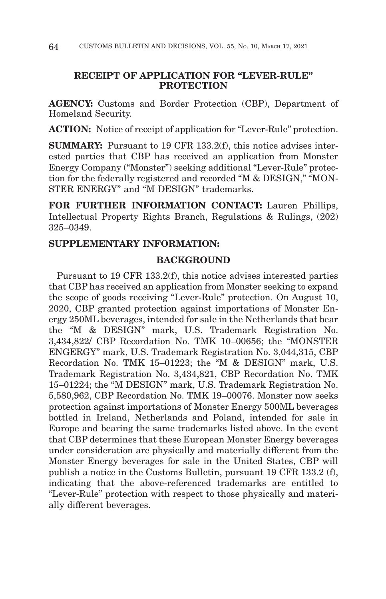# **RECEIPT OF APPLICATION FOR "LEVER-RULE" PROTECTION**

**AGENCY:** Customs and Border Protection (CBP), Department of Homeland Security.

**ACTION:** Notice of receipt of application for "Lever-Rule" protection.

**SUMMARY:** Pursuant to 19 CFR 133.2(f), this notice advises interested parties that CBP has received an application from Monster Energy Company ("Monster") seeking additional "Lever-Rule" protection for the federally registered and recorded "M & DESIGN," "MON-STER ENERGY" and "M DESIGN" trademarks.

**FOR FURTHER INFORMATION CONTACT:** Lauren Phillips, Intellectual Property Rights Branch, Regulations & Rulings, (202) 325–0349.

# **SUPPLEMENTARY INFORMATION:**

## **BACKGROUND**

Pursuant to 19 CFR 133.2(f), this notice advises interested parties that CBP has received an application from Monster seeking to expand the scope of goods receiving "Lever-Rule" protection. On August 10, 2020, CBP granted protection against importations of Monster Energy 250ML beverages, intended for sale in the Netherlands that bear the "M & DESIGN" mark, U.S. Trademark Registration No. 3,434,822/ CBP Recordation No. TMK 10–00656; the "MONSTER ENGERGY" mark, U.S. Trademark Registration No. 3,044,315, CBP Recordation No. TMK 15–01223; the "M & DESIGN" mark, U.S. Trademark Registration No. 3,434,821, CBP Recordation No. TMK 15–01224; the "M DESIGN" mark, U.S. Trademark Registration No. 5,580,962, CBP Recordation No. TMK 19–00076. Monster now seeks protection against importations of Monster Energy 500ML beverages bottled in Ireland, Netherlands and Poland, intended for sale in Europe and bearing the same trademarks listed above. In the event that CBP determines that these European Monster Energy beverages under consideration are physically and materially different from the Monster Energy beverages for sale in the United States, CBP will publish a notice in the Customs Bulletin, pursuant 19 CFR 133.2 (f), indicating that the above-referenced trademarks are entitled to "Lever-Rule" protection with respect to those physically and materially different beverages.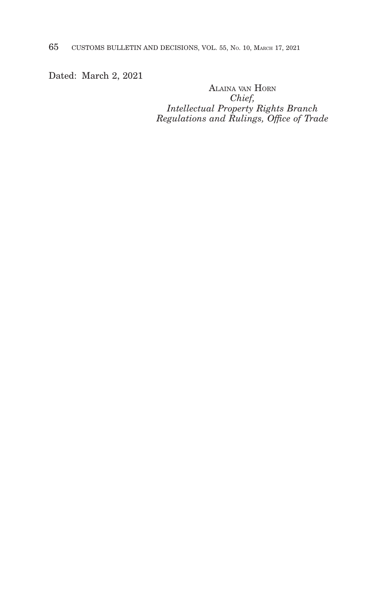65 CUSTOMS BULLETIN AND DECISIONS, VOL. 55, NO. 10, MARCH 17, 2021

Dated: March 2, 2021

ALAINA VAN HORN *Chief, Intellectual Property Rights Branch Regulations and Rulings, Office of Trade*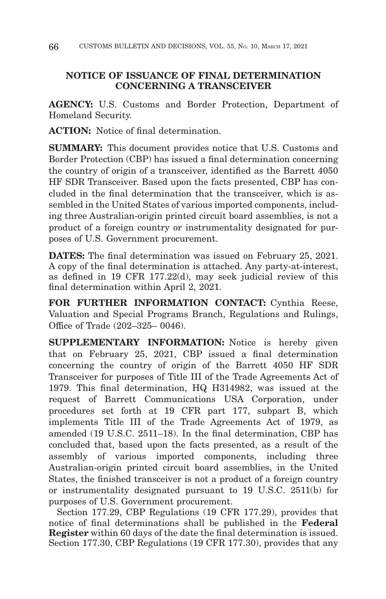# **NOTICE OF ISSUANCE OF FINAL DETERMINATION CONCERNING A TRANSCEIVER**

**AGENCY:** U.S. Customs and Border Protection, Department of Homeland Security.

**ACTION:** Notice of final determination.

**SUMMARY:** This document provides notice that U.S. Customs and Border Protection (CBP) has issued a final determination concerning the country of origin of a transceiver, identified as the Barrett 4050 HF SDR Transceiver. Based upon the facts presented, CBP has concluded in the final determination that the transceiver, which is assembled in the United States of various imported components, including three Australian-origin printed circuit board assemblies, is not a product of a foreign country or instrumentality designated for purposes of U.S. Government procurement.

**DATES:** The final determination was issued on February 25, 2021. A copy of the final determination is attached. Any party-at-interest, as defined in 19 CFR 177.22(d), may seek judicial review of this final determination within April 2, 2021.

**FOR FURTHER INFORMATION CONTACT:** Cynthia Reese, Valuation and Special Programs Branch, Regulations and Rulings, Office of Trade (202–325– 0046).

**SUPPLEMENTARY INFORMATION:** Notice is hereby given that on February 25, 2021, CBP issued a final determination concerning the country of origin of the Barrett 4050 HF SDR Transceiver for purposes of Title III of the Trade Agreements Act of 1979. This final determination, HQ H314982, was issued at the request of Barrett Communications USA Corporation, under procedures set forth at 19 CFR part 177, subpart B, which implements Title III of the Trade Agreements Act of 1979, as amended (19 U.S.C. 2511–18). In the final determination, CBP has concluded that, based upon the facts presented, as a result of the assembly of various imported components, including three Australian-origin printed circuit board assemblies, in the United States, the finished transceiver is not a product of a foreign country or instrumentality designated pursuant to 19 U.S.C. 2511(b) for purposes of U.S. Government procurement.

Section 177.29, CBP Regulations (19 CFR 177.29), provides that notice of final determinations shall be published in the **Federal Register** within 60 days of the date the final determination is issued. Section 177.30, CBP Regulations (19 CFR 177.30), provides that any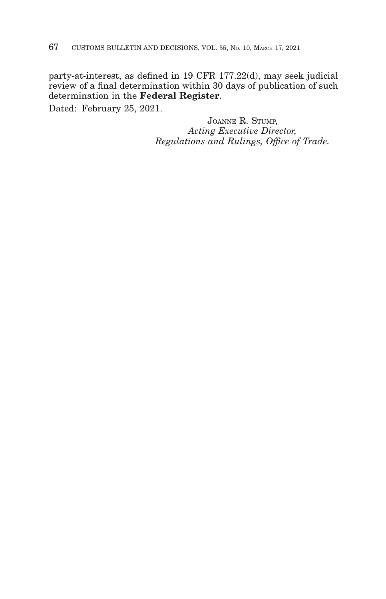party-at-interest, as defined in 19 CFR 177.22(d), may seek judicial review of a final determination within 30 days of publication of such determination in the **Federal Register**.

Dated: February 25, 2021.

JOANNE R. STUMP, *Acting Executive Director, Regulations and Rulings, Office of Trade.*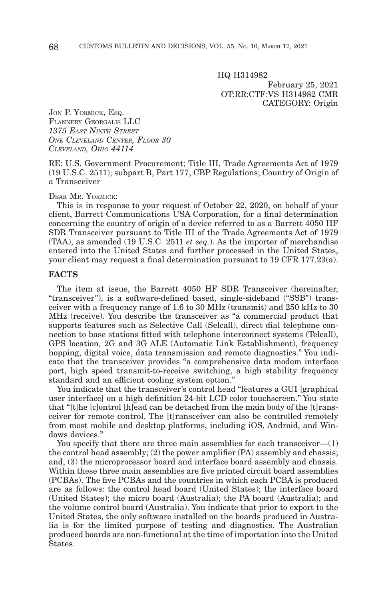HQ H314982 February 25, 2021 OT:RR:CTF:VS H314982 CMR CATEGORY: Origin

JON P. YORMICK, ESQ. FLANNERY GEORGALIS LLC *1375 EAST NINTH STREET ONE CLEVELAND CENTER, FLOOR 30 CLEVELAND, OHIO 44114*

RE: U.S. Government Procurement; Title III, Trade Agreements Act of 1979 (19 U.S.C. 2511); subpart B, Part 177, CBP Regulations; Country of Origin of a Transceiver

DEAR MR. YORMICK:

This is in response to your request of October 22, 2020, on behalf of your client, Barrett Communications USA Corporation, for a final determination concerning the country of origin of a device referred to as a Barrett 4050 HF SDR Transceiver pursuant to Title III of the Trade Agreements Act of 1979 (TAA), as amended (19 U.S.C. 2511 *et seq.*). As the importer of merchandise entered into the United States and further processed in the United States, your client may request a final determination pursuant to 19 CFR 177.23(a).

### **FACTS**

The item at issue, the Barrett 4050 HF SDR Transceiver (hereinafter, "transceiver"), is a software-defined based, single-sideband ("SSB") transceiver with a frequency range of 1.6 to 30 MHz (transmit) and 250 kHz to 30 MHz (receive). You describe the transceiver as ''a commercial product that supports features such as Selective Call (Selcall), direct dial telephone connection to base stations fitted with telephone interconnect systems (Telcall), GPS location, 2G and 3G ALE (Automatic Link Establishment), frequency hopping, digital voice, data transmission and remote diagnostics.'' You indicate that the transceiver provides ''a comprehensive data modem interface port, high speed transmit-to-receive switching, a high stability frequency standard and an efficient cooling system option.''

You indicate that the transceiver's control head ''features a GUI [graphical user interface] on a high definition 24-bit LCD color touchscreen.'' You state that "[t]he [c]ontrol [h]ead can be detached from the main body of the [t]ransceiver for remote control. The [t]ransceiver can also be controlled remotely from most mobile and desktop platforms, including iOS, Android, and Windows devices.''

You specify that there are three main assemblies for each transceiver—(1) the control head assembly; (2) the power amplifier (PA) assembly and chassis; and, (3) the microprocessor board and interface board assembly and chassis. Within these three main assemblies are five printed circuit board assemblies (PCBAs). The five PCBAs and the countries in which each PCBA is produced are as follows: the control head board (United States); the interface board (United States); the micro board (Australia); the PA board (Australia); and the volume control board (Australia). You indicate that prior to export to the United States, the only software installed on the boards produced in Australia is for the limited purpose of testing and diagnostics. The Australian produced boards are non-functional at the time of importation into the United States.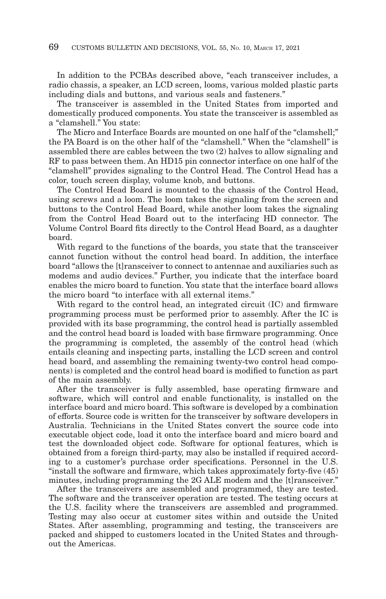In addition to the PCBAs described above, "each transceiver includes, a radio chassis, a speaker, an LCD screen, looms, various molded plastic parts including dials and buttons, and various seals and fasteners.''

The transceiver is assembled in the United States from imported and domestically produced components. You state the transceiver is assembled as a "clamshell." You state:

The Micro and Interface Boards are mounted on one half of the "clamshell;" the PA Board is on the other half of the "clamshell." When the "clamshell" is assembled there are cables between the two (2) halves to allow signaling and RF to pass between them. An HD15 pin connector interface on one half of the ''clamshell'' provides signaling to the Control Head. The Control Head has a color, touch screen display, volume knob, and buttons.

The Control Head Board is mounted to the chassis of the Control Head, using screws and a loom. The loom takes the signaling from the screen and buttons to the Control Head Board, while another loom takes the signaling from the Control Head Board out to the interfacing HD connector. The Volume Control Board fits directly to the Control Head Board, as a daughter board.

With regard to the functions of the boards, you state that the transceiver cannot function without the control head board. In addition, the interface board ''allows the [t]ransceiver to connect to antennae and auxiliaries such as modems and audio devices.'' Further, you indicate that the interface board enables the micro board to function. You state that the interface board allows the micro board ''to interface with all external items.''

With regard to the control head, an integrated circuit (IC) and firmware programming process must be performed prior to assembly. After the IC is provided with its base programming, the control head is partially assembled and the control head board is loaded with base firmware programming. Once the programming is completed, the assembly of the control head (which entails cleaning and inspecting parts, installing the LCD screen and control head board, and assembling the remaining twenty-two control head components) is completed and the control head board is modified to function as part of the main assembly.

After the transceiver is fully assembled, base operating firmware and software, which will control and enable functionality, is installed on the interface board and micro board. This software is developed by a combination of efforts. Source code is written for the transceiver by software developers in Australia. Technicians in the United States convert the source code into executable object code, load it onto the interface board and micro board and test the downloaded object code. Software for optional features, which is obtained from a foreign third-party, may also be installed if required according to a customer's purchase order specifications. Personnel in the U.S. "install the software and firmware, which takes approximately forty-five (45) minutes, including programming the 2G ALE modem and the [t]ransceiver.''

After the transceivers are assembled and programmed, they are tested. The software and the transceiver operation are tested. The testing occurs at the U.S. facility where the transceivers are assembled and programmed. Testing may also occur at customer sites within and outside the United States. After assembling, programming and testing, the transceivers are packed and shipped to customers located in the United States and throughout the Americas.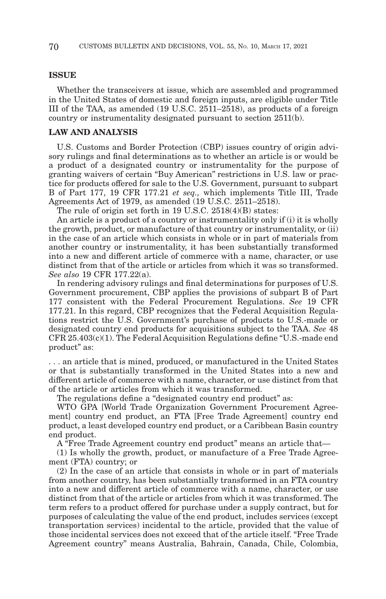#### **ISSUE**

Whether the transceivers at issue, which are assembled and programmed in the United States of domestic and foreign inputs, are eligible under Title III of the TAA, as amended (19 U.S.C. 2511–2518), as products of a foreign country or instrumentality designated pursuant to section 2511(b).

#### **LAW AND ANALYSIS**

U.S. Customs and Border Protection (CBP) issues country of origin advisory rulings and final determinations as to whether an article is or would be a product of a designated country or instrumentality for the purpose of granting waivers of certain "Buy American" restrictions in U.S. law or practice for products offered for sale to the U.S. Government, pursuant to subpart B of Part 177, 19 CFR 177.21 *et seq.,* which implements Title III, Trade Agreements Act of 1979, as amended (19 U.S.C. 2511–2518).

The rule of origin set forth in 19 U.S.C. 2518(4)(B) states:

An article is a product of a country or instrumentality only if (i) it is wholly the growth, product, or manufacture of that country or instrumentality, or (ii) in the case of an article which consists in whole or in part of materials from another country or instrumentality, it has been substantially transformed into a new and different article of commerce with a name, character, or use distinct from that of the article or articles from which it was so transformed. *See also* 19 CFR 177.22(a).

In rendering advisory rulings and final determinations for purposes of U.S. Government procurement, CBP applies the provisions of subpart B of Part 177 consistent with the Federal Procurement Regulations. *See* 19 CFR 177.21. In this regard, CBP recognizes that the Federal Acquisition Regulations restrict the U.S. Government's purchase of products to U.S.-made or designated country end products for acquisitions subject to the TAA. *See* 48  $CFR\,25.403(c)(1)$ . The Federal Acquisition Regulations define "U.S.-made end product'' as:

. . . an article that is mined, produced, or manufactured in the United States or that is substantially transformed in the United States into a new and different article of commerce with a name, character, or use distinct from that of the article or articles from which it was transformed.

The regulations define a "designated country end product" as:

WTO GPA [World Trade Organization Government Procurement Agreement] country end product, an FTA [Free Trade Agreement] country end product, a least developed country end product, or a Caribbean Basin country end product.

A "Free Trade Agreement country end product" means an article that-

(1) Is wholly the growth, product, or manufacture of a Free Trade Agreement (FTA) country; or

(2) In the case of an article that consists in whole or in part of materials from another country, has been substantially transformed in an FTA country into a new and different article of commerce with a name, character, or use distinct from that of the article or articles from which it was transformed. The term refers to a product offered for purchase under a supply contract, but for purposes of calculating the value of the end product, includes services (except transportation services) incidental to the article, provided that the value of those incidental services does not exceed that of the article itself. ''Free Trade Agreement country'' means Australia, Bahrain, Canada, Chile, Colombia,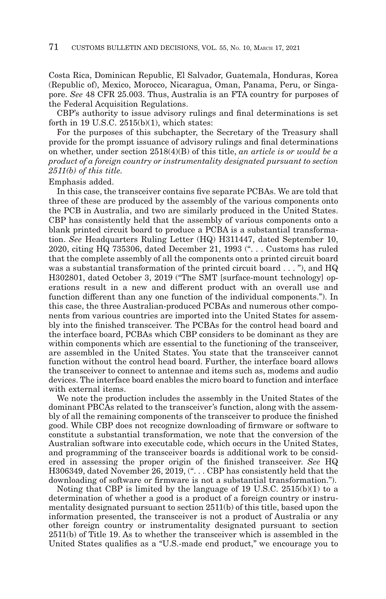Costa Rica, Dominican Republic, El Salvador, Guatemala, Honduras, Korea (Republic of), Mexico, Morocco, Nicaragua, Oman, Panama, Peru, or Singapore. *See* 48 CFR 25.003. Thus, Australia is an FTA country for purposes of the Federal Acquisition Regulations.

CBP's authority to issue advisory rulings and final determinations is set forth in 19 U.S.C. 2515(b)(1), which states:

For the purposes of this subchapter, the Secretary of the Treasury shall provide for the prompt issuance of advisory rulings and final determinations on whether, under section 2518(4)(B) of this title, *an article is or would be a product of a foreign country or instrumentality designated pursuant to section 2511(b) of this title.*

#### Emphasis added.

In this case, the transceiver contains five separate PCBAs. We are told that three of these are produced by the assembly of the various components onto the PCB in Australia, and two are similarly produced in the United States. CBP has consistently held that the assembly of various components onto a blank printed circuit board to produce a PCBA is a substantial transformation. *See* Headquarters Ruling Letter (HQ) H311447, dated September 10, 2020, citing HQ 735306, dated December 21, 1993 ("... Customs has ruled that the complete assembly of all the components onto a printed circuit board was a substantial transformation of the printed circuit board . . . "), and HQ H302801, dated October 3, 2019 (''The SMT [surface-mount technology] operations result in a new and different product with an overall use and function different than any one function of the individual components.''). In this case, the three Australian-produced PCBAs and numerous other components from various countries are imported into the United States for assembly into the finished transceiver. The PCBAs for the control head board and the interface board, PCBAs which CBP considers to be dominant as they are within components which are essential to the functioning of the transceiver, are assembled in the United States. You state that the transceiver cannot function without the control head board. Further, the interface board allows the transceiver to connect to antennae and items such as, modems and audio devices. The interface board enables the micro board to function and interface with external items.

We note the production includes the assembly in the United States of the dominant PBCAs related to the transceiver's function, along with the assembly of all the remaining components of the transceiver to produce the finished good. While CBP does not recognize downloading of firmware or software to constitute a substantial transformation, we note that the conversion of the Australian software into executable code, which occurs in the United States, and programming of the transceiver boards is additional work to be considered in assessing the proper origin of the finished transceiver. *See* HQ H306349, dated November 26, 2019,  $($ ". . . CBP has consistently held that the downloading of software or firmware is not a substantial transformation.'').

Noting that CBP is limited by the language of 19 U.S.C. 2515(b)(1) to a determination of whether a good is a product of a foreign country or instrumentality designated pursuant to section 2511(b) of this title, based upon the information presented, the transceiver is not a product of Australia or any other foreign country or instrumentality designated pursuant to section 2511(b) of Title 19. As to whether the transceiver which is assembled in the United States qualifies as a "U.S.-made end product," we encourage you to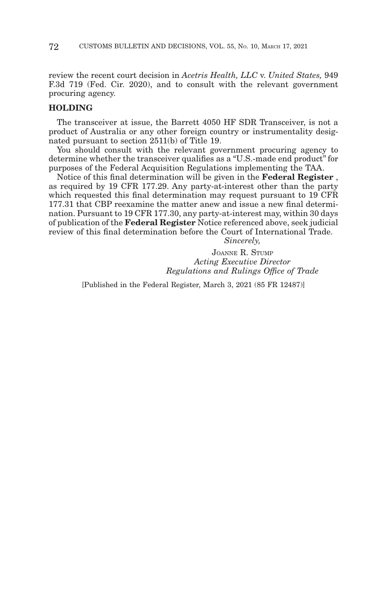review the recent court decision in *Acetris Health, LLC* v. *United States,* 949 F.3d 719 (Fed. Cir. 2020), and to consult with the relevant government procuring agency.

## **HOLDING**

The transceiver at issue, the Barrett 4050 HF SDR Transceiver, is not a product of Australia or any other foreign country or instrumentality designated pursuant to section 2511(b) of Title 19.

You should consult with the relevant government procuring agency to determine whether the transceiver qualifies as a ''U.S.-made end product'' for purposes of the Federal Acquisition Regulations implementing the TAA.

Notice of this final determination will be given in the **Federal Register** , as required by 19 CFR 177.29. Any party-at-interest other than the party which requested this final determination may request pursuant to 19 CFR 177.31 that CBP reexamine the matter anew and issue a new final determination. Pursuant to 19 CFR 177.30, any party-at-interest may, within 30 days of publication of the **Federal Register** Notice referenced above, seek judicial review of this final determination before the Court of International Trade.

*Sincerely,*

JOANNE R. STUMP *Acting Executive Director Regulations and Rulings Office of Trade*

[Published in the Federal Register, March 3, 2021 (85 FR 12487)]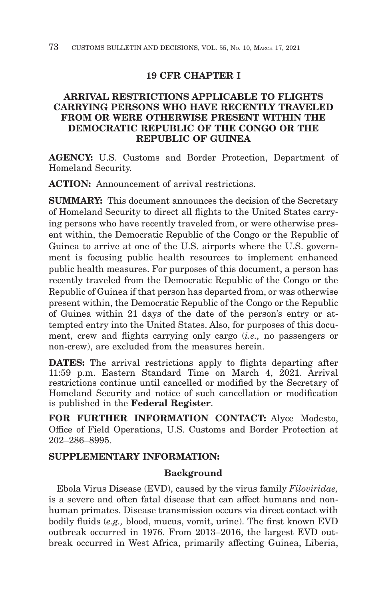# **19 CFR CHAPTER I**

# **ARRIVAL RESTRICTIONS APPLICABLE TO FLIGHTS CARRYING PERSONS WHO HAVE RECENTLY TRAVELED FROM OR WERE OTHERWISE PRESENT WITHIN THE DEMOCRATIC REPUBLIC OF THE CONGO OR THE REPUBLIC OF GUINEA**

**AGENCY:** U.S. Customs and Border Protection, Department of Homeland Security.

**ACTION:** Announcement of arrival restrictions.

**SUMMARY:** This document announces the decision of the Secretary of Homeland Security to direct all flights to the United States carrying persons who have recently traveled from, or were otherwise present within, the Democratic Republic of the Congo or the Republic of Guinea to arrive at one of the U.S. airports where the U.S. government is focusing public health resources to implement enhanced public health measures. For purposes of this document, a person has recently traveled from the Democratic Republic of the Congo or the Republic of Guinea if that person has departed from, or was otherwise present within, the Democratic Republic of the Congo or the Republic of Guinea within 21 days of the date of the person's entry or attempted entry into the United States. Also, for purposes of this document, crew and flights carrying only cargo (*i.e.,* no passengers or non-crew), are excluded from the measures herein.

**DATES:** The arrival restrictions apply to flights departing after 11:59 p.m. Eastern Standard Time on March 4, 2021. Arrival restrictions continue until cancelled or modified by the Secretary of Homeland Security and notice of such cancellation or modification is published in the **Federal Register**.

**FOR FURTHER INFORMATION CONTACT:** Alyce Modesto, Office of Field Operations, U.S. Customs and Border Protection at 202–286–8995.

# **SUPPLEMENTARY INFORMATION:**

# **Background**

Ebola Virus Disease (EVD), caused by the virus family *Filoviridae,* is a severe and often fatal disease that can affect humans and nonhuman primates. Disease transmission occurs via direct contact with bodily fluids (*e.g.,* blood, mucus, vomit, urine). The first known EVD outbreak occurred in 1976. From 2013–2016, the largest EVD outbreak occurred in West Africa, primarily affecting Guinea, Liberia,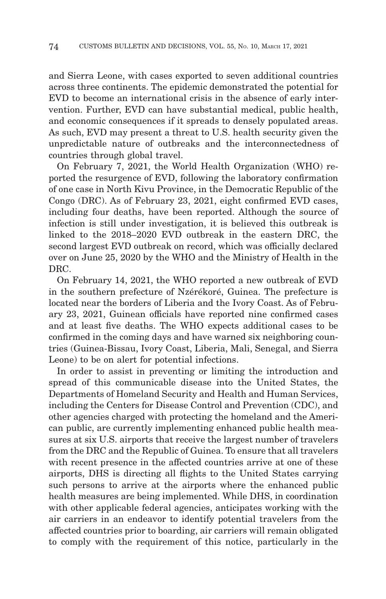and Sierra Leone, with cases exported to seven additional countries across three continents. The epidemic demonstrated the potential for EVD to become an international crisis in the absence of early intervention. Further, EVD can have substantial medical, public health, and economic consequences if it spreads to densely populated areas. As such, EVD may present a threat to U.S. health security given the unpredictable nature of outbreaks and the interconnectedness of countries through global travel.

On February 7, 2021, the World Health Organization (WHO) reported the resurgence of EVD, following the laboratory confirmation of one case in North Kivu Province, in the Democratic Republic of the Congo (DRC). As of February 23, 2021, eight confirmed EVD cases, including four deaths, have been reported. Although the source of infection is still under investigation, it is believed this outbreak is linked to the 2018–2020 EVD outbreak in the eastern DRC, the second largest EVD outbreak on record, which was officially declared over on June 25, 2020 by the WHO and the Ministry of Health in the DRC.

On February 14, 2021, the WHO reported a new outbreak of EVD in the southern prefecture of Nzérékoré, Guinea. The prefecture is located near the borders of Liberia and the Ivory Coast. As of February 23, 2021, Guinean officials have reported nine confirmed cases and at least five deaths. The WHO expects additional cases to be confirmed in the coming days and have warned six neighboring countries (Guinea-Bissau, Ivory Coast, Liberia, Mali, Senegal, and Sierra Leone) to be on alert for potential infections.

In order to assist in preventing or limiting the introduction and spread of this communicable disease into the United States, the Departments of Homeland Security and Health and Human Services, including the Centers for Disease Control and Prevention (CDC), and other agencies charged with protecting the homeland and the American public, are currently implementing enhanced public health measures at six U.S. airports that receive the largest number of travelers from the DRC and the Republic of Guinea. To ensure that all travelers with recent presence in the affected countries arrive at one of these airports, DHS is directing all flights to the United States carrying such persons to arrive at the airports where the enhanced public health measures are being implemented. While DHS, in coordination with other applicable federal agencies, anticipates working with the air carriers in an endeavor to identify potential travelers from the affected countries prior to boarding, air carriers will remain obligated to comply with the requirement of this notice, particularly in the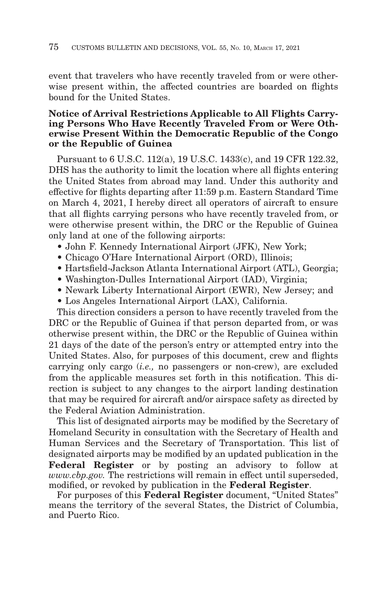event that travelers who have recently traveled from or were otherwise present within, the affected countries are boarded on flights bound for the United States.

# **Notice of Arrival Restrictions Applicable to All Flights Carrying Persons Who Have Recently Traveled From or Were Otherwise Present Within the Democratic Republic of the Congo or the Republic of Guinea**

Pursuant to 6 U.S.C. 112(a), 19 U.S.C. 1433(c), and 19 CFR 122.32, DHS has the authority to limit the location where all flights entering the United States from abroad may land. Under this authority and effective for flights departing after 11:59 p.m. Eastern Standard Time on March 4, 2021, I hereby direct all operators of aircraft to ensure that all flights carrying persons who have recently traveled from, or were otherwise present within, the DRC or the Republic of Guinea only land at one of the following airports:

- John F. Kennedy International Airport (JFK), New York;
- Chicago O'Hare International Airport (ORD), Illinois;
- Hartsfield-Jackson Atlanta International Airport (ATL), Georgia;
- Washington-Dulles International Airport (IAD), Virginia;
- Newark Liberty International Airport (EWR), New Jersey; and
- Los Angeles International Airport (LAX), California.

This direction considers a person to have recently traveled from the DRC or the Republic of Guinea if that person departed from, or was otherwise present within, the DRC or the Republic of Guinea within 21 days of the date of the person's entry or attempted entry into the United States. Also, for purposes of this document, crew and flights carrying only cargo (*i.e.,* no passengers or non-crew), are excluded from the applicable measures set forth in this notification. This direction is subject to any changes to the airport landing destination that may be required for aircraft and/or airspace safety as directed by the Federal Aviation Administration.

This list of designated airports may be modified by the Secretary of Homeland Security in consultation with the Secretary of Health and Human Services and the Secretary of Transportation. This list of designated airports may be modified by an updated publication in the **Federal Register** or by posting an advisory to follow at *www.cbp.gov.* The restrictions will remain in effect until superseded, modified, or revoked by publication in the **Federal Register**.

For purposes of this **Federal Register** document, ''United States'' means the territory of the several States, the District of Columbia, and Puerto Rico.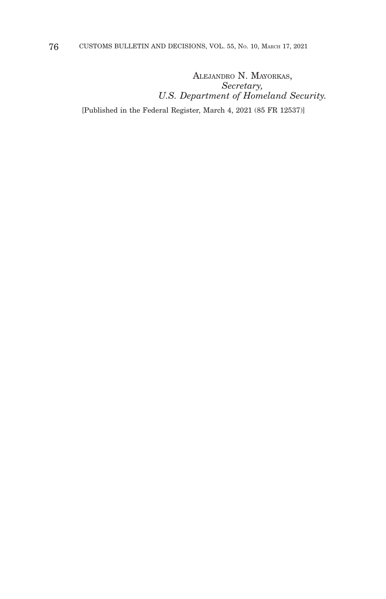ALEJANDRO N. MAYORKAS, *Secretary, U.S. Department of Homeland Security.*

[Published in the Federal Register, March 4, 2021 (85 FR 12537)]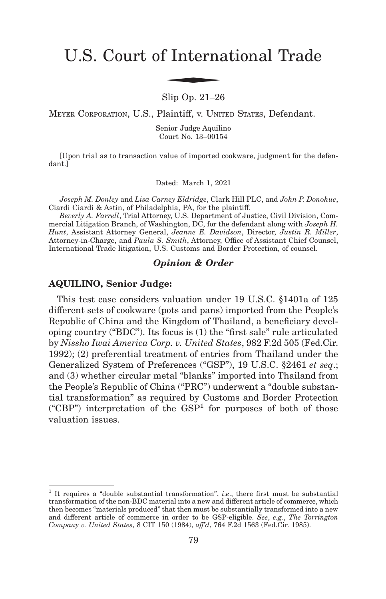# U.S. Court of International Trade f Interna

#### Slip Op. 21–26

MEYER CORPORATION, U.S., Plaintiff, v. UNITED STATES, Defendant.

Senior Judge Aquilino Court No. 13–00154

[Upon trial as to transaction value of imported cookware, judgment for the defendant.]

Dated: March 1, 2021

*Joseph M. Donley* and *Lisa Carney Eldridge*, Clark Hill PLC, and *John P. Donohue*, Ciardi Ciardi & Astin, of Philadelphia, PA, for the plaintiff.

*Beverly A. Farrell*, Trial Attorney, U.S. Department of Justice, Civil Division, Commercial Litigation Branch, of Washington, DC, for the defendant along with *Joseph H. Hunt*, Assistant Attorney General, *Jeanne E. Davidson*, Director, *Justin R. Miller*, Attorney-in-Charge, and *Paula S. Smith*, Attorney, Office of Assistant Chief Counsel, International Trade litigation, U.S. Customs and Border Protection, of counsel.

#### *Opinion & Order*

#### **AQUILINO, Senior Judge:**

This test case considers valuation under 19 U.S.C. §1401a of 125 different sets of cookware (pots and pans) imported from the People's Republic of China and the Kingdom of Thailand, a beneficiary developing country ("BDC"). Its focus is (1) the "first sale" rule articulated by *Nissho Iwai America Corp. v. United States*, 982 F.2d 505 (Fed.Cir. 1992); (2) preferential treatment of entries from Thailand under the Generalized System of Preferences ("GSP"), 19 U.S.C. §2461 *et seq*.; and (3) whether circular metal "blanks" imported into Thailand from the People's Republic of China ("PRC") underwent a "double substantial transformation" as required by Customs and Border Protection ("CBP") interpretation of the  $GSP<sup>1</sup>$  for purposes of both of those valuation issues.

<sup>1</sup> It requires a "double substantial transformation", *i*.*e*., there first must be substantial transformation of the non-BDC material into a new and different article of commerce, which then becomes "materials produced" that then must be substantially transformed into a new and different article of commerce in order to be GSP-eligible. *See*, *e.g.*, *The Torrington Company v. United States*, 8 CIT 150 (1984), *aff'd*, 764 F.2d 1563 (Fed.Cir. 1985).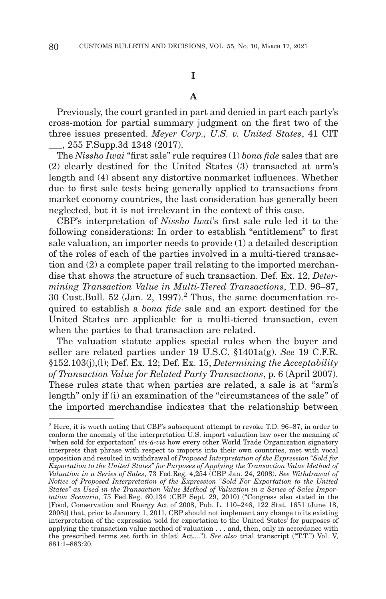# **I**

# **A**

Previously, the court granted in part and denied in part each party's cross-motion for partial summary judgment on the first two of the three issues presented. *Meyer Corp., U.S. v. United States*, 41 CIT \_\_\_, 255 F.Supp.3d 1348 (2017).

The *Nissho Iwai* "first sale" rule requires (1) *bona fide* sales that are (2) clearly destined for the United States (3) transacted at arm's length and (4) absent any distortive nonmarket influences. Whether due to first sale tests being generally applied to transactions from market economy countries, the last consideration has generally been neglected, but it is not irrelevant in the context of this case.

CBP's interpretation of *Nissho Iwai*'s first sale rule led it to the following considerations: In order to establish "entitlement" to first sale valuation, an importer needs to provide (1) a detailed description of the roles of each of the parties involved in a multi-tiered transaction and (2) a complete paper trail relating to the imported merchandise that shows the structure of such transaction. Def. Ex. 12, *Determining Transaction Value in Multi-Tiered Transactions*, T.D. 96–87, 30 Cust.Bull. 52 (Jan. 2, 1997).<sup>2</sup> Thus, the same documentation required to establish a *bona fide* sale and an export destined for the United States are applicable for a multi-tiered transaction, even when the parties to that transaction are related.

The valuation statute applies special rules when the buyer and seller are related parties under 19 U.S.C. §1401a(g). *See* 19 C.F.R. §152.103(j),(l); Def. Ex. 12; Def. Ex. 15, *Determining the Acceptability of Transaction Value for Related Party Transactions*, p. 6 (April 2007). These rules state that when parties are related, a sale is at "arm's length" only if (i) an examination of the "circumstances of the sale" of the imported merchandise indicates that the relationship between

 $2$ <sup>2</sup> Here, it is worth noting that CBP's subsequent attempt to revoke T.D. 96–87, in order to conform the anomaly of the interpretation U.S. import valuation law over the meaning of "when sold for exportation" *vis-à-vis* how every other World Trade Organization signatory interprets that phrase with respect to imports into their own countries, met with vocal opposition and resulted in withdrawal of *Proposed Interpretation of the Expression "Sold for Exportation to the United States" for Purposes of Applying the Transaction Value Method of Valuation in a Series of Sales*, 73 Fed.Reg. 4,254 (CBP Jan. 24, 2008). *See Withdrawal of Notice of Proposed Interpretation of the Expression "Sold For Exportation to the United States" as Used in the Transaction Value Method of Valuation in a Series of Sales Importation Scenario*, 75 Fed.Reg. 60,134 (CBP Sept. 29, 2010) ("Congress also stated in the [Food, Conservation and Energy Act of 2008, Pub. L. 110–246, 122 Stat. 1651 (June 18, 2008)] that, prior to January 1, 2011, CBP should not implement any change to its existing interpretation of the expression 'sold for exportation to the United States' for purposes of applying the transaction value method of valuation . . . and, then, only in accordance with the prescribed terms set forth in th[at] Act...."). *See also* trial transcript ("T.T.") Vol. V, 881:1–883:20.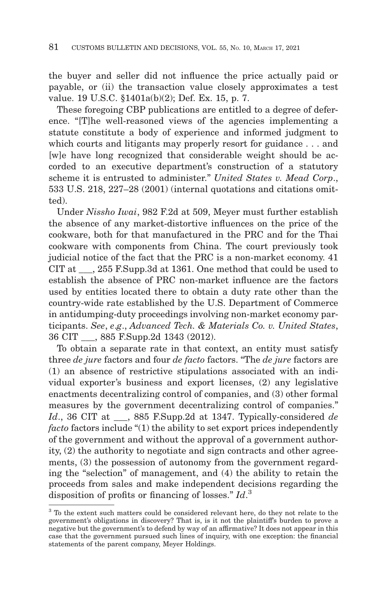the buyer and seller did not influence the price actually paid or payable, or (ii) the transaction value closely approximates a test value. 19 U.S.C. §1401a(b)(2); Def. Ex. 15, p. 7.

These foregoing CBP publications are entitled to a degree of deference. "[T]he well-reasoned views of the agencies implementing a statute constitute a body of experience and informed judgment to which courts and litigants may properly resort for guidance . . . and [w]e have long recognized that considerable weight should be accorded to an executive department's construction of a statutory scheme it is entrusted to administer." *United States v. Mead Corp*., 533 U.S. 218, 227–28 (2001) (internal quotations and citations omitted).

Under *Nissho Iwai*, 982 F.2d at 509, Meyer must further establish the absence of any market-distortive influences on the price of the cookware, both for that manufactured in the PRC and for the Thai cookware with components from China. The court previously took judicial notice of the fact that the PRC is a non-market economy. 41 CIT at \_\_\_, 255 F.Supp.3d at 1361. One method that could be used to establish the absence of PRC non-market influence are the factors used by entities located there to obtain a duty rate other than the country-wide rate established by the U.S. Department of Commerce in antidumping-duty proceedings involving non-market economy participants. *See*, *e*.*g*., *Advanced Tech. & Materials Co. v. United States*, 36 CIT \_\_\_, 885 F.Supp.2d 1343 (2012).

To obtain a separate rate in that context, an entity must satisfy three *de jure* factors and four *de facto* factors. "The *de jure* factors are (1) an absence of restrictive stipulations associated with an individual exporter's business and export licenses, (2) any legislative enactments decentralizing control of companies, and (3) other formal measures by the government decentralizing control of companies." *Id*., 36 CIT at \_\_\_, 885 F.Supp.2d at 1347. Typically-considered *de facto* factors include "(1) the ability to set export prices independently of the government and without the approval of a government authority, (2) the authority to negotiate and sign contracts and other agreements, (3) the possession of autonomy from the government regarding the "selection" of management, and (4) the ability to retain the proceeds from sales and make independent decisions regarding the disposition of profits or financing of losses." *Id*. 3

<sup>3</sup> To the extent such matters could be considered relevant here, do they not relate to the government's obligations in discovery? That is, is it not the plaintiff's burden to prove a negative but the government's to defend by way of an affirmative? It does not appear in this case that the government pursued such lines of inquiry, with one exception: the financial statements of the parent company, Meyer Holdings.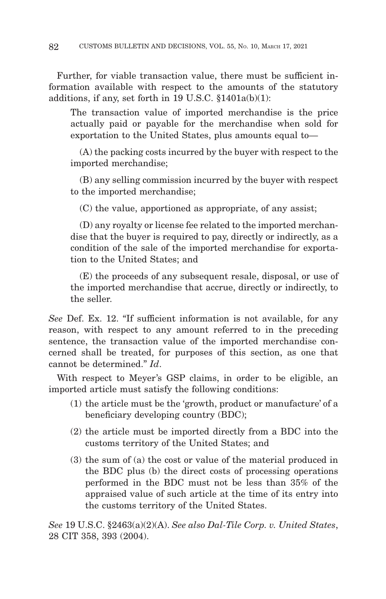Further, for viable transaction value, there must be sufficient information available with respect to the amounts of the statutory additions, if any, set forth in 19 U.S.C. §1401a(b)(1):

The transaction value of imported merchandise is the price actually paid or payable for the merchandise when sold for exportation to the United States, plus amounts equal to—

 (A) the packing costs incurred by the buyer with respect to the imported merchandise;

 (B) any selling commission incurred by the buyer with respect to the imported merchandise;

(C) the value, apportioned as appropriate, of any assist;

 (D) any royalty or license fee related to the imported merchandise that the buyer is required to pay, directly or indirectly, as a condition of the sale of the imported merchandise for exportation to the United States; and

 (E) the proceeds of any subsequent resale, disposal, or use of the imported merchandise that accrue, directly or indirectly, to the seller.

*See* Def. Ex. 12. "If sufficient information is not available, for any reason, with respect to any amount referred to in the preceding sentence, the transaction value of the imported merchandise concerned shall be treated, for purposes of this section, as one that cannot be determined." *Id*.

With respect to Meyer's GSP claims, in order to be eligible, an imported article must satisfy the following conditions:

- (1) the article must be the 'growth, product or manufacture' of a beneficiary developing country (BDC);
- (2) the article must be imported directly from a BDC into the customs territory of the United States; and
- (3) the sum of (a) the cost or value of the material produced in the BDC plus (b) the direct costs of processing operations performed in the BDC must not be less than 35% of the appraised value of such article at the time of its entry into the customs territory of the United States.

*See* 19 U.S.C. §2463(a)(2)(A). *See also Dal-Tile Corp. v. United States*, 28 CIT 358, 393 (2004).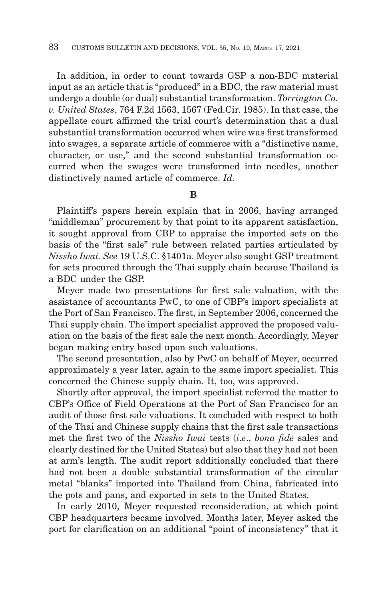In addition, in order to count towards GSP a non-BDC material input as an article that is "produced" in a BDC, the raw material must undergo a double (or dual) substantial transformation. *Torrington Co. v. United States*, 764 F.2d 1563, 1567 (Fed.Cir. 1985). In that case, the appellate court affirmed the trial court's determination that a dual substantial transformation occurred when wire was first transformed into swages, a separate article of commerce with a "distinctive name, character, or use," and the second substantial transformation occurred when the swages were transformed into needles, another distinctively named article of commerce. *Id*.

# **B**

Plaintiff's papers herein explain that in 2006, having arranged "middleman" procurement by that point to its apparent satisfaction, it sought approval from CBP to appraise the imported sets on the basis of the "first sale" rule between related parties articulated by *Nissho Iwai*. *See* 19 U.S.C. §1401a. Meyer also sought GSP treatment for sets procured through the Thai supply chain because Thailand is a BDC under the GSP.

Meyer made two presentations for first sale valuation, with the assistance of accountants PwC, to one of CBP's import specialists at the Port of San Francisco. The first, in September 2006, concerned the Thai supply chain. The import specialist approved the proposed valuation on the basis of the first sale the next month. Accordingly, Meyer began making entry based upon such valuations.

The second presentation, also by PwC on behalf of Meyer, occurred approximately a year later, again to the same import specialist. This concerned the Chinese supply chain. It, too, was approved.

Shortly after approval, the import specialist referred the matter to CBP's Office of Field Operations at the Port of San Francisco for an audit of those first sale valuations. It concluded with respect to both of the Thai and Chinese supply chains that the first sale transactions met the first two of the *Nissho Iwai* tests (*i*.*e*., *bona fide* sales and clearly destined for the United States) but also that they had not been at arm's length. The audit report additionally concluded that there had not been a double substantial transformation of the circular metal "blanks" imported into Thailand from China, fabricated into the pots and pans, and exported in sets to the United States.

In early 2010, Meyer requested reconsideration, at which point CBP headquarters became involved. Months later, Meyer asked the port for clarification on an additional "point of inconsistency" that it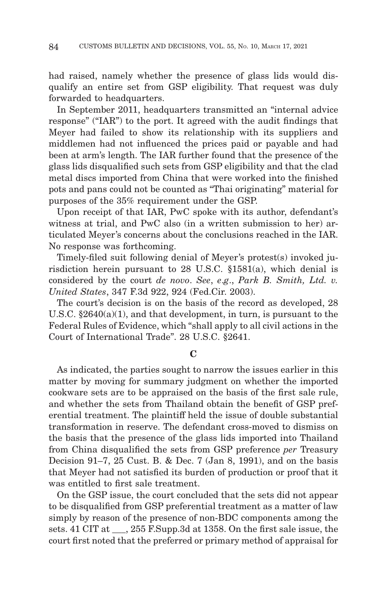had raised, namely whether the presence of glass lids would disqualify an entire set from GSP eligibility. That request was duly forwarded to headquarters.

In September 2011, headquarters transmitted an "internal advice response" ("IAR") to the port. It agreed with the audit findings that Meyer had failed to show its relationship with its suppliers and middlemen had not influenced the prices paid or payable and had been at arm's length. The IAR further found that the presence of the glass lids disqualified such sets from GSP eligibility and that the clad metal discs imported from China that were worked into the finished pots and pans could not be counted as "Thai originating" material for purposes of the 35% requirement under the GSP.

Upon receipt of that IAR, PwC spoke with its author, defendant's witness at trial, and PwC also (in a written submission to her) articulated Meyer's concerns about the conclusions reached in the IAR. No response was forthcoming.

Timely-filed suit following denial of Meyer's protest(s) invoked jurisdiction herein pursuant to 28 U.S.C. §1581(a), which denial is considered by the court *de novo*. *See*, *e*.*g*., *Park B. Smith, Ltd. v. United States*, 347 F.3d 922, 924 (Fed.Cir. 2003).

The court's decision is on the basis of the record as developed, 28 U.S.C. §2640(a)(1), and that development, in turn, is pursuant to the Federal Rules of Evidence, which "shall apply to all civil actions in the Court of International Trade". 28 U.S.C. §2641.

# **C**

As indicated, the parties sought to narrow the issues earlier in this matter by moving for summary judgment on whether the imported cookware sets are to be appraised on the basis of the first sale rule, and whether the sets from Thailand obtain the benefit of GSP preferential treatment. The plaintiff held the issue of double substantial transformation in reserve. The defendant cross-moved to dismiss on the basis that the presence of the glass lids imported into Thailand from China disqualified the sets from GSP preference *per* Treasury Decision 91–7, 25 Cust. B. & Dec. 7 (Jan 8, 1991), and on the basis that Meyer had not satisfied its burden of production or proof that it was entitled to first sale treatment.

On the GSP issue, the court concluded that the sets did not appear to be disqualified from GSP preferential treatment as a matter of law simply by reason of the presence of non-BDC components among the sets. 41 CIT at \_\_\_, 255 F.Supp.3d at 1358. On the first sale issue, the court first noted that the preferred or primary method of appraisal for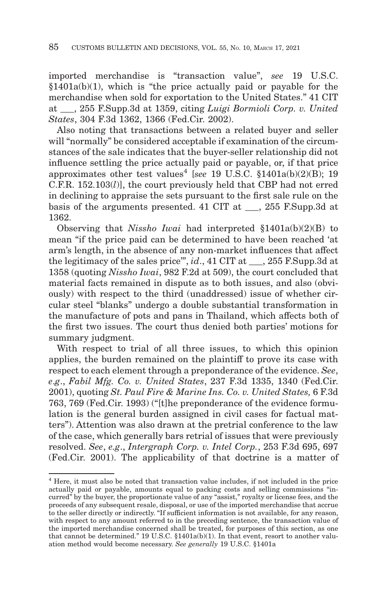imported merchandise is "transaction value", *see* 19 U.S.C.  $§1401a(b)(1)$ , which is "the price actually paid or payable for the merchandise when sold for exportation to the United States." 41 CIT at \_\_\_, 255 F.Supp.3d at 1359, citing *Luigi Bormioli Corp. v. United States*, 304 F.3d 1362, 1366 (Fed.Cir. 2002).

Also noting that transactions between a related buyer and seller will "normally" be considered acceptable if examination of the circumstances of the sale indicates that the buyer-seller relationship did not influence settling the price actually paid or payable, or, if that price approximates other test values<sup>4</sup> [see 19 U.S.C. §1401a(b)(2)(B); 19 C.F.R. 152.103(*l*)], the court previously held that CBP had not erred in declining to appraise the sets pursuant to the first sale rule on the basis of the arguments presented. 41 CIT at . 255 F.Supp.3d at 1362.

Observing that *Nissho Iwai* had interpreted §1401a(b)(2)(B) to mean "if the price paid can be determined to have been reached 'at arm's length, in the absence of any non-market influences that affect the legitimacy of the sales price", *id*., 41 CIT at  $\qquad$ , 255 F.Supp.3d at 1358 (quoting *Nissho Iwai*, 982 F.2d at 509), the court concluded that material facts remained in dispute as to both issues, and also (obviously) with respect to the third (unaddressed) issue of whether circular steel "blanks" undergo a double substantial transformation in the manufacture of pots and pans in Thailand, which affects both of the first two issues. The court thus denied both parties' motions for summary judgment.

With respect to trial of all three issues, to which this opinion applies, the burden remained on the plaintiff to prove its case with respect to each element through a preponderance of the evidence. *See*, *e*.*g*., *Fabil Mfg. Co. v. United States*, 237 F.3d 1335, 1340 (Fed.Cir. 2001), quoting *St. Paul Fire & Marine Ins. Co. v. United States,* 6 F.3d 763, 769 (Fed.Cir. 1993) ("[t]he preponderance of the evidence formulation is the general burden assigned in civil cases for factual matters"). Attention was also drawn at the pretrial conference to the law of the case, which generally bars retrial of issues that were previously resolved. *See*, *e.g*., *Intergraph Corp. v. Intel Corp.*, 253 F.3d 695, 697 (Fed.Cir. 2001). The applicability of that doctrine is a matter of

<sup>4</sup> Here, it must also be noted that transaction value includes, if not included in the price actually paid or payable, amounts equal to packing costs and selling commissions "incurred" by the buyer, the proportionate value of any "assist," royalty or license fees, and the proceeds of any subsequent resale, disposal, or use of the imported merchandise that accrue to the seller directly or indirectly. "If sufficient information is not available, for any reason, with respect to any amount referred to in the preceding sentence, the transaction value of the imported merchandise concerned shall be treated, for purposes of this section, as one that cannot be determined." 19 U.S.C. §1401a(b)(1). In that event, resort to another valuation method would become necessary. *See generally* 19 U.S.C. §1401a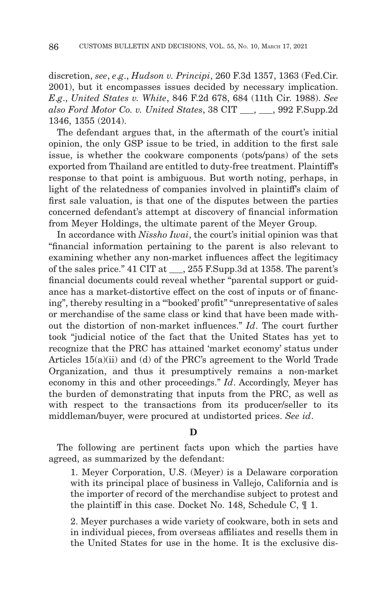discretion, *see*, *e*.*g*., *Hudson v. Principi*, 260 F.3d 1357, 1363 (Fed.Cir. 2001), but it encompasses issues decided by necessary implication. *E*.*g*., *United States v. White*, 846 F.2d 678, 684 (11th Cir. 1988). *See also Ford Motor Co. v. United States*, 38 CIT \_\_\_, \_\_\_, 992 F.Supp.2d 1346, 1355 (2014).

The defendant argues that, in the aftermath of the court's initial opinion, the only GSP issue to be tried, in addition to the first sale issue, is whether the cookware components (pots/pans) of the sets exported from Thailand are entitled to duty-free treatment. Plaintiff's response to that point is ambiguous. But worth noting, perhaps, in light of the relatedness of companies involved in plaintiff's claim of first sale valuation, is that one of the disputes between the parties concerned defendant's attempt at discovery of financial information from Meyer Holdings, the ultimate parent of the Meyer Group.

In accordance with *Nissho Iwai*, the court's initial opinion was that "financial information pertaining to the parent is also relevant to examining whether any non-market influences affect the legitimacy of the sales price." 41 CIT at \_\_\_, 255 F.Supp.3d at 1358. The parent's financial documents could reveal whether "parental support or guidance has a market-distortive effect on the cost of inputs or of financing", thereby resulting in a "'booked' profit" "unrepresentative of sales or merchandise of the same class or kind that have been made without the distortion of non-market influences." *Id*. The court further took "judicial notice of the fact that the United States has yet to recognize that the PRC has attained 'market economy' status under Articles 15(a)(ii) and (d) of the PRC's agreement to the World Trade Organization, and thus it presumptively remains a non-market economy in this and other proceedings." *Id*. Accordingly, Meyer has the burden of demonstrating that inputs from the PRC, as well as with respect to the transactions from its producer/seller to its middleman/buyer, were procured at undistorted prices. *See id*.

#### **D**

The following are pertinent facts upon which the parties have agreed, as summarized by the defendant:

1. Meyer Corporation, U.S. (Meyer) is a Delaware corporation with its principal place of business in Vallejo, California and is the importer of record of the merchandise subject to protest and the plaintiff in this case. Docket No. 148, Schedule C, ¶ 1.

2. Meyer purchases a wide variety of cookware, both in sets and in individual pieces, from overseas affiliates and resells them in the United States for use in the home. It is the exclusive dis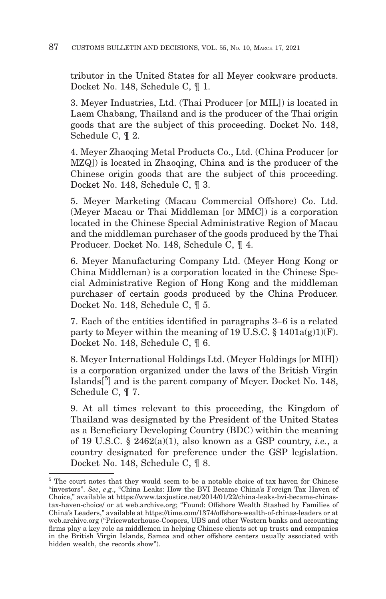tributor in the United States for all Meyer cookware products. Docket No. 148, Schedule C, ¶ 1.

3. Meyer Industries, Ltd. (Thai Producer [or MIL]) is located in Laem Chabang, Thailand and is the producer of the Thai origin goods that are the subject of this proceeding. Docket No. 148, Schedule C, ¶ 2.

4. Meyer Zhaoqing Metal Products Co., Ltd. (China Producer [or MZQ]) is located in Zhaoqing, China and is the producer of the Chinese origin goods that are the subject of this proceeding. Docket No. 148, Schedule C, ¶ 3.

5. Meyer Marketing (Macau Commercial Offshore) Co. Ltd. (Meyer Macau or Thai Middleman [or MMC]) is a corporation located in the Chinese Special Administrative Region of Macau and the middleman purchaser of the goods produced by the Thai Producer. Docket No. 148, Schedule C, ¶ 4.

6. Meyer Manufacturing Company Ltd. (Meyer Hong Kong or China Middleman) is a corporation located in the Chinese Special Administrative Region of Hong Kong and the middleman purchaser of certain goods produced by the China Producer. Docket No. 148, Schedule C, ¶ 5.

7. Each of the entities identified in paragraphs 3–6 is a related party to Meyer within the meaning of 19 U.S.C.  $\S$  1401a(g)1)(F). Docket No. 148, Schedule C, ¶ 6.

8. Meyer International Holdings Ltd. (Meyer Holdings [or MIH]) is a corporation organized under the laws of the British Virgin Islands<sup>[5</sup>] and is the parent company of Meyer. Docket No. 148, Schedule C, ¶ 7.

9. At all times relevant to this proceeding, the Kingdom of Thailand was designated by the President of the United States as a Beneficiary Developing Country (BDC) within the meaning of 19 U.S.C. § 2462(a)(1), also known as a GSP country, *i.e.*, a country designated for preference under the GSP legislation. Docket No. 148, Schedule C, ¶ 8.

<sup>&</sup>lt;sup>5</sup> The court notes that they would seem to be a notable choice of tax haven for Chinese "investors". *See*, *e*.*g*., "China Leaks: How the BVI Became China's Foreign Tax Haven of Choice," available at https://www.taxjustice.net/2014/01/22/china-leaks-bvi-became-chinastax-haven-choice/ or at web.archive.org; "Found: Offshore Wealth Stashed by Families of China's Leaders," available at https://time.com/1374/offshore-wealth-of-chinas-leaders or at web.archive.org ("Pricewaterhouse-Coopers, UBS and other Western banks and accounting firms play a key role as middlemen in helping Chinese clients set up trusts and companies in the British Virgin Islands, Samoa and other offshore centers usually associated with hidden wealth, the records show").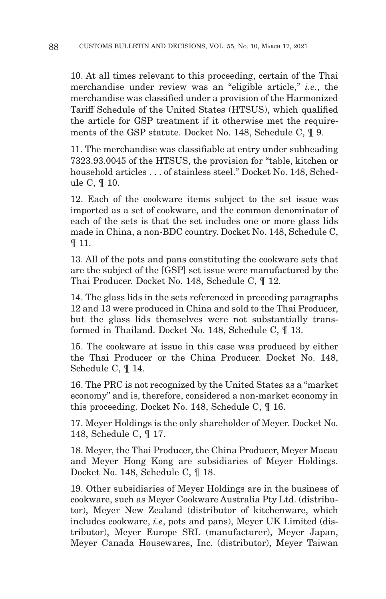10. At all times relevant to this proceeding, certain of the Thai merchandise under review was an "eligible article," *i.e.*, the merchandise was classified under a provision of the Harmonized Tariff Schedule of the United States (HTSUS), which qualified the article for GSP treatment if it otherwise met the requirements of the GSP statute. Docket No. 148, Schedule C, ¶ 9.

11. The merchandise was classifiable at entry under subheading 7323.93.0045 of the HTSUS, the provision for "table, kitchen or household articles . . . of stainless steel." Docket No. 148, Schedule C, ¶ 10.

12. Each of the cookware items subject to the set issue was imported as a set of cookware, and the common denominator of each of the sets is that the set includes one or more glass lids made in China, a non-BDC country. Docket No. 148, Schedule C, ¶ 11.

13. All of the pots and pans constituting the cookware sets that are the subject of the [GSP] set issue were manufactured by the Thai Producer. Docket No. 148, Schedule C, ¶ 12.

14. The glass lids in the sets referenced in preceding paragraphs 12 and 13 were produced in China and sold to the Thai Producer, but the glass lids themselves were not substantially transformed in Thailand. Docket No. 148, Schedule C, ¶ 13.

15. The cookware at issue in this case was produced by either the Thai Producer or the China Producer. Docket No. 148, Schedule C, ¶ 14.

16. The PRC is not recognized by the United States as a "market economy" and is, therefore, considered a non-market economy in this proceeding. Docket No. 148, Schedule C, ¶ 16.

17. Meyer Holdings is the only shareholder of Meyer. Docket No. 148, Schedule C, ¶ 17.

18. Meyer, the Thai Producer, the China Producer, Meyer Macau and Meyer Hong Kong are subsidiaries of Meyer Holdings. Docket No. 148, Schedule C, ¶ 18.

19. Other subsidiaries of Meyer Holdings are in the business of cookware, such as Meyer Cookware Australia Pty Ltd. (distributor), Meyer New Zealand (distributor of kitchenware, which includes cookware, *i.e*, pots and pans), Meyer UK Limited (distributor), Meyer Europe SRL (manufacturer), Meyer Japan, Meyer Canada Housewares, Inc. (distributor), Meyer Taiwan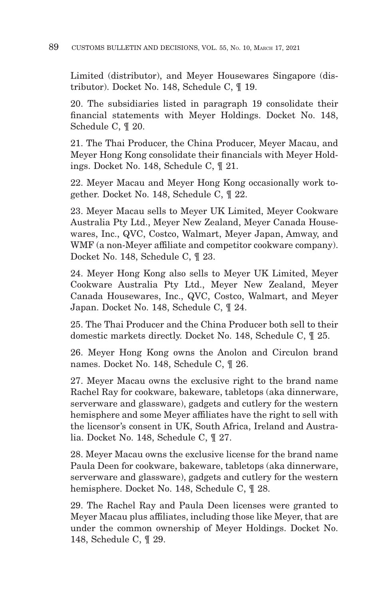Limited (distributor), and Meyer Housewares Singapore (distributor). Docket No. 148, Schedule C, ¶ 19.

20. The subsidiaries listed in paragraph 19 consolidate their financial statements with Meyer Holdings. Docket No. 148, Schedule C, ¶ 20.

21. The Thai Producer, the China Producer, Meyer Macau, and Meyer Hong Kong consolidate their financials with Meyer Holdings. Docket No. 148, Schedule C, ¶ 21.

22. Meyer Macau and Meyer Hong Kong occasionally work together. Docket No. 148, Schedule C, ¶ 22.

23. Meyer Macau sells to Meyer UK Limited, Meyer Cookware Australia Pty Ltd., Meyer New Zealand, Meyer Canada Housewares, Inc., QVC, Costco, Walmart, Meyer Japan, Amway, and WMF (a non-Meyer affiliate and competitor cookware company). Docket No. 148, Schedule C, ¶ 23.

24. Meyer Hong Kong also sells to Meyer UK Limited, Meyer Cookware Australia Pty Ltd., Meyer New Zealand, Meyer Canada Housewares, Inc., QVC, Costco, Walmart, and Meyer Japan. Docket No. 148, Schedule C, ¶ 24.

25. The Thai Producer and the China Producer both sell to their domestic markets directly. Docket No. 148, Schedule C, ¶ 25.

26. Meyer Hong Kong owns the Anolon and Circulon brand names. Docket No. 148, Schedule C, ¶ 26.

27. Meyer Macau owns the exclusive right to the brand name Rachel Ray for cookware, bakeware, tabletops (aka dinnerware, serverware and glassware), gadgets and cutlery for the western hemisphere and some Meyer affiliates have the right to sell with the licensor's consent in UK, South Africa, Ireland and Australia. Docket No. 148, Schedule C, ¶ 27.

28. Meyer Macau owns the exclusive license for the brand name Paula Deen for cookware, bakeware, tabletops (aka dinnerware, serverware and glassware), gadgets and cutlery for the western hemisphere. Docket No. 148, Schedule C, ¶ 28.

29. The Rachel Ray and Paula Deen licenses were granted to Meyer Macau plus affiliates, including those like Meyer, that are under the common ownership of Meyer Holdings. Docket No. 148, Schedule C, ¶ 29.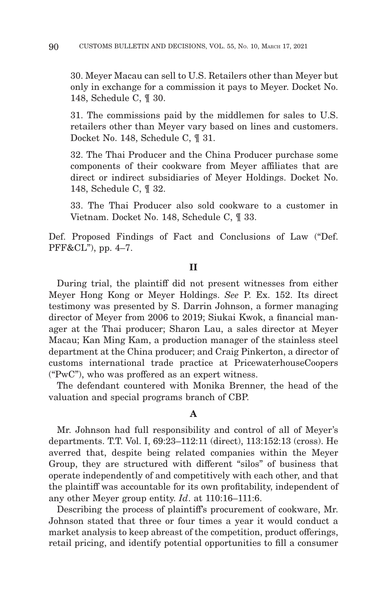30. Meyer Macau can sell to U.S. Retailers other than Meyer but only in exchange for a commission it pays to Meyer. Docket No. 148, Schedule C, ¶ 30.

31. The commissions paid by the middlemen for sales to U.S. retailers other than Meyer vary based on lines and customers. Docket No. 148, Schedule C, ¶ 31.

32. The Thai Producer and the China Producer purchase some components of their cookware from Meyer affiliates that are direct or indirect subsidiaries of Meyer Holdings. Docket No. 148, Schedule C, ¶ 32.

33. The Thai Producer also sold cookware to a customer in Vietnam. Docket No. 148, Schedule C, ¶ 33.

Def. Proposed Findings of Fact and Conclusions of Law ("Def. PFF&CL"), pp. 4–7.

#### **II**

During trial, the plaintiff did not present witnesses from either Meyer Hong Kong or Meyer Holdings. *See* P. Ex. 152. Its direct testimony was presented by S. Darrin Johnson, a former managing director of Meyer from 2006 to 2019; Siukai Kwok, a financial manager at the Thai producer; Sharon Lau, a sales director at Meyer Macau; Kan Ming Kam, a production manager of the stainless steel department at the China producer; and Craig Pinkerton, a director of customs international trade practice at PricewaterhouseCoopers ("PwC"), who was proffered as an expert witness.

The defendant countered with Monika Brenner, the head of the valuation and special programs branch of CBP.

# **A**

Mr. Johnson had full responsibility and control of all of Meyer's departments. T.T. Vol. I, 69:23–112:11 (direct), 113:152:13 (cross). He averred that, despite being related companies within the Meyer Group, they are structured with different "silos" of business that operate independently of and competitively with each other, and that the plaintiff was accountable for its own profitability, independent of any other Meyer group entity. *Id*. at 110:16–111:6.

Describing the process of plaintiff's procurement of cookware, Mr. Johnson stated that three or four times a year it would conduct a market analysis to keep abreast of the competition, product offerings, retail pricing, and identify potential opportunities to fill a consumer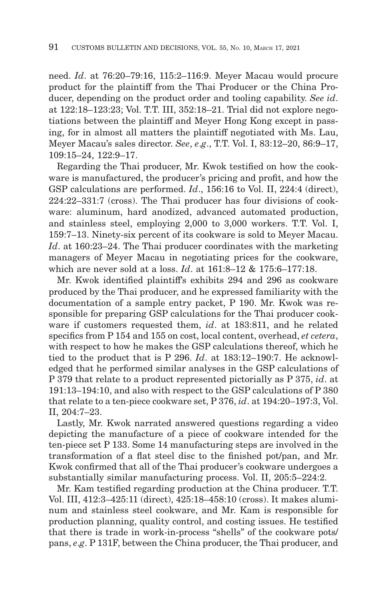need. *Id*. at 76:20–79:16, 115:2–116:9. Meyer Macau would procure product for the plaintiff from the Thai Producer or the China Producer, depending on the product order and tooling capability. *See id*. at 122:18–123:23; Vol. T.T. III, 352:18–21. Trial did not explore negotiations between the plaintiff and Meyer Hong Kong except in passing, for in almost all matters the plaintiff negotiated with Ms. Lau, Meyer Macau's sales director. *See*, *e*.*g*., T.T. Vol. I, 83:12–20, 86:9–17, 109:15–24, 122:9–17.

Regarding the Thai producer, Mr. Kwok testified on how the cookware is manufactured, the producer's pricing and profit, and how the GSP calculations are performed. *Id.*, 156:16 to Vol. II, 224:4 (direct), 224:22–331:7 (cross). The Thai producer has four divisions of cookware: aluminum, hard anodized, advanced automated production, and stainless steel, employing 2,000 to 3,000 workers. T.T. Vol. I, 159:7–13. Ninety-six percent of its cookware is sold to Meyer Macau. *Id*. at 160:23–24. The Thai producer coordinates with the marketing managers of Meyer Macau in negotiating prices for the cookware, which are never sold at a loss. *Id*. at 161:8–12 & 175:6–177:18.

Mr. Kwok identified plaintiff's exhibits 294 and 296 as cookware produced by the Thai producer, and he expressed familiarity with the documentation of a sample entry packet, P 190. Mr. Kwok was responsible for preparing GSP calculations for the Thai producer cookware if customers requested them, *id*. at 183:811, and he related specifics from P 154 and 155 on cost, local content, overhead, *et cetera*, with respect to how he makes the GSP calculations thereof, which he tied to the product that is P 296. *Id*. at 183:12–190:7. He acknowledged that he performed similar analyses in the GSP calculations of P 379 that relate to a product represented pictorially as P 375, *id*. at 191:13–194:10, and also with respect to the GSP calculations of P 380 that relate to a ten-piece cookware set, P 376, *id*. at 194:20–197:3, Vol. II, 204:7–23.

Lastly, Mr. Kwok narrated answered questions regarding a video depicting the manufacture of a piece of cookware intended for the ten-piece set P 133. Some 14 manufacturing steps are involved in the transformation of a flat steel disc to the finished pot/pan, and Mr. Kwok confirmed that all of the Thai producer's cookware undergoes a substantially similar manufacturing process. Vol. II, 205:5–224:2.

Mr. Kam testified regarding production at the China producer. T.T. Vol. III, 412:3–425:11 (direct), 425:18–458:10 (cross). It makes aluminum and stainless steel cookware, and Mr. Kam is responsible for production planning, quality control, and costing issues. He testified that there is trade in work-in-process "shells" of the cookware pots/ pans, *e*.*g*. P 131F, between the China producer, the Thai producer, and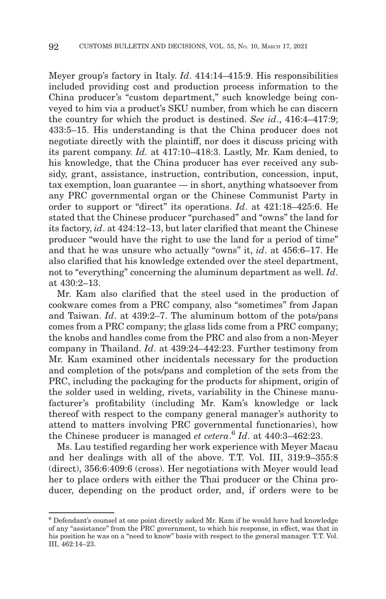Meyer group's factory in Italy. *Id*. 414:14–415:9. His responsibilities included providing cost and production process information to the China producer's "custom department," such knowledge being conveyed to him via a product's SKU number, from which he can discern the country for which the product is destined. *See id*., 416:4–417:9; 433:5–15. His understanding is that the China producer does not negotiate directly with the plaintiff, nor does it discuss pricing with its parent company. *Id.* at 417:10–418:3. Lastly, Mr. Kam denied, to his knowledge, that the China producer has ever received any subsidy, grant, assistance, instruction, contribution, concession, input, tax exemption, loan guarantee — in short, anything whatsoever from any PRC governmental organ or the Chinese Communist Party in order to support or "direct" its operations. *Id*. at 421:18–425:6. He stated that the Chinese producer "purchased" and "owns" the land for its factory, *id*. at 424:12–13, but later clarified that meant the Chinese producer "would have the right to use the land for a period of time" and that he was unsure who actually "owns" it, *id*. at 456:6–17. He also clarified that his knowledge extended over the steel department, not to "everything" concerning the aluminum department as well. *Id*. at 430:2–13.

Mr. Kam also clarified that the steel used in the production of cookware comes from a PRC company, also "sometimes" from Japan and Taiwan. *Id*. at 439:2–7. The aluminum bottom of the pots/pans comes from a PRC company; the glass lids come from a PRC company; the knobs and handles come from the PRC and also from a non-Meyer company in Thailand. *Id*. at 439:24–442:23. Further testimony from Mr. Kam examined other incidentals necessary for the production and completion of the pots/pans and completion of the sets from the PRC, including the packaging for the products for shipment, origin of the solder used in welding, rivets, variability in the Chinese manufacturer's profitability (including Mr. Kam's knowledge or lack thereof with respect to the company general manager's authority to attend to matters involving PRC governmental functionaries), how the Chinese producer is managed *et cetera*. <sup>6</sup>*Id*. at 440:3–462:23.

Ms. Lau testified regarding her work experience with Meyer Macau and her dealings with all of the above. T.T. Vol. III, 319:9–355:8 (direct), 356:6:409:6 (cross). Her negotiations with Meyer would lead her to place orders with either the Thai producer or the China producer, depending on the product order, and, if orders were to be

 $6$  Defendant's counsel at one point directly asked Mr. Kam if he would have had knowledge of any "assistance" from the PRC government, to which his response, in effect, was that in his position he was on a "need to know" basis with respect to the general manager. T.T. Vol. III, 462:14–23.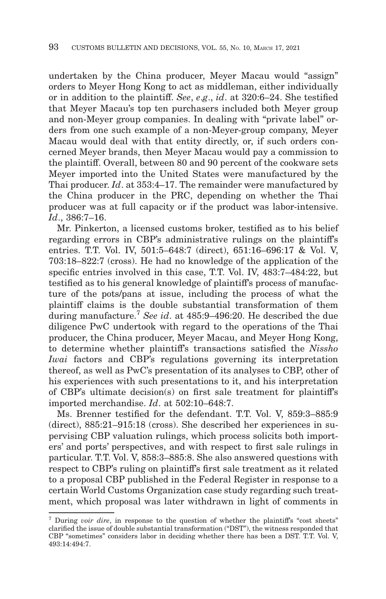undertaken by the China producer, Meyer Macau would "assign" orders to Meyer Hong Kong to act as middleman, either individually or in addition to the plaintiff. *See*, *e*.*g*., *id*. at 320:6–24. She testified that Meyer Macau's top ten purchasers included both Meyer group and non-Meyer group companies. In dealing with "private label" orders from one such example of a non-Meyer-group company, Meyer Macau would deal with that entity directly, or, if such orders concerned Meyer brands, then Meyer Macau would pay a commission to the plaintiff. Overall, between 80 and 90 percent of the cookware sets Meyer imported into the United States were manufactured by the Thai producer. *Id*. at 353:4–17. The remainder were manufactured by the China producer in the PRC, depending on whether the Thai producer was at full capacity or if the product was labor-intensive. *Id*., 386:7–16.

Mr. Pinkerton, a licensed customs broker, testified as to his belief regarding errors in CBP's administrative rulings on the plaintiff's entries. T.T. Vol. IV, 501:5–648:7 (direct), 651:16–696:17 & Vol. V, 703:18–822:7 (cross). He had no knowledge of the application of the specific entries involved in this case, T.T. Vol. IV, 483:7–484:22, but testified as to his general knowledge of plaintiff's process of manufacture of the pots/pans at issue, including the process of what the plaintiff claims is the double substantial transformation of them during manufacture.7 *See id*. at 485:9–496:20. He described the due diligence PwC undertook with regard to the operations of the Thai producer, the China producer, Meyer Macau, and Meyer Hong Kong, to determine whether plaintiff's transactions satisfied the *Nissho Iwai* factors and CBP's regulations governing its interpretation thereof, as well as PwC's presentation of its analyses to CBP, other of his experiences with such presentations to it, and his interpretation of CBP's ultimate decision(s) on first sale treatment for plaintiff's imported merchandise. *Id*. at 502:10–648:7.

Ms. Brenner testified for the defendant. T.T. Vol. V, 859:3–885:9 (direct), 885:21–915:18 (cross). She described her experiences in supervising CBP valuation rulings, which process solicits both importers' and ports' perspectives, and with respect to first sale rulings in particular. T.T. Vol. V, 858:3–885:8. She also answered questions with respect to CBP's ruling on plaintiff's first sale treatment as it related to a proposal CBP published in the Federal Register in response to a certain World Customs Organization case study regarding such treatment, which proposal was later withdrawn in light of comments in

<sup>&</sup>lt;sup>7</sup> During *voir dire*, in response to the question of whether the plaintiff's "cost sheets" clarified the issue of double substantial transformation ("DST"), the witness responded that CBP "sometimes" considers labor in deciding whether there has been a DST. T.T. Vol. V, 493:14:494:7.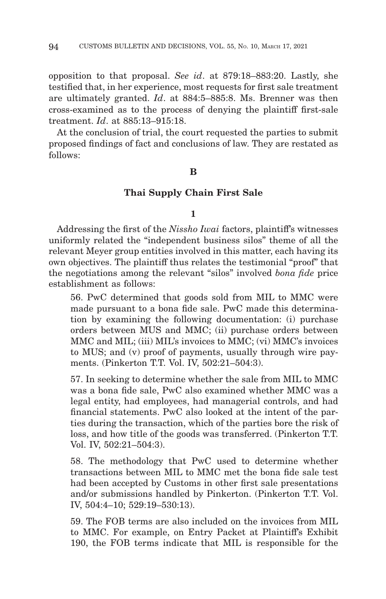opposition to that proposal. *See id*. at 879:18–883:20. Lastly, she testified that, in her experience, most requests for first sale treatment are ultimately granted. *Id*. at 884:5–885:8. Ms. Brenner was then cross-examined as to the process of denying the plaintiff first-sale treatment. *Id*. at 885:13–915:18.

At the conclusion of trial, the court requested the parties to submit proposed findings of fact and conclusions of law. They are restated as follows:

#### **B**

#### **Thai Supply Chain First Sale**

#### **1**

Addressing the first of the *Nissho Iwai* factors, plaintiff's witnesses uniformly related the "independent business silos" theme of all the relevant Meyer group entities involved in this matter, each having its own objectives. The plaintiff thus relates the testimonial "proof" that the negotiations among the relevant "silos" involved *bona fide* price establishment as follows:

56. PwC determined that goods sold from MIL to MMC were made pursuant to a bona fide sale. PwC made this determination by examining the following documentation: (i) purchase orders between MUS and MMC; (ii) purchase orders between MMC and MIL; (iii) MIL's invoices to MMC; (vi) MMC's invoices to MUS; and (v) proof of payments, usually through wire payments. (Pinkerton T.T. Vol. IV, 502:21–504:3).

57. In seeking to determine whether the sale from MIL to MMC was a bona fide sale, PwC also examined whether MMC was a legal entity, had employees, had managerial controls, and had financial statements. PwC also looked at the intent of the parties during the transaction, which of the parties bore the risk of loss, and how title of the goods was transferred. (Pinkerton T.T. Vol. IV, 502:21–504:3).

58. The methodology that PwC used to determine whether transactions between MIL to MMC met the bona fide sale test had been accepted by Customs in other first sale presentations and/or submissions handled by Pinkerton. (Pinkerton T.T. Vol. IV, 504:4–10; 529:19–530:13).

59. The FOB terms are also included on the invoices from MIL to MMC. For example, on Entry Packet at Plaintiff's Exhibit 190, the FOB terms indicate that MIL is responsible for the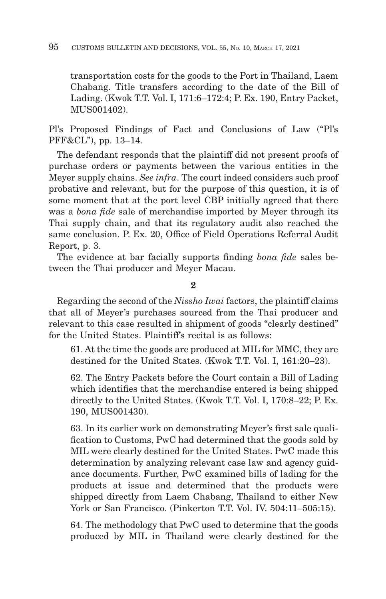transportation costs for the goods to the Port in Thailand, Laem Chabang. Title transfers according to the date of the Bill of Lading. (Kwok T.T. Vol. I, 171:6–172:4; P. Ex. 190, Entry Packet, MUS001402).

Pl's Proposed Findings of Fact and Conclusions of Law ("Pl's PFF&CL"), pp. 13–14.

The defendant responds that the plaintiff did not present proofs of purchase orders or payments between the various entities in the Meyer supply chains. *See infra*. The court indeed considers such proof probative and relevant, but for the purpose of this question, it is of some moment that at the port level CBP initially agreed that there was a *bona fide* sale of merchandise imported by Meyer through its Thai supply chain, and that its regulatory audit also reached the same conclusion. P. Ex. 20, Office of Field Operations Referral Audit Report, p. 3.

The evidence at bar facially supports finding *bona fide* sales between the Thai producer and Meyer Macau.

**2**

Regarding the second of the *Nissho Iwai* factors, the plaintiff claims that all of Meyer's purchases sourced from the Thai producer and relevant to this case resulted in shipment of goods "clearly destined" for the United States. Plaintiff's recital is as follows:

61. At the time the goods are produced at MIL for MMC, they are destined for the United States. (Kwok T.T. Vol. I, 161:20–23).

62. The Entry Packets before the Court contain a Bill of Lading which identifies that the merchandise entered is being shipped directly to the United States. (Kwok T.T. Vol. I, 170:8–22; P. Ex. 190, MUS001430).

63. In its earlier work on demonstrating Meyer's first sale qualification to Customs, PwC had determined that the goods sold by MIL were clearly destined for the United States. PwC made this determination by analyzing relevant case law and agency guidance documents. Further, PwC examined bills of lading for the products at issue and determined that the products were shipped directly from Laem Chabang, Thailand to either New York or San Francisco. (Pinkerton T.T. Vol. IV. 504:11–505:15).

64. The methodology that PwC used to determine that the goods produced by MIL in Thailand were clearly destined for the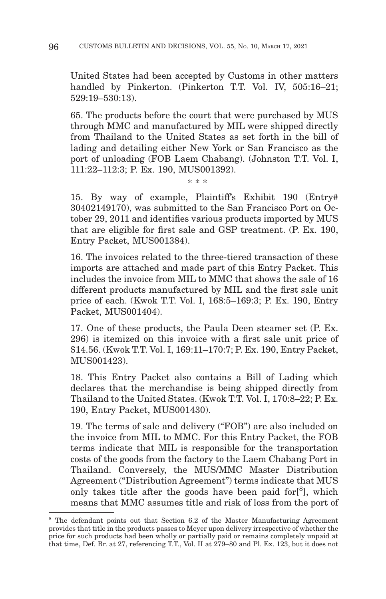United States had been accepted by Customs in other matters handled by Pinkerton. (Pinkerton T.T. Vol. IV, 505:16–21; 529:19–530:13).

65. The products before the court that were purchased by MUS through MMC and manufactured by MIL were shipped directly from Thailand to the United States as set forth in the bill of lading and detailing either New York or San Francisco as the port of unloading (FOB Laem Chabang). (Johnston T.T. Vol. I, 111:22–112:3; P. Ex. 190, MUS001392).

\* \* \*

15. By way of example, Plaintiff's Exhibit 190 (Entry# 30402149170), was submitted to the San Francisco Port on October 29, 2011 and identifies various products imported by MUS that are eligible for first sale and GSP treatment. (P. Ex. 190, Entry Packet, MUS001384).

16. The invoices related to the three-tiered transaction of these imports are attached and made part of this Entry Packet. This includes the invoice from MIL to MMC that shows the sale of 16 different products manufactured by MIL and the first sale unit price of each. (Kwok T.T. Vol. I, 168:5–169:3; P. Ex. 190, Entry Packet, MUS001404).

17. One of these products, the Paula Deen steamer set (P. Ex. 296) is itemized on this invoice with a first sale unit price of \$14.56. (Kwok T.T. Vol. I, 169:11–170:7; P. Ex. 190, Entry Packet, MUS001423).

18. This Entry Packet also contains a Bill of Lading which declares that the merchandise is being shipped directly from Thailand to the United States. (Kwok T.T. Vol. I, 170:8–22; P. Ex. 190, Entry Packet, MUS001430).

19. The terms of sale and delivery ("FOB") are also included on the invoice from MIL to MMC. For this Entry Packet, the FOB terms indicate that MIL is responsible for the transportation costs of the goods from the factory to the Laem Chabang Port in Thailand. Conversely, the MUS/MMC Master Distribution Agreement ("Distribution Agreement") terms indicate that MUS only takes title after the goods have been paid for<sup>[8</sup>], which means that MMC assumes title and risk of loss from the port of

<sup>&</sup>lt;sup>8</sup> The defendant points out that Section 6.2 of the Master Manufacturing Agreement provides that title in the products passes to Meyer upon delivery irrespective of whether the price for such products had been wholly or partially paid or remains completely unpaid at that time, Def. Br. at 27, referencing T.T., Vol. II at 279–80 and Pl. Ex. 123, but it does not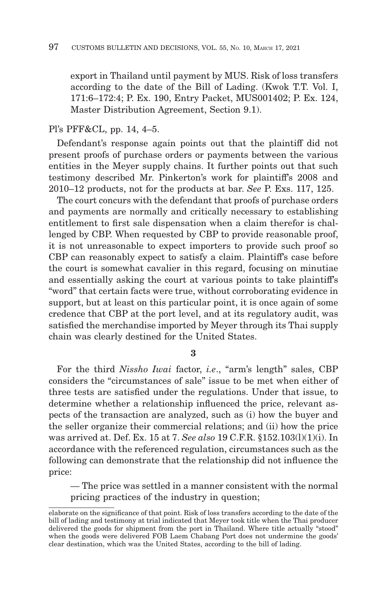export in Thailand until payment by MUS. Risk of loss transfers according to the date of the Bill of Lading. (Kwok T.T. Vol. I, 171:6–172:4; P. Ex. 190, Entry Packet, MUS001402; P. Ex. 124, Master Distribution Agreement, Section 9.1).

### Pl's PFF&CL, pp. 14, 4–5.

Defendant's response again points out that the plaintiff did not present proofs of purchase orders or payments between the various entities in the Meyer supply chains. It further points out that such testimony described Mr. Pinkerton's work for plaintiff's 2008 and 2010–12 products, not for the products at bar. *See* P. Exs. 117, 125.

The court concurs with the defendant that proofs of purchase orders and payments are normally and critically necessary to establishing entitlement to first sale dispensation when a claim therefor is challenged by CBP. When requested by CBP to provide reasonable proof, it is not unreasonable to expect importers to provide such proof so CBP can reasonably expect to satisfy a claim. Plaintiff's case before the court is somewhat cavalier in this regard, focusing on minutiae and essentially asking the court at various points to take plaintiff's "word" that certain facts were true, without corroborating evidence in support, but at least on this particular point, it is once again of some credence that CBP at the port level, and at its regulatory audit, was satisfied the merchandise imported by Meyer through its Thai supply chain was clearly destined for the United States.

**3**

For the third *Nissho Iwai* factor, *i.e*., "arm's length" sales, CBP considers the "circumstances of sale" issue to be met when either of three tests are satisfied under the regulations. Under that issue, to determine whether a relationship influenced the price, relevant aspects of the transaction are analyzed, such as (i) how the buyer and the seller organize their commercial relations; and (ii) how the price was arrived at. Def. Ex. 15 at 7. *See also* 19 C.F.R. §152.103(l)(1)(i). In accordance with the referenced regulation, circumstances such as the following can demonstrate that the relationship did not influence the price:

— The price was settled in a manner consistent with the normal pricing practices of the industry in question;

elaborate on the significance of that point. Risk of loss transfers according to the date of the bill of lading and testimony at trial indicated that Meyer took title when the Thai producer delivered the goods for shipment from the port in Thailand. Where title actually "stood" when the goods were delivered FOB Laem Chabang Port does not undermine the goods' clear destination, which was the United States, according to the bill of lading.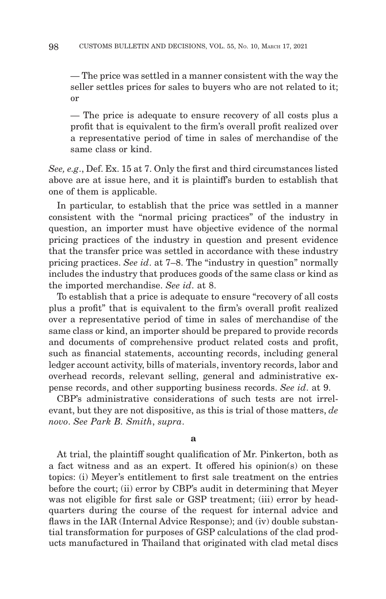— The price was settled in a manner consistent with the way the seller settles prices for sales to buyers who are not related to it; or

— The price is adequate to ensure recovery of all costs plus a profit that is equivalent to the firm's overall profit realized over a representative period of time in sales of merchandise of the same class or kind.

*See, e.g*., Def. Ex. 15 at 7. Only the first and third circumstances listed above are at issue here, and it is plaintiff's burden to establish that one of them is applicable.

In particular, to establish that the price was settled in a manner consistent with the "normal pricing practices" of the industry in question, an importer must have objective evidence of the normal pricing practices of the industry in question and present evidence that the transfer price was settled in accordance with these industry pricing practices. *See id*. at 7–8. The "industry in question" normally includes the industry that produces goods of the same class or kind as the imported merchandise. *See id*. at 8.

To establish that a price is adequate to ensure "recovery of all costs plus a profit" that is equivalent to the firm's overall profit realized over a representative period of time in sales of merchandise of the same class or kind, an importer should be prepared to provide records and documents of comprehensive product related costs and profit, such as financial statements, accounting records, including general ledger account activity, bills of materials, inventory records, labor and overhead records, relevant selling, general and administrative expense records, and other supporting business records. *See id*. at 9.

CBP's administrative considerations of such tests are not irrelevant, but they are not dispositive, as this is trial of those matters, *de novo*. *See Park B. Smith*, *supra*.

**a**

At trial, the plaintiff sought qualification of Mr. Pinkerton, both as a fact witness and as an expert. It offered his opinion(s) on these topics: (i) Meyer's entitlement to first sale treatment on the entries before the court; (ii) error by CBP's audit in determining that Meyer was not eligible for first sale or GSP treatment; (iii) error by headquarters during the course of the request for internal advice and flaws in the IAR (Internal Advice Response); and (iv) double substantial transformation for purposes of GSP calculations of the clad products manufactured in Thailand that originated with clad metal discs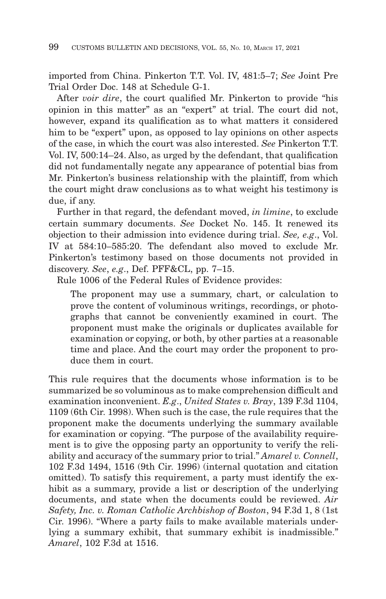imported from China. Pinkerton T.T. Vol. IV, 481:5–7; *See* Joint Pre Trial Order Doc. 148 at Schedule G-1.

After *voir dire*, the court qualified Mr. Pinkerton to provide "his opinion in this matter" as an "expert" at trial. The court did not, however, expand its qualification as to what matters it considered him to be "expert" upon, as opposed to lay opinions on other aspects of the case, in which the court was also interested. *See* Pinkerton T.T. Vol. IV, 500:14–24. Also, as urged by the defendant, that qualification did not fundamentally negate any appearance of potential bias from Mr. Pinkerton's business relationship with the plaintiff, from which the court might draw conclusions as to what weight his testimony is due, if any.

Further in that regard, the defendant moved, *in limine*, to exclude certain summary documents. *See* Docket No. 145. It renewed its objection to their admission into evidence during trial. *See, e.g*., Vol. IV at 584:10–585:20. The defendant also moved to exclude Mr. Pinkerton's testimony based on those documents not provided in discovery. *See*, *e.g*., Def. PFF&CL, pp. 7–15.

Rule 1006 of the Federal Rules of Evidence provides:

The proponent may use a summary, chart, or calculation to prove the content of voluminous writings, recordings, or photographs that cannot be conveniently examined in court. The proponent must make the originals or duplicates available for examination or copying, or both, by other parties at a reasonable time and place. And the court may order the proponent to produce them in court.

This rule requires that the documents whose information is to be summarized be so voluminous as to make comprehension difficult and examination inconvenient. *E.g*., *United States v. Bray*, 139 F.3d 1104, 1109 (6th Cir. 1998). When such is the case, the rule requires that the proponent make the documents underlying the summary available for examination or copying. "The purpose of the availability requirement is to give the opposing party an opportunity to verify the reliability and accuracy of the summary prior to trial." *Amarel v. Connell*, 102 F.3d 1494, 1516 (9th Cir. 1996) (internal quotation and citation omitted). To satisfy this requirement, a party must identify the exhibit as a summary, provide a list or description of the underlying documents, and state when the documents could be reviewed. *Air Safety, Inc. v. Roman Catholic Archbishop of Boston*, 94 F.3d 1, 8 (1st Cir. 1996). "Where a party fails to make available materials underlying a summary exhibit, that summary exhibit is inadmissible." *Amarel*, 102 F.3d at 1516.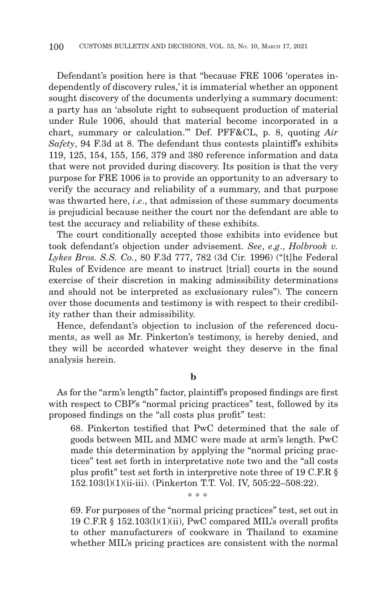Defendant's position here is that "because FRE 1006 'operates independently of discovery rules,' it is immaterial whether an opponent sought discovery of the documents underlying a summary document: a party has an 'absolute right to subsequent production of material under Rule 1006, should that material become incorporated in a chart, summary or calculation.'" Def. PFF&CL, p. 8, quoting *Air Safety*, 94 F.3d at 8. The defendant thus contests plaintiff's exhibits 119, 125, 154, 155, 156, 379 and 380 reference information and data that were not provided during discovery. Its position is that the very purpose for FRE 1006 is to provide an opportunity to an adversary to verify the accuracy and reliability of a summary, and that purpose was thwarted here, *i*.*e*., that admission of these summary documents is prejudicial because neither the court nor the defendant are able to test the accuracy and reliability of these exhibits.

The court conditionally accepted those exhibits into evidence but took defendant's objection under advisement. *See*, *e*.*g*., *Holbrook v. Lykes Bros. S.S. Co.*, 80 F.3d 777, 782 (3d Cir. 1996) ("[t]he Federal Rules of Evidence are meant to instruct [trial] courts in the sound exercise of their discretion in making admissibility determinations and should not be interpreted as exclusionary rules"). The concern over those documents and testimony is with respect to their credibility rather than their admissibility.

Hence, defendant's objection to inclusion of the referenced documents, as well as Mr. Pinkerton's testimony, is hereby denied, and they will be accorded whatever weight they deserve in the final analysis herein.

#### **b**

As for the "arm's length" factor, plaintiff's proposed findings are first with respect to CBP's "normal pricing practices" test, followed by its proposed findings on the "all costs plus profit" test:

68. Pinkerton testified that PwC determined that the sale of goods between MIL and MMC were made at arm's length. PwC made this determination by applying the "normal pricing practices" test set forth in interpretative note two and the "all costs plus profit" test set forth in interpretive note three of 19 C.F.R § 152.103(l)(1)(ii-iii). (Pinkerton T.T. Vol. IV, 505:22–508:22).

69. For purposes of the "normal pricing practices" test, set out in 19 C.F.R § 152.103(l)(1)(ii), PwC compared MIL's overall profits to other manufacturers of cookware in Thailand to examine whether MIL's pricing practices are consistent with the normal

\* \* \*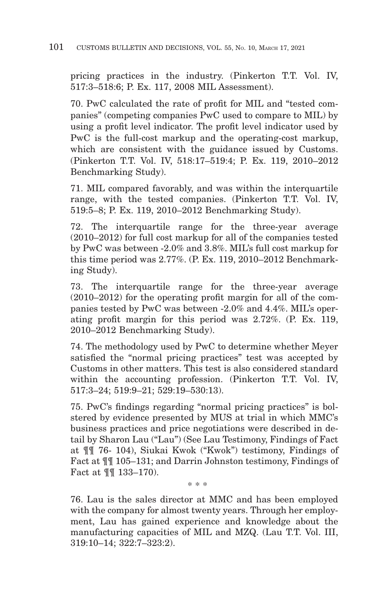pricing practices in the industry. (Pinkerton T.T. Vol. IV, 517:3–518:6; P. Ex. 117, 2008 MIL Assessment).

70. PwC calculated the rate of profit for MIL and "tested companies" (competing companies PwC used to compare to MIL) by using a profit level indicator. The profit level indicator used by PwC is the full-cost markup and the operating-cost markup, which are consistent with the guidance issued by Customs. (Pinkerton T.T. Vol. IV, 518:17–519:4; P. Ex. 119, 2010–2012 Benchmarking Study).

71. MIL compared favorably, and was within the interquartile range, with the tested companies. (Pinkerton T.T. Vol. IV, 519:5–8; P. Ex. 119, 2010–2012 Benchmarking Study).

72. The interquartile range for the three-year average (2010–2012) for full cost markup for all of the companies tested by PwC was between -2.0% and 3.8%. MIL's full cost markup for this time period was 2.77%. (P. Ex. 119, 2010–2012 Benchmarking Study).

73. The interquartile range for the three-year average (2010–2012) for the operating profit margin for all of the companies tested by PwC was between -2.0% and 4.4%. MIL's operating profit margin for this period was 2.72%. (P. Ex. 119, 2010–2012 Benchmarking Study).

74. The methodology used by PwC to determine whether Meyer satisfied the "normal pricing practices" test was accepted by Customs in other matters. This test is also considered standard within the accounting profession. (Pinkerton T.T. Vol. IV, 517:3–24; 519:9–21; 529:19–530:13).

75. PwC's findings regarding "normal pricing practices" is bolstered by evidence presented by MUS at trial in which MMC's business practices and price negotiations were described in detail by Sharon Lau ("Lau") (See Lau Testimony, Findings of Fact at ¶¶ 76- 104), Siukai Kwok ("Kwok") testimony, Findings of Fact at ¶¶ 105–131; and Darrin Johnston testimony, Findings of Fact at ¶¶ 133–170).

76. Lau is the sales director at MMC and has been employed with the company for almost twenty years. Through her employment, Lau has gained experience and knowledge about the manufacturing capacities of MIL and MZQ. (Lau T.T. Vol. III, 319:10–14; 322:7–323:2).

\* \* \*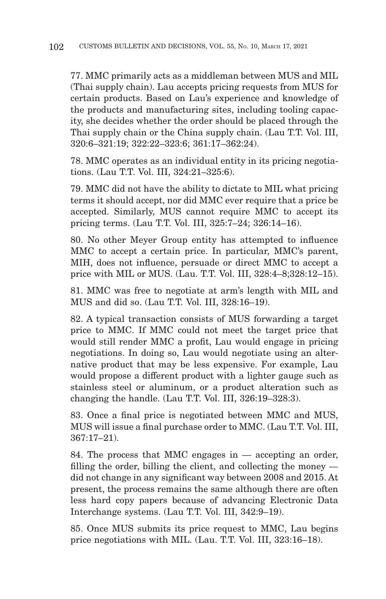77. MMC primarily acts as a middleman between MUS and MIL (Thai supply chain). Lau accepts pricing requests from MUS for certain products. Based on Lau's experience and knowledge of the products and manufacturing sites, including tooling capacity, she decides whether the order should be placed through the Thai supply chain or the China supply chain. (Lau T.T. Vol. III, 320:6–321:19; 322:22–323:6; 361:17–362:24).

78. MMC operates as an individual entity in its pricing negotiations. (Lau T.T. Vol. III, 324:21–325:6).

79. MMC did not have the ability to dictate to MIL what pricing terms it should accept, nor did MMC ever require that a price be accepted. Similarly, MUS cannot require MMC to accept its pricing terms. (Lau T.T. Vol. III, 325:7–24; 326:14–16).

80. No other Meyer Group entity has attempted to influence MMC to accept a certain price. In particular, MMC's parent, MIH, does not influence, persuade or direct MMC to accept a price with MIL or MUS. (Lau. T.T. Vol. III, 328:4–8;328:12–15).

81. MMC was free to negotiate at arm's length with MIL and MUS and did so. (Lau T.T. Vol. III, 328:16–19).

82. A typical transaction consists of MUS forwarding a target price to MMC. If MMC could not meet the target price that would still render MMC a profit, Lau would engage in pricing negotiations. In doing so, Lau would negotiate using an alternative product that may be less expensive. For example, Lau would propose a different product with a lighter gauge such as stainless steel or aluminum, or a product alteration such as changing the handle. (Lau T.T. Vol. III, 326:19–328:3).

83. Once a final price is negotiated between MMC and MUS, MUS will issue a final purchase order to MMC. (Lau T.T. Vol. III, 367:17–21).

84. The process that MMC engages in — accepting an order, filling the order, billing the client, and collecting the money did not change in any significant way between 2008 and 2015. At present, the process remains the same although there are often less hard copy papers because of advancing Electronic Data Interchange systems. (Lau T.T. Vol. III, 342:9–19).

85. Once MUS submits its price request to MMC, Lau begins price negotiations with MIL. (Lau. T.T. Vol. III, 323:16–18).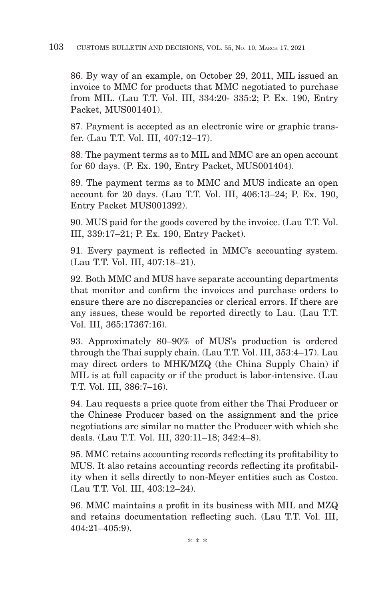86. By way of an example, on October 29, 2011, MIL issued an invoice to MMC for products that MMC negotiated to purchase from MIL. (Lau T.T. Vol. III, 334:20- 335:2; P. Ex. 190, Entry Packet, MUS001401).

87. Payment is accepted as an electronic wire or graphic transfer. (Lau T.T. Vol. III, 407:12–17).

88. The payment terms as to MIL and MMC are an open account for 60 days. (P. Ex. 190, Entry Packet, MUS001404).

89. The payment terms as to MMC and MUS indicate an open account for 20 days. (Lau T.T. Vol. III, 406:13–24; P. Ex. 190, Entry Packet MUS001392).

90. MUS paid for the goods covered by the invoice. (Lau T.T. Vol. III, 339:17–21; P. Ex. 190, Entry Packet).

91. Every payment is reflected in MMC's accounting system. (Lau T.T. Vol. III, 407:18–21).

92. Both MMC and MUS have separate accounting departments that monitor and confirm the invoices and purchase orders to ensure there are no discrepancies or clerical errors. If there are any issues, these would be reported directly to Lau. (Lau T.T. Vol. III, 365:17367:16).

93. Approximately 80–90% of MUS's production is ordered through the Thai supply chain. (Lau T.T. Vol. III, 353:4–17). Lau may direct orders to MHK/MZQ (the China Supply Chain) if MIL is at full capacity or if the product is labor-intensive. (Lau T.T. Vol. III, 386:7–16).

94. Lau requests a price quote from either the Thai Producer or the Chinese Producer based on the assignment and the price negotiations are similar no matter the Producer with which she deals. (Lau T.T. Vol. III, 320:11–18; 342:4–8).

95. MMC retains accounting records reflecting its profitability to MUS. It also retains accounting records reflecting its profitability when it sells directly to non-Meyer entities such as Costco. (Lau T.T. Vol. III, 403:12–24).

96. MMC maintains a profit in its business with MIL and MZQ and retains documentation reflecting such. (Lau T.T. Vol. III, 404:21–405:9).

\* \* \*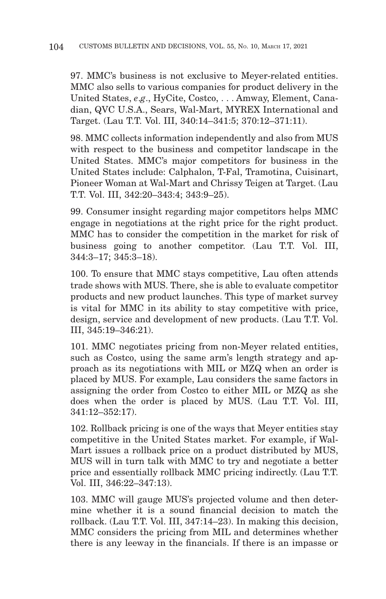97. MMC's business is not exclusive to Meyer-related entities. MMC also sells to various companies for product delivery in the United States, *e*.*g*., HyCite, Costco, . . . Amway, Element, Canadian, QVC U.S.A., Sears, Wal-Mart, MYREX International and Target. (Lau T.T. Vol. III, 340:14–341:5; 370:12–371:11).

98. MMC collects information independently and also from MUS with respect to the business and competitor landscape in the United States. MMC's major competitors for business in the United States include: Calphalon, T-Fal, Tramotina, Cuisinart, Pioneer Woman at Wal-Mart and Chrissy Teigen at Target. (Lau T.T. Vol. III, 342:20–343:4; 343:9–25).

99. Consumer insight regarding major competitors helps MMC engage in negotiations at the right price for the right product. MMC has to consider the competition in the market for risk of business going to another competitor. (Lau T.T. Vol. III, 344:3–17; 345:3–18).

100. To ensure that MMC stays competitive, Lau often attends trade shows with MUS. There, she is able to evaluate competitor products and new product launches. This type of market survey is vital for MMC in its ability to stay competitive with price, design, service and development of new products. (Lau T.T. Vol. III, 345:19–346:21).

101. MMC negotiates pricing from non-Meyer related entities, such as Costco, using the same arm's length strategy and approach as its negotiations with MIL or MZQ when an order is placed by MUS. For example, Lau considers the same factors in assigning the order from Costco to either MIL or MZQ as she does when the order is placed by MUS. (Lau T.T. Vol. III, 341:12–352:17).

102. Rollback pricing is one of the ways that Meyer entities stay competitive in the United States market. For example, if Wal-Mart issues a rollback price on a product distributed by MUS, MUS will in turn talk with MMC to try and negotiate a better price and essentially rollback MMC pricing indirectly. (Lau T.T. Vol. III, 346:22–347:13).

103. MMC will gauge MUS's projected volume and then determine whether it is a sound financial decision to match the rollback. (Lau T.T. Vol. III, 347:14–23). In making this decision, MMC considers the pricing from MIL and determines whether there is any leeway in the financials. If there is an impasse or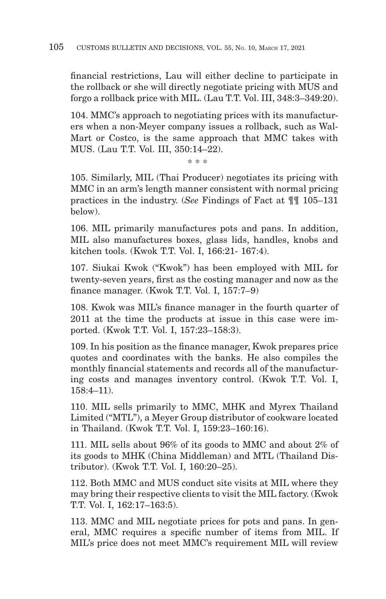financial restrictions, Lau will either decline to participate in the rollback or she will directly negotiate pricing with MUS and forgo a rollback price with MIL. (Lau T.T. Vol. III, 348:3–349:20).

104. MMC's approach to negotiating prices with its manufacturers when a non-Meyer company issues a rollback, such as Wal-Mart or Costco, is the same approach that MMC takes with MUS. (Lau T.T. Vol. III, 350:14–22).

\* \* \*

105. Similarly, MIL (Thai Producer) negotiates its pricing with MMC in an arm's length manner consistent with normal pricing practices in the industry. (*See* Findings of Fact at ¶¶ 105–131 below).

106. MIL primarily manufactures pots and pans. In addition, MIL also manufactures boxes, glass lids, handles, knobs and kitchen tools. (Kwok T.T. Vol. I, 166:21- 167:4).

107. Siukai Kwok ("Kwok") has been employed with MIL for twenty-seven years, first as the costing manager and now as the finance manager. (Kwok T.T. Vol. I, 157:7–9)

108. Kwok was MIL's finance manager in the fourth quarter of 2011 at the time the products at issue in this case were imported. (Kwok T.T. Vol. I, 157:23–158:3).

109. In his position as the finance manager, Kwok prepares price quotes and coordinates with the banks. He also compiles the monthly financial statements and records all of the manufacturing costs and manages inventory control. (Kwok T.T. Vol. I, 158:4–11).

110. MIL sells primarily to MMC, MHK and Myrex Thailand Limited ("MTL"), a Meyer Group distributor of cookware located in Thailand. (Kwok T.T. Vol. I, 159:23–160:16).

111. MIL sells about 96% of its goods to MMC and about 2% of its goods to MHK (China Middleman) and MTL (Thailand Distributor). (Kwok T.T. Vol. I, 160:20–25).

112. Both MMC and MUS conduct site visits at MIL where they may bring their respective clients to visit the MIL factory. (Kwok T.T. Vol. I, 162:17–163:5).

113. MMC and MIL negotiate prices for pots and pans. In general, MMC requires a specific number of items from MIL. If MIL's price does not meet MMC's requirement MIL will review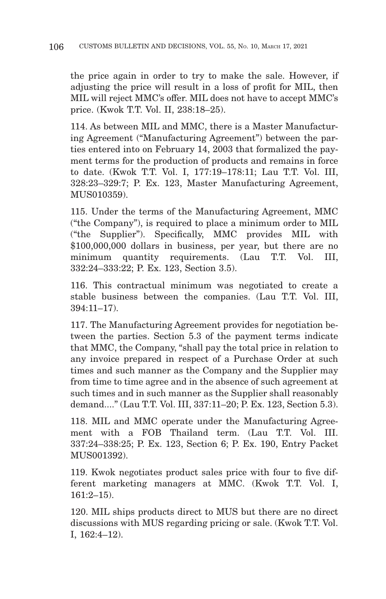the price again in order to try to make the sale. However, if adjusting the price will result in a loss of profit for MIL, then MIL will reject MMC's offer. MIL does not have to accept MMC's price. (Kwok T.T. Vol. II, 238:18–25).

114. As between MIL and MMC, there is a Master Manufacturing Agreement ("Manufacturing Agreement") between the parties entered into on February 14, 2003 that formalized the payment terms for the production of products and remains in force to date. (Kwok T.T. Vol. I, 177:19–178:11; Lau T.T. Vol. III, 328:23–329:7; P. Ex. 123, Master Manufacturing Agreement, MUS010359).

115. Under the terms of the Manufacturing Agreement, MMC ("the Company"), is required to place a minimum order to MIL ("the Supplier"). Specifically, MMC provides MIL with \$100,000,000 dollars in business, per year, but there are no minimum quantity requirements. (Lau T.T. Vol. III, 332:24–333:22; P. Ex. 123, Section 3.5).

116. This contractual minimum was negotiated to create a stable business between the companies. (Lau T.T. Vol. III, 394:11–17).

117. The Manufacturing Agreement provides for negotiation between the parties. Section 5.3 of the payment terms indicate that MMC, the Company, "shall pay the total price in relation to any invoice prepared in respect of a Purchase Order at such times and such manner as the Company and the Supplier may from time to time agree and in the absence of such agreement at such times and in such manner as the Supplier shall reasonably demand...." (Lau T.T. Vol. III, 337:11–20; P. Ex. 123, Section 5.3).

118. MIL and MMC operate under the Manufacturing Agreement with a FOB Thailand term. (Lau T.T. Vol. III. 337:24–338:25; P. Ex. 123, Section 6; P. Ex. 190, Entry Packet MUS001392).

119. Kwok negotiates product sales price with four to five different marketing managers at MMC. (Kwok T.T. Vol. I, 161:2–15).

120. MIL ships products direct to MUS but there are no direct discussions with MUS regarding pricing or sale. (Kwok T.T. Vol. I, 162:4–12).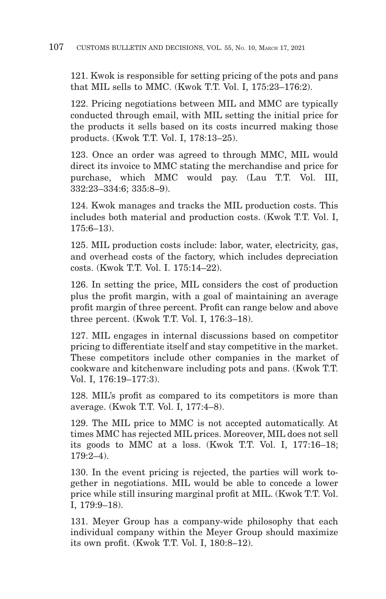121. Kwok is responsible for setting pricing of the pots and pans that MIL sells to MMC. (Kwok T.T. Vol. I, 175:23–176:2).

122. Pricing negotiations between MIL and MMC are typically conducted through email, with MIL setting the initial price for the products it sells based on its costs incurred making those products. (Kwok T.T. Vol. I, 178:13–25).

123. Once an order was agreed to through MMC, MIL would direct its invoice to MMC stating the merchandise and price for purchase, which MMC would pay. (Lau T.T. Vol. III, 332:23–334:6; 335:8–9).

124. Kwok manages and tracks the MIL production costs. This includes both material and production costs. (Kwok T.T. Vol. I,  $175.6 - 13$ 

125. MIL production costs include: labor, water, electricity, gas, and overhead costs of the factory, which includes depreciation costs. (Kwok T.T. Vol. I. 175:14–22).

126. In setting the price, MIL considers the cost of production plus the profit margin, with a goal of maintaining an average profit margin of three percent. Profit can range below and above three percent. (Kwok T.T. Vol. I, 176:3–18).

127. MIL engages in internal discussions based on competitor pricing to differentiate itself and stay competitive in the market. These competitors include other companies in the market of cookware and kitchenware including pots and pans. (Kwok T.T. Vol. I, 176:19–177:3).

128. MIL's profit as compared to its competitors is more than average. (Kwok T.T. Vol. I, 177:4–8).

129. The MIL price to MMC is not accepted automatically. At times MMC has rejected MIL prices. Moreover, MIL does not sell its goods to MMC at a loss. (Kwok T.T. Vol. I, 177:16–18; 179:2–4).

130. In the event pricing is rejected, the parties will work together in negotiations. MIL would be able to concede a lower price while still insuring marginal profit at MIL. (Kwok T.T. Vol. I, 179:9–18).

131. Meyer Group has a company-wide philosophy that each individual company within the Meyer Group should maximize its own profit. (Kwok T.T. Vol. I, 180:8–12).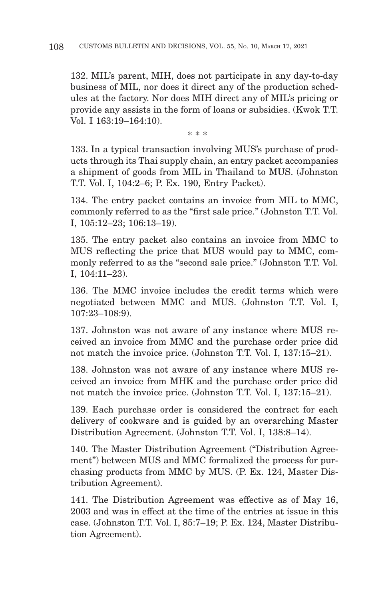132. MIL's parent, MIH, does not participate in any day-to-day business of MIL, nor does it direct any of the production schedules at the factory. Nor does MIH direct any of MIL's pricing or provide any assists in the form of loans or subsidies. (Kwok T.T. Vol. I 163:19–164:10).

\* \* \*

133. In a typical transaction involving MUS's purchase of products through its Thai supply chain, an entry packet accompanies a shipment of goods from MIL in Thailand to MUS. (Johnston T.T. Vol. I, 104:2–6; P. Ex. 190, Entry Packet).

134. The entry packet contains an invoice from MIL to MMC, commonly referred to as the "first sale price." (Johnston T.T. Vol. I, 105:12–23; 106:13–19).

135. The entry packet also contains an invoice from MMC to MUS reflecting the price that MUS would pay to MMC, commonly referred to as the "second sale price." (Johnston T.T. Vol. I, 104:11–23).

136. The MMC invoice includes the credit terms which were negotiated between MMC and MUS. (Johnston T.T. Vol. I, 107:23–108:9).

137. Johnston was not aware of any instance where MUS received an invoice from MMC and the purchase order price did not match the invoice price. (Johnston T.T. Vol. I, 137:15–21).

138. Johnston was not aware of any instance where MUS received an invoice from MHK and the purchase order price did not match the invoice price. (Johnston T.T. Vol. I, 137:15–21).

139. Each purchase order is considered the contract for each delivery of cookware and is guided by an overarching Master Distribution Agreement. (Johnston T.T. Vol. I, 138:8–14).

140. The Master Distribution Agreement ("Distribution Agreement") between MUS and MMC formalized the process for purchasing products from MMC by MUS. (P. Ex. 124, Master Distribution Agreement).

141. The Distribution Agreement was effective as of May 16, 2003 and was in effect at the time of the entries at issue in this case. (Johnston T.T. Vol. I, 85:7–19; P. Ex. 124, Master Distribution Agreement).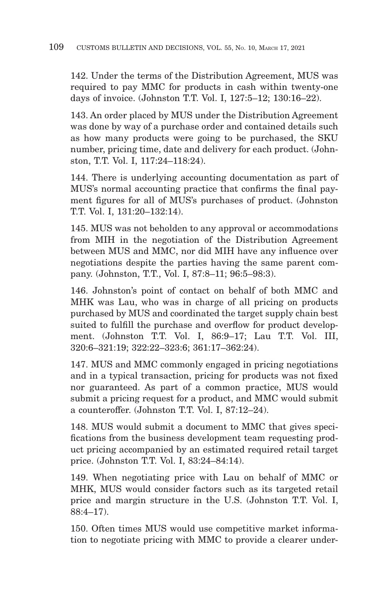142. Under the terms of the Distribution Agreement, MUS was required to pay MMC for products in cash within twenty-one days of invoice. (Johnston T.T. Vol. I, 127:5–12; 130:16–22).

143. An order placed by MUS under the Distribution Agreement was done by way of a purchase order and contained details such as how many products were going to be purchased, the SKU number, pricing time, date and delivery for each product. (Johnston, T.T. Vol. I, 117:24–118:24).

144. There is underlying accounting documentation as part of MUS's normal accounting practice that confirms the final payment figures for all of MUS's purchases of product. (Johnston T.T. Vol. I, 131:20–132:14).

145. MUS was not beholden to any approval or accommodations from MIH in the negotiation of the Distribution Agreement between MUS and MMC, nor did MIH have any influence over negotiations despite the parties having the same parent company. (Johnston, T.T., Vol. I, 87:8–11; 96:5–98:3).

146. Johnston's point of contact on behalf of both MMC and MHK was Lau, who was in charge of all pricing on products purchased by MUS and coordinated the target supply chain best suited to fulfill the purchase and overflow for product development. (Johnston T.T. Vol. I, 86:9–17; Lau T.T. Vol. III, 320:6–321:19; 322:22–323:6; 361:17–362:24).

147. MUS and MMC commonly engaged in pricing negotiations and in a typical transaction, pricing for products was not fixed nor guaranteed. As part of a common practice, MUS would submit a pricing request for a product, and MMC would submit a counteroffer. (Johnston T.T. Vol. I, 87:12–24).

148. MUS would submit a document to MMC that gives specifications from the business development team requesting product pricing accompanied by an estimated required retail target price. (Johnston T.T. Vol. I, 83:24–84:14).

149. When negotiating price with Lau on behalf of MMC or MHK, MUS would consider factors such as its targeted retail price and margin structure in the U.S. (Johnston T.T. Vol. I, 88:4–17).

150. Often times MUS would use competitive market information to negotiate pricing with MMC to provide a clearer under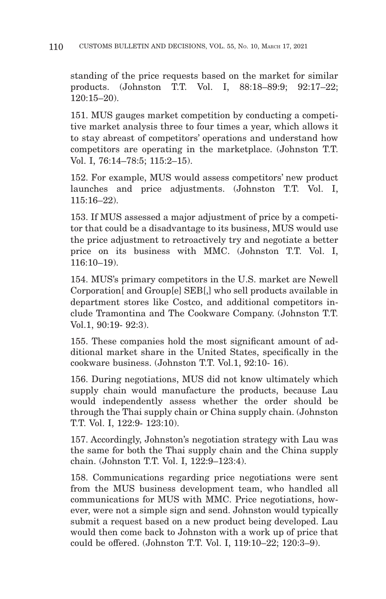standing of the price requests based on the market for similar products. (Johnston T.T. Vol. I, 88:18–89:9; 92:17–22; 120:15–20).

151. MUS gauges market competition by conducting a competitive market analysis three to four times a year, which allows it to stay abreast of competitors' operations and understand how competitors are operating in the marketplace. (Johnston T.T. Vol. I, 76:14–78:5; 115:2–15).

152. For example, MUS would assess competitors' new product launches and price adjustments. (Johnston T.T. Vol. I, 115:16–22).

153. If MUS assessed a major adjustment of price by a competitor that could be a disadvantage to its business, MUS would use the price adjustment to retroactively try and negotiate a better price on its business with MMC. (Johnston T.T. Vol. I, 116:10–19).

154. MUS's primary competitors in the U.S. market are Newell Corporation[ and Group[e] SEB[,] who sell products available in department stores like Costco, and additional competitors include Tramontina and The Cookware Company. (Johnston T.T. Vol.1, 90:19- 92:3).

155. These companies hold the most significant amount of additional market share in the United States, specifically in the cookware business. (Johnston T.T. Vol.1, 92:10- 16).

156. During negotiations, MUS did not know ultimately which supply chain would manufacture the products, because Lau would independently assess whether the order should be through the Thai supply chain or China supply chain. (Johnston T.T. Vol. I, 122:9- 123:10).

157. Accordingly, Johnston's negotiation strategy with Lau was the same for both the Thai supply chain and the China supply chain. (Johnston T.T. Vol. I, 122:9–123:4).

158. Communications regarding price negotiations were sent from the MUS business development team, who handled all communications for MUS with MMC. Price negotiations, however, were not a simple sign and send. Johnston would typically submit a request based on a new product being developed. Lau would then come back to Johnston with a work up of price that could be offered. (Johnston T.T. Vol. I, 119:10–22; 120:3–9).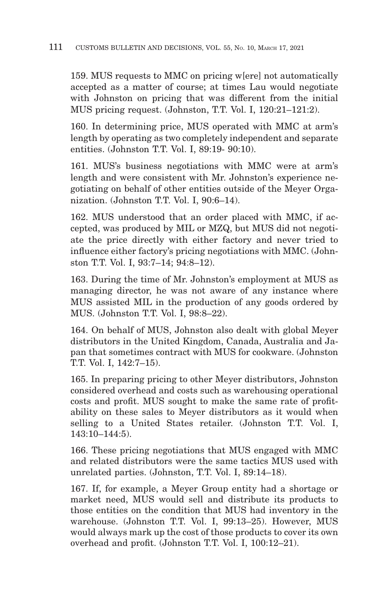159. MUS requests to MMC on pricing w[ere] not automatically accepted as a matter of course; at times Lau would negotiate with Johnston on pricing that was different from the initial MUS pricing request. (Johnston, T.T. Vol. I, 120:21–121:2).

160. In determining price, MUS operated with MMC at arm's length by operating as two completely independent and separate entities. (Johnston T.T. Vol. I, 89:19- 90:10).

161. MUS's business negotiations with MMC were at arm's length and were consistent with Mr. Johnston's experience negotiating on behalf of other entities outside of the Meyer Organization. (Johnston T.T. Vol. I, 90:6–14).

162. MUS understood that an order placed with MMC, if accepted, was produced by MIL or MZQ, but MUS did not negotiate the price directly with either factory and never tried to influence either factory's pricing negotiations with MMC. (Johnston T.T. Vol. I, 93:7–14; 94:8–12).

163. During the time of Mr. Johnston's employment at MUS as managing director, he was not aware of any instance where MUS assisted MIL in the production of any goods ordered by MUS. (Johnston T.T. Vol. I, 98:8–22).

164. On behalf of MUS, Johnston also dealt with global Meyer distributors in the United Kingdom, Canada, Australia and Japan that sometimes contract with MUS for cookware. (Johnston T.T. Vol. I, 142:7–15).

165. In preparing pricing to other Meyer distributors, Johnston considered overhead and costs such as warehousing operational costs and profit. MUS sought to make the same rate of profitability on these sales to Meyer distributors as it would when selling to a United States retailer. (Johnston T.T. Vol. I, 143:10–144:5).

166. These pricing negotiations that MUS engaged with MMC and related distributors were the same tactics MUS used with unrelated parties. (Johnston, T.T. Vol. I, 89:14–18).

167. If, for example, a Meyer Group entity had a shortage or market need, MUS would sell and distribute its products to those entities on the condition that MUS had inventory in the warehouse. (Johnston T.T. Vol. I, 99:13–25). However, MUS would always mark up the cost of those products to cover its own overhead and profit. (Johnston T.T. Vol. I, 100:12–21).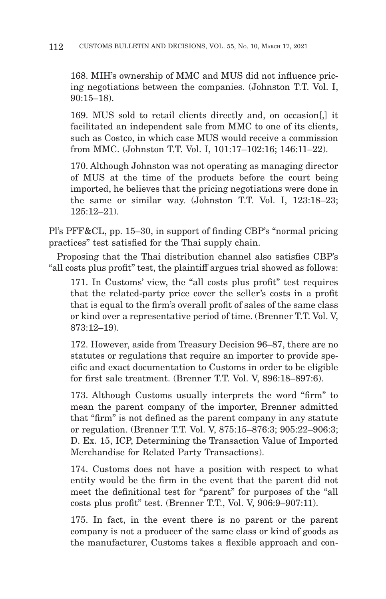168. MIH's ownership of MMC and MUS did not influence pricing negotiations between the companies. (Johnston T.T. Vol. I, 90:15–18).

169. MUS sold to retail clients directly and, on occasion[,] it facilitated an independent sale from MMC to one of its clients, such as Costco, in which case MUS would receive a commission from MMC. (Johnston T.T. Vol. I, 101:17–102:16; 146:11–22).

170. Although Johnston was not operating as managing director of MUS at the time of the products before the court being imported, he believes that the pricing negotiations were done in the same or similar way. (Johnston T.T. Vol. I, 123:18–23; 125:12–21).

Pl's PFF&CL, pp. 15–30, in support of finding CBP's "normal pricing practices" test satisfied for the Thai supply chain.

Proposing that the Thai distribution channel also satisfies CBP's "all costs plus profit" test, the plaintiff argues trial showed as follows:

171. In Customs' view, the "all costs plus profit" test requires that the related-party price cover the seller's costs in a profit that is equal to the firm's overall profit of sales of the same class or kind over a representative period of time. (Brenner T.T. Vol. V, 873:12–19).

172. However, aside from Treasury Decision 96–87, there are no statutes or regulations that require an importer to provide specific and exact documentation to Customs in order to be eligible for first sale treatment. (Brenner T.T. Vol. V, 896:18–897:6).

173. Although Customs usually interprets the word "firm" to mean the parent company of the importer, Brenner admitted that "firm" is not defined as the parent company in any statute or regulation. (Brenner T.T. Vol. V, 875:15–876:3; 905:22–906:3; D. Ex. 15, ICP, Determining the Transaction Value of Imported Merchandise for Related Party Transactions).

174. Customs does not have a position with respect to what entity would be the firm in the event that the parent did not meet the definitional test for "parent" for purposes of the "all costs plus profit" test. (Brenner T.T., Vol. V, 906:9–907:11).

175. In fact, in the event there is no parent or the parent company is not a producer of the same class or kind of goods as the manufacturer, Customs takes a flexible approach and con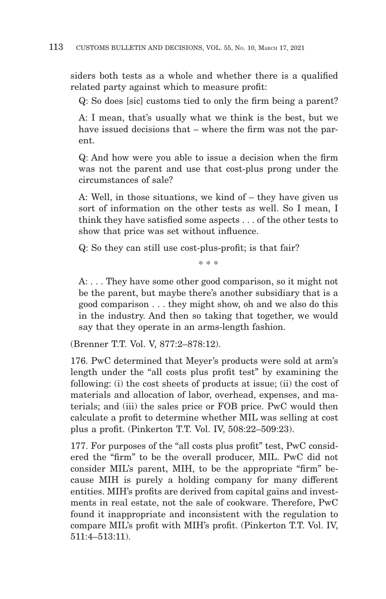siders both tests as a whole and whether there is a qualified related party against which to measure profit:

Q: So does [sic] customs tied to only the firm being a parent?

A: I mean, that's usually what we think is the best, but we have issued decisions that – where the firm was not the parent.

Q: And how were you able to issue a decision when the firm was not the parent and use that cost-plus prong under the circumstances of sale?

A: Well, in those situations, we kind of – they have given us sort of information on the other tests as well. So I mean, I think they have satisfied some aspects . . . of the other tests to show that price was set without influence.

Q: So they can still use cost-plus-profit; is that fair?

\* \* \*

A: . . . They have some other good comparison, so it might not be the parent, but maybe there's another subsidiary that is a good comparison . . . they might show, oh and we also do this in the industry. And then so taking that together, we would say that they operate in an arms-length fashion.

(Brenner T.T. Vol. V, 877:2–878:12).

176. PwC determined that Meyer's products were sold at arm's length under the "all costs plus profit test" by examining the following: (i) the cost sheets of products at issue; (ii) the cost of materials and allocation of labor, overhead, expenses, and materials; and (iii) the sales price or FOB price. PwC would then calculate a profit to determine whether MIL was selling at cost plus a profit. (Pinkerton T.T. Vol. IV, 508:22–509:23).

177. For purposes of the "all costs plus profit" test, PwC considered the "firm" to be the overall producer, MIL. PwC did not consider MIL's parent, MIH, to be the appropriate "firm" because MIH is purely a holding company for many different entities. MIH's profits are derived from capital gains and investments in real estate, not the sale of cookware. Therefore, PwC found it inappropriate and inconsistent with the regulation to compare MIL's profit with MIH's profit. (Pinkerton T.T. Vol. IV, 511:4–513:11).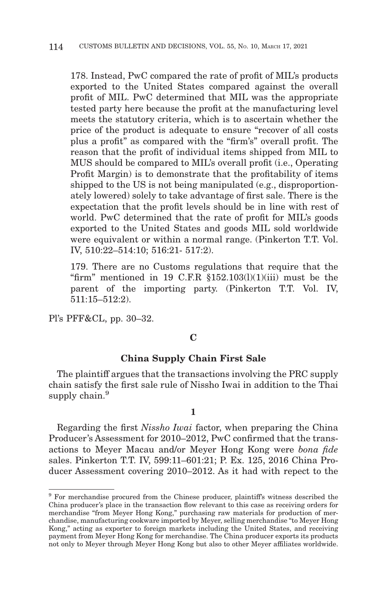178. Instead, PwC compared the rate of profit of MIL's products exported to the United States compared against the overall profit of MIL. PwC determined that MIL was the appropriate tested party here because the profit at the manufacturing level meets the statutory criteria, which is to ascertain whether the price of the product is adequate to ensure "recover of all costs plus a profit" as compared with the "firm's" overall profit. The reason that the profit of individual items shipped from MIL to MUS should be compared to MIL's overall profit (i.e., Operating Profit Margin) is to demonstrate that the profitability of items shipped to the US is not being manipulated (e.g., disproportionately lowered) solely to take advantage of first sale. There is the expectation that the profit levels should be in line with rest of world. PwC determined that the rate of profit for MIL's goods exported to the United States and goods MIL sold worldwide were equivalent or within a normal range. (Pinkerton T.T. Vol. IV, 510:22–514:10; 516:21- 517:2).

179. There are no Customs regulations that require that the "firm" mentioned in 19 C.F.R  $$152.103(1)(1)(iii)$  must be the parent of the importing party. (Pinkerton T.T. Vol. IV, 511:15–512:2).

Pl's PFF&CL, pp. 30–32.

## **C**

# **China Supply Chain First Sale**

The plaintiff argues that the transactions involving the PRC supply chain satisfy the first sale rule of Nissho Iwai in addition to the Thai supply chain.<sup>9</sup>

#### **1**

Regarding the first *Nissho Iwai* factor, when preparing the China Producer's Assessment for 2010–2012, PwC confirmed that the transactions to Meyer Macau and/or Meyer Hong Kong were *bona fide* sales. Pinkerton T.T. IV, 599:11–601:21; P. Ex. 125, 2016 China Producer Assessment covering 2010–2012. As it had with repect to the

<sup>&</sup>lt;sup>9</sup> For merchandise procured from the Chinese producer, plaintiff's witness described the China producer's place in the transaction flow relevant to this case as receiving orders for merchandise "from Meyer Hong Kong," purchasing raw materials for production of merchandise, manufacturing cookware imported by Meyer, selling merchandise "to Meyer Hong Kong," acting as exporter to foreign markets including the United States, and receiving payment from Meyer Hong Kong for merchandise. The China producer exports its products not only to Meyer through Meyer Hong Kong but also to other Meyer affiliates worldwide.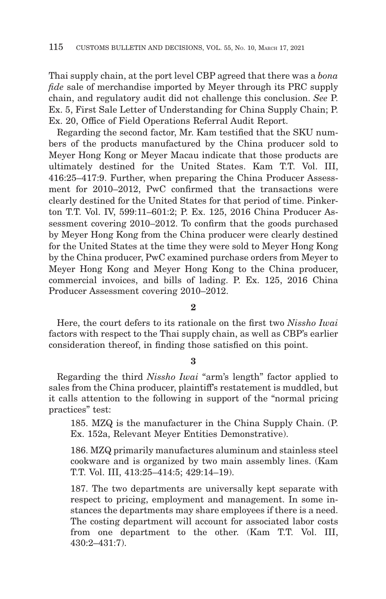Thai supply chain, at the port level CBP agreed that there was a *bona fide* sale of merchandise imported by Meyer through its PRC supply chain, and regulatory audit did not challenge this conclusion. *See* P. Ex. 5, First Sale Letter of Understanding for China Supply Chain; P. Ex. 20, Office of Field Operations Referral Audit Report.

Regarding the second factor, Mr. Kam testified that the SKU numbers of the products manufactured by the China producer sold to Meyer Hong Kong or Meyer Macau indicate that those products are ultimately destined for the United States. Kam T.T. Vol. III, 416:25–417:9. Further, when preparing the China Producer Assessment for 2010–2012, PwC confirmed that the transactions were clearly destined for the United States for that period of time. Pinkerton T.T. Vol. IV, 599:11–601:2; P. Ex. 125, 2016 China Producer Assessment covering 2010–2012. To confirm that the goods purchased by Meyer Hong Kong from the China producer were clearly destined for the United States at the time they were sold to Meyer Hong Kong by the China producer, PwC examined purchase orders from Meyer to Meyer Hong Kong and Meyer Hong Kong to the China producer, commercial invoices, and bills of lading. P. Ex. 125, 2016 China Producer Assessment covering 2010–2012.

**2**

Here, the court defers to its rationale on the first two *Nissho Iwai* factors with respect to the Thai supply chain, as well as CBP's earlier consideration thereof, in finding those satisfied on this point.

### **3**

Regarding the third *Nissho Iwai* "arm's length" factor applied to sales from the China producer, plaintiff's restatement is muddled, but it calls attention to the following in support of the "normal pricing practices" test:

185. MZQ is the manufacturer in the China Supply Chain. (P. Ex. 152a, Relevant Meyer Entities Demonstrative).

186. MZQ primarily manufactures aluminum and stainless steel cookware and is organized by two main assembly lines. (Kam T.T. Vol. III, 413:25–414:5; 429:14–19).

187. The two departments are universally kept separate with respect to pricing, employment and management. In some instances the departments may share employees if there is a need. The costing department will account for associated labor costs from one department to the other. (Kam T.T. Vol. III, 430:2–431:7).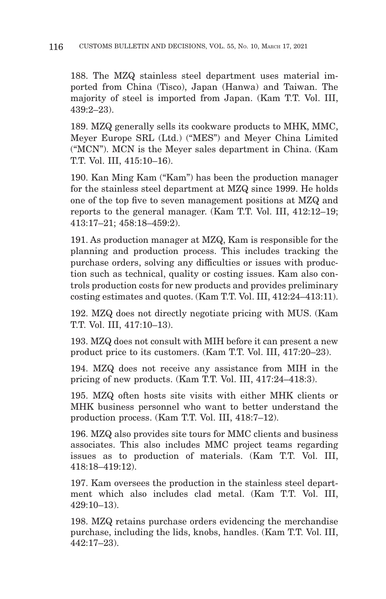188. The MZQ stainless steel department uses material imported from China (Tisco), Japan (Hanwa) and Taiwan. The majority of steel is imported from Japan. (Kam T.T. Vol. III, 439:2–23).

189. MZQ generally sells its cookware products to MHK, MMC, Meyer Europe SRL (Ltd.) ("MES") and Meyer China Limited ("MCN"). MCN is the Meyer sales department in China. (Kam T.T. Vol. III, 415:10–16).

190. Kan Ming Kam ("Kam") has been the production manager for the stainless steel department at MZQ since 1999. He holds one of the top five to seven management positions at MZQ and reports to the general manager. (Kam T.T. Vol. III, 412:12–19; 413:17–21; 458:18–459:2).

191. As production manager at MZQ, Kam is responsible for the planning and production process. This includes tracking the purchase orders, solving any difficulties or issues with production such as technical, quality or costing issues. Kam also controls production costs for new products and provides preliminary costing estimates and quotes. (Kam T.T. Vol. III, 412:24–413:11).

192. MZQ does not directly negotiate pricing with MUS. (Kam T.T. Vol. III, 417:10–13).

193. MZQ does not consult with MIH before it can present a new product price to its customers. (Kam T.T. Vol. III, 417:20–23).

194. MZQ does not receive any assistance from MIH in the pricing of new products. (Kam T.T. Vol. III, 417:24–418:3).

195. MZQ often hosts site visits with either MHK clients or MHK business personnel who want to better understand the production process. (Kam T.T. Vol. III, 418:7–12).

196. MZQ also provides site tours for MMC clients and business associates. This also includes MMC project teams regarding issues as to production of materials. (Kam T.T. Vol. III, 418:18–419:12).

197. Kam oversees the production in the stainless steel department which also includes clad metal. (Kam T.T. Vol. III, 429:10–13).

198. MZQ retains purchase orders evidencing the merchandise purchase, including the lids, knobs, handles. (Kam T.T. Vol. III, 442:17–23).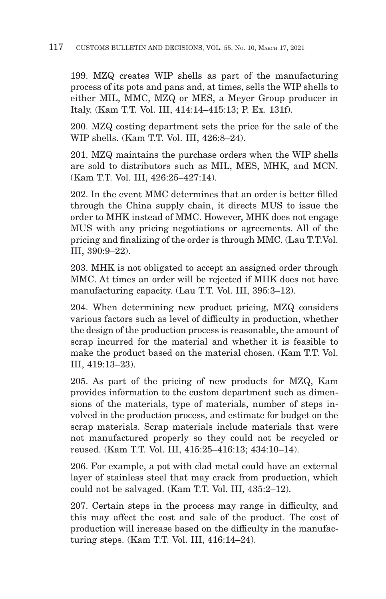199. MZQ creates WIP shells as part of the manufacturing process of its pots and pans and, at times, sells the WIP shells to either MIL, MMC, MZQ or MES, a Meyer Group producer in Italy. (Kam T.T. Vol. III, 414:14–415:13; P. Ex. 131f).

200. MZQ costing department sets the price for the sale of the WIP shells. (Kam T.T. Vol. III, 426:8–24).

201. MZQ maintains the purchase orders when the WIP shells are sold to distributors such as MIL, MES, MHK, and MCN. (Kam T.T. Vol. III, 426:25–427:14).

202. In the event MMC determines that an order is better filled through the China supply chain, it directs MUS to issue the order to MHK instead of MMC. However, MHK does not engage MUS with any pricing negotiations or agreements. All of the pricing and finalizing of the order is through MMC. (Lau T.T.Vol. III, 390:9–22).

203. MHK is not obligated to accept an assigned order through MMC. At times an order will be rejected if MHK does not have manufacturing capacity. (Lau T.T. Vol. III, 395:3–12).

204. When determining new product pricing, MZQ considers various factors such as level of difficulty in production, whether the design of the production process is reasonable, the amount of scrap incurred for the material and whether it is feasible to make the product based on the material chosen. (Kam T.T. Vol. III, 419:13–23).

205. As part of the pricing of new products for MZQ, Kam provides information to the custom department such as dimensions of the materials, type of materials, number of steps involved in the production process, and estimate for budget on the scrap materials. Scrap materials include materials that were not manufactured properly so they could not be recycled or reused. (Kam T.T. Vol. III, 415:25–416:13; 434:10–14).

206. For example, a pot with clad metal could have an external layer of stainless steel that may crack from production, which could not be salvaged. (Kam T.T. Vol. III, 435:2–12).

207. Certain steps in the process may range in difficulty, and this may affect the cost and sale of the product. The cost of production will increase based on the difficulty in the manufacturing steps. (Kam T.T. Vol. III, 416:14–24).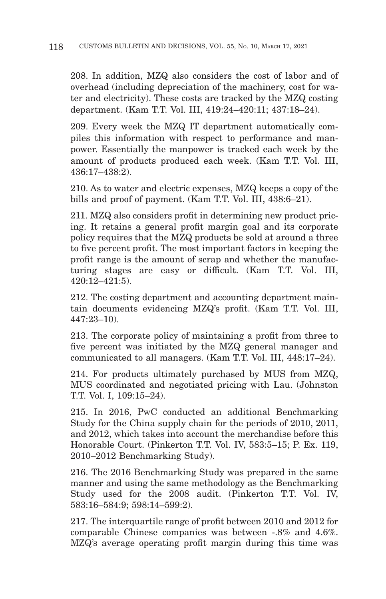208. In addition, MZQ also considers the cost of labor and of overhead (including depreciation of the machinery, cost for water and electricity). These costs are tracked by the MZQ costing department. (Kam T.T. Vol. III, 419:24–420:11; 437:18–24).

209. Every week the MZQ IT department automatically compiles this information with respect to performance and manpower. Essentially the manpower is tracked each week by the amount of products produced each week. (Kam T.T. Vol. III, 436:17–438:2).

210. As to water and electric expenses, MZQ keeps a copy of the bills and proof of payment. (Kam T.T. Vol. III, 438:6–21).

211. MZQ also considers profit in determining new product pricing. It retains a general profit margin goal and its corporate policy requires that the MZQ products be sold at around a three to five percent profit. The most important factors in keeping the profit range is the amount of scrap and whether the manufacturing stages are easy or difficult. (Kam T.T. Vol. III, 420:12–421:5).

212. The costing department and accounting department maintain documents evidencing MZQ's profit. (Kam T.T. Vol. III, 447:23–10).

213. The corporate policy of maintaining a profit from three to five percent was initiated by the MZQ general manager and communicated to all managers. (Kam T.T. Vol. III, 448:17–24).

214. For products ultimately purchased by MUS from MZQ, MUS coordinated and negotiated pricing with Lau. (Johnston T.T. Vol. I, 109:15–24).

215. In 2016, PwC conducted an additional Benchmarking Study for the China supply chain for the periods of 2010, 2011, and 2012, which takes into account the merchandise before this Honorable Court. (Pinkerton T.T. Vol. IV, 583:5–15; P. Ex. 119, 2010–2012 Benchmarking Study).

216. The 2016 Benchmarking Study was prepared in the same manner and using the same methodology as the Benchmarking Study used for the 2008 audit. (Pinkerton T.T. Vol. IV, 583:16–584:9; 598:14–599:2).

217. The interquartile range of profit between 2010 and 2012 for comparable Chinese companies was between -.8% and 4.6%. MZQ's average operating profit margin during this time was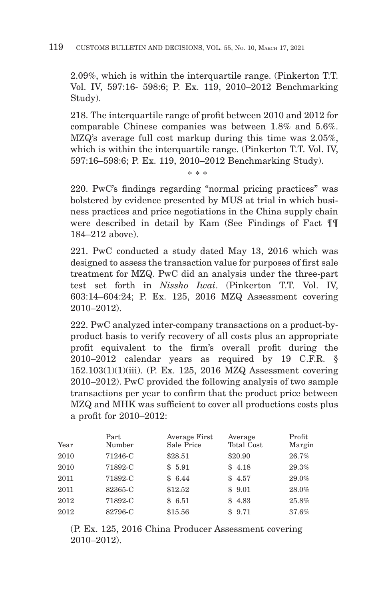## 119 CUSTOMS BULLETIN AND DECISIONS, VOL. 55, No. 10, MARCH 17, 2021

2.09%, which is within the interquartile range. (Pinkerton T.T. Vol. IV, 597:16- 598:6; P. Ex. 119, 2010–2012 Benchmarking Study).

218. The interquartile range of profit between 2010 and 2012 for comparable Chinese companies was between 1.8% and 5.6%. MZQ's average full cost markup during this time was 2.05%, which is within the interquartile range. (Pinkerton T.T. Vol. IV, 597:16–598:6; P. Ex. 119, 2010–2012 Benchmarking Study).

\* \* \*

220. PwC's findings regarding "normal pricing practices" was bolstered by evidence presented by MUS at trial in which business practices and price negotiations in the China supply chain were described in detail by Kam (See Findings of Fact ¶¶ 184–212 above).

221. PwC conducted a study dated May 13, 2016 which was designed to assess the transaction value for purposes of first sale treatment for MZQ. PwC did an analysis under the three-part test set forth in *Nissho Iwai*. (Pinkerton T.T. Vol. IV, 603:14–604:24; P. Ex. 125, 2016 MZQ Assessment covering 2010–2012).

222. PwC analyzed inter-company transactions on a product-byproduct basis to verify recovery of all costs plus an appropriate profit equivalent to the firm's overall profit during the 2010–2012 calendar years as required by 19 C.F.R. § 152.103(1)(1)(iii). (P. Ex. 125, 2016 MZQ Assessment covering 2010–2012). PwC provided the following analysis of two sample transactions per year to confirm that the product price between MZQ and MHK was sufficient to cover all productions costs plus a profit for 2010–2012:

| Year | Part<br>Number | Average First<br>Sale Price | Average<br>Total Cost | Profit<br>Margin |
|------|----------------|-----------------------------|-----------------------|------------------|
| 2010 | 71246-C        | \$28.51                     | \$20.90               | 26.7%            |
| 2010 | 71892-C        | \$5.91                      | \$4.18                | 29.3%            |
| 2011 | 71892-C        | \$6.44                      | \$4.57                | 29.0%            |
| 2011 | 82365-C        | \$12.52                     | \$9.01                | 28.0%            |
| 2012 | 71892-C        | \$6.51                      | \$4.83                | 25.8%            |
| 2012 | 82796-C        | \$15.56                     | \$9.71                | 37.6%            |

(P. Ex. 125, 2016 China Producer Assessment covering 2010–2012).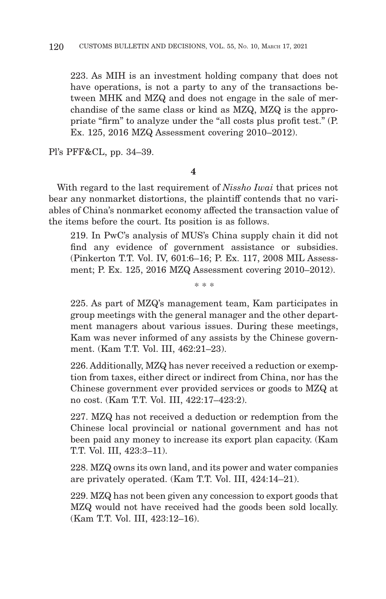223. As MIH is an investment holding company that does not have operations, is not a party to any of the transactions between MHK and MZQ and does not engage in the sale of merchandise of the same class or kind as MZQ, MZQ is the appropriate "firm" to analyze under the "all costs plus profit test." (P. Ex. 125, 2016 MZQ Assessment covering 2010–2012).

Pl's PFF&CL, pp. 34–39.

#### **4**

With regard to the last requirement of *Nissho Iwai* that prices not bear any nonmarket distortions, the plaintiff contends that no variables of China's nonmarket economy affected the transaction value of the items before the court. Its position is as follows.

219. In PwC's analysis of MUS's China supply chain it did not find any evidence of government assistance or subsidies. (Pinkerton T.T. Vol. IV, 601:6–16; P. Ex. 117, 2008 MIL Assessment; P. Ex. 125, 2016 MZQ Assessment covering 2010–2012).

\* \* \*

225. As part of MZQ's management team, Kam participates in group meetings with the general manager and the other department managers about various issues. During these meetings, Kam was never informed of any assists by the Chinese government. (Kam T.T. Vol. III, 462:21–23).

226. Additionally, MZQ has never received a reduction or exemption from taxes, either direct or indirect from China, nor has the Chinese government ever provided services or goods to MZQ at no cost. (Kam T.T. Vol. III, 422:17–423:2).

227. MZQ has not received a deduction or redemption from the Chinese local provincial or national government and has not been paid any money to increase its export plan capacity. (Kam T.T. Vol. III, 423:3–11).

228. MZQ owns its own land, and its power and water companies are privately operated. (Kam T.T. Vol. III, 424:14–21).

229. MZQ has not been given any concession to export goods that MZQ would not have received had the goods been sold locally. (Kam T.T. Vol. III, 423:12–16).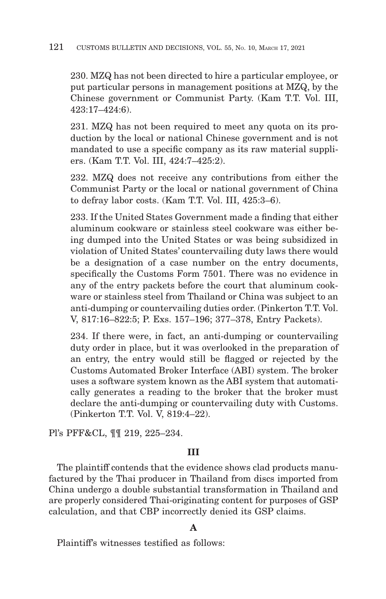230. MZQ has not been directed to hire a particular employee, or put particular persons in management positions at MZQ, by the Chinese government or Communist Party. (Kam T.T. Vol. III, 423:17–424:6).

231. MZQ has not been required to meet any quota on its production by the local or national Chinese government and is not mandated to use a specific company as its raw material suppliers. (Kam T.T. Vol. III, 424:7–425:2).

232. MZQ does not receive any contributions from either the Communist Party or the local or national government of China to defray labor costs. (Kam T.T. Vol. III, 425:3–6).

233. If the United States Government made a finding that either aluminum cookware or stainless steel cookware was either being dumped into the United States or was being subsidized in violation of United States' countervailing duty laws there would be a designation of a case number on the entry documents, specifically the Customs Form 7501. There was no evidence in any of the entry packets before the court that aluminum cookware or stainless steel from Thailand or China was subject to an anti-dumping or countervailing duties order. (Pinkerton T.T. Vol. V, 817:16–822:5; P. Exs. 157–196; 377–378, Entry Packets).

234. If there were, in fact, an anti-dumping or countervailing duty order in place, but it was overlooked in the preparation of an entry, the entry would still be flagged or rejected by the Customs Automated Broker Interface (ABI) system. The broker uses a software system known as the ABI system that automatically generates a reading to the broker that the broker must declare the anti-dumping or countervailing duty with Customs. (Pinkerton T.T. Vol. V, 819:4–22).

Pl's PFF&CL, ¶¶ 219, 225–234.

# **III**

The plaintiff contends that the evidence shows clad products manufactured by the Thai producer in Thailand from discs imported from China undergo a double substantial transformation in Thailand and are properly considered Thai-originating content for purposes of GSP calculation, and that CBP incorrectly denied its GSP claims.

# **A**

Plaintiff's witnesses testified as follows: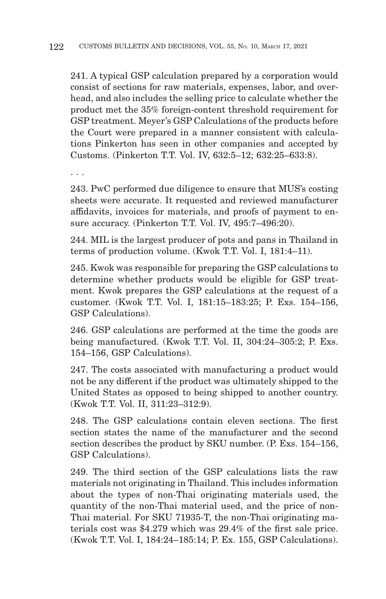241. A typical GSP calculation prepared by a corporation would consist of sections for raw materials, expenses, labor, and overhead, and also includes the selling price to calculate whether the product met the 35% foreign-content threshold requirement for GSP treatment. Meyer's GSP Calculations of the products before the Court were prepared in a manner consistent with calculations Pinkerton has seen in other companies and accepted by Customs. (Pinkerton T.T. Vol. IV, 632:5–12; 632:25–633:8).

. . .

243. PwC performed due diligence to ensure that MUS's costing sheets were accurate. It requested and reviewed manufacturer affidavits, invoices for materials, and proofs of payment to ensure accuracy. (Pinkerton T.T. Vol. IV, 495:7–496:20).

244. MIL is the largest producer of pots and pans in Thailand in terms of production volume. (Kwok T.T. Vol. I, 181:4–11).

245. Kwok was responsible for preparing the GSP calculations to determine whether products would be eligible for GSP treatment. Kwok prepares the GSP calculations at the request of a customer. (Kwok T.T. Vol. I, 181:15–183:25; P. Exs. 154–156, GSP Calculations).

246. GSP calculations are performed at the time the goods are being manufactured. (Kwok T.T. Vol. II, 304:24–305:2; P. Exs. 154–156, GSP Calculations).

247. The costs associated with manufacturing a product would not be any different if the product was ultimately shipped to the United States as opposed to being shipped to another country. (Kwok T.T. Vol. II, 311:23–312:9).

248. The GSP calculations contain eleven sections. The first section states the name of the manufacturer and the second section describes the product by SKU number. (P. Exs. 154–156, GSP Calculations).

249. The third section of the GSP calculations lists the raw materials not originating in Thailand. This includes information about the types of non-Thai originating materials used, the quantity of the non-Thai material used, and the price of non-Thai material. For SKU 71935-T, the non-Thai originating materials cost was \$4.279 which was 29.4% of the first sale price. (Kwok T.T. Vol. I, 184:24–185:14; P. Ex. 155, GSP Calculations).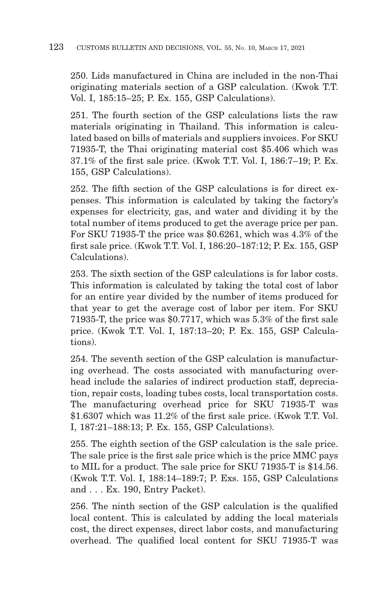250. Lids manufactured in China are included in the non-Thai originating materials section of a GSP calculation. (Kwok T.T. Vol. I, 185:15–25; P. Ex. 155, GSP Calculations).

251. The fourth section of the GSP calculations lists the raw materials originating in Thailand. This information is calculated based on bills of materials and suppliers invoices. For SKU 71935-T, the Thai originating material cost \$5.406 which was 37.1% of the first sale price. (Kwok T.T. Vol. I, 186:7–19; P. Ex. 155, GSP Calculations).

252. The fifth section of the GSP calculations is for direct expenses. This information is calculated by taking the factory's expenses for electricity, gas, and water and dividing it by the total number of items produced to get the average price per pan. For SKU 71935-T the price was \$0.6261, which was 4.3% of the first sale price. (Kwok T.T. Vol. I, 186:20–187:12; P. Ex. 155, GSP Calculations).

253. The sixth section of the GSP calculations is for labor costs. This information is calculated by taking the total cost of labor for an entire year divided by the number of items produced for that year to get the average cost of labor per item. For SKU 71935-T, the price was \$0.7717, which was 5.3% of the first sale price. (Kwok T.T. Vol. I, 187:13–20; P. Ex. 155, GSP Calculations).

254. The seventh section of the GSP calculation is manufacturing overhead. The costs associated with manufacturing overhead include the salaries of indirect production staff, depreciation, repair costs, loading tubes costs, local transportation costs. The manufacturing overhead price for SKU 71935-T was \$1.6307 which was 11.2% of the first sale price. (Kwok T.T. Vol. I, 187:21–188:13; P. Ex. 155, GSP Calculations).

255. The eighth section of the GSP calculation is the sale price. The sale price is the first sale price which is the price MMC pays to MIL for a product. The sale price for SKU 71935-T is \$14.56. (Kwok T.T. Vol. I, 188:14–189:7; P. Exs. 155, GSP Calculations and . . . Ex. 190, Entry Packet).

256. The ninth section of the GSP calculation is the qualified local content. This is calculated by adding the local materials cost, the direct expenses, direct labor costs, and manufacturing overhead. The qualified local content for SKU 71935-T was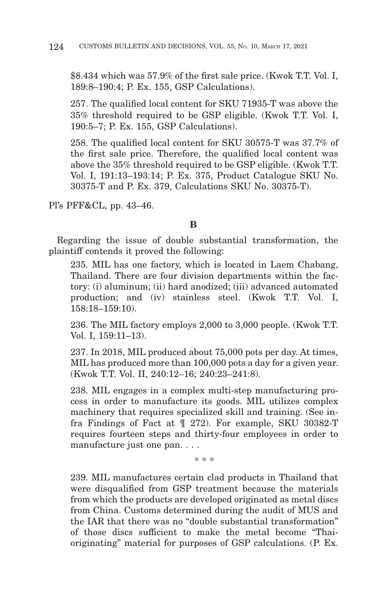\$8.434 which was 57.9% of the first sale price. (Kwok T.T. Vol. I, 189:8–190:4; P. Ex. 155, GSP Calculations).

257. The qualified local content for SKU 71935-T was above the 35% threshold required to be GSP eligible. (Kwok T.T. Vol. I, 190:5–7; P. Ex. 155, GSP Calculations).

258. The qualified local content for SKU 30575-T was 37.7% of the first sale price. Therefore, the qualified local content was above the 35% threshold required to be GSP eligible. (Kwok T.T. Vol. I, 191:13–193:14; P. Ex. 375, Product Catalogue SKU No. 30375-T and P. Ex. 379, Calculations SKU No. 30375-T).

Pl's PFF&CL, pp. 43–46.

### **B**

Regarding the issue of double substantial transformation, the plaintiff contends it proved the following:

235. MIL has one factory, which is located in Laem Chabang, Thailand. There are four division departments within the factory: (i) aluminum; (ii) hard anodized; (iii) advanced automated production; and (iv) stainless steel. (Kwok T.T. Vol. I, 158:18–159:10).

236. The MIL factory employs 2,000 to 3,000 people. (Kwok T.T. Vol. I, 159:11–13).

237. In 2018, MIL produced about 75,000 pots per day. At times, MIL has produced more than 100,000 pots a day for a given year. (Kwok T.T. Vol. II, 240:12–16; 240:23–241:8).

238. MIL engages in a complex multi-step manufacturing process in order to manufacture its goods. MIL utilizes complex machinery that requires specialized skill and training. (See infra Findings of Fact at ¶ 272). For example, SKU 30382-T requires fourteen steps and thirty-four employees in order to manufacture just one pan. . . .

\* \* \*

239. MIL manufactures certain clad products in Thailand that were disqualified from GSP treatment because the materials from which the products are developed originated as metal discs from China. Customs determined during the audit of MUS and the IAR that there was no "double substantial transformation" of those discs sufficient to make the metal become "Thaioriginating" material for purposes of GSP calculations. (P. Ex.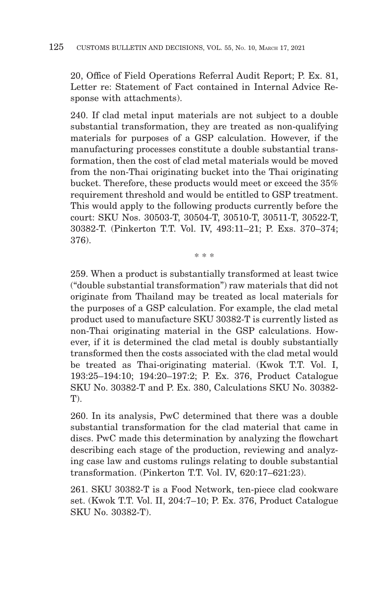20, Office of Field Operations Referral Audit Report; P. Ex. 81, Letter re: Statement of Fact contained in Internal Advice Response with attachments).

240. If clad metal input materials are not subject to a double substantial transformation, they are treated as non-qualifying materials for purposes of a GSP calculation. However, if the manufacturing processes constitute a double substantial transformation, then the cost of clad metal materials would be moved from the non-Thai originating bucket into the Thai originating bucket. Therefore, these products would meet or exceed the 35% requirement threshold and would be entitled to GSP treatment. This would apply to the following products currently before the court: SKU Nos. 30503-T, 30504-T, 30510-T, 30511-T, 30522-T, 30382-T. (Pinkerton T.T. Vol. IV, 493:11–21; P. Exs. 370–374; 376).

\* \* \*

259. When a product is substantially transformed at least twice ("double substantial transformation") raw materials that did not originate from Thailand may be treated as local materials for the purposes of a GSP calculation. For example, the clad metal product used to manufacture SKU 30382-T is currently listed as non-Thai originating material in the GSP calculations. However, if it is determined the clad metal is doubly substantially transformed then the costs associated with the clad metal would be treated as Thai-originating material. (Kwok T.T. Vol. I, 193:25–194:10; 194:20–197:2; P. Ex. 376, Product Catalogue SKU No. 30382-T and P. Ex. 380, Calculations SKU No. 30382- T).

260. In its analysis, PwC determined that there was a double substantial transformation for the clad material that came in discs. PwC made this determination by analyzing the flowchart describing each stage of the production, reviewing and analyzing case law and customs rulings relating to double substantial transformation. (Pinkerton T.T. Vol. IV, 620:17–621:23).

261. SKU 30382-T is a Food Network, ten-piece clad cookware set. (Kwok T.T. Vol. II, 204:7–10; P. Ex. 376, Product Catalogue SKU No. 30382-T).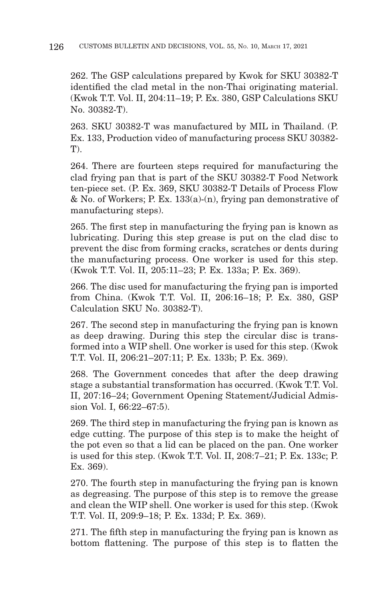262. The GSP calculations prepared by Kwok for SKU 30382-T identified the clad metal in the non-Thai originating material. (Kwok T.T. Vol. II, 204:11–19; P. Ex. 380, GSP Calculations SKU No. 30382-T).

263. SKU 30382-T was manufactured by MIL in Thailand. (P. Ex. 133, Production video of manufacturing process SKU 30382-  $T$ ).

264. There are fourteen steps required for manufacturing the clad frying pan that is part of the SKU 30382-T Food Network ten-piece set. (P. Ex. 369, SKU 30382-T Details of Process Flow & No. of Workers; P. Ex. 133(a)-(n), frying pan demonstrative of manufacturing steps).

265. The first step in manufacturing the frying pan is known as lubricating. During this step grease is put on the clad disc to prevent the disc from forming cracks, scratches or dents during the manufacturing process. One worker is used for this step. (Kwok T.T. Vol. II, 205:11–23; P. Ex. 133a; P. Ex. 369).

266. The disc used for manufacturing the frying pan is imported from China. (Kwok T.T. Vol. II, 206:16–18; P. Ex. 380, GSP Calculation SKU No. 30382-T).

267. The second step in manufacturing the frying pan is known as deep drawing. During this step the circular disc is transformed into a WIP shell. One worker is used for this step. (Kwok T.T. Vol. II, 206:21–207:11; P. Ex. 133b; P. Ex. 369).

268. The Government concedes that after the deep drawing stage a substantial transformation has occurred. (Kwok T.T. Vol. II, 207:16–24; Government Opening Statement/Judicial Admission Vol. I, 66:22–67:5).

269. The third step in manufacturing the frying pan is known as edge cutting. The purpose of this step is to make the height of the pot even so that a lid can be placed on the pan. One worker is used for this step. (Kwok T.T. Vol. II, 208:7–21; P. Ex. 133c; P. Ex. 369).

270. The fourth step in manufacturing the frying pan is known as degreasing. The purpose of this step is to remove the grease and clean the WIP shell. One worker is used for this step. (Kwok T.T. Vol. II, 209:9–18; P. Ex. 133d; P. Ex. 369).

271. The fifth step in manufacturing the frying pan is known as bottom flattening. The purpose of this step is to flatten the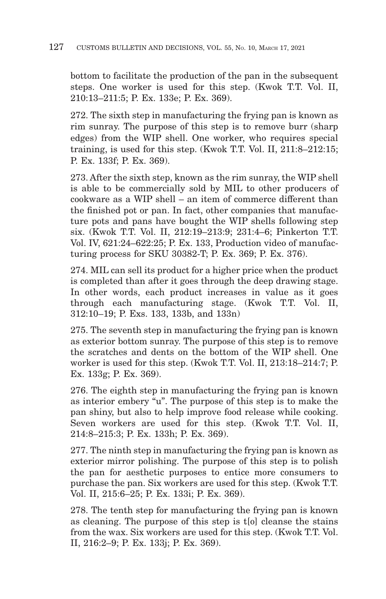bottom to facilitate the production of the pan in the subsequent steps. One worker is used for this step. (Kwok T.T. Vol. II, 210:13–211:5; P. Ex. 133e; P. Ex. 369).

272. The sixth step in manufacturing the frying pan is known as rim sunray. The purpose of this step is to remove burr (sharp edges) from the WIP shell. One worker, who requires special training, is used for this step. (Kwok T.T. Vol. II, 211:8–212:15; P. Ex. 133f; P. Ex. 369).

273. After the sixth step, known as the rim sunray, the WIP shell is able to be commercially sold by MIL to other producers of cookware as a WIP shell – an item of commerce different than the finished pot or pan. In fact, other companies that manufacture pots and pans have bought the WIP shells following step six. (Kwok T.T. Vol. II, 212:19–213:9; 231:4–6; Pinkerton T.T. Vol. IV, 621:24–622:25; P. Ex. 133, Production video of manufacturing process for SKU 30382-T; P. Ex. 369; P. Ex. 376).

274. MIL can sell its product for a higher price when the product is completed than after it goes through the deep drawing stage. In other words, each product increases in value as it goes through each manufacturing stage. (Kwok T.T. Vol. II, 312:10–19; P. Exs. 133, 133b, and 133n)

275. The seventh step in manufacturing the frying pan is known as exterior bottom sunray. The purpose of this step is to remove the scratches and dents on the bottom of the WIP shell. One worker is used for this step. (Kwok T.T. Vol. II, 213:18–214:7; P. Ex. 133g; P. Ex. 369).

276. The eighth step in manufacturing the frying pan is known as interior embery "u". The purpose of this step is to make the pan shiny, but also to help improve food release while cooking. Seven workers are used for this step. (Kwok T.T. Vol. II, 214:8–215:3; P. Ex. 133h; P. Ex. 369).

277. The ninth step in manufacturing the frying pan is known as exterior mirror polishing. The purpose of this step is to polish the pan for aesthetic purposes to entice more consumers to purchase the pan. Six workers are used for this step. (Kwok T.T. Vol. II, 215:6–25; P. Ex. 133i; P. Ex. 369).

278. The tenth step for manufacturing the frying pan is known as cleaning. The purpose of this step is t[o] cleanse the stains from the wax. Six workers are used for this step. (Kwok T.T. Vol. II, 216:2–9; P. Ex. 133j; P. Ex. 369).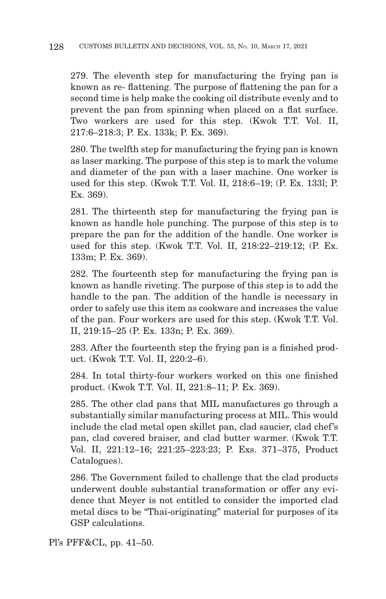279. The eleventh step for manufacturing the frying pan is known as re- flattening. The purpose of flattening the pan for a second time is help make the cooking oil distribute evenly and to prevent the pan from spinning when placed on a flat surface. Two workers are used for this step. (Kwok T.T. Vol. II, 217:6–218:3; P. Ex. 133k; P. Ex. 369).

280. The twelfth step for manufacturing the frying pan is known as laser marking. The purpose of this step is to mark the volume and diameter of the pan with a laser machine. One worker is used for this step. (Kwok T.T. Vol. II, 218:6–19; (P. Ex. 133l; P. Ex. 369).

281. The thirteenth step for manufacturing the frying pan is known as handle hole punching. The purpose of this step is to prepare the pan for the addition of the handle. One worker is used for this step. (Kwok T.T. Vol. II, 218:22–219:12; (P. Ex. 133m; P. Ex. 369).

282. The fourteenth step for manufacturing the frying pan is known as handle riveting. The purpose of this step is to add the handle to the pan. The addition of the handle is necessary in order to safely use this item as cookware and increases the value of the pan. Four workers are used for this step. (Kwok T.T. Vol. II, 219:15–25 (P. Ex. 133n; P. Ex. 369).

283. After the fourteenth step the frying pan is a finished product. (Kwok T.T. Vol. II, 220:2–6).

284. In total thirty-four workers worked on this one finished product. (Kwok T.T. Vol. II, 221:8–11; P. Ex. 369).

285. The other clad pans that MIL manufactures go through a substantially similar manufacturing process at MIL. This would include the clad metal open skillet pan, clad saucier, clad chef's pan, clad covered braiser, and clad butter warmer. (Kwok T.T. Vol. II, 221:12–16; 221:25–223:23; P. Exs. 371–375, Product Catalogues).

286. The Government failed to challenge that the clad products underwent double substantial transformation or offer any evidence that Meyer is not entitled to consider the imported clad metal discs to be "Thai-originating" material for purposes of its GSP calculations.

Pl's PFF&CL, pp. 41–50.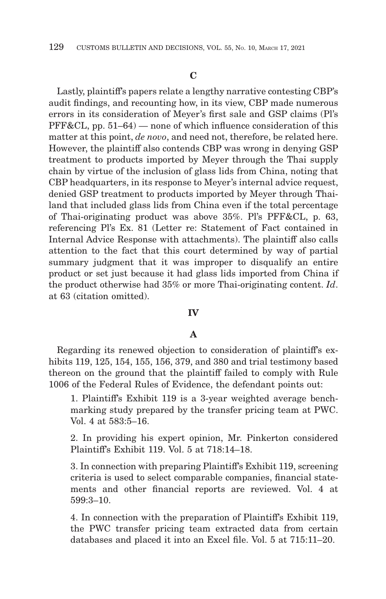## **C**

Lastly, plaintiff's papers relate a lengthy narrative contesting CBP's audit findings, and recounting how, in its view, CBP made numerous errors in its consideration of Meyer's first sale and GSP claims (Pl's  $PFF\&CL$ , pp.  $51-64$ ) — none of which influence consideration of this matter at this point, *de novo*, and need not, therefore, be related here. However, the plaintiff also contends CBP was wrong in denying GSP treatment to products imported by Meyer through the Thai supply chain by virtue of the inclusion of glass lids from China, noting that CBP headquarters, in its response to Meyer's internal advice request, denied GSP treatment to products imported by Meyer through Thailand that included glass lids from China even if the total percentage of Thai-originating product was above 35%. Pl's PFF&CL, p. 63, referencing Pl's Ex. 81 (Letter re: Statement of Fact contained in Internal Advice Response with attachments). The plaintiff also calls attention to the fact that this court determined by way of partial summary judgment that it was improper to disqualify an entire product or set just because it had glass lids imported from China if the product otherwise had 35% or more Thai-originating content. *Id*. at 63 (citation omitted).

#### **IV**

# **A**

Regarding its renewed objection to consideration of plaintiff's exhibits 119, 125, 154, 155, 156, 379, and 380 and trial testimony based thereon on the ground that the plaintiff failed to comply with Rule 1006 of the Federal Rules of Evidence, the defendant points out:

1. Plaintiff's Exhibit 119 is a 3-year weighted average benchmarking study prepared by the transfer pricing team at PWC. Vol. 4 at 583:5–16.

2. In providing his expert opinion, Mr. Pinkerton considered Plaintiff's Exhibit 119. Vol. 5 at 718:14–18.

3. In connection with preparing Plaintiff's Exhibit 119, screening criteria is used to select comparable companies, financial statements and other financial reports are reviewed. Vol. 4 at 599:3–10.

4. In connection with the preparation of Plaintiff's Exhibit 119, the PWC transfer pricing team extracted data from certain databases and placed it into an Excel file. Vol. 5 at 715:11–20.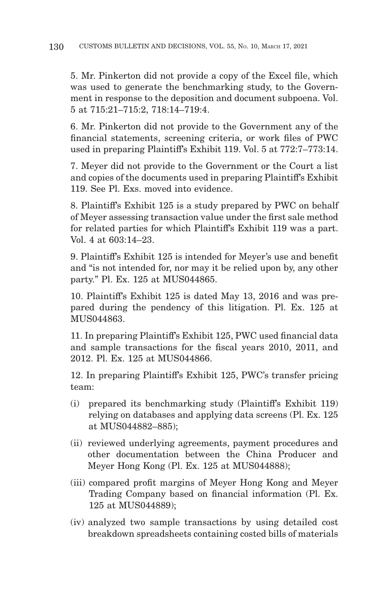5. Mr. Pinkerton did not provide a copy of the Excel file, which was used to generate the benchmarking study, to the Government in response to the deposition and document subpoena. Vol. 5 at 715:21–715:2, 718:14–719:4.

6. Mr. Pinkerton did not provide to the Government any of the financial statements, screening criteria, or work files of PWC used in preparing Plaintiff's Exhibit 119. Vol. 5 at 772:7–773:14.

7. Meyer did not provide to the Government or the Court a list and copies of the documents used in preparing Plaintiff's Exhibit 119. See Pl. Exs. moved into evidence.

8. Plaintiff's Exhibit 125 is a study prepared by PWC on behalf of Meyer assessing transaction value under the first sale method for related parties for which Plaintiff's Exhibit 119 was a part. Vol. 4 at 603:14–23.

9. Plaintiff's Exhibit 125 is intended for Meyer's use and benefit and "is not intended for, nor may it be relied upon by, any other party." Pl. Ex. 125 at MUS044865.

10. Plaintiff's Exhibit 125 is dated May 13, 2016 and was prepared during the pendency of this litigation. Pl. Ex. 125 at MUS044863.

11. In preparing Plaintiff's Exhibit 125, PWC used financial data and sample transactions for the fiscal years 2010, 2011, and 2012. Pl. Ex. 125 at MUS044866.

12. In preparing Plaintiff's Exhibit 125, PWC's transfer pricing team:

- (i) prepared its benchmarking study (Plaintiff's Exhibit 119) relying on databases and applying data screens (Pl. Ex. 125 at MUS044882–885);
- (ii) reviewed underlying agreements, payment procedures and other documentation between the China Producer and Meyer Hong Kong (Pl. Ex. 125 at MUS044888);
- (iii) compared profit margins of Meyer Hong Kong and Meyer Trading Company based on financial information (Pl. Ex. 125 at MUS044889);
- (iv) analyzed two sample transactions by using detailed cost breakdown spreadsheets containing costed bills of materials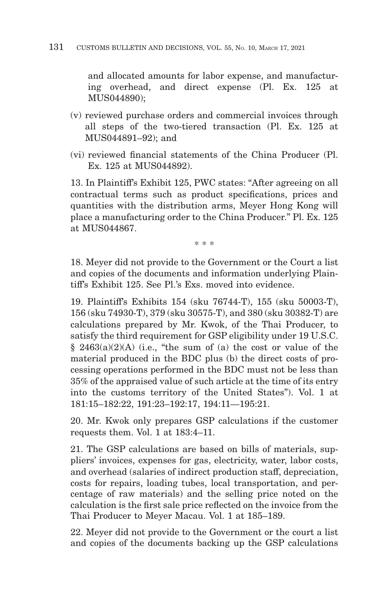and allocated amounts for labor expense, and manufacturing overhead, and direct expense (Pl. Ex. 125 at MUS044890);

- (v) reviewed purchase orders and commercial invoices through all steps of the two-tiered transaction (Pl. Ex. 125 at MUS044891–92); and
- (vi) reviewed financial statements of the China Producer (Pl. Ex. 125 at MUS044892).

13. In Plaintiff's Exhibit 125, PWC states: "After agreeing on all contractual terms such as product specifications, prices and quantities with the distribution arms, Meyer Hong Kong will place a manufacturing order to the China Producer." Pl. Ex. 125 at MUS044867.

\* \* \*

18. Meyer did not provide to the Government or the Court a list and copies of the documents and information underlying Plaintiff's Exhibit 125. See Pl.'s Exs. moved into evidence.

19. Plaintiff's Exhibits 154 (sku 76744-T), 155 (sku 50003-T), 156 (sku 74930-T), 379 (sku 30575-T), and 380 (sku 30382-T) are calculations prepared by Mr. Kwok, of the Thai Producer, to satisfy the third requirement for GSP eligibility under 19 U.S.C.  $§$  2463(a)(2)(A) (i.e., "the sum of (a) the cost or value of the material produced in the BDC plus (b) the direct costs of processing operations performed in the BDC must not be less than 35% of the appraised value of such article at the time of its entry into the customs territory of the United States"). Vol. 1 at 181:15–182:22, 191:23–192:17, 194:11—195:21.

20. Mr. Kwok only prepares GSP calculations if the customer requests them. Vol. 1 at 183:4–11.

21. The GSP calculations are based on bills of materials, suppliers' invoices, expenses for gas, electricity, water, labor costs, and overhead (salaries of indirect production staff, depreciation, costs for repairs, loading tubes, local transportation, and percentage of raw materials) and the selling price noted on the calculation is the first sale price reflected on the invoice from the Thai Producer to Meyer Macau. Vol. 1 at 185–189.

22. Meyer did not provide to the Government or the court a list and copies of the documents backing up the GSP calculations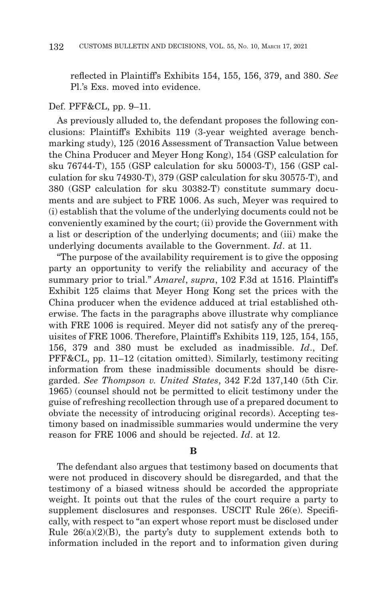reflected in Plaintiff's Exhibits 154, 155, 156, 379, and 380. *See* Pl.'s Exs. moved into evidence.

#### Def. PFF&CL, pp. 9–11.

As previously alluded to, the defendant proposes the following conclusions: Plaintiff's Exhibits 119 (3-year weighted average benchmarking study), 125 (2016 Assessment of Transaction Value between the China Producer and Meyer Hong Kong), 154 (GSP calculation for sku 76744-T), 155 (GSP calculation for sku 50003-T), 156 (GSP calculation for sku 74930-T), 379 (GSP calculation for sku 30575-T), and 380 (GSP calculation for sku 30382-T) constitute summary documents and are subject to FRE 1006. As such, Meyer was required to (i) establish that the volume of the underlying documents could not be conveniently examined by the court; (ii) provide the Government with a list or description of the underlying documents; and (iii) make the underlying documents available to the Government. *Id*. at 11.

"The purpose of the availability requirement is to give the opposing party an opportunity to verify the reliability and accuracy of the summary prior to trial." *Amarel*, *supra*, 102 F.3d at 1516. Plaintiff's Exhibit 125 claims that Meyer Hong Kong set the prices with the China producer when the evidence adduced at trial established otherwise. The facts in the paragraphs above illustrate why compliance with FRE 1006 is required. Meyer did not satisfy any of the prerequisites of FRE 1006. Therefore, Plaintiff's Exhibits 119, 125, 154, 155, 156, 379 and 380 must be excluded as inadmissible. *Id*., Def. PFF&CL, pp. 11–12 (citation omitted). Similarly, testimony reciting information from these inadmissible documents should be disregarded. *See Thompson v. United States*, 342 F.2d 137,140 (5th Cir. 1965) (counsel should not be permitted to elicit testimony under the guise of refreshing recollection through use of a prepared document to obviate the necessity of introducing original records). Accepting testimony based on inadmissible summaries would undermine the very reason for FRE 1006 and should be rejected. *Id*. at 12.

#### **B**

The defendant also argues that testimony based on documents that were not produced in discovery should be disregarded, and that the testimony of a biased witness should be accorded the appropriate weight. It points out that the rules of the court require a party to supplement disclosures and responses. USCIT Rule 26(e). Specifically, with respect to "an expert whose report must be disclosed under Rule  $26(a)(2)(B)$ , the party's duty to supplement extends both to information included in the report and to information given during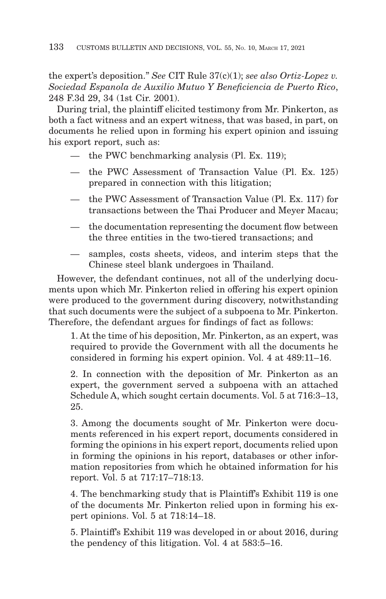the expert's deposition." *See* CIT Rule 37(c)(1); *see also Ortiz-Lopez v. Sociedad Espanola de Auxilio Mutuo Y Beneficiencia de Puerto Rico*, 248 F.3d 29, 34 (1st Cir. 2001).

During trial, the plaintiff elicited testimony from Mr. Pinkerton, as both a fact witness and an expert witness, that was based, in part, on documents he relied upon in forming his expert opinion and issuing his export report, such as:

- the PWC benchmarking analysis (Pl. Ex. 119);
- the PWC Assessment of Transaction Value (Pl. Ex. 125) prepared in connection with this litigation;
- the PWC Assessment of Transaction Value (Pl. Ex. 117) for transactions between the Thai Producer and Meyer Macau;
- the documentation representing the document flow between the three entities in the two-tiered transactions; and
- samples, costs sheets, videos, and interim steps that the Chinese steel blank undergoes in Thailand.

However, the defendant continues, not all of the underlying documents upon which Mr. Pinkerton relied in offering his expert opinion were produced to the government during discovery, notwithstanding that such documents were the subject of a subpoena to Mr. Pinkerton. Therefore, the defendant argues for findings of fact as follows:

1. At the time of his deposition, Mr. Pinkerton, as an expert, was required to provide the Government with all the documents he considered in forming his expert opinion. Vol. 4 at 489:11–16.

2. In connection with the deposition of Mr. Pinkerton as an expert, the government served a subpoena with an attached Schedule A, which sought certain documents. Vol. 5 at 716:3–13, 25.

3. Among the documents sought of Mr. Pinkerton were documents referenced in his expert report, documents considered in forming the opinions in his expert report, documents relied upon in forming the opinions in his report, databases or other information repositories from which he obtained information for his report. Vol. 5 at 717:17–718:13.

4. The benchmarking study that is Plaintiff's Exhibit 119 is one of the documents Mr. Pinkerton relied upon in forming his expert opinions. Vol. 5 at 718:14–18.

5. Plaintiff's Exhibit 119 was developed in or about 2016, during the pendency of this litigation. Vol. 4 at 583:5–16.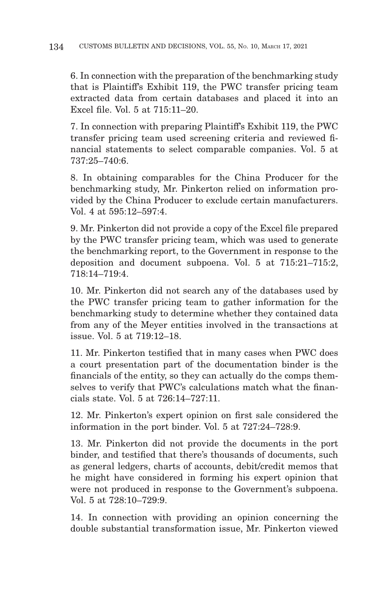6. In connection with the preparation of the benchmarking study that is Plaintiff's Exhibit 119, the PWC transfer pricing team extracted data from certain databases and placed it into an Excel file. Vol. 5 at 715:11–20.

7. In connection with preparing Plaintiff's Exhibit 119, the PWC transfer pricing team used screening criteria and reviewed financial statements to select comparable companies. Vol. 5 at 737:25–740:6.

8. In obtaining comparables for the China Producer for the benchmarking study, Mr. Pinkerton relied on information provided by the China Producer to exclude certain manufacturers. Vol. 4 at 595:12–597:4.

9. Mr. Pinkerton did not provide a copy of the Excel file prepared by the PWC transfer pricing team, which was used to generate the benchmarking report, to the Government in response to the deposition and document subpoena. Vol. 5 at 715:21–715:2, 718:14–719:4.

10. Mr. Pinkerton did not search any of the databases used by the PWC transfer pricing team to gather information for the benchmarking study to determine whether they contained data from any of the Meyer entities involved in the transactions at issue. Vol. 5 at 719:12–18.

11. Mr. Pinkerton testified that in many cases when PWC does a court presentation part of the documentation binder is the financials of the entity, so they can actually do the comps themselves to verify that PWC's calculations match what the financials state. Vol. 5 at 726:14–727:11.

12. Mr. Pinkerton's expert opinion on first sale considered the information in the port binder. Vol. 5 at 727:24–728:9.

13. Mr. Pinkerton did not provide the documents in the port binder, and testified that there's thousands of documents, such as general ledgers, charts of accounts, debit/credit memos that he might have considered in forming his expert opinion that were not produced in response to the Government's subpoena. Vol. 5 at 728:10–729:9.

14. In connection with providing an opinion concerning the double substantial transformation issue, Mr. Pinkerton viewed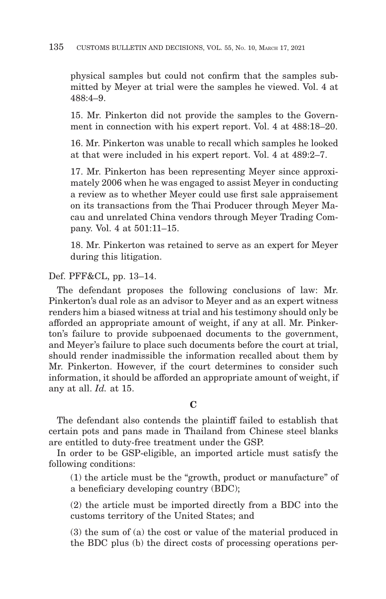physical samples but could not confirm that the samples submitted by Meyer at trial were the samples he viewed. Vol. 4 at 488:4–9.

15. Mr. Pinkerton did not provide the samples to the Government in connection with his expert report. Vol. 4 at 488:18–20.

16. Mr. Pinkerton was unable to recall which samples he looked at that were included in his expert report. Vol. 4 at 489:2–7.

17. Mr. Pinkerton has been representing Meyer since approximately 2006 when he was engaged to assist Meyer in conducting a review as to whether Meyer could use first sale appraisement on its transactions from the Thai Producer through Meyer Macau and unrelated China vendors through Meyer Trading Company. Vol. 4 at 501:11–15.

18. Mr. Pinkerton was retained to serve as an expert for Meyer during this litigation.

Def. PFF&CL, pp. 13–14.

The defendant proposes the following conclusions of law: Mr. Pinkerton's dual role as an advisor to Meyer and as an expert witness renders him a biased witness at trial and his testimony should only be afforded an appropriate amount of weight, if any at all. Mr. Pinkerton's failure to provide subpoenaed documents to the government, and Meyer's failure to place such documents before the court at trial, should render inadmissible the information recalled about them by Mr. Pinkerton. However, if the court determines to consider such information, it should be afforded an appropriate amount of weight, if any at all. *Id.* at 15.

**C**

The defendant also contends the plaintiff failed to establish that certain pots and pans made in Thailand from Chinese steel blanks are entitled to duty-free treatment under the GSP.

In order to be GSP-eligible, an imported article must satisfy the following conditions:

(1) the article must be the "growth, product or manufacture" of a beneficiary developing country (BDC);

(2) the article must be imported directly from a BDC into the customs territory of the United States; and

(3) the sum of (a) the cost or value of the material produced in the BDC plus (b) the direct costs of processing operations per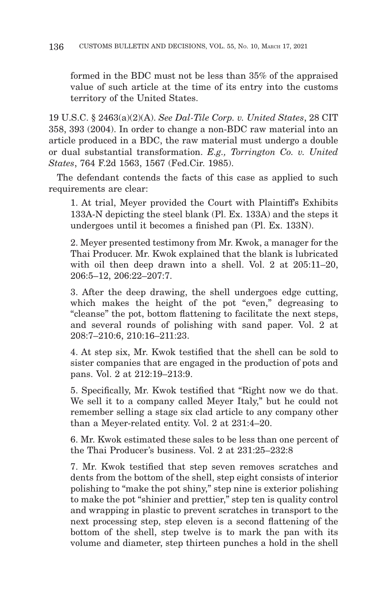formed in the BDC must not be less than 35% of the appraised value of such article at the time of its entry into the customs territory of the United States.

19 U.S.C. § 2463(a)(2)(A). *See Dal-Tile Corp. v. United States*, 28 CIT 358, 393 (2004). In order to change a non-BDC raw material into an article produced in a BDC, the raw material must undergo a double or dual substantial transformation. *E.g., Torrington Co. v. United States*, 764 F.2d 1563, 1567 (Fed.Cir. 1985).

The defendant contends the facts of this case as applied to such requirements are clear:

1. At trial, Meyer provided the Court with Plaintiff's Exhibits 133A-N depicting the steel blank (Pl. Ex. 133A) and the steps it undergoes until it becomes a finished pan (Pl. Ex. 133N).

2. Meyer presented testimony from Mr. Kwok, a manager for the Thai Producer. Mr. Kwok explained that the blank is lubricated with oil then deep drawn into a shell. Vol. 2 at 205:11-20, 206:5–12, 206:22–207:7.

3. After the deep drawing, the shell undergoes edge cutting, which makes the height of the pot "even," degreasing to "cleanse" the pot, bottom flattening to facilitate the next steps, and several rounds of polishing with sand paper. Vol. 2 at 208:7–210:6, 210:16–211:23.

4. At step six, Mr. Kwok testified that the shell can be sold to sister companies that are engaged in the production of pots and pans. Vol. 2 at 212:19–213:9.

5. Specifically, Mr. Kwok testified that "Right now we do that. We sell it to a company called Meyer Italy," but he could not remember selling a stage six clad article to any company other than a Meyer-related entity. Vol. 2 at 231:4–20.

6. Mr. Kwok estimated these sales to be less than one percent of the Thai Producer's business. Vol. 2 at 231:25–232:8

7. Mr. Kwok testified that step seven removes scratches and dents from the bottom of the shell, step eight consists of interior polishing to "make the pot shiny," step nine is exterior polishing to make the pot "shinier and prettier," step ten is quality control and wrapping in plastic to prevent scratches in transport to the next processing step, step eleven is a second flattening of the bottom of the shell, step twelve is to mark the pan with its volume and diameter, step thirteen punches a hold in the shell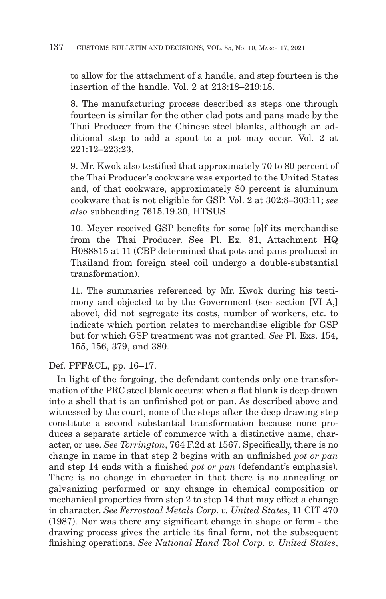to allow for the attachment of a handle, and step fourteen is the insertion of the handle. Vol. 2 at 213:18–219:18.

8. The manufacturing process described as steps one through fourteen is similar for the other clad pots and pans made by the Thai Producer from the Chinese steel blanks, although an additional step to add a spout to a pot may occur. Vol. 2 at 221:12–223:23.

9. Mr. Kwok also testified that approximately 70 to 80 percent of the Thai Producer's cookware was exported to the United States and, of that cookware, approximately 80 percent is aluminum cookware that is not eligible for GSP. Vol. 2 at 302:8–303:11; *see also* subheading 7615.19.30, HTSUS.

10. Meyer received GSP benefits for some [o]f its merchandise from the Thai Producer. See Pl. Ex. 81, Attachment HQ H088815 at 11 (CBP determined that pots and pans produced in Thailand from foreign steel coil undergo a double-substantial transformation).

11. The summaries referenced by Mr. Kwok during his testimony and objected to by the Government (see section [VI A,] above), did not segregate its costs, number of workers, etc. to indicate which portion relates to merchandise eligible for GSP but for which GSP treatment was not granted. *See* Pl. Exs. 154, 155, 156, 379, and 380.

Def. PFF&CL, pp. 16–17.

In light of the forgoing, the defendant contends only one transformation of the PRC steel blank occurs: when a flat blank is deep drawn into a shell that is an unfinished pot or pan. As described above and witnessed by the court, none of the steps after the deep drawing step constitute a second substantial transformation because none produces a separate article of commerce with a distinctive name, character, or use. *See Torrington*, 764 F.2d at 1567. Specifically, there is no change in name in that step 2 begins with an unfinished *pot or pan* and step 14 ends with a finished *pot or pan* (defendant's emphasis). There is no change in character in that there is no annealing or galvanizing performed or any change in chemical composition or mechanical properties from step 2 to step 14 that may effect a change in character. *See Ferrostaal Metals Corp. v. United States*, 11 CIT 470 (1987). Nor was there any significant change in shape or form - the drawing process gives the article its final form, not the subsequent finishing operations. *See National Hand Tool Corp. v. United States*,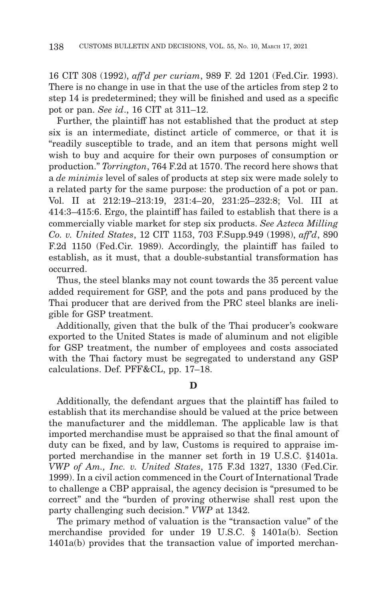16 CIT 308 (1992), *aff'd per curiam*, 989 F. 2d 1201 (Fed.Cir. 1993). There is no change in use in that the use of the articles from step 2 to step 14 is predetermined; they will be finished and used as a specific pot or pan. *See id*., 16 CIT at 311–12.

Further, the plaintiff has not established that the product at step six is an intermediate, distinct article of commerce, or that it is "readily susceptible to trade, and an item that persons might well wish to buy and acquire for their own purposes of consumption or production." *Torrington*, 764 F.2d at 1570. The record here shows that a *de minimis* level of sales of products at step six were made solely to a related party for the same purpose: the production of a pot or pan. Vol. II at 212:19–213:19, 231:4–20, 231:25–232:8; Vol. III at 414:3–415:6. Ergo, the plaintiff has failed to establish that there is a commercially viable market for step six products. *See Azteca Milling Co. v. United States*, 12 CIT 1153, 703 F.Supp.949 (1998), *aff'd*, 890 F.2d 1150 (Fed.Cir. 1989). Accordingly, the plaintiff has failed to establish, as it must, that a double-substantial transformation has occurred.

Thus, the steel blanks may not count towards the 35 percent value added requirement for GSP, and the pots and pans produced by the Thai producer that are derived from the PRC steel blanks are ineligible for GSP treatment.

Additionally, given that the bulk of the Thai producer's cookware exported to the United States is made of aluminum and not eligible for GSP treatment, the number of employees and costs associated with the Thai factory must be segregated to understand any GSP calculations. Def. PFF&CL, pp. 17–18.

**D**

Additionally, the defendant argues that the plaintiff has failed to establish that its merchandise should be valued at the price between the manufacturer and the middleman. The applicable law is that imported merchandise must be appraised so that the final amount of duty can be fixed, and by law, Customs is required to appraise imported merchandise in the manner set forth in 19 U.S.C. §1401a. *VWP of Am., Inc. v. United States*, 175 F.3d 1327, 1330 (Fed.Cir. 1999). In a civil action commenced in the Court of International Trade to challenge a CBP appraisal, the agency decision is "presumed to be correct" and the "burden of proving otherwise shall rest upon the party challenging such decision." *VWP* at 1342.

The primary method of valuation is the "transaction value" of the merchandise provided for under 19 U.S.C. § 1401a(b). Section 1401a(b) provides that the transaction value of imported merchan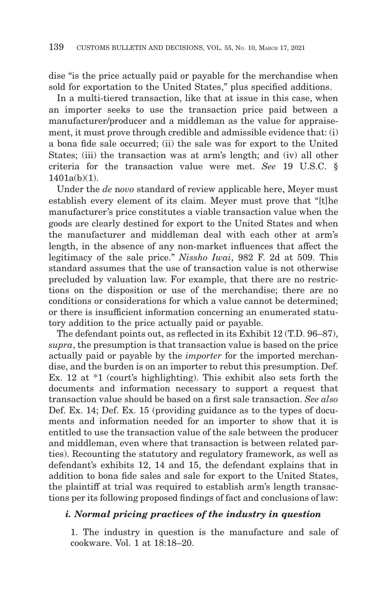dise "is the price actually paid or payable for the merchandise when sold for exportation to the United States," plus specified additions.

In a multi-tiered transaction, like that at issue in this case, when an importer seeks to use the transaction price paid between a manufacturer/producer and a middleman as the value for appraisement, it must prove through credible and admissible evidence that: (i) a bona fide sale occurred; (ii) the sale was for export to the United States; (iii) the transaction was at arm's length; and (iv) all other criteria for the transaction value were met. *See* 19 U.S.C. §  $1401a(h)(1)$ .

Under the *de* n*ovo* standard of review applicable here, Meyer must establish every element of its claim. Meyer must prove that "[t]he manufacturer's price constitutes a viable transaction value when the goods are clearly destined for export to the United States and when the manufacturer and middleman deal with each other at arm's length, in the absence of any non-market influences that affect the legitimacy of the sale price." *Nissho Iwai*, 982 F. 2d at 509. This standard assumes that the use of transaction value is not otherwise precluded by valuation law. For example, that there are no restrictions on the disposition or use of the merchandise; there are no conditions or considerations for which a value cannot be determined; or there is insufficient information concerning an enumerated statutory addition to the price actually paid or payable.

The defendant points out, as reflected in its Exhibit 12 (T.D. 96–87), *supra*, the presumption is that transaction value is based on the price actually paid or payable by the *importer* for the imported merchandise, and the burden is on an importer to rebut this presumption. Def. Ex. 12 at \*1 (court's highlighting). This exhibit also sets forth the documents and information necessary to support a request that transaction value should be based on a first sale transaction. *See also* Def. Ex. 14; Def. Ex. 15 (providing guidance as to the types of documents and information needed for an importer to show that it is entitled to use the transaction value of the sale between the producer and middleman, even where that transaction is between related parties). Recounting the statutory and regulatory framework, as well as defendant's exhibits 12, 14 and 15, the defendant explains that in addition to bona fide sales and sale for export to the United States, the plaintiff at trial was required to establish arm's length transactions per its following proposed findings of fact and conclusions of law:

# *i. Normal pricing practices of the industry in question*

1. The industry in question is the manufacture and sale of cookware. Vol. 1 at 18:18–20.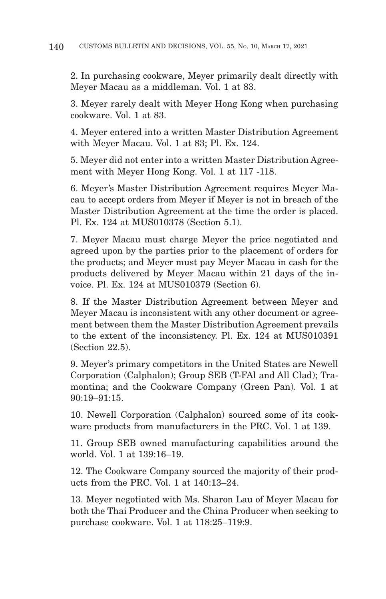2. In purchasing cookware, Meyer primarily dealt directly with Meyer Macau as a middleman. Vol. 1 at 83.

3. Meyer rarely dealt with Meyer Hong Kong when purchasing cookware. Vol. 1 at 83.

4. Meyer entered into a written Master Distribution Agreement with Meyer Macau. Vol. 1 at 83; Pl. Ex. 124.

5. Meyer did not enter into a written Master Distribution Agreement with Meyer Hong Kong. Vol. 1 at 117 -118.

6. Meyer's Master Distribution Agreement requires Meyer Macau to accept orders from Meyer if Meyer is not in breach of the Master Distribution Agreement at the time the order is placed. Pl. Ex. 124 at MUS010378 (Section 5.1).

7. Meyer Macau must charge Meyer the price negotiated and agreed upon by the parties prior to the placement of orders for the products; and Meyer must pay Meyer Macau in cash for the products delivered by Meyer Macau within 21 days of the invoice. Pl. Ex. 124 at MUS010379 (Section 6).

8. If the Master Distribution Agreement between Meyer and Meyer Macau is inconsistent with any other document or agreement between them the Master Distribution Agreement prevails to the extent of the inconsistency. Pl. Ex. 124 at MUS010391 (Section 22.5).

9. Meyer's primary competitors in the United States are Newell Corporation (Calphalon); Group SEB (T-FAl and All Clad); Tramontina; and the Cookware Company (Green Pan). Vol. 1 at 90:19–91:15.

10. Newell Corporation (Calphalon) sourced some of its cookware products from manufacturers in the PRC. Vol. 1 at 139.

11. Group SEB owned manufacturing capabilities around the world. Vol. 1 at 139:16–19.

12. The Cookware Company sourced the majority of their products from the PRC. Vol. 1 at 140:13–24.

13. Meyer negotiated with Ms. Sharon Lau of Meyer Macau for both the Thai Producer and the China Producer when seeking to purchase cookware. Vol. 1 at 118:25–119:9.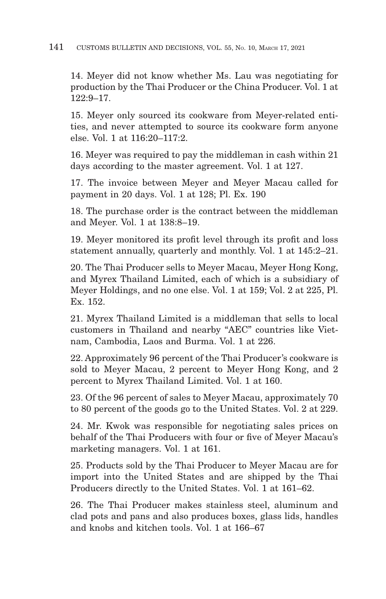## 141 CUSTOMS BULLETIN AND DECISIONS, VOL. 55, No. 10, MARCH 17, 2021

14. Meyer did not know whether Ms. Lau was negotiating for production by the Thai Producer or the China Producer. Vol. 1 at 122:9–17.

15. Meyer only sourced its cookware from Meyer-related entities, and never attempted to source its cookware form anyone else. Vol. 1 at 116:20–117:2.

16. Meyer was required to pay the middleman in cash within 21 days according to the master agreement. Vol. 1 at 127.

17. The invoice between Meyer and Meyer Macau called for payment in 20 days. Vol. 1 at 128; Pl. Ex. 190

18. The purchase order is the contract between the middleman and Meyer. Vol. 1 at 138:8–19.

19. Meyer monitored its profit level through its profit and loss statement annually, quarterly and monthly. Vol. 1 at 145:2–21.

20. The Thai Producer sells to Meyer Macau, Meyer Hong Kong, and Myrex Thailand Limited, each of which is a subsidiary of Meyer Holdings, and no one else. Vol. 1 at 159; Vol. 2 at 225, Pl. Ex. 152.

21. Myrex Thailand Limited is a middleman that sells to local customers in Thailand and nearby "AEC" countries like Vietnam, Cambodia, Laos and Burma. Vol. 1 at 226.

22. Approximately 96 percent of the Thai Producer's cookware is sold to Meyer Macau, 2 percent to Meyer Hong Kong, and 2 percent to Myrex Thailand Limited. Vol. 1 at 160.

23. Of the 96 percent of sales to Meyer Macau, approximately 70 to 80 percent of the goods go to the United States. Vol. 2 at 229.

24. Mr. Kwok was responsible for negotiating sales prices on behalf of the Thai Producers with four or five of Meyer Macau's marketing managers. Vol. 1 at 161.

25. Products sold by the Thai Producer to Meyer Macau are for import into the United States and are shipped by the Thai Producers directly to the United States. Vol. 1 at 161–62.

26. The Thai Producer makes stainless steel, aluminum and clad pots and pans and also produces boxes, glass lids, handles and knobs and kitchen tools. Vol. 1 at 166–67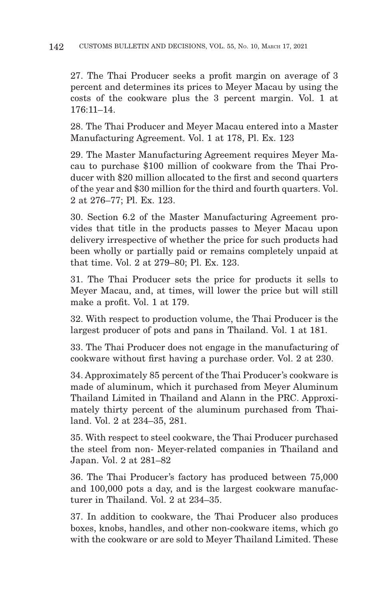27. The Thai Producer seeks a profit margin on average of 3 percent and determines its prices to Meyer Macau by using the costs of the cookware plus the 3 percent margin. Vol. 1 at 176:11–14.

28. The Thai Producer and Meyer Macau entered into a Master Manufacturing Agreement. Vol. 1 at 178, Pl. Ex. 123

29. The Master Manufacturing Agreement requires Meyer Macau to purchase \$100 million of cookware from the Thai Producer with \$20 million allocated to the first and second quarters of the year and \$30 million for the third and fourth quarters. Vol. 2 at 276–77; Pl. Ex. 123.

30. Section 6.2 of the Master Manufacturing Agreement provides that title in the products passes to Meyer Macau upon delivery irrespective of whether the price for such products had been wholly or partially paid or remains completely unpaid at that time. Vol. 2 at 279–80; Pl. Ex. 123.

31. The Thai Producer sets the price for products it sells to Meyer Macau, and, at times, will lower the price but will still make a profit. Vol. 1 at 179.

32. With respect to production volume, the Thai Producer is the largest producer of pots and pans in Thailand. Vol. 1 at 181.

33. The Thai Producer does not engage in the manufacturing of cookware without first having a purchase order. Vol. 2 at 230.

34. Approximately 85 percent of the Thai Producer's cookware is made of aluminum, which it purchased from Meyer Aluminum Thailand Limited in Thailand and Alann in the PRC. Approximately thirty percent of the aluminum purchased from Thailand. Vol. 2 at 234–35, 281.

35. With respect to steel cookware, the Thai Producer purchased the steel from non- Meyer-related companies in Thailand and Japan. Vol. 2 at 281–82

36. The Thai Producer's factory has produced between 75,000 and 100,000 pots a day, and is the largest cookware manufacturer in Thailand. Vol. 2 at 234–35.

37. In addition to cookware, the Thai Producer also produces boxes, knobs, handles, and other non-cookware items, which go with the cookware or are sold to Meyer Thailand Limited. These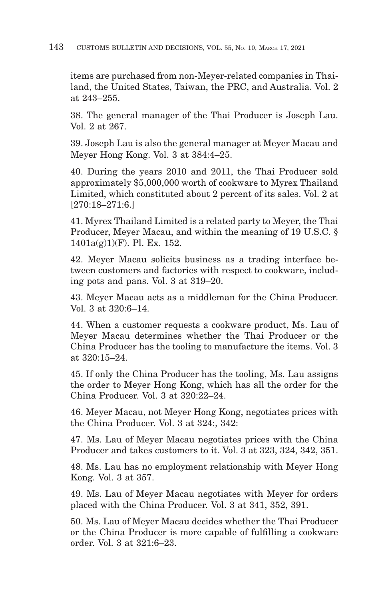items are purchased from non-Meyer-related companies in Thailand, the United States, Taiwan, the PRC, and Australia. Vol. 2 at 243–255.

38. The general manager of the Thai Producer is Joseph Lau. Vol. 2 at 267.

39. Joseph Lau is also the general manager at Meyer Macau and Meyer Hong Kong. Vol. 3 at 384:4–25.

40. During the years 2010 and 2011, the Thai Producer sold approximately \$5,000,000 worth of cookware to Myrex Thailand Limited, which constituted about 2 percent of its sales. Vol. 2 at [270:18–271:6.]

41. Myrex Thailand Limited is a related party to Meyer, the Thai Producer, Meyer Macau, and within the meaning of 19 U.S.C. § 1401a(g)1)(F). Pl. Ex. 152.

42. Meyer Macau solicits business as a trading interface between customers and factories with respect to cookware, including pots and pans. Vol. 3 at 319–20.

43. Meyer Macau acts as a middleman for the China Producer. Vol. 3 at 320:6–14.

44. When a customer requests a cookware product, Ms. Lau of Meyer Macau determines whether the Thai Producer or the China Producer has the tooling to manufacture the items. Vol. 3 at 320:15–24.

45. If only the China Producer has the tooling, Ms. Lau assigns the order to Meyer Hong Kong, which has all the order for the China Producer. Vol. 3 at 320:22–24.

46. Meyer Macau, not Meyer Hong Kong, negotiates prices with the China Producer. Vol. 3 at 324:, 342:

47. Ms. Lau of Meyer Macau negotiates prices with the China Producer and takes customers to it. Vol. 3 at 323, 324, 342, 351.

48. Ms. Lau has no employment relationship with Meyer Hong Kong. Vol. 3 at 357.

49. Ms. Lau of Meyer Macau negotiates with Meyer for orders placed with the China Producer. Vol. 3 at 341, 352, 391.

50. Ms. Lau of Meyer Macau decides whether the Thai Producer or the China Producer is more capable of fulfilling a cookware order. Vol. 3 at 321:6–23.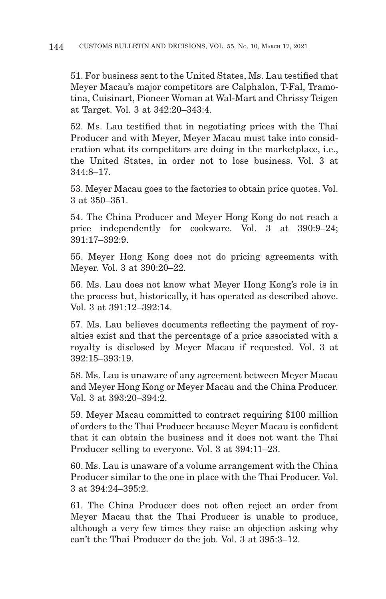51. For business sent to the United States, Ms. Lau testified that Meyer Macau's major competitors are Calphalon, T-Fal, Tramotina, Cuisinart, Pioneer Woman at Wal-Mart and Chrissy Teigen at Target. Vol. 3 at 342:20–343:4.

52. Ms. Lau testified that in negotiating prices with the Thai Producer and with Meyer, Meyer Macau must take into consideration what its competitors are doing in the marketplace, i.e., the United States, in order not to lose business. Vol. 3 at 344:8–17.

53. Meyer Macau goes to the factories to obtain price quotes. Vol. 3 at 350–351.

54. The China Producer and Meyer Hong Kong do not reach a price independently for cookware. Vol. 3 at 390:9–24; 391:17–392:9.

55. Meyer Hong Kong does not do pricing agreements with Meyer. Vol. 3 at 390:20–22.

56. Ms. Lau does not know what Meyer Hong Kong's role is in the process but, historically, it has operated as described above. Vol. 3 at 391:12–392:14.

57. Ms. Lau believes documents reflecting the payment of royalties exist and that the percentage of a price associated with a royalty is disclosed by Meyer Macau if requested. Vol. 3 at 392:15–393:19.

58. Ms. Lau is unaware of any agreement between Meyer Macau and Meyer Hong Kong or Meyer Macau and the China Producer. Vol. 3 at 393:20–394:2.

59. Meyer Macau committed to contract requiring \$100 million of orders to the Thai Producer because Meyer Macau is confident that it can obtain the business and it does not want the Thai Producer selling to everyone. Vol. 3 at 394:11–23.

60. Ms. Lau is unaware of a volume arrangement with the China Producer similar to the one in place with the Thai Producer. Vol. 3 at 394:24–395:2.

61. The China Producer does not often reject an order from Meyer Macau that the Thai Producer is unable to produce, although a very few times they raise an objection asking why can't the Thai Producer do the job. Vol. 3 at 395:3–12.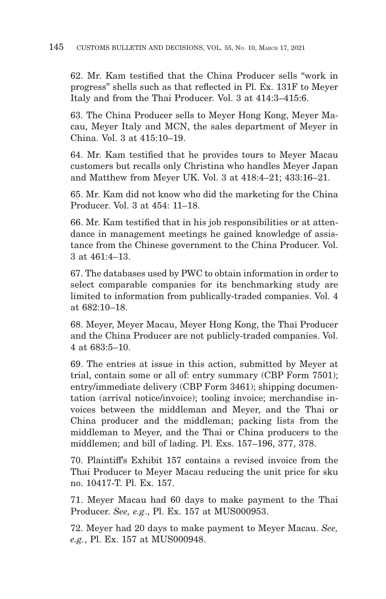62. Mr. Kam testified that the China Producer sells "work in progress" shells such as that reflected in Pl. Ex. 131F to Meyer Italy and from the Thai Producer. Vol. 3 at 414:3–415:6.

63. The China Producer sells to Meyer Hong Kong, Meyer Macau, Meyer Italy and MCN, the sales department of Meyer in China. Vol. 3 at 415:10–19.

64. Mr. Kam testified that he provides tours to Meyer Macau customers but recalls only Christina who handles Meyer Japan and Matthew from Meyer UK. Vol. 3 at 418:4–21; 433:16–21.

65. Mr. Kam did not know who did the marketing for the China Producer. Vol. 3 at 454: 11–18.

66. Mr. Kam testified that in his job responsibilities or at attendance in management meetings he gained knowledge of assistance from the Chinese government to the China Producer. Vol. 3 at 461:4–13.

67. The databases used by PWC to obtain information in order to select comparable companies for its benchmarking study are limited to information from publically-traded companies. Vol. 4 at 682:10–18.

68. Meyer, Meyer Macau, Meyer Hong Kong, the Thai Producer and the China Producer are not publicly-traded companies. Vol. 4 at 683:5–10.

69. The entries at issue in this action, submitted by Meyer at trial, contain some or all of: entry summary (CBP Form 7501); entry/immediate delivery (CBP Form 3461); shipping documentation (arrival notice/invoice); tooling invoice; merchandise invoices between the middleman and Meyer, and the Thai or China producer and the middleman; packing lists from the middleman to Meyer, and the Thai or China producers to the middlemen; and bill of lading. Pl. Exs. 157–196, 377, 378.

70. Plaintiff's Exhibit 157 contains a revised invoice from the Thai Producer to Meyer Macau reducing the unit price for sku no. 10417-T. Pl. Ex. 157.

71. Meyer Macau had 60 days to make payment to the Thai Producer. *See, e.g*., Pl. Ex. 157 at MUS000953.

72. Meyer had 20 days to make payment to Meyer Macau. *See, e.g.*, Pl. Ex. 157 at MUS000948.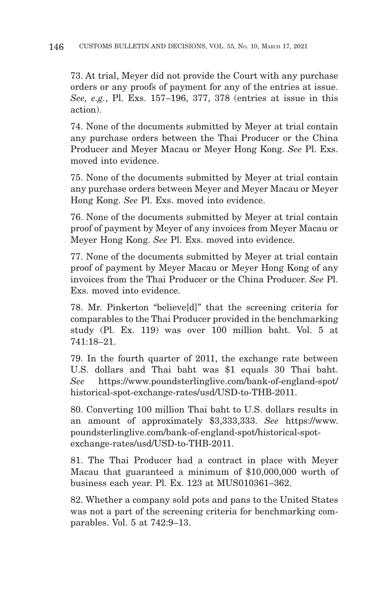73. At trial, Meyer did not provide the Court with any purchase orders or any proofs of payment for any of the entries at issue. *See, e.g.*, Pl. Exs. 157–196, 377, 378 (entries at issue in this action).

74. None of the documents submitted by Meyer at trial contain any purchase orders between the Thai Producer or the China Producer and Meyer Macau or Meyer Hong Kong. *See* Pl. Exs. moved into evidence.

75. None of the documents submitted by Meyer at trial contain any purchase orders between Meyer and Meyer Macau or Meyer Hong Kong. *See* Pl. Exs. moved into evidence.

76. None of the documents submitted by Meyer at trial contain proof of payment by Meyer of any invoices from Meyer Macau or Meyer Hong Kong. *See* Pl. Exs. moved into evidence.

77. None of the documents submitted by Meyer at trial contain proof of payment by Meyer Macau or Meyer Hong Kong of any invoices from the Thai Producer or the China Producer. *See* Pl. Exs. moved into evidence.

78. Mr. Pinkerton "believe[d]" that the screening criteria for comparables to the Thai Producer provided in the benchmarking study (Pl. Ex. 119) was over 100 million baht. Vol. 5 at 741:18–21.

79. In the fourth quarter of 2011, the exchange rate between U.S. dollars and Thai baht was \$1 equals 30 Thai baht. *See* https://www.poundsterlinglive.com/bank-of-england-spot/ historical-spot-exchange-rates/usd/USD-to-THB-2011.

80. Converting 100 million Thai baht to U.S. dollars results in an amount of approximately \$3,333,333. *See* https://www. poundsterlinglive.com/bank-of-england-spot/historical-spotexchange-rates/usd/USD-to-THB-2011.

81. The Thai Producer had a contract in place with Meyer Macau that guaranteed a minimum of \$10,000,000 worth of business each year. Pl. Ex. 123 at MUS010361–362.

82. Whether a company sold pots and pans to the United States was not a part of the screening criteria for benchmarking comparables. Vol. 5 at 742:9–13.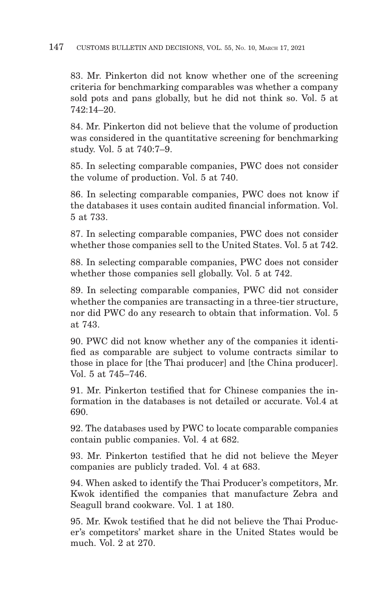#### 147 CUSTOMS BULLETIN AND DECISIONS, VOL. 55, No. 10, MARCH 17, 2021

83. Mr. Pinkerton did not know whether one of the screening criteria for benchmarking comparables was whether a company sold pots and pans globally, but he did not think so. Vol. 5 at 742:14–20.

84. Mr. Pinkerton did not believe that the volume of production was considered in the quantitative screening for benchmarking study. Vol. 5 at 740:7–9.

85. In selecting comparable companies, PWC does not consider the volume of production. Vol. 5 at 740.

86. In selecting comparable companies, PWC does not know if the databases it uses contain audited financial information. Vol. 5 at 733.

87. In selecting comparable companies, PWC does not consider whether those companies sell to the United States. Vol. 5 at 742.

88. In selecting comparable companies, PWC does not consider whether those companies sell globally. Vol. 5 at 742.

89. In selecting comparable companies, PWC did not consider whether the companies are transacting in a three-tier structure, nor did PWC do any research to obtain that information. Vol. 5 at 743.

90. PWC did not know whether any of the companies it identified as comparable are subject to volume contracts similar to those in place for [the Thai producer] and [the China producer]. Vol. 5 at 745–746.

91. Mr. Pinkerton testified that for Chinese companies the information in the databases is not detailed or accurate. Vol.4 at 690.

92. The databases used by PWC to locate comparable companies contain public companies. Vol. 4 at 682.

93. Mr. Pinkerton testified that he did not believe the Meyer companies are publicly traded. Vol. 4 at 683.

94. When asked to identify the Thai Producer's competitors, Mr. Kwok identified the companies that manufacture Zebra and Seagull brand cookware. Vol. 1 at 180.

95. Mr. Kwok testified that he did not believe the Thai Producer's competitors' market share in the United States would be much. Vol. 2 at 270.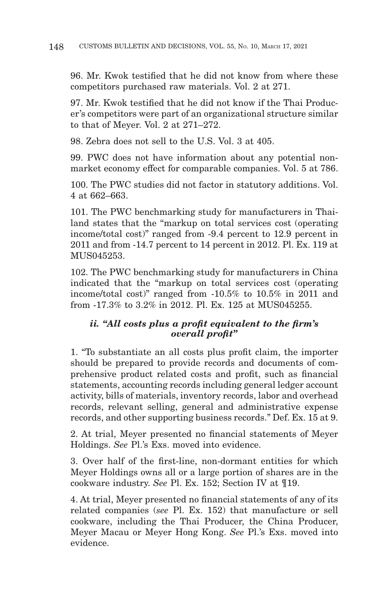96. Mr. Kwok testified that he did not know from where these competitors purchased raw materials. Vol. 2 at 271.

97. Mr. Kwok testified that he did not know if the Thai Producer's competitors were part of an organizational structure similar to that of Meyer. Vol. 2 at 271–272.

98. Zebra does not sell to the U.S. Vol. 3 at 405.

99. PWC does not have information about any potential nonmarket economy effect for comparable companies. Vol. 5 at 786.

100. The PWC studies did not factor in statutory additions. Vol. 4 at 662–663.

101. The PWC benchmarking study for manufacturers in Thailand states that the "markup on total services cost (operating income/total cost)" ranged from -9.4 percent to 12.9 percent in 2011 and from -14.7 percent to 14 percent in 2012. Pl. Ex. 119 at MUS045253.

102. The PWC benchmarking study for manufacturers in China indicated that the "markup on total services cost (operating income/total cost)" ranged from -10.5% to 10.5% in 2011 and from -17.3% to 3.2% in 2012. Pl. Ex. 125 at MUS045255.

## *ii. "All costs plus a profit equivalent to the firm's overall profit"*

1. "To substantiate an all costs plus profit claim, the importer should be prepared to provide records and documents of comprehensive product related costs and profit, such as financial statements, accounting records including general ledger account activity, bills of materials, inventory records, labor and overhead records, relevant selling, general and administrative expense records, and other supporting business records." Def. Ex. 15 at 9.

2. At trial, Meyer presented no financial statements of Meyer Holdings. *See* Pl.'s Exs. moved into evidence.

3. Over half of the first-line, non-dormant entities for which Meyer Holdings owns all or a large portion of shares are in the cookware industry. *See* Pl. Ex. 152; Section IV at ¶19.

4. At trial, Meyer presented no financial statements of any of its related companies (*see* Pl. Ex. 152) that manufacture or sell cookware, including the Thai Producer, the China Producer, Meyer Macau or Meyer Hong Kong. *See* Pl.'s Exs. moved into evidence.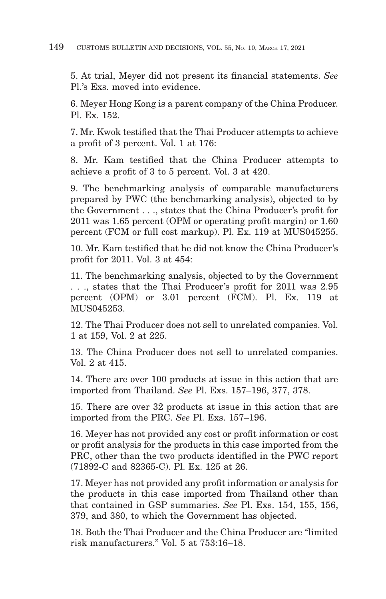5. At trial, Meyer did not present its financial statements. *See* Pl.'s Exs. moved into evidence.

6. Meyer Hong Kong is a parent company of the China Producer. Pl. Ex. 152.

7. Mr. Kwok testified that the Thai Producer attempts to achieve a profit of 3 percent. Vol. 1 at 176:

8. Mr. Kam testified that the China Producer attempts to achieve a profit of 3 to 5 percent. Vol. 3 at 420.

9. The benchmarking analysis of comparable manufacturers prepared by PWC (the benchmarking analysis), objected to by the Government . . ., states that the China Producer's profit for 2011 was 1.65 percent (OPM or operating profit margin) or 1.60 percent (FCM or full cost markup). Pl. Ex. 119 at MUS045255.

10. Mr. Kam testified that he did not know the China Producer's profit for 2011. Vol. 3 at 454:

11. The benchmarking analysis, objected to by the Government . . ., states that the Thai Producer's profit for 2011 was 2.95 percent (OPM) or 3.01 percent (FCM). Pl. Ex. 119 at MUS045253.

12. The Thai Producer does not sell to unrelated companies. Vol. 1 at 159, Vol. 2 at 225.

13. The China Producer does not sell to unrelated companies. Vol. 2 at 415.

14. There are over 100 products at issue in this action that are imported from Thailand. *See* Pl. Exs. 157–196, 377, 378.

15. There are over 32 products at issue in this action that are imported from the PRC. *See* Pl. Exs. 157–196.

16. Meyer has not provided any cost or profit information or cost or profit analysis for the products in this case imported from the PRC, other than the two products identified in the PWC report (71892-C and 82365-C). Pl. Ex. 125 at 26.

17. Meyer has not provided any profit information or analysis for the products in this case imported from Thailand other than that contained in GSP summaries. *See* Pl. Exs. 154, 155, 156, 379, and 380, to which the Government has objected.

18. Both the Thai Producer and the China Producer are "limited risk manufacturers." Vol. 5 at 753:16–18.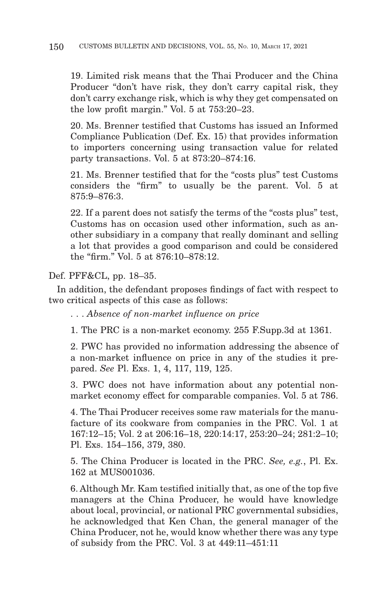19. Limited risk means that the Thai Producer and the China Producer "don't have risk, they don't carry capital risk, they don't carry exchange risk, which is why they get compensated on the low profit margin." Vol. 5 at 753:20–23.

20. Ms. Brenner testified that Customs has issued an Informed Compliance Publication (Def. Ex. 15) that provides information to importers concerning using transaction value for related party transactions. Vol. 5 at 873:20–874:16.

21. Ms. Brenner testified that for the "costs plus" test Customs considers the "firm" to usually be the parent. Vol. 5 at 875:9–876:3.

22. If a parent does not satisfy the terms of the "costs plus" test, Customs has on occasion used other information, such as another subsidiary in a company that really dominant and selling a lot that provides a good comparison and could be considered the "firm." Vol. 5 at 876:10–878:12.

Def. PFF&CL, pp. 18–35.

In addition, the defendant proposes findings of fact with respect to two critical aspects of this case as follows:

. . . *Absence of non-market influence on price*

1. The PRC is a non-market economy. 255 F.Supp.3d at 1361.

2. PWC has provided no information addressing the absence of a non-market influence on price in any of the studies it prepared. *See* Pl. Exs. 1, 4, 117, 119, 125.

3. PWC does not have information about any potential nonmarket economy effect for comparable companies. Vol. 5 at 786.

4. The Thai Producer receives some raw materials for the manufacture of its cookware from companies in the PRC. Vol. 1 at 167:12–15; Vol. 2 at 206:16–18, 220:14:17, 253:20–24; 281:2–10; Pl. Exs. 154–156, 379, 380.

5. The China Producer is located in the PRC. *See, e.g.*, Pl. Ex. 162 at MUS001036.

6. Although Mr. Kam testified initially that, as one of the top five managers at the China Producer, he would have knowledge about local, provincial, or national PRC governmental subsidies, he acknowledged that Ken Chan, the general manager of the China Producer, not he, would know whether there was any type of subsidy from the PRC. Vol. 3 at 449:11–451:11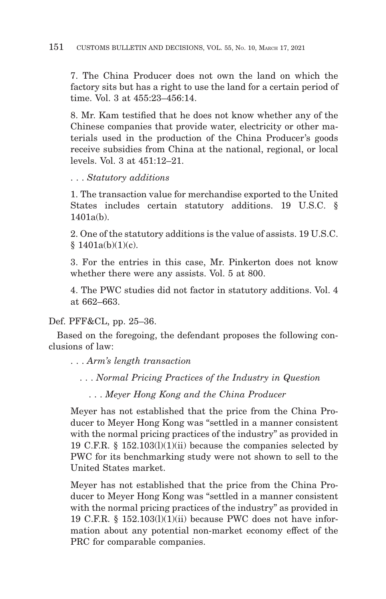7. The China Producer does not own the land on which the factory sits but has a right to use the land for a certain period of time. Vol. 3 at 455:23–456:14.

8. Mr. Kam testified that he does not know whether any of the Chinese companies that provide water, electricity or other materials used in the production of the China Producer's goods receive subsidies from China at the national, regional, or local levels. Vol. 3 at 451:12–21.

. . . *Statutory additions*

1. The transaction value for merchandise exported to the United States includes certain statutory additions. 19 U.S.C. §  $1401a(b)$ .

2. One of the statutory additions is the value of assists. 19 U.S.C.  $$1401a(b)(1)(c).$ 

3. For the entries in this case, Mr. Pinkerton does not know whether there were any assists. Vol. 5 at 800.

4. The PWC studies did not factor in statutory additions. Vol. 4 at 662–663.

Def. PFF&CL, pp. 25–36.

Based on the foregoing, the defendant proposes the following conclusions of law:

. . . *Arm's length transaction*

. . . *Normal Pricing Practices of the Industry in Question*

. . . *Meyer Hong Kong and the China Producer*

Meyer has not established that the price from the China Producer to Meyer Hong Kong was "settled in a manner consistent with the normal pricing practices of the industry" as provided in 19 C.F.R.  $\S$  152.103(1)(1)(ii) because the companies selected by PWC for its benchmarking study were not shown to sell to the United States market.

Meyer has not established that the price from the China Producer to Meyer Hong Kong was "settled in a manner consistent with the normal pricing practices of the industry" as provided in 19 C.F.R.  $\S$  152.103(1)(1)(ii) because PWC does not have information about any potential non-market economy effect of the PRC for comparable companies.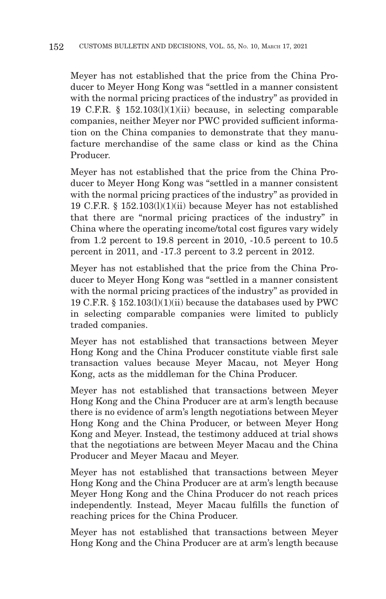Meyer has not established that the price from the China Producer to Meyer Hong Kong was "settled in a manner consistent with the normal pricing practices of the industry" as provided in 19 C.F.R. § 152.103(l)(1)(ii) because, in selecting comparable companies, neither Meyer nor PWC provided sufficient information on the China companies to demonstrate that they manufacture merchandise of the same class or kind as the China Producer.

Meyer has not established that the price from the China Producer to Meyer Hong Kong was "settled in a manner consistent with the normal pricing practices of the industry" as provided in 19 C.F.R. § 152.103(l)(1)(ii) because Meyer has not established that there are "normal pricing practices of the industry" in China where the operating income/total cost figures vary widely from 1.2 percent to 19.8 percent in 2010, -10.5 percent to 10.5 percent in 2011, and -17.3 percent to 3.2 percent in 2012.

Meyer has not established that the price from the China Producer to Meyer Hong Kong was "settled in a manner consistent with the normal pricing practices of the industry" as provided in 19 C.F.R. § 152.103(l)(1)(ii) because the databases used by PWC in selecting comparable companies were limited to publicly traded companies.

Meyer has not established that transactions between Meyer Hong Kong and the China Producer constitute viable first sale transaction values because Meyer Macau, not Meyer Hong Kong, acts as the middleman for the China Producer.

Meyer has not established that transactions between Meyer Hong Kong and the China Producer are at arm's length because there is no evidence of arm's length negotiations between Meyer Hong Kong and the China Producer, or between Meyer Hong Kong and Meyer. Instead, the testimony adduced at trial shows that the negotiations are between Meyer Macau and the China Producer and Meyer Macau and Meyer.

Meyer has not established that transactions between Meyer Hong Kong and the China Producer are at arm's length because Meyer Hong Kong and the China Producer do not reach prices independently. Instead, Meyer Macau fulfills the function of reaching prices for the China Producer.

Meyer has not established that transactions between Meyer Hong Kong and the China Producer are at arm's length because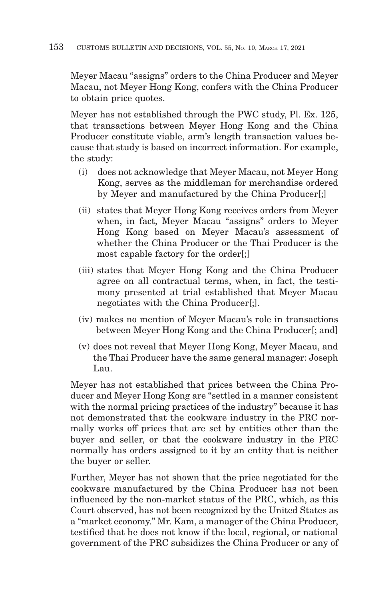Meyer Macau "assigns" orders to the China Producer and Meyer Macau, not Meyer Hong Kong, confers with the China Producer to obtain price quotes.

Meyer has not established through the PWC study, Pl. Ex. 125, that transactions between Meyer Hong Kong and the China Producer constitute viable, arm's length transaction values because that study is based on incorrect information. For example, the study:

- (i) does not acknowledge that Meyer Macau, not Meyer Hong Kong, serves as the middleman for merchandise ordered by Meyer and manufactured by the China Producer[;]
- (ii) states that Meyer Hong Kong receives orders from Meyer when, in fact, Meyer Macau "assigns" orders to Meyer Hong Kong based on Meyer Macau's assessment of whether the China Producer or the Thai Producer is the most capable factory for the order[;]
- (iii) states that Meyer Hong Kong and the China Producer agree on all contractual terms, when, in fact, the testimony presented at trial established that Meyer Macau negotiates with the China Producer[;].
- (iv) makes no mention of Meyer Macau's role in transactions between Meyer Hong Kong and the China Producer<sup>[</sup>; and]
- (v) does not reveal that Meyer Hong Kong, Meyer Macau, and the Thai Producer have the same general manager: Joseph Lau.

Meyer has not established that prices between the China Producer and Meyer Hong Kong are "settled in a manner consistent with the normal pricing practices of the industry" because it has not demonstrated that the cookware industry in the PRC normally works off prices that are set by entities other than the buyer and seller, or that the cookware industry in the PRC normally has orders assigned to it by an entity that is neither the buyer or seller.

Further, Meyer has not shown that the price negotiated for the cookware manufactured by the China Producer has not been influenced by the non-market status of the PRC, which, as this Court observed, has not been recognized by the United States as a "market economy." Mr. Kam, a manager of the China Producer, testified that he does not know if the local, regional, or national government of the PRC subsidizes the China Producer or any of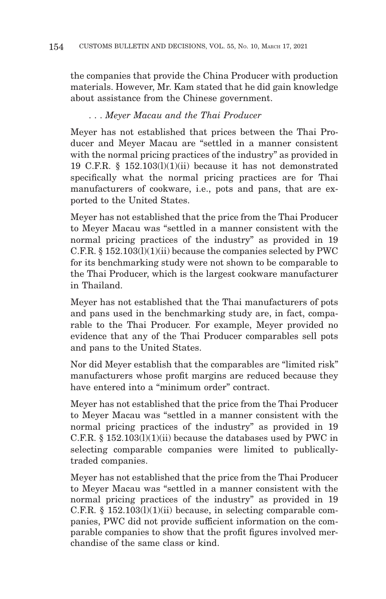the companies that provide the China Producer with production materials. However, Mr. Kam stated that he did gain knowledge about assistance from the Chinese government.

### . . . *Meyer Macau and the Thai Producer*

Meyer has not established that prices between the Thai Producer and Meyer Macau are "settled in a manner consistent with the normal pricing practices of the industry" as provided in 19 C.F.R. § 152.103(l)(1)(ii) because it has not demonstrated specifically what the normal pricing practices are for Thai manufacturers of cookware, i.e., pots and pans, that are exported to the United States.

Meyer has not established that the price from the Thai Producer to Meyer Macau was "settled in a manner consistent with the normal pricing practices of the industry" as provided in 19 C.F.R. § 152.103(l)(1)(ii) because the companies selected by PWC for its benchmarking study were not shown to be comparable to the Thai Producer, which is the largest cookware manufacturer in Thailand.

Meyer has not established that the Thai manufacturers of pots and pans used in the benchmarking study are, in fact, comparable to the Thai Producer. For example, Meyer provided no evidence that any of the Thai Producer comparables sell pots and pans to the United States.

Nor did Meyer establish that the comparables are "limited risk" manufacturers whose profit margins are reduced because they have entered into a "minimum order" contract.

Meyer has not established that the price from the Thai Producer to Meyer Macau was "settled in a manner consistent with the normal pricing practices of the industry" as provided in 19 C.F.R.  $\S$  152.103(l)(1)(ii) because the databases used by PWC in selecting comparable companies were limited to publicallytraded companies.

Meyer has not established that the price from the Thai Producer to Meyer Macau was "settled in a manner consistent with the normal pricing practices of the industry" as provided in 19 C.F.R.  $\S$  152.103(1)(1)(ii) because, in selecting comparable companies, PWC did not provide sufficient information on the comparable companies to show that the profit figures involved merchandise of the same class or kind.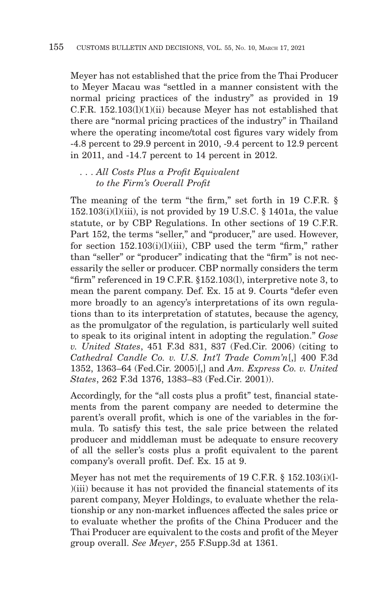Meyer has not established that the price from the Thai Producer to Meyer Macau was "settled in a manner consistent with the normal pricing practices of the industry" as provided in 19 C.F.R. 152.103(l)(1)(ii) because Meyer has not established that there are "normal pricing practices of the industry" in Thailand where the operating income/total cost figures vary widely from -4.8 percent to 29.9 percent in 2010, -9.4 percent to 12.9 percent in 2011, and -14.7 percent to 14 percent in 2012.

### . . . *All Costs Plus a Profit Equivalent to the Firm's Overall Profit*

The meaning of the term "the firm," set forth in 19 C.F.R.  $\S$  $152.103(i)(l)(iii)$ , is not provided by 19 U.S.C. § 1401a, the value statute, or by CBP Regulations. In other sections of 19 C.F.R. Part 152, the terms "seller," and "producer," are used. However, for section 152.103(i)(l)(iii), CBP used the term "firm," rather than "seller" or "producer" indicating that the "firm" is not necessarily the seller or producer. CBP normally considers the term "firm" referenced in 19 C.F.R. §152.103(l), interpretive note 3, to mean the parent company. Def. Ex. 15 at 9. Courts "defer even more broadly to an agency's interpretations of its own regulations than to its interpretation of statutes, because the agency, as the promulgator of the regulation, is particularly well suited to speak to its original intent in adopting the regulation." *Gose v. United States*, 451 F.3d 831, 837 (Fed.Cir. 2006) (citing to *Cathedral Candle Co. v. U.S. Int'l Trade Comm'n*[,] 400 F.3d 1352, 1363–64 (Fed.Cir. 2005)[,] and *Am. Express Co. v. United States*, 262 F.3d 1376, 1383–83 (Fed.Cir. 2001)).

Accordingly, for the "all costs plus a profit" test, financial statements from the parent company are needed to determine the parent's overall profit, which is one of the variables in the formula. To satisfy this test, the sale price between the related producer and middleman must be adequate to ensure recovery of all the seller's costs plus a profit equivalent to the parent company's overall profit. Def. Ex. 15 at 9.

Meyer has not met the requirements of 19 C.F.R. § 152.103(i)(l- )(iii) because it has not provided the financial statements of its parent company, Meyer Holdings, to evaluate whether the relationship or any non-market influences affected the sales price or to evaluate whether the profits of the China Producer and the Thai Producer are equivalent to the costs and profit of the Meyer group overall. *See Meyer*, 255 F.Supp.3d at 1361.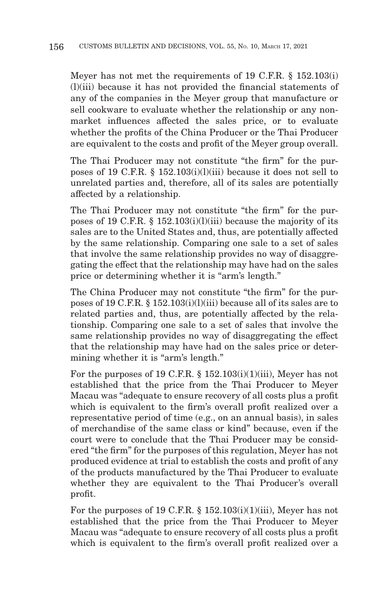Meyer has not met the requirements of 19 C.F.R. § 152.103(i) (l)(iii) because it has not provided the financial statements of any of the companies in the Meyer group that manufacture or sell cookware to evaluate whether the relationship or any nonmarket influences affected the sales price, or to evaluate whether the profits of the China Producer or the Thai Producer are equivalent to the costs and profit of the Meyer group overall.

The Thai Producer may not constitute "the firm" for the purposes of 19 C.F.R. § 152.103(i)(l)(iii) because it does not sell to unrelated parties and, therefore, all of its sales are potentially affected by a relationship.

The Thai Producer may not constitute "the firm" for the purposes of 19 C.F.R.  $\S$  152.103(i)(l)(iii) because the majority of its sales are to the United States and, thus, are potentially affected by the same relationship. Comparing one sale to a set of sales that involve the same relationship provides no way of disaggregating the effect that the relationship may have had on the sales price or determining whether it is "arm's length."

The China Producer may not constitute "the firm" for the purposes of 19 C.F.R. § 152.103(i)(l)(iii) because all of its sales are to related parties and, thus, are potentially affected by the relationship. Comparing one sale to a set of sales that involve the same relationship provides no way of disaggregating the effect that the relationship may have had on the sales price or determining whether it is "arm's length."

For the purposes of 19 C.F.R.  $\S$  152.103(i)(1)(iii), Meyer has not established that the price from the Thai Producer to Meyer Macau was "adequate to ensure recovery of all costs plus a profit which is equivalent to the firm's overall profit realized over a representative period of time (e.g., on an annual basis), in sales of merchandise of the same class or kind" because, even if the court were to conclude that the Thai Producer may be considered "the firm" for the purposes of this regulation, Meyer has not produced evidence at trial to establish the costs and profit of any of the products manufactured by the Thai Producer to evaluate whether they are equivalent to the Thai Producer's overall profit.

For the purposes of 19 C.F.R.  $\S$  152.103(i)(1)(iii), Meyer has not established that the price from the Thai Producer to Meyer Macau was "adequate to ensure recovery of all costs plus a profit which is equivalent to the firm's overall profit realized over a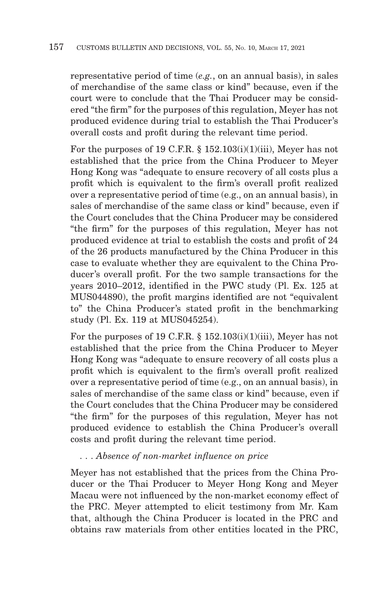representative period of time (*e.g.*, on an annual basis), in sales of merchandise of the same class or kind" because, even if the court were to conclude that the Thai Producer may be considered "the firm" for the purposes of this regulation, Meyer has not produced evidence during trial to establish the Thai Producer's overall costs and profit during the relevant time period.

For the purposes of 19 C.F.R.  $\S$  152.103(i)(1)(iii), Meyer has not established that the price from the China Producer to Meyer Hong Kong was "adequate to ensure recovery of all costs plus a profit which is equivalent to the firm's overall profit realized over a representative period of time (e.g., on an annual basis), in sales of merchandise of the same class or kind" because, even if the Court concludes that the China Producer may be considered "the firm" for the purposes of this regulation, Meyer has not produced evidence at trial to establish the costs and profit of 24 of the 26 products manufactured by the China Producer in this case to evaluate whether they are equivalent to the China Producer's overall profit. For the two sample transactions for the years 2010–2012, identified in the PWC study (Pl. Ex. 125 at MUS044890), the profit margins identified are not "equivalent to" the China Producer's stated profit in the benchmarking study (Pl. Ex. 119 at MUS045254).

For the purposes of 19 C.F.R.  $\S$  152.103(i)(1)(iii), Meyer has not established that the price from the China Producer to Meyer Hong Kong was "adequate to ensure recovery of all costs plus a profit which is equivalent to the firm's overall profit realized over a representative period of time (e.g., on an annual basis), in sales of merchandise of the same class or kind" because, even if the Court concludes that the China Producer may be considered "the firm" for the purposes of this regulation, Meyer has not produced evidence to establish the China Producer's overall costs and profit during the relevant time period.

#### . . . *Absence of non-market influence on price*

Meyer has not established that the prices from the China Producer or the Thai Producer to Meyer Hong Kong and Meyer Macau were not influenced by the non-market economy effect of the PRC. Meyer attempted to elicit testimony from Mr. Kam that, although the China Producer is located in the PRC and obtains raw materials from other entities located in the PRC,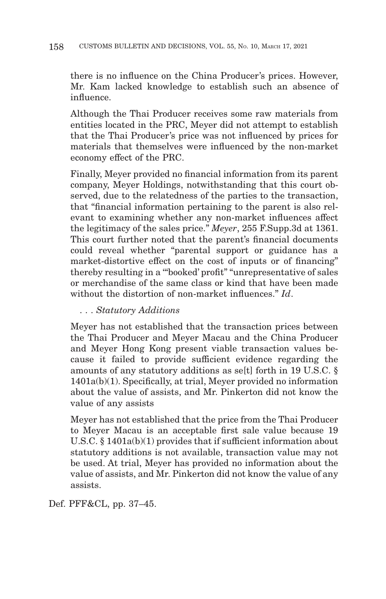there is no influence on the China Producer's prices. However, Mr. Kam lacked knowledge to establish such an absence of influence.

Although the Thai Producer receives some raw materials from entities located in the PRC, Meyer did not attempt to establish that the Thai Producer's price was not influenced by prices for materials that themselves were influenced by the non-market economy effect of the PRC.

Finally, Meyer provided no financial information from its parent company, Meyer Holdings, notwithstanding that this court observed, due to the relatedness of the parties to the transaction, that "financial information pertaining to the parent is also relevant to examining whether any non-market influences affect the legitimacy of the sales price." *Meyer*, 255 F.Supp.3d at 1361. This court further noted that the parent's financial documents could reveal whether "parental support or guidance has a market-distortive effect on the cost of inputs or of financing" thereby resulting in a '"booked' profit" "unrepresentative of sales or merchandise of the same class or kind that have been made without the distortion of non-market influences." *Id*.

### . . . *Statutory Additions*

Meyer has not established that the transaction prices between the Thai Producer and Meyer Macau and the China Producer and Meyer Hong Kong present viable transaction values because it failed to provide sufficient evidence regarding the amounts of any statutory additions as se[t] forth in 19 U.S.C. § 1401a(b)(1). Specifically, at trial, Meyer provided no information about the value of assists, and Mr. Pinkerton did not know the value of any assists

Meyer has not established that the price from the Thai Producer to Meyer Macau is an acceptable first sale value because 19 U.S.C. § 1401a(b)(1) provides that if sufficient information about statutory additions is not available, transaction value may not be used. At trial, Meyer has provided no information about the value of assists, and Mr. Pinkerton did not know the value of any assists.

Def. PFF&CL, pp. 37–45.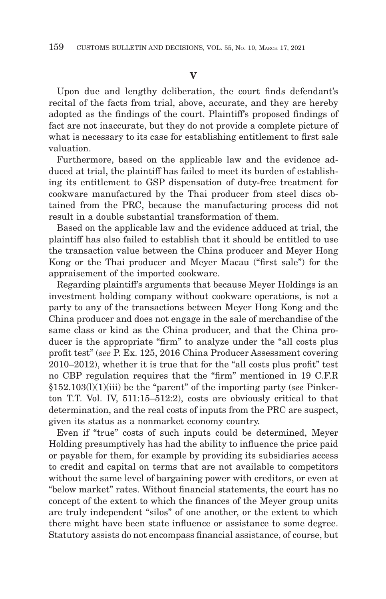#### **V**

Upon due and lengthy deliberation, the court finds defendant's recital of the facts from trial, above, accurate, and they are hereby adopted as the findings of the court. Plaintiff's proposed findings of fact are not inaccurate, but they do not provide a complete picture of what is necessary to its case for establishing entitlement to first sale valuation.

Furthermore, based on the applicable law and the evidence adduced at trial, the plaintiff has failed to meet its burden of establishing its entitlement to GSP dispensation of duty-free treatment for cookware manufactured by the Thai producer from steel discs obtained from the PRC, because the manufacturing process did not result in a double substantial transformation of them.

Based on the applicable law and the evidence adduced at trial, the plaintiff has also failed to establish that it should be entitled to use the transaction value between the China producer and Meyer Hong Kong or the Thai producer and Meyer Macau ("first sale") for the appraisement of the imported cookware.

Regarding plaintiff's arguments that because Meyer Holdings is an investment holding company without cookware operations, is not a party to any of the transactions between Meyer Hong Kong and the China producer and does not engage in the sale of merchandise of the same class or kind as the China producer, and that the China producer is the appropriate "firm" to analyze under the "all costs plus profit test" (*see* P. Ex. 125, 2016 China Producer Assessment covering 2010–2012), whether it is true that for the "all costs plus profit" test no CBP regulation requires that the "firm" mentioned in 19 C.F.R §152.103(l)(1)(iii) be the "parent" of the importing party (*see* Pinkerton T.T. Vol. IV, 511:15–512:2), costs are obviously critical to that determination, and the real costs of inputs from the PRC are suspect, given its status as a nonmarket economy country.

Even if "true" costs of such inputs could be determined, Meyer Holding presumptively has had the ability to influence the price paid or payable for them, for example by providing its subsidiaries access to credit and capital on terms that are not available to competitors without the same level of bargaining power with creditors, or even at "below market" rates. Without financial statements, the court has no concept of the extent to which the finances of the Meyer group units are truly independent "silos" of one another, or the extent to which there might have been state influence or assistance to some degree. Statutory assists do not encompass financial assistance, of course, but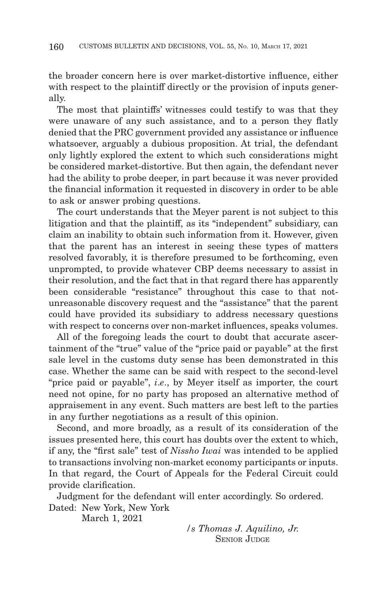the broader concern here is over market-distortive influence, either with respect to the plaintiff directly or the provision of inputs generally.

The most that plaintiffs' witnesses could testify to was that they were unaware of any such assistance, and to a person they flatly denied that the PRC government provided any assistance or influence whatsoever, arguably a dubious proposition. At trial, the defendant only lightly explored the extent to which such considerations might be considered market-distortive. But then again, the defendant never had the ability to probe deeper, in part because it was never provided the financial information it requested in discovery in order to be able to ask or answer probing questions.

The court understands that the Meyer parent is not subject to this litigation and that the plaintiff, as its "independent" subsidiary, can claim an inability to obtain such information from it. However, given that the parent has an interest in seeing these types of matters resolved favorably, it is therefore presumed to be forthcoming, even unprompted, to provide whatever CBP deems necessary to assist in their resolution, and the fact that in that regard there has apparently been considerable "resistance" throughout this case to that notunreasonable discovery request and the "assistance" that the parent could have provided its subsidiary to address necessary questions with respect to concerns over non-market influences, speaks volumes.

All of the foregoing leads the court to doubt that accurate ascertainment of the "true" value of the "price paid or payable" at the first sale level in the customs duty sense has been demonstrated in this case. Whether the same can be said with respect to the second-level "price paid or payable", *i*.*e*., by Meyer itself as importer, the court need not opine, for no party has proposed an alternative method of appraisement in any event. Such matters are best left to the parties in any further negotiations as a result of this opinion.

Second, and more broadly, as a result of its consideration of the issues presented here, this court has doubts over the extent to which, if any, the "first sale" test of *Nissho Iwai* was intended to be applied to transactions involving non-market economy participants or inputs. In that regard, the Court of Appeals for the Federal Circuit could provide clarification.

Judgment for the defendant will enter accordingly. So ordered. Dated: New York, New York

March 1, 2021

*/s Thomas J. Aquilino, Jr.* SENIOR JUDGE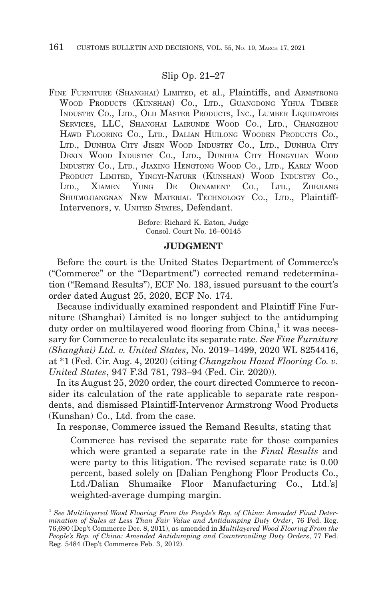#### Slip Op. 21–27

FINE FURNITURE (SHANGHAI) LIMITED, et al., Plaintiffs, and ARMSTRONG WOOD PRODUCTS (KUNSHAN) CO., LTD., GUANGDONG YIHUA TIMBER INDUSTRY CO., LTD., OLD MASTER PRODUCTS, INC., LUMBER LIQUIDATORS SERVICES, LLC, SHANGHAI LAIRUNDE WOOD CO., LTD., CHANGZHOU HAWD FLOORING CO., LTD., DALIAN HUILONG WOODEN PRODUCTS CO., LTD., DUNHUA CITY JISEN WOOD INDUSTRY CO., LTD., DUNHUA CITY DEXIN WOOD INDUSTRY CO., LTD., DUNHUA CITY HONGYUAN WOOD INDUSTRY CO., LTD., JIAXING HENGTONG WOOD CO., LTD., KARLY WOOD PRODUCT LIMITED, YINGYI-NATURE (KUNSHAN) WOOD INDUSTRY CO., LTD., XIAMEN YUNG DE ORNAMENT CO., LTD., ZHEJIANG SHUIMOJIANGNAN NEW MATERIAL TECHNOLOGY CO., LTD., Plaintiff-Intervenors, v. UNITED STATES, Defendant.

> Before: Richard K. Eaton, Judge Consol. Court No. 16–00145

#### **JUDGMENT**

Before the court is the United States Department of Commerce's ("Commerce" or the "Department") corrected remand redetermination ("Remand Results"), ECF No. 183, issued pursuant to the court's order dated August 25, 2020, ECF No. 174.

Because individually examined respondent and Plaintiff Fine Furniture (Shanghai) Limited is no longer subject to the antidumping duty order on multilayered wood flooring from China,<sup>1</sup> it was necessary for Commerce to recalculate its separate rate. *See Fine Furniture (Shanghai) Ltd. v. United States*, No. 2019–1499, 2020 WL 8254416, at \*1 (Fed. Cir. Aug. 4, 2020) (citing *Changzhou Hawd Flooring Co. v. United States*, 947 F.3d 781, 793–94 (Fed. Cir. 2020)).

In its August 25, 2020 order, the court directed Commerce to reconsider its calculation of the rate applicable to separate rate respondents, and dismissed Plaintiff-Intervenor Armstrong Wood Products (Kunshan) Co., Ltd. from the case.

In response, Commerce issued the Remand Results, stating that

Commerce has revised the separate rate for those companies which were granted a separate rate in the *Final Results* and were party to this litigation. The revised separate rate is 0.00 percent, based solely on [Dalian Penghong Floor Products Co., Ltd./Dalian Shumaike Floor Manufacturing Co., Ltd.'s] weighted-average dumping margin.

<sup>&</sup>lt;sup>1</sup> See Multilayered Wood Flooring From the People's Rep. of China: Amended Final Deter*mination of Sales at Less Than Fair Value and Antidumping Duty Order*, 76 Fed. Reg. 76,690 (Dep't Commerce Dec. 8, 2011), as amended in *Multilayered Wood Flooring From the People's Rep. of China: Amended Antidumping and Countervailing Duty Orders*, 77 Fed. Reg. 5484 (Dep't Commerce Feb. 3, 2012).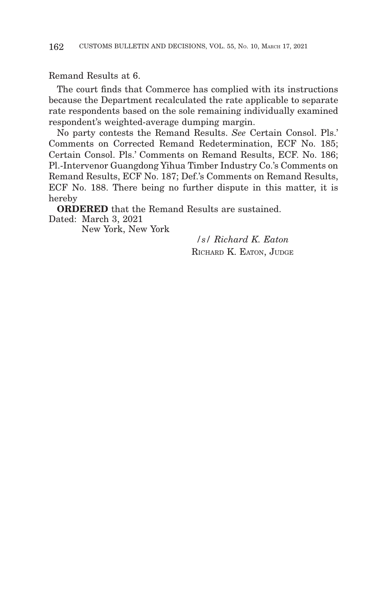Remand Results at 6.

The court finds that Commerce has complied with its instructions because the Department recalculated the rate applicable to separate rate respondents based on the sole remaining individually examined respondent's weighted-average dumping margin.

No party contests the Remand Results. *See* Certain Consol. Pls.' Comments on Corrected Remand Redetermination, ECF No. 185; Certain Consol. Pls.' Comments on Remand Results, ECF. No. 186; Pl.-Intervenor Guangdong Yihua Timber Industry Co.'s Comments on Remand Results, ECF No. 187; Def.'s Comments on Remand Results, ECF No. 188. There being no further dispute in this matter, it is hereby

**ORDERED** that the Remand Results are sustained. Dated: March 3, 2021

New York, New York

*/s/ Richard K. Eaton* RICHARD K. EATON, JUDGE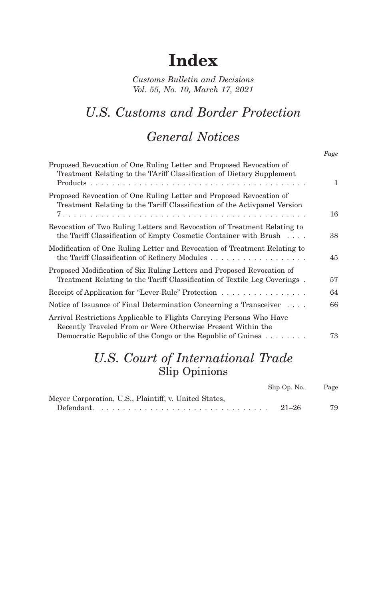# **Index**

*Customs Bulletin and Decisions Vol. 55, No. 10, March 17, 2021*

## *U.S. Customs and Border Protection*

## *General Notices*

| ٧<br>×<br>v<br>× |
|------------------|
|------------------|

| Proposed Revocation of One Ruling Letter and Proposed Revocation of<br>Treatment Relating to the TAriff Classification of Dietary Supplement                                                      | 1  |
|---------------------------------------------------------------------------------------------------------------------------------------------------------------------------------------------------|----|
| Proposed Revocation of One Ruling Letter and Proposed Revocation of<br>Treatment Relating to the Tariff Classification of the Activpanel Version                                                  | 16 |
| Revocation of Two Ruling Letters and Revocation of Treatment Relating to<br>the Tariff Classification of Empty Cosmetic Container with Brush                                                      | 38 |
| Modification of One Ruling Letter and Revocation of Treatment Relating to                                                                                                                         | 45 |
| Proposed Modification of Six Ruling Letters and Proposed Revocation of<br>Treatment Relating to the Tariff Classification of Textile Leg Coverings.                                               | 57 |
| Receipt of Application for "Lever-Rule" Protection                                                                                                                                                | 64 |
| Notice of Issuance of Final Determination Concerning a Transceiver                                                                                                                                | 66 |
| Arrival Restrictions Applicable to Flights Carrying Persons Who Have<br>Recently Traveled From or Were Otherwise Present Within the<br>Democratic Republic of the Congo or the Republic of Guinea | 73 |
|                                                                                                                                                                                                   |    |

## *U.S. Court of International Trade* Slip Opinions

|                                                       | Slip Op. No. | Page |
|-------------------------------------------------------|--------------|------|
| Meyer Corporation, U.S., Plaintiff, v. United States, |              |      |
|                                                       | $21 - 26$    | 79   |